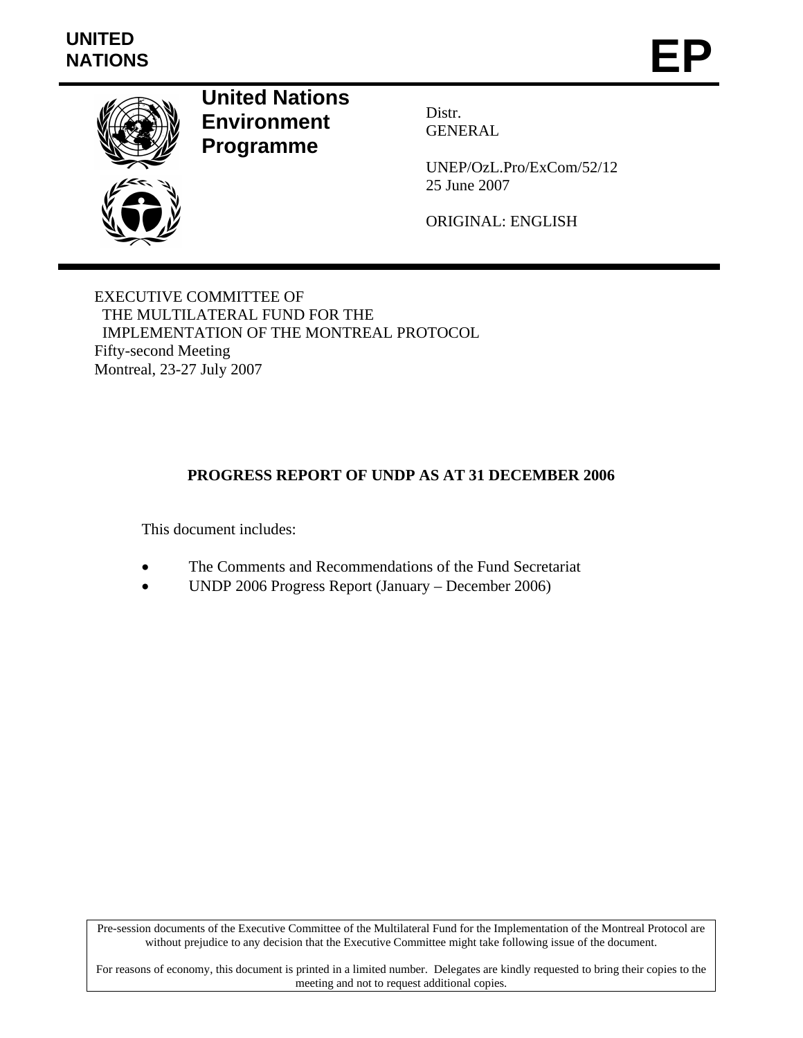# **UNITED**  UNITED<br>NATIONS **EP**



**United Nations Environment Programme** 

Distr. GENERAL

UNEP/OzL.Pro/ExCom/52/12 25 June 2007

ORIGINAL: ENGLISH

EXECUTIVE COMMITTEE OF THE MULTILATERAL FUND FOR THE IMPLEMENTATION OF THE MONTREAL PROTOCOL Fifty-second Meeting Montreal, 23-27 July 2007

## **PROGRESS REPORT OF UNDP AS AT 31 DECEMBER 2006**

This document includes:

- The Comments and Recommendations of the Fund Secretariat
- UNDP 2006 Progress Report (January December 2006)

Pre-session documents of the Executive Committee of the Multilateral Fund for the Implementation of the Montreal Protocol are without prejudice to any decision that the Executive Committee might take following issue of the document.

For reasons of economy, this document is printed in a limited number. Delegates are kindly requested to bring their copies to the meeting and not to request additional copies.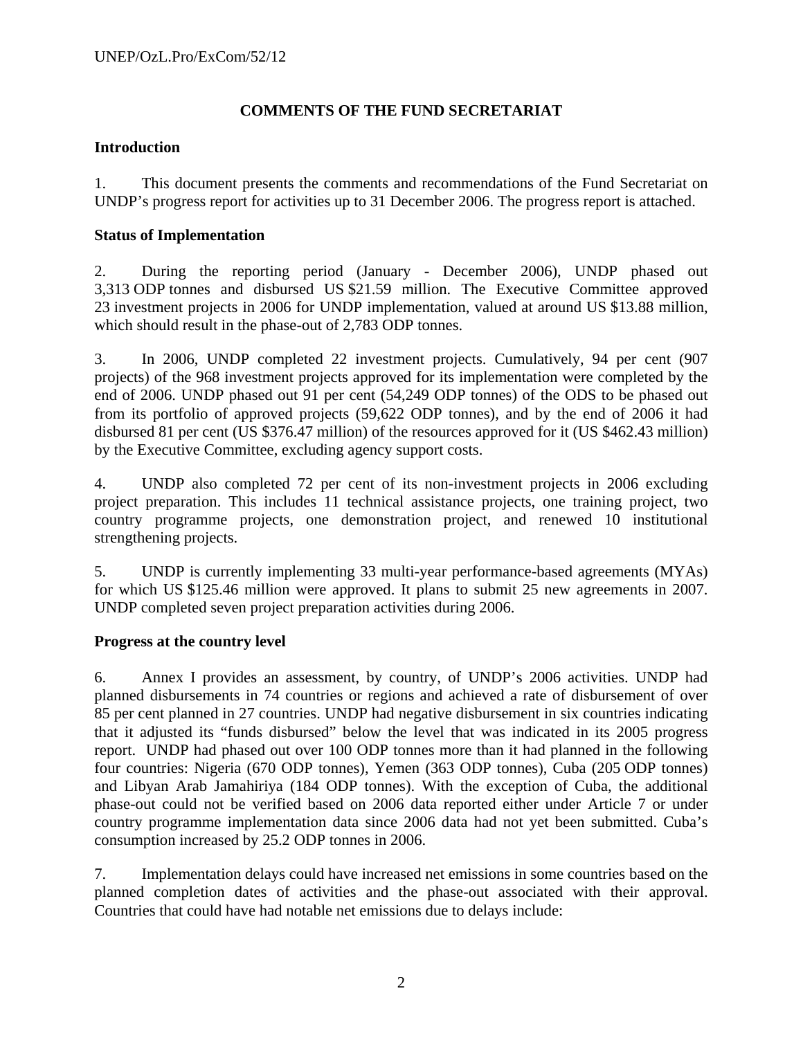## **COMMENTS OF THE FUND SECRETARIAT**

## **Introduction**

1. This document presents the comments and recommendations of the Fund Secretariat on UNDP's progress report for activities up to 31 December 2006. The progress report is attached.

## **Status of Implementation**

2. During the reporting period (January - December 2006), UNDP phased out 3,313 ODP tonnes and disbursed US \$21.59 million. The Executive Committee approved 23 investment projects in 2006 for UNDP implementation, valued at around US \$13.88 million, which should result in the phase-out of 2,783 ODP tonnes.

3. In 2006, UNDP completed 22 investment projects. Cumulatively, 94 per cent (907 projects) of the 968 investment projects approved for its implementation were completed by the end of 2006. UNDP phased out 91 per cent (54,249 ODP tonnes) of the ODS to be phased out from its portfolio of approved projects (59,622 ODP tonnes), and by the end of 2006 it had disbursed 81 per cent (US \$376.47 million) of the resources approved for it (US \$462.43 million) by the Executive Committee, excluding agency support costs.

4. UNDP also completed 72 per cent of its non-investment projects in 2006 excluding project preparation. This includes 11 technical assistance projects, one training project, two country programme projects, one demonstration project, and renewed 10 institutional strengthening projects.

5. UNDP is currently implementing 33 multi-year performance-based agreements (MYAs) for which US \$125.46 million were approved. It plans to submit 25 new agreements in 2007. UNDP completed seven project preparation activities during 2006.

## **Progress at the country level**

6. Annex I provides an assessment, by country, of UNDP's 2006 activities. UNDP had planned disbursements in 74 countries or regions and achieved a rate of disbursement of over 85 per cent planned in 27 countries. UNDP had negative disbursement in six countries indicating that it adjusted its "funds disbursed" below the level that was indicated in its 2005 progress report. UNDP had phased out over 100 ODP tonnes more than it had planned in the following four countries: Nigeria (670 ODP tonnes), Yemen (363 ODP tonnes), Cuba (205 ODP tonnes) and Libyan Arab Jamahiriya (184 ODP tonnes). With the exception of Cuba, the additional phase-out could not be verified based on 2006 data reported either under Article 7 or under country programme implementation data since 2006 data had not yet been submitted. Cuba's consumption increased by 25.2 ODP tonnes in 2006.

7. Implementation delays could have increased net emissions in some countries based on the planned completion dates of activities and the phase-out associated with their approval. Countries that could have had notable net emissions due to delays include: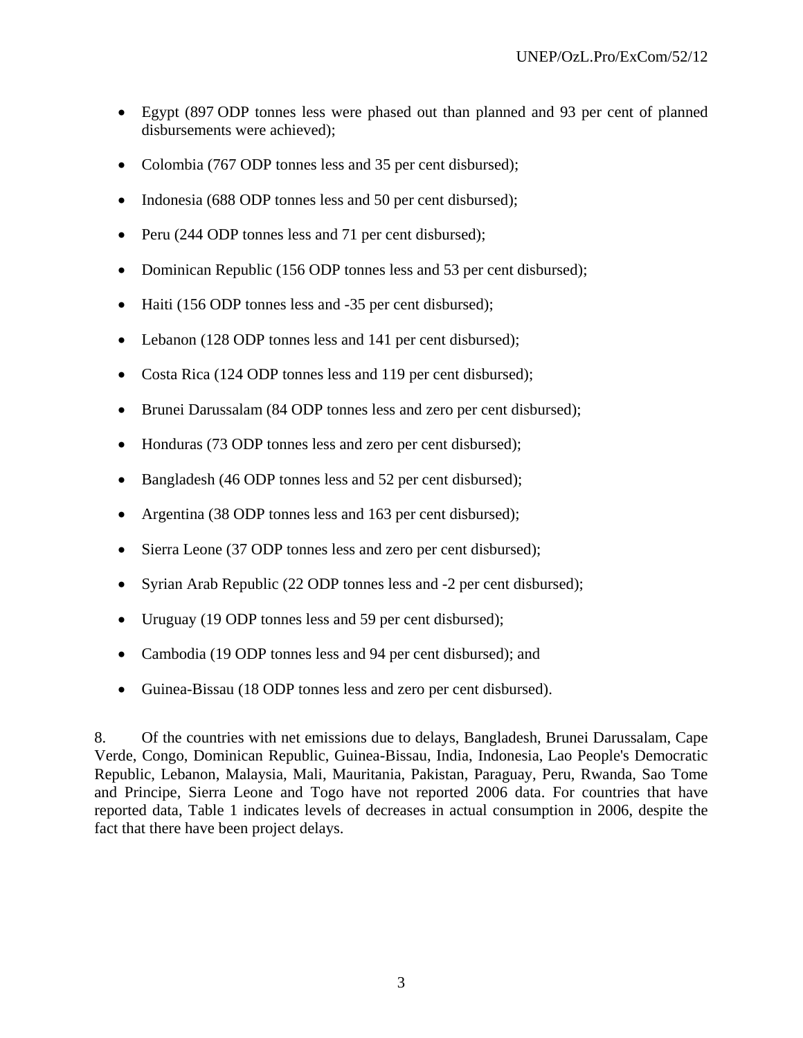- Egypt (897 ODP tonnes less were phased out than planned and 93 per cent of planned disbursements were achieved);
- Colombia (767 ODP tonnes less and 35 per cent disbursed);
- Indonesia (688 ODP tonnes less and 50 per cent disbursed);
- Peru (244 ODP tonnes less and 71 per cent disbursed);
- Dominican Republic (156 ODP tonnes less and 53 per cent disbursed);
- Haiti (156 ODP tonnes less and -35 per cent disbursed);
- Lebanon (128 ODP tonnes less and 141 per cent disbursed);
- Costa Rica (124 ODP tonnes less and 119 per cent disbursed);
- Brunei Darussalam (84 ODP tonnes less and zero per cent disbursed);
- Honduras (73 ODP tonnes less and zero per cent disbursed);
- Bangladesh (46 ODP tonnes less and 52 per cent disbursed);
- Argentina (38 ODP tonnes less and 163 per cent disbursed);
- Sierra Leone (37 ODP tonnes less and zero per cent disbursed);
- Syrian Arab Republic (22 ODP tonnes less and -2 per cent disbursed);
- Uruguay (19 ODP tonnes less and 59 per cent disbursed);
- Cambodia (19 ODP tonnes less and 94 per cent disbursed); and
- Guinea-Bissau (18 ODP tonnes less and zero per cent disbursed).

8. Of the countries with net emissions due to delays, Bangladesh, Brunei Darussalam, Cape Verde, Congo, Dominican Republic, Guinea-Bissau, India, Indonesia, Lao People's Democratic Republic, Lebanon, Malaysia, Mali, Mauritania, Pakistan, Paraguay, Peru, Rwanda, Sao Tome and Principe, Sierra Leone and Togo have not reported 2006 data. For countries that have reported data, Table 1 indicates levels of decreases in actual consumption in 2006, despite the fact that there have been project delays.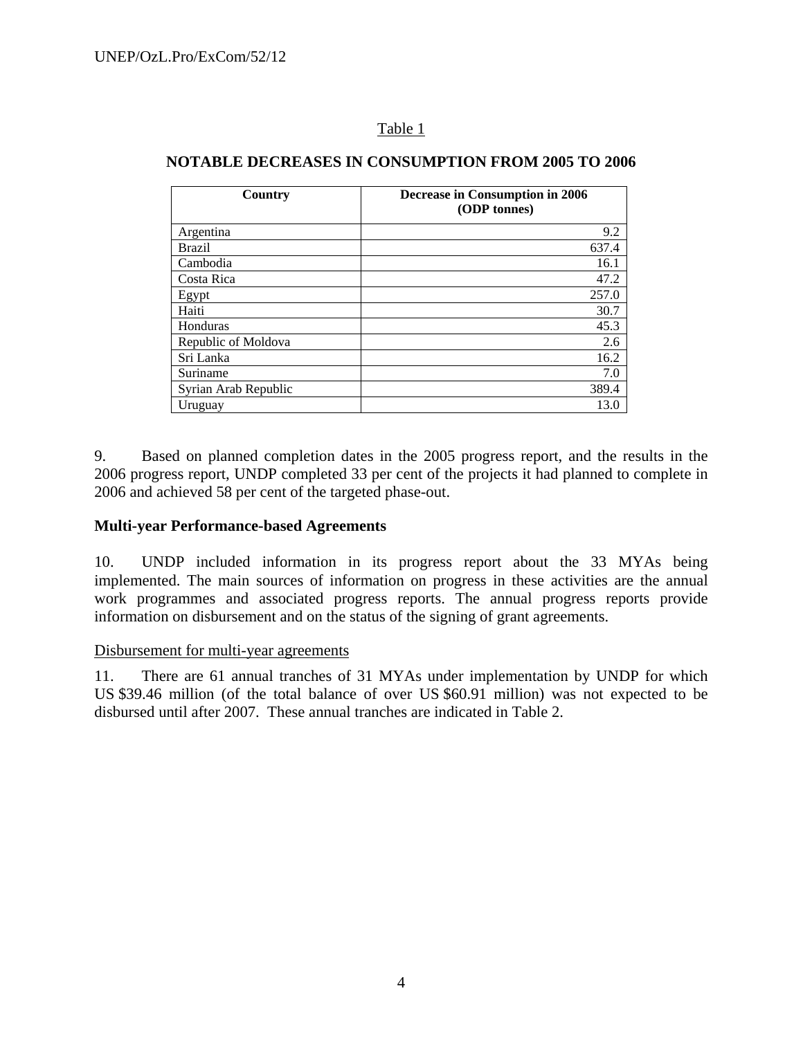## Table 1

#### **Country Decrease in Consumption in 2006 (ODP tonnes)**  Argentina 9.2 Brazil 637.4 Cambodia 16.1 Costa Rica 47.2 Egypt  $257.0$ Haiti 30.7 Honduras 45.3 Republic of Moldova 2.6 Sri Lanka 16.2 Suriname 7.0 Syrian Arab Republic 389.4 Uruguay 13.0

#### **NOTABLE DECREASES IN CONSUMPTION FROM 2005 TO 2006**

9. Based on planned completion dates in the 2005 progress report, and the results in the 2006 progress report, UNDP completed 33 per cent of the projects it had planned to complete in 2006 and achieved 58 per cent of the targeted phase-out.

## **Multi-year Performance-based Agreements**

10. UNDP included information in its progress report about the 33 MYAs being implemented. The main sources of information on progress in these activities are the annual work programmes and associated progress reports. The annual progress reports provide information on disbursement and on the status of the signing of grant agreements.

## Disbursement for multi-year agreements

11. There are 61 annual tranches of 31 MYAs under implementation by UNDP for which US \$39.46 million (of the total balance of over US \$60.91 million) was not expected to be disbursed until after 2007. These annual tranches are indicated in Table 2.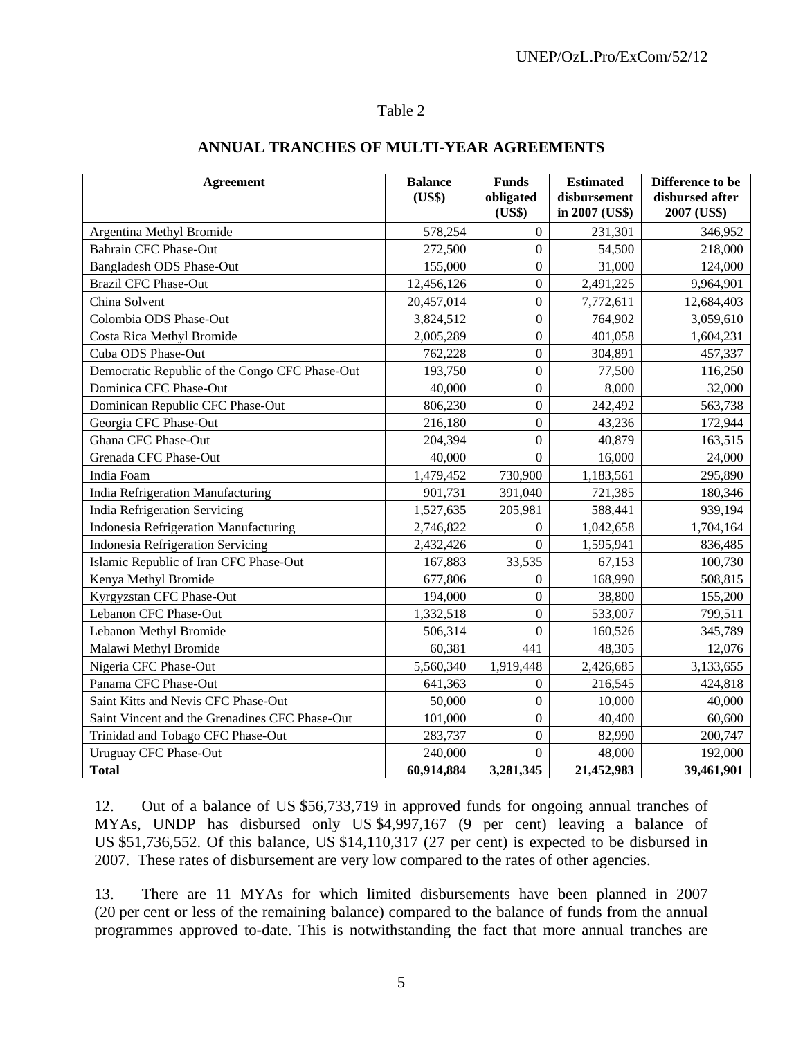## Table 2

| ANNUAL TRANCHES OF MULTI-YEAR AGREEMENTS |  |
|------------------------------------------|--|
|------------------------------------------|--|

| <b>Agreement</b>                               | <b>Balance</b><br>(US\$) | <b>Funds</b><br>obligated<br>(US\$) | <b>Estimated</b><br>disbursement<br>in 2007 (US\$) | Difference to be<br>disbursed after<br>2007 (US\$) |
|------------------------------------------------|--------------------------|-------------------------------------|----------------------------------------------------|----------------------------------------------------|
| Argentina Methyl Bromide                       | 578,254                  | $\overline{0}$                      | 231,301                                            | 346,952                                            |
| <b>Bahrain CFC Phase-Out</b>                   | 272,500                  | $\overline{0}$                      | 54,500                                             | 218,000                                            |
| Bangladesh ODS Phase-Out                       | 155,000                  | $\overline{0}$                      | 31,000                                             | 124,000                                            |
| <b>Brazil CFC Phase-Out</b>                    | 12,456,126               | $\boldsymbol{0}$                    | 2,491,225                                          | 9,964,901                                          |
| China Solvent                                  | 20,457,014               | $\overline{0}$                      | 7,772,611                                          | 12,684,403                                         |
| Colombia ODS Phase-Out                         | 3,824,512                | $\boldsymbol{0}$                    | 764,902                                            | 3,059,610                                          |
| Costa Rica Methyl Bromide                      | 2,005,289                | $\overline{0}$                      | 401,058                                            | 1,604,231                                          |
| Cuba ODS Phase-Out                             | 762,228                  | $\overline{0}$                      | 304,891                                            | 457,337                                            |
| Democratic Republic of the Congo CFC Phase-Out | 193,750                  | $\overline{0}$                      | 77,500                                             | 116,250                                            |
| Dominica CFC Phase-Out                         | 40,000                   | $\overline{0}$                      | 8,000                                              | 32,000                                             |
| Dominican Republic CFC Phase-Out               | 806,230                  | $\theta$                            | 242,492                                            | 563,738                                            |
| Georgia CFC Phase-Out                          | 216,180                  | $\overline{0}$                      | 43,236                                             | 172,944                                            |
| Ghana CFC Phase-Out                            | 204,394                  | $\overline{0}$                      | 40,879                                             | 163,515                                            |
| Grenada CFC Phase-Out                          | 40,000                   | $\theta$                            | 16,000                                             | 24,000                                             |
| India Foam                                     | 1,479,452                | 730,900                             | 1,183,561                                          | 295,890                                            |
| India Refrigeration Manufacturing              | 901,731                  | 391,040                             | 721,385                                            | 180,346                                            |
| India Refrigeration Servicing                  | 1,527,635                | 205,981                             | 588,441                                            | 939,194                                            |
| Indonesia Refrigeration Manufacturing          | 2,746,822                | $\overline{0}$                      | 1,042,658                                          | 1,704,164                                          |
| <b>Indonesia Refrigeration Servicing</b>       | 2,432,426                | $\overline{0}$                      | 1,595,941                                          | 836,485                                            |
| Islamic Republic of Iran CFC Phase-Out         | 167,883                  | 33,535                              | 67,153                                             | 100,730                                            |
| Kenya Methyl Bromide                           | 677,806                  | 0                                   | 168,990                                            | 508,815                                            |
| Kyrgyzstan CFC Phase-Out                       | 194,000                  | $\boldsymbol{0}$                    | 38,800                                             | 155,200                                            |
| Lebanon CFC Phase-Out                          | 1,332,518                | $\boldsymbol{0}$                    | 533,007                                            | 799,511                                            |
| Lebanon Methyl Bromide                         | 506,314                  | $\overline{0}$                      | 160,526                                            | 345,789                                            |
| Malawi Methyl Bromide                          | 60,381                   | 441                                 | 48,305                                             | 12,076                                             |
| Nigeria CFC Phase-Out                          | 5,560,340                | 1,919,448                           | 2,426,685                                          | 3,133,655                                          |
| Panama CFC Phase-Out                           | 641,363                  | $\overline{0}$                      | 216,545                                            | 424,818                                            |
| Saint Kitts and Nevis CFC Phase-Out            | 50,000                   | $\overline{0}$                      | 10,000                                             | 40,000                                             |
| Saint Vincent and the Grenadines CFC Phase-Out | 101,000                  | $\overline{0}$                      | 40,400                                             | 60,600                                             |
| Trinidad and Tobago CFC Phase-Out              | 283,737                  | $\overline{0}$                      | 82,990                                             | 200,747                                            |
| <b>Uruguay CFC Phase-Out</b>                   | 240,000                  | $\overline{0}$                      | 48,000                                             | 192,000                                            |
| <b>Total</b>                                   | 60,914,884               | 3,281,345                           | 21,452,983                                         | 39,461,901                                         |

12. Out of a balance of US \$56,733,719 in approved funds for ongoing annual tranches of MYAs, UNDP has disbursed only US \$4,997,167 (9 per cent) leaving a balance of US \$51,736,552. Of this balance, US \$14,110,317 (27 per cent) is expected to be disbursed in 2007. These rates of disbursement are very low compared to the rates of other agencies.

13. There are 11 MYAs for which limited disbursements have been planned in 2007 (20 per cent or less of the remaining balance) compared to the balance of funds from the annual programmes approved to-date. This is notwithstanding the fact that more annual tranches are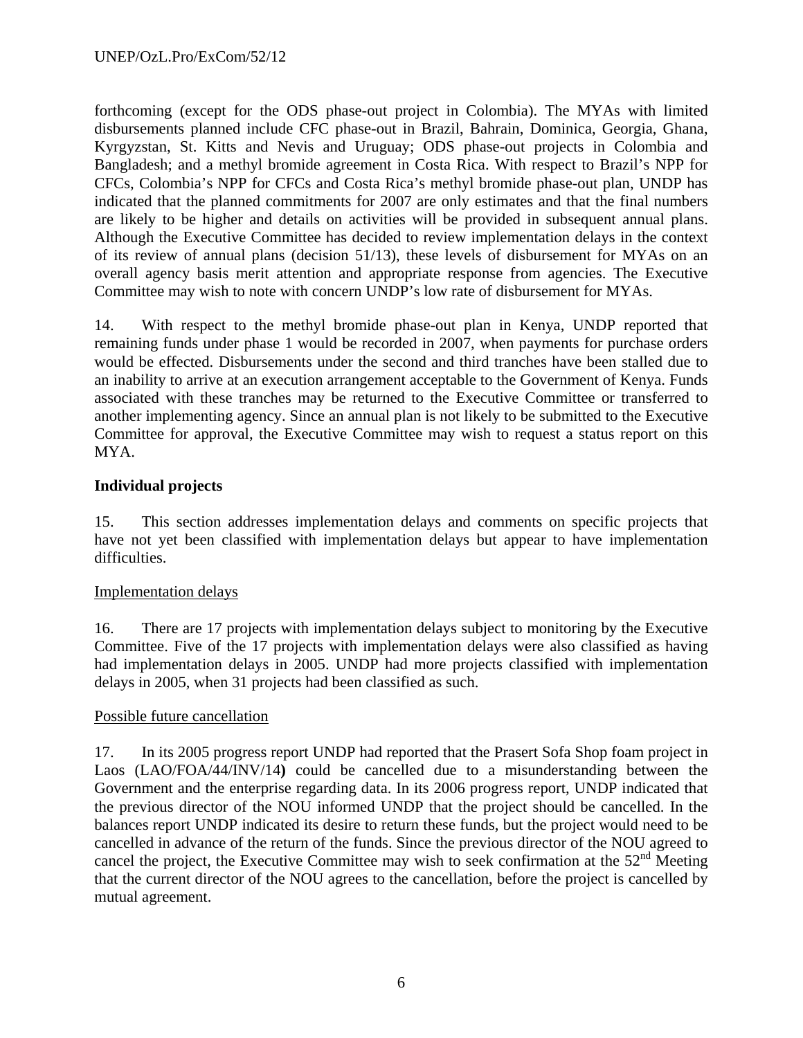forthcoming (except for the ODS phase-out project in Colombia). The MYAs with limited disbursements planned include CFC phase-out in Brazil, Bahrain, Dominica, Georgia, Ghana, Kyrgyzstan, St. Kitts and Nevis and Uruguay; ODS phase-out projects in Colombia and Bangladesh; and a methyl bromide agreement in Costa Rica. With respect to Brazil's NPP for CFCs, Colombia's NPP for CFCs and Costa Rica's methyl bromide phase-out plan, UNDP has indicated that the planned commitments for 2007 are only estimates and that the final numbers are likely to be higher and details on activities will be provided in subsequent annual plans. Although the Executive Committee has decided to review implementation delays in the context of its review of annual plans (decision 51/13), these levels of disbursement for MYAs on an overall agency basis merit attention and appropriate response from agencies. The Executive Committee may wish to note with concern UNDP's low rate of disbursement for MYAs.

14. With respect to the methyl bromide phase-out plan in Kenya, UNDP reported that remaining funds under phase 1 would be recorded in 2007, when payments for purchase orders would be effected. Disbursements under the second and third tranches have been stalled due to an inability to arrive at an execution arrangement acceptable to the Government of Kenya. Funds associated with these tranches may be returned to the Executive Committee or transferred to another implementing agency. Since an annual plan is not likely to be submitted to the Executive Committee for approval, the Executive Committee may wish to request a status report on this MYA.

## **Individual projects**

15. This section addresses implementation delays and comments on specific projects that have not yet been classified with implementation delays but appear to have implementation difficulties.

## Implementation delays

16. There are 17 projects with implementation delays subject to monitoring by the Executive Committee. Five of the 17 projects with implementation delays were also classified as having had implementation delays in 2005. UNDP had more projects classified with implementation delays in 2005, when 31 projects had been classified as such.

## Possible future cancellation

17. In its 2005 progress report UNDP had reported that the Prasert Sofa Shop foam project in Laos (LAO/FOA/44/INV/14**)** could be cancelled due to a misunderstanding between the Government and the enterprise regarding data. In its 2006 progress report, UNDP indicated that the previous director of the NOU informed UNDP that the project should be cancelled. In the balances report UNDP indicated its desire to return these funds, but the project would need to be cancelled in advance of the return of the funds. Since the previous director of the NOU agreed to cancel the project, the Executive Committee may wish to seek confirmation at the  $52<sup>nd</sup>$  Meeting that the current director of the NOU agrees to the cancellation, before the project is cancelled by mutual agreement.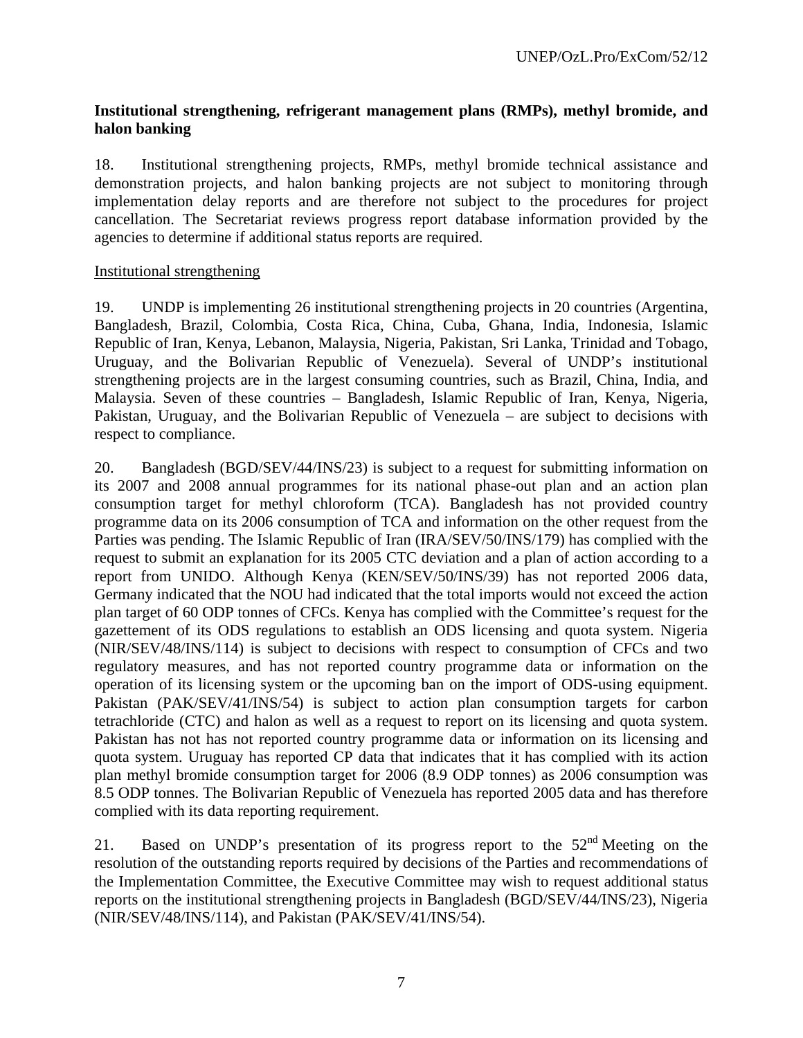## **Institutional strengthening, refrigerant management plans (RMPs), methyl bromide, and halon banking**

18. Institutional strengthening projects, RMPs, methyl bromide technical assistance and demonstration projects, and halon banking projects are not subject to monitoring through implementation delay reports and are therefore not subject to the procedures for project cancellation. The Secretariat reviews progress report database information provided by the agencies to determine if additional status reports are required.

#### Institutional strengthening

19. UNDP is implementing 26 institutional strengthening projects in 20 countries (Argentina, Bangladesh, Brazil, Colombia, Costa Rica, China, Cuba, Ghana, India, Indonesia, Islamic Republic of Iran, Kenya, Lebanon, Malaysia, Nigeria, Pakistan, Sri Lanka, Trinidad and Tobago, Uruguay, and the Bolivarian Republic of Venezuela). Several of UNDP's institutional strengthening projects are in the largest consuming countries, such as Brazil, China, India, and Malaysia. Seven of these countries – Bangladesh, Islamic Republic of Iran, Kenya, Nigeria, Pakistan, Uruguay, and the Bolivarian Republic of Venezuela – are subject to decisions with respect to compliance.

20. Bangladesh (BGD/SEV/44/INS/23) is subject to a request for submitting information on its 2007 and 2008 annual programmes for its national phase-out plan and an action plan consumption target for methyl chloroform (TCA). Bangladesh has not provided country programme data on its 2006 consumption of TCA and information on the other request from the Parties was pending. The Islamic Republic of Iran (IRA/SEV/50/INS/179) has complied with the request to submit an explanation for its 2005 CTC deviation and a plan of action according to a report from UNIDO. Although Kenya (KEN/SEV/50/INS/39) has not reported 2006 data, Germany indicated that the NOU had indicated that the total imports would not exceed the action plan target of 60 ODP tonnes of CFCs. Kenya has complied with the Committee's request for the gazettement of its ODS regulations to establish an ODS licensing and quota system. Nigeria (NIR/SEV/48/INS/114) is subject to decisions with respect to consumption of CFCs and two regulatory measures, and has not reported country programme data or information on the operation of its licensing system or the upcoming ban on the import of ODS-using equipment. Pakistan (PAK/SEV/41/INS/54) is subject to action plan consumption targets for carbon tetrachloride (CTC) and halon as well as a request to report on its licensing and quota system. Pakistan has not has not reported country programme data or information on its licensing and quota system. Uruguay has reported CP data that indicates that it has complied with its action plan methyl bromide consumption target for 2006 (8.9 ODP tonnes) as 2006 consumption was 8.5 ODP tonnes. The Bolivarian Republic of Venezuela has reported 2005 data and has therefore complied with its data reporting requirement.

21. Based on UNDP's presentation of its progress report to the 52<sup>nd</sup> Meeting on the resolution of the outstanding reports required by decisions of the Parties and recommendations of the Implementation Committee, the Executive Committee may wish to request additional status reports on the institutional strengthening projects in Bangladesh (BGD/SEV/44/INS/23), Nigeria (NIR/SEV/48/INS/114), and Pakistan (PAK/SEV/41/INS/54).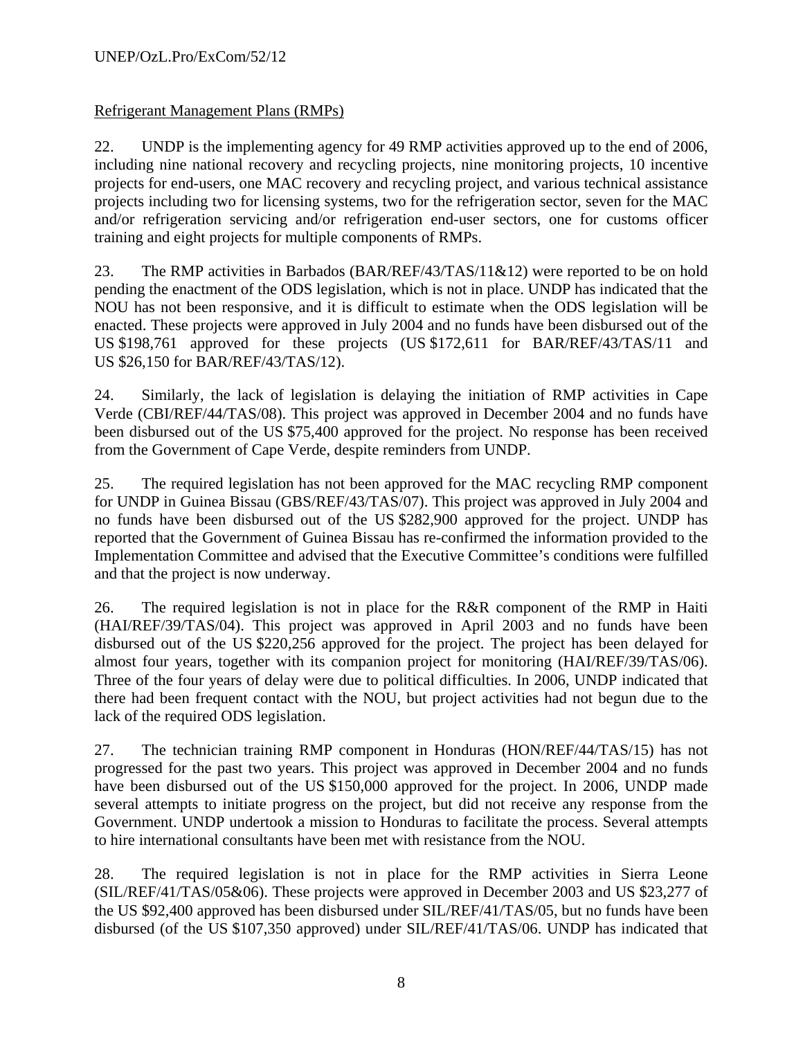## Refrigerant Management Plans (RMPs)

22. UNDP is the implementing agency for 49 RMP activities approved up to the end of 2006, including nine national recovery and recycling projects, nine monitoring projects, 10 incentive projects for end-users, one MAC recovery and recycling project, and various technical assistance projects including two for licensing systems, two for the refrigeration sector, seven for the MAC and/or refrigeration servicing and/or refrigeration end-user sectors, one for customs officer training and eight projects for multiple components of RMPs.

23. The RMP activities in Barbados (BAR/REF/43/TAS/11&12) were reported to be on hold pending the enactment of the ODS legislation, which is not in place. UNDP has indicated that the NOU has not been responsive, and it is difficult to estimate when the ODS legislation will be enacted. These projects were approved in July 2004 and no funds have been disbursed out of the US \$198,761 approved for these projects (US \$172,611 for BAR/REF/43/TAS/11 and US \$26,150 for BAR/REF/43/TAS/12).

24. Similarly, the lack of legislation is delaying the initiation of RMP activities in Cape Verde (CBI/REF/44/TAS/08). This project was approved in December 2004 and no funds have been disbursed out of the US \$75,400 approved for the project. No response has been received from the Government of Cape Verde, despite reminders from UNDP.

25. The required legislation has not been approved for the MAC recycling RMP component for UNDP in Guinea Bissau (GBS/REF/43/TAS/07). This project was approved in July 2004 and no funds have been disbursed out of the US \$282,900 approved for the project. UNDP has reported that the Government of Guinea Bissau has re-confirmed the information provided to the Implementation Committee and advised that the Executive Committee's conditions were fulfilled and that the project is now underway.

26. The required legislation is not in place for the R&R component of the RMP in Haiti (HAI/REF/39/TAS/04). This project was approved in April 2003 and no funds have been disbursed out of the US \$220,256 approved for the project. The project has been delayed for almost four years, together with its companion project for monitoring (HAI/REF/39/TAS/06). Three of the four years of delay were due to political difficulties. In 2006, UNDP indicated that there had been frequent contact with the NOU, but project activities had not begun due to the lack of the required ODS legislation.

27. The technician training RMP component in Honduras (HON/REF/44/TAS/15) has not progressed for the past two years. This project was approved in December 2004 and no funds have been disbursed out of the US \$150,000 approved for the project. In 2006, UNDP made several attempts to initiate progress on the project, but did not receive any response from the Government. UNDP undertook a mission to Honduras to facilitate the process. Several attempts to hire international consultants have been met with resistance from the NOU.

28. The required legislation is not in place for the RMP activities in Sierra Leone (SIL/REF/41/TAS/05&06). These projects were approved in December 2003 and US \$23,277 of the US \$92,400 approved has been disbursed under SIL/REF/41/TAS/05, but no funds have been disbursed (of the US \$107,350 approved) under SIL/REF/41/TAS/06. UNDP has indicated that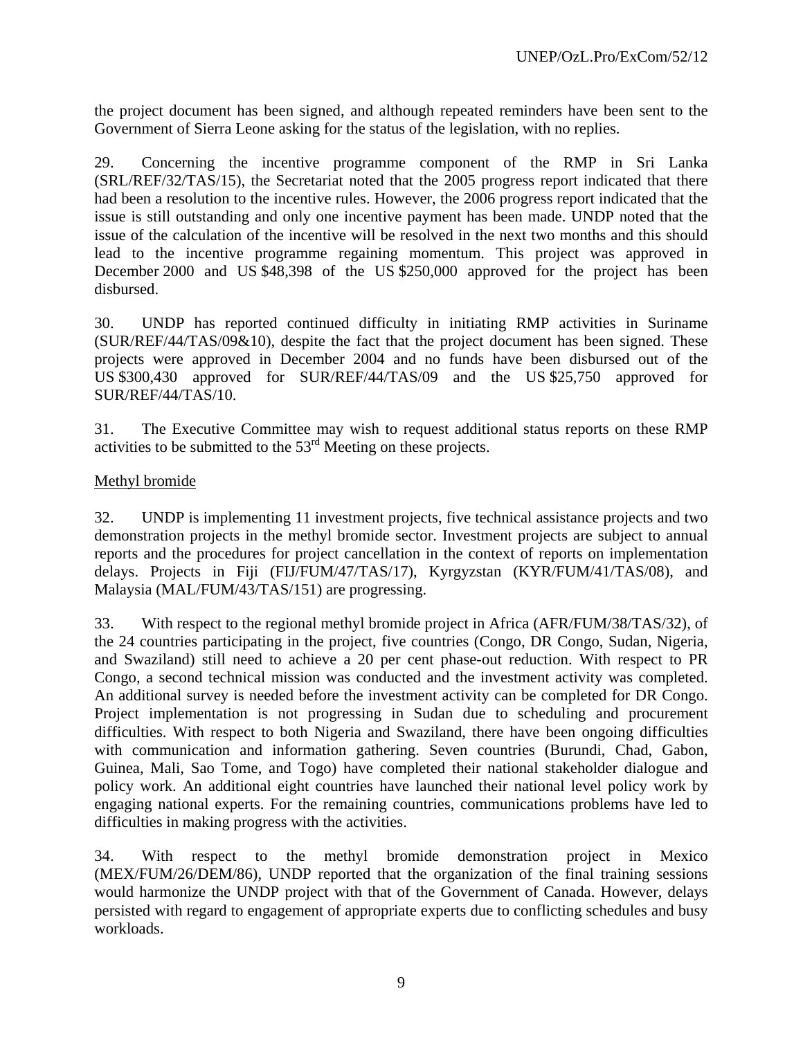the project document has been signed, and although repeated reminders have been sent to the Government of Sierra Leone asking for the status of the legislation, with no replies.

29. Concerning the incentive programme component of the RMP in Sri Lanka (SRL/REF/32/TAS/15), the Secretariat noted that the 2005 progress report indicated that there had been a resolution to the incentive rules. However, the 2006 progress report indicated that the issue is still outstanding and only one incentive payment has been made. UNDP noted that the issue of the calculation of the incentive will be resolved in the next two months and this should lead to the incentive programme regaining momentum. This project was approved in December 2000 and US \$48,398 of the US \$250,000 approved for the project has been disbursed.

30. UNDP has reported continued difficulty in initiating RMP activities in Suriname (SUR/REF/44/TAS/09&10), despite the fact that the project document has been signed. These projects were approved in December 2004 and no funds have been disbursed out of the US \$300,430 approved for SUR/REF/44/TAS/09 and the US \$25,750 approved for SUR/REF/44/TAS/10.

31. The Executive Committee may wish to request additional status reports on these RMP activities to be submitted to the 53rd Meeting on these projects.

## Methyl bromide

32. UNDP is implementing 11 investment projects, five technical assistance projects and two demonstration projects in the methyl bromide sector. Investment projects are subject to annual reports and the procedures for project cancellation in the context of reports on implementation delays. Projects in Fiji (FIJ/FUM/47/TAS/17), Kyrgyzstan (KYR/FUM/41/TAS/08), and Malaysia (MAL/FUM/43/TAS/151) are progressing.

33. With respect to the regional methyl bromide project in Africa (AFR/FUM/38/TAS/32), of the 24 countries participating in the project, five countries (Congo, DR Congo, Sudan, Nigeria, and Swaziland) still need to achieve a 20 per cent phase-out reduction. With respect to PR Congo, a second technical mission was conducted and the investment activity was completed. An additional survey is needed before the investment activity can be completed for DR Congo. Project implementation is not progressing in Sudan due to scheduling and procurement difficulties. With respect to both Nigeria and Swaziland, there have been ongoing difficulties with communication and information gathering. Seven countries (Burundi, Chad, Gabon, Guinea, Mali, Sao Tome, and Togo) have completed their national stakeholder dialogue and policy work. An additional eight countries have launched their national level policy work by engaging national experts. For the remaining countries, communications problems have led to difficulties in making progress with the activities.

34. With respect to the methyl bromide demonstration project in Mexico (MEX/FUM/26/DEM/86), UNDP reported that the organization of the final training sessions would harmonize the UNDP project with that of the Government of Canada. However, delays persisted with regard to engagement of appropriate experts due to conflicting schedules and busy workloads.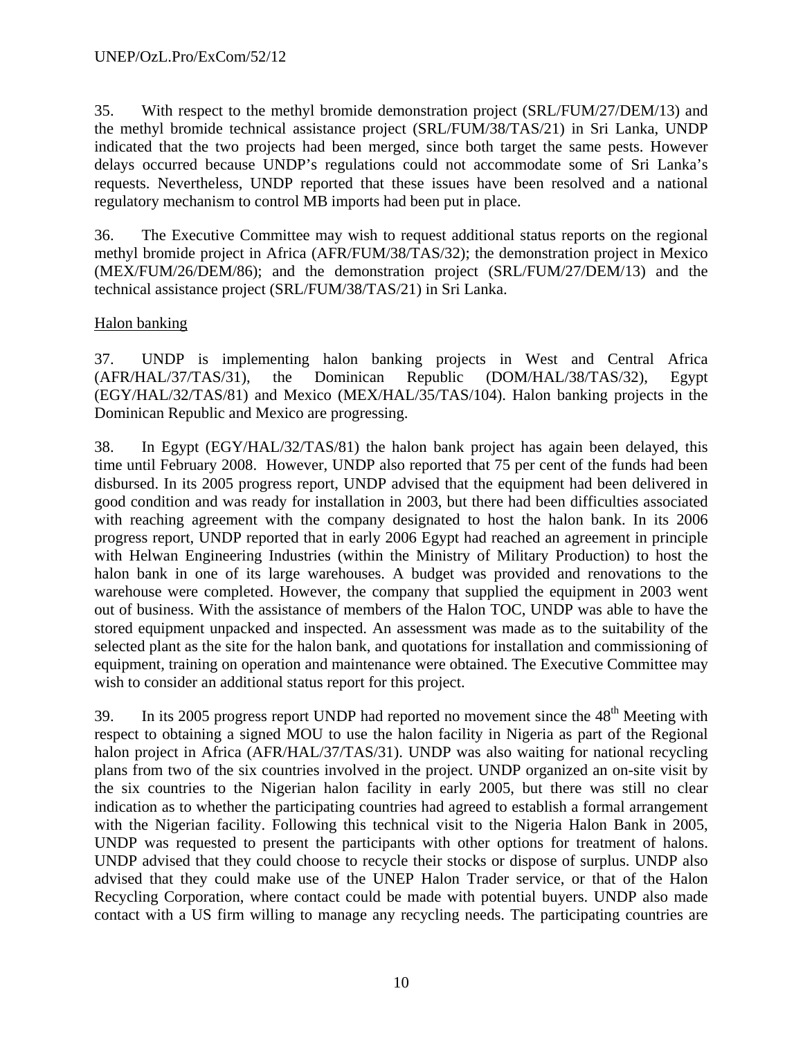35. With respect to the methyl bromide demonstration project (SRL/FUM/27/DEM/13) and the methyl bromide technical assistance project (SRL/FUM/38/TAS/21) in Sri Lanka, UNDP indicated that the two projects had been merged, since both target the same pests. However delays occurred because UNDP's regulations could not accommodate some of Sri Lanka's requests. Nevertheless, UNDP reported that these issues have been resolved and a national regulatory mechanism to control MB imports had been put in place.

36. The Executive Committee may wish to request additional status reports on the regional methyl bromide project in Africa (AFR/FUM/38/TAS/32); the demonstration project in Mexico (MEX/FUM/26/DEM/86); and the demonstration project (SRL/FUM/27/DEM/13) and the technical assistance project (SRL/FUM/38/TAS/21) in Sri Lanka.

## Halon banking

37. UNDP is implementing halon banking projects in West and Central Africa (AFR/HAL/37/TAS/31), the Dominican Republic (DOM/HAL/38/TAS/32), Egypt (EGY/HAL/32/TAS/81) and Mexico (MEX/HAL/35/TAS/104). Halon banking projects in the Dominican Republic and Mexico are progressing.

38. In Egypt (EGY/HAL/32/TAS/81) the halon bank project has again been delayed, this time until February 2008. However, UNDP also reported that 75 per cent of the funds had been disbursed. In its 2005 progress report, UNDP advised that the equipment had been delivered in good condition and was ready for installation in 2003, but there had been difficulties associated with reaching agreement with the company designated to host the halon bank. In its 2006 progress report, UNDP reported that in early 2006 Egypt had reached an agreement in principle with Helwan Engineering Industries (within the Ministry of Military Production) to host the halon bank in one of its large warehouses. A budget was provided and renovations to the warehouse were completed. However, the company that supplied the equipment in 2003 went out of business. With the assistance of members of the Halon TOC, UNDP was able to have the stored equipment unpacked and inspected. An assessment was made as to the suitability of the selected plant as the site for the halon bank, and quotations for installation and commissioning of equipment, training on operation and maintenance were obtained. The Executive Committee may wish to consider an additional status report for this project.

39. In its 2005 progress report UNDP had reported no movement since the  $48<sup>th</sup>$  Meeting with respect to obtaining a signed MOU to use the halon facility in Nigeria as part of the Regional halon project in Africa (AFR/HAL/37/TAS/31). UNDP was also waiting for national recycling plans from two of the six countries involved in the project. UNDP organized an on-site visit by the six countries to the Nigerian halon facility in early 2005, but there was still no clear indication as to whether the participating countries had agreed to establish a formal arrangement with the Nigerian facility. Following this technical visit to the Nigeria Halon Bank in 2005, UNDP was requested to present the participants with other options for treatment of halons. UNDP advised that they could choose to recycle their stocks or dispose of surplus. UNDP also advised that they could make use of the UNEP Halon Trader service, or that of the Halon Recycling Corporation, where contact could be made with potential buyers. UNDP also made contact with a US firm willing to manage any recycling needs. The participating countries are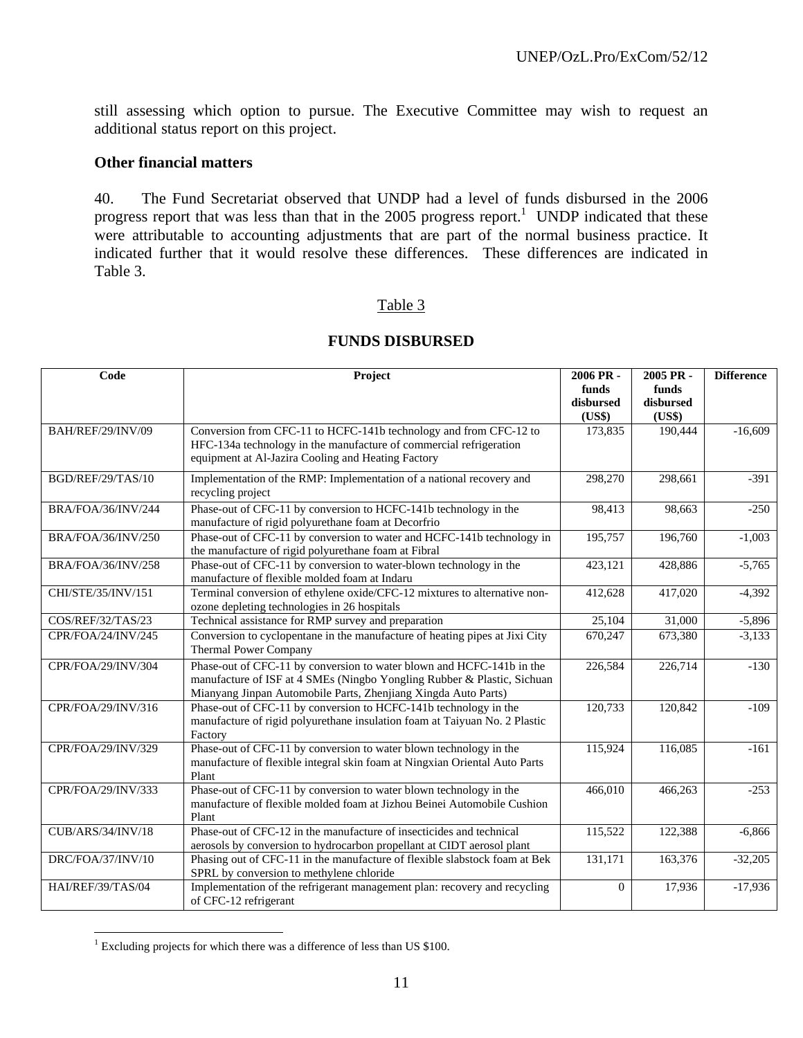still assessing which option to pursue. The Executive Committee may wish to request an additional status report on this project.

#### **Other financial matters**

40. The Fund Secretariat observed that UNDP had a level of funds disbursed in the 2006 progress report that was less than that in the 2005 progress report.<sup>1</sup> UNDP indicated that these were attributable to accounting adjustments that are part of the normal business practice. It indicated further that it would resolve these differences. These differences are indicated in Table 3.

#### Table 3

| Code               | Project                                                                                                                                                                                                            | 2006 PR -<br>funds<br>disbursed<br>(US\$) | 2005 PR-<br>funds<br>disbursed<br>(US\$) | <b>Difference</b> |
|--------------------|--------------------------------------------------------------------------------------------------------------------------------------------------------------------------------------------------------------------|-------------------------------------------|------------------------------------------|-------------------|
| BAH/REF/29/INV/09  | Conversion from CFC-11 to HCFC-141b technology and from CFC-12 to<br>HFC-134a technology in the manufacture of commercial refrigeration<br>equipment at Al-Jazira Cooling and Heating Factory                      | 173,835                                   | 190,444                                  | $-16,609$         |
| BGD/REF/29/TAS/10  | Implementation of the RMP: Implementation of a national recovery and<br>recycling project                                                                                                                          | 298,270                                   | 298,661                                  | $-391$            |
| BRA/FOA/36/INV/244 | Phase-out of CFC-11 by conversion to HCFC-141b technology in the<br>manufacture of rigid polyurethane foam at Decorfrio                                                                                            | 98,413                                    | 98,663                                   | $-250$            |
| BRA/FOA/36/INV/250 | Phase-out of CFC-11 by conversion to water and HCFC-141b technology in<br>the manufacture of rigid polyurethane foam at Fibral                                                                                     | 195,757                                   | 196,760                                  | $-1,003$          |
| BRA/FOA/36/INV/258 | Phase-out of CFC-11 by conversion to water-blown technology in the<br>manufacture of flexible molded foam at Indaru                                                                                                | 423,121                                   | 428,886                                  | $-5,765$          |
| CHI/STE/35/INV/151 | Terminal conversion of ethylene oxide/CFC-12 mixtures to alternative non-<br>ozone depleting technologies in 26 hospitals                                                                                          | 412,628                                   | 417,020                                  | $-4,392$          |
| COS/REF/32/TAS/23  | Technical assistance for RMP survey and preparation                                                                                                                                                                | 25,104                                    | 31,000                                   | $-5,896$          |
| CPR/FOA/24/INV/245 | Conversion to cyclopentane in the manufacture of heating pipes at Jixi City<br><b>Thermal Power Company</b>                                                                                                        | 670,247                                   | 673,380                                  | $-3,133$          |
| CPR/FOA/29/INV/304 | Phase-out of CFC-11 by conversion to water blown and HCFC-141b in the<br>manufacture of ISF at 4 SMEs (Ningbo Yongling Rubber & Plastic, Sichuan<br>Mianyang Jinpan Automobile Parts, Zhenjiang Xingda Auto Parts) | 226,584                                   | 226,714                                  | $-130$            |
| CPR/FOA/29/INV/316 | Phase-out of CFC-11 by conversion to HCFC-141b technology in the<br>manufacture of rigid polyurethane insulation foam at Taiyuan No. 2 Plastic<br>Factory                                                          | 120,733                                   | 120,842                                  | $-109$            |
| CPR/FOA/29/INV/329 | Phase-out of CFC-11 by conversion to water blown technology in the<br>manufacture of flexible integral skin foam at Ningxian Oriental Auto Parts<br>Plant                                                          | 115,924                                   | 116,085                                  | $-161$            |
| CPR/FOA/29/INV/333 | Phase-out of CFC-11 by conversion to water blown technology in the<br>manufacture of flexible molded foam at Jizhou Beinei Automobile Cushion<br>Plant                                                             | 466,010                                   | 466,263                                  | $-253$            |
| CUB/ARS/34/INV/18  | Phase-out of CFC-12 in the manufacture of insecticides and technical<br>aerosols by conversion to hydrocarbon propellant at CIDT aerosol plant                                                                     | 115,522                                   | 122,388                                  | $-6,866$          |
| DRC/FOA/37/INV/10  | Phasing out of CFC-11 in the manufacture of flexible slabstock foam at Bek<br>SPRL by conversion to methylene chloride                                                                                             | 131,171                                   | 163,376                                  | $-32,205$         |
| HAI/REF/39/TAS/04  | Implementation of the refrigerant management plan: recovery and recycling<br>of CFC-12 refrigerant                                                                                                                 | $\Omega$                                  | 17,936                                   | $-17,936$         |

#### **FUNDS DISBURSED**

 1 Excluding projects for which there was a difference of less than US \$100.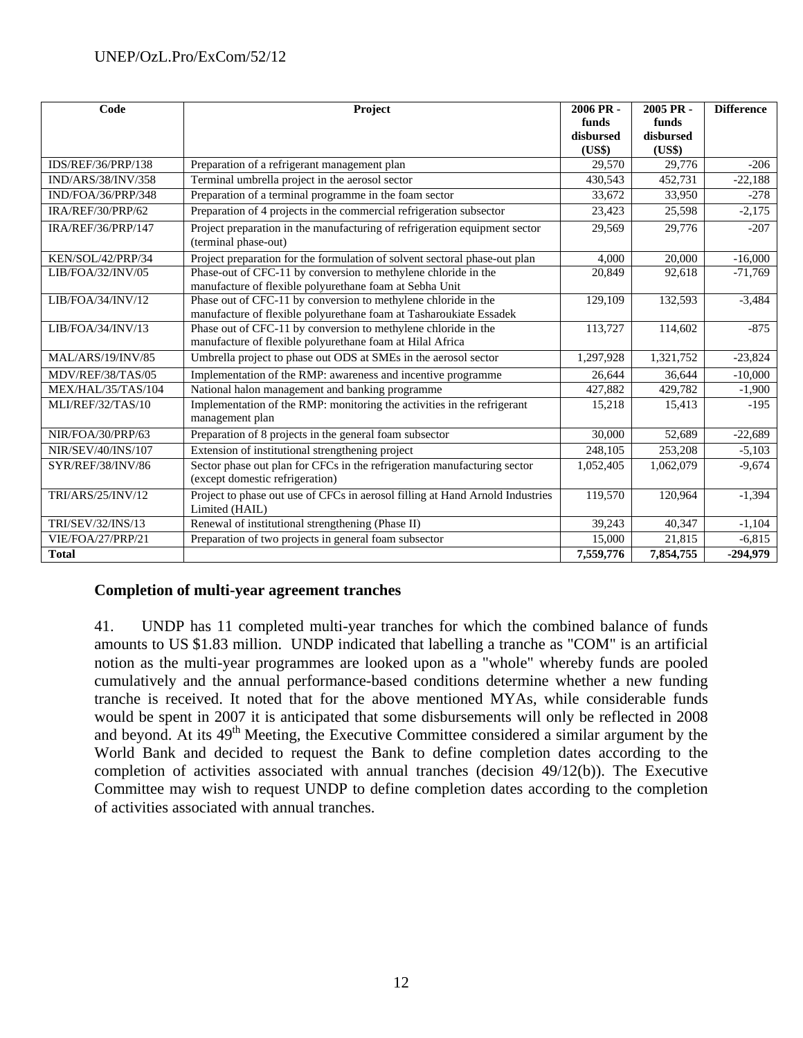| Code                      | Project                                                                                                                              | 2006 PR-<br>funds | 2005 PR-<br>funds | <b>Difference</b> |
|---------------------------|--------------------------------------------------------------------------------------------------------------------------------------|-------------------|-------------------|-------------------|
|                           |                                                                                                                                      | disbursed         | disbursed         |                   |
|                           |                                                                                                                                      | (US\$)            | (US\$)            |                   |
| <b>IDS/REF/36/PRP/138</b> | Preparation of a refrigerant management plan                                                                                         | 29,570            | 29,776            | $-206$            |
| IND/ARS/38/INV/358        | Terminal umbrella project in the aerosol sector                                                                                      | 430,543           | 452,731           | $-22,188$         |
| IND/FOA/36/PRP/348        | Preparation of a terminal programme in the foam sector                                                                               | 33,672            | 33,950            | $-278$            |
| IRA/REF/30/PRP/62         | Preparation of 4 projects in the commercial refrigeration subsector                                                                  | 23,423            | 25,598            | $-2,175$          |
| IRA/REF/36/PRP/147        | Project preparation in the manufacturing of refrigeration equipment sector<br>(terminal phase-out)                                   | 29,569            | 29,776            | $-207$            |
| KEN/SOL/42/PRP/34         | Project preparation for the formulation of solvent sectoral phase-out plan                                                           | 4.000             | 20,000            | $-16,000$         |
| LIB/FOA/32/INV/05         | Phase-out of CFC-11 by conversion to methylene chloride in the<br>manufacture of flexible polyurethane foam at Sebha Unit            | 20,849            | 92,618            | $-71,769$         |
| LIB/FOA/34/INV/12         | Phase out of CFC-11 by conversion to methylene chloride in the<br>manufacture of flexible polyurethane foam at Tasharoukiate Essadek | 129,109           | 132,593           | $-3,484$          |
| LIB/FOA/34/INV/13         | Phase out of CFC-11 by conversion to methylene chloride in the                                                                       | 113,727           | 114,602           | $-875$            |
|                           | manufacture of flexible polyurethane foam at Hilal Africa                                                                            |                   |                   |                   |
| MAL/ARS/19/INV/85         | Umbrella project to phase out ODS at SMEs in the aerosol sector                                                                      | 1,297,928         | 1,321,752         | $-23,824$         |
| MDV/REF/38/TAS/05         | Implementation of the RMP: awareness and incentive programme                                                                         | 26.644            | 36.644            | $-10,000$         |
| MEX/HAL/35/TAS/104        | National halon management and banking programme                                                                                      | 427,882           | 429,782           | $-1,900$          |
| MLI/REF/32/TAS/10         | Implementation of the RMP: monitoring the activities in the refrigerant<br>management plan                                           | 15,218            | 15,413            | $-195$            |
| NIR/FOA/30/PRP/63         | Preparation of 8 projects in the general foam subsector                                                                              | 30,000            | 52,689            | $-22,689$         |
| NIR/SEV/40/INS/107        | Extension of institutional strengthening project                                                                                     | 248,105           | 253,208           | $-5,103$          |
| SYR/REF/38/INV/86         | Sector phase out plan for CFCs in the refrigeration manufacturing sector<br>(except domestic refrigeration)                          | 1,052,405         | 1,062,079         | $-9,674$          |
| TRI/ARS/25/INV/12         | Project to phase out use of CFCs in aerosol filling at Hand Arnold Industries<br>Limited (HAIL)                                      | 119,570           | 120,964           | $-1,394$          |
| TRI/SEV/32/INS/13         | Renewal of institutional strengthening (Phase II)                                                                                    | 39,243            | 40,347            | $-1,104$          |
| VIE/FOA/27/PRP/21         | Preparation of two projects in general foam subsector                                                                                | 15,000            | 21,815            | $-6,815$          |
| <b>Total</b>              |                                                                                                                                      | 7,559,776         | 7,854,755         | $-294,979$        |

## **Completion of multi-year agreement tranches**

41. UNDP has 11 completed multi-year tranches for which the combined balance of funds amounts to US \$1.83 million. UNDP indicated that labelling a tranche as "COM" is an artificial notion as the multi-year programmes are looked upon as a "whole" whereby funds are pooled cumulatively and the annual performance-based conditions determine whether a new funding tranche is received. It noted that for the above mentioned MYAs, while considerable funds would be spent in 2007 it is anticipated that some disbursements will only be reflected in 2008 and beyond. At its  $49<sup>th</sup>$  Meeting, the Executive Committee considered a similar argument by the World Bank and decided to request the Bank to define completion dates according to the completion of activities associated with annual tranches (decision 49/12(b)). The Executive Committee may wish to request UNDP to define completion dates according to the completion of activities associated with annual tranches.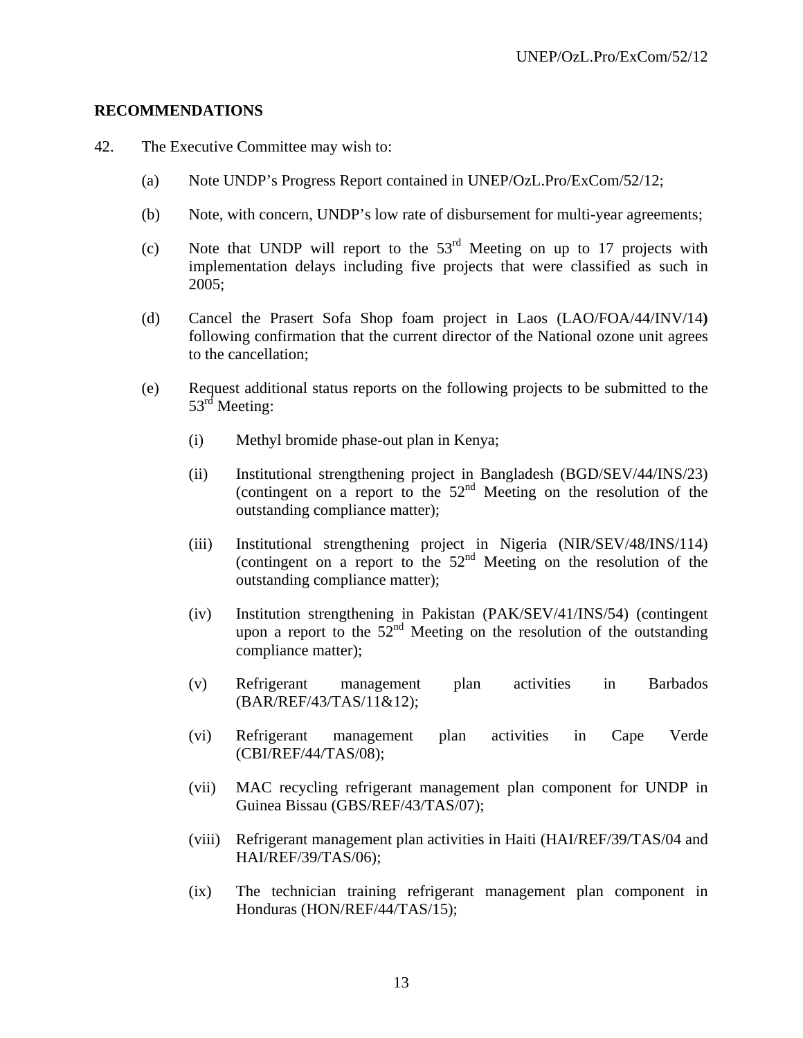### **RECOMMENDATIONS**

- 42. The Executive Committee may wish to:
	- (a) Note UNDP's Progress Report contained in UNEP/OzL.Pro/ExCom/52/12;
	- (b) Note, with concern, UNDP's low rate of disbursement for multi-year agreements;
	- (c) Note that UNDP will report to the  $53<sup>rd</sup>$  Meeting on up to 17 projects with implementation delays including five projects that were classified as such in 2005;
	- (d) Cancel the Prasert Sofa Shop foam project in Laos (LAO/FOA/44/INV/14**)**  following confirmation that the current director of the National ozone unit agrees to the cancellation;
	- (e) Request additional status reports on the following projects to be submitted to the 53<sup>rd</sup> Meeting:
		- (i) Methyl bromide phase-out plan in Kenya;
		- (ii) Institutional strengthening project in Bangladesh (BGD/SEV/44/INS/23) (contingent on a report to the  $52<sup>nd</sup>$  Meeting on the resolution of the outstanding compliance matter);
		- (iii) Institutional strengthening project in Nigeria (NIR/SEV/48/INS/114) (contingent on a report to the  $52<sup>nd</sup>$  Meeting on the resolution of the outstanding compliance matter);
		- (iv) Institution strengthening in Pakistan (PAK/SEV/41/INS/54) (contingent upon a report to the  $52<sup>nd</sup>$  Meeting on the resolution of the outstanding compliance matter);
		- (v) Refrigerant management plan activities in Barbados (BAR/REF/43/TAS/11&12);
		- (vi) Refrigerant management plan activities in Cape Verde (CBI/REF/44/TAS/08);
		- (vii) MAC recycling refrigerant management plan component for UNDP in Guinea Bissau (GBS/REF/43/TAS/07);
		- (viii) Refrigerant management plan activities in Haiti (HAI/REF/39/TAS/04 and HAI/REF/39/TAS/06);
		- (ix) The technician training refrigerant management plan component in Honduras (HON/REF/44/TAS/15);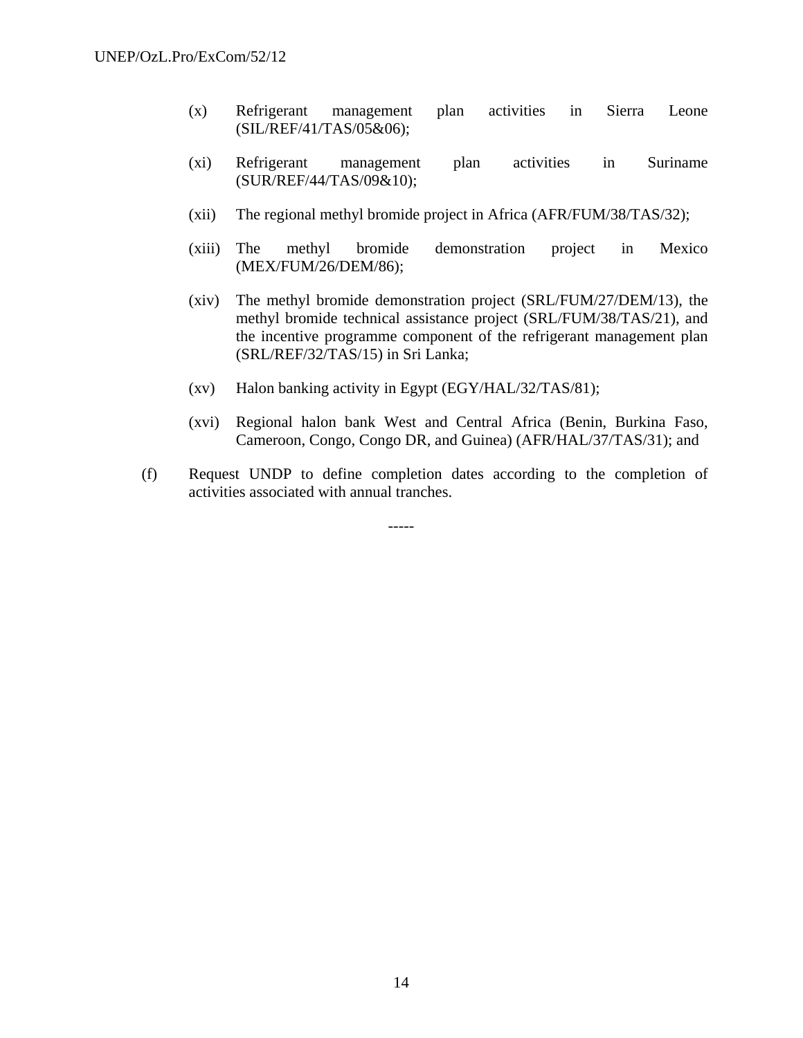- (x) Refrigerant management plan activities in Sierra Leone (SIL/REF/41/TAS/05&06);
- (xi) Refrigerant management plan activities in Suriname (SUR/REF/44/TAS/09&10);
- (xii) The regional methyl bromide project in Africa (AFR/FUM/38/TAS/32);
- (xiii) The methyl bromide demonstration project in Mexico (MEX/FUM/26/DEM/86);
- (xiv) The methyl bromide demonstration project (SRL/FUM/27/DEM/13), the methyl bromide technical assistance project (SRL/FUM/38/TAS/21), and the incentive programme component of the refrigerant management plan (SRL/REF/32/TAS/15) in Sri Lanka;
- (xv) Halon banking activity in Egypt (EGY/HAL/32/TAS/81);
- (xvi) Regional halon bank West and Central Africa (Benin, Burkina Faso, Cameroon, Congo, Congo DR, and Guinea) (AFR/HAL/37/TAS/31); and
- (f) Request UNDP to define completion dates according to the completion of activities associated with annual tranches.

-----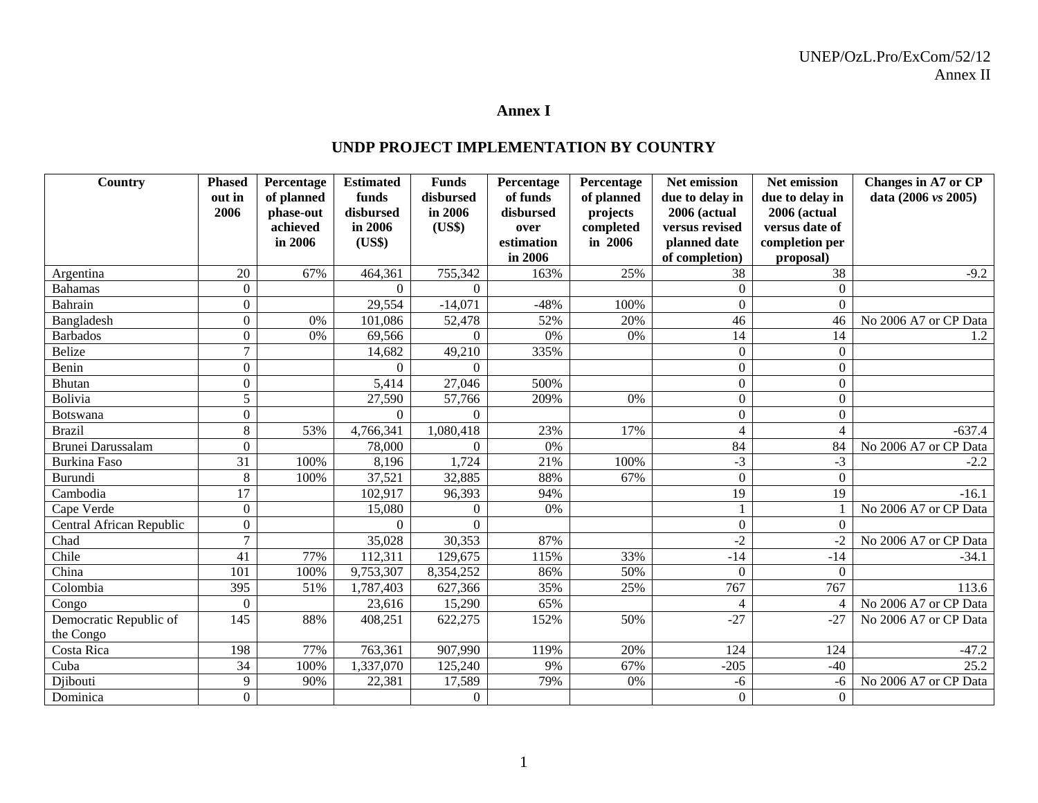#### **Annex I**

## **UNDP PROJECT IMPLEMENTATION BY COUNTRY**

| Country                  | <b>Phased</b>    | Percentage | <b>Estimated</b> | <b>Funds</b>   | Percentage | Percentage | Net emission     | Net emission     | Changes in A7 or CP            |
|--------------------------|------------------|------------|------------------|----------------|------------|------------|------------------|------------------|--------------------------------|
|                          | out in           | of planned | funds            | disbursed      | of funds   | of planned | due to delay in  | due to delay in  | data $(2006 \text{ vs } 2005)$ |
|                          | 2006             | phase-out  | disbursed        | in 2006        | disbursed  | projects   | 2006 (actual     | 2006 (actual     |                                |
|                          |                  | achieved   | in 2006          | (US\$)         | over       | completed  | versus revised   | versus date of   |                                |
|                          |                  | in 2006    | (US\$)           |                | estimation | in 2006    | planned date     | completion per   |                                |
|                          |                  |            |                  |                | in 2006    |            | of completion)   | proposal)        |                                |
| Argentina                | 20               | 67%        | 464,361          | 755,342        | 163%       | 25%        | 38               | 38               | $-9.2$                         |
| <b>Bahamas</b>           | $\Omega$         |            | $\Omega$         | $\Omega$       |            |            | $\Omega$         | $\Omega$         |                                |
| <b>Bahrain</b>           | $\Omega$         |            | 29,554           | $-14,071$      | $-48%$     | 100%       | $\theta$         | $\Omega$         |                                |
| Bangladesh               | $\Omega$         | 0%         | 101,086          | 52,478         | 52%        | 20%        | 46               | 46               | No 2006 A7 or CP Data          |
| <b>Barbados</b>          | $\Omega$         | 0%         | 69,566           | $\Omega$       | 0%         | 0%         | 14               | 14               | 1.2                            |
| <b>Belize</b>            | $\overline{7}$   |            | 14,682           | 49,210         | 335%       |            | 0                | $\boldsymbol{0}$ |                                |
| Benin                    | $\boldsymbol{0}$ |            | $\Omega$         | 0              |            |            | $\boldsymbol{0}$ | $\mathbf{0}$     |                                |
| <b>Bhutan</b>            | $\Omega$         |            | 5,414            | 27,046         | 500%       |            | $\theta$         | $\Omega$         |                                |
| Bolivia                  | 5                |            | 27,590           | 57,766         | 209%       | 0%         | 0                | $\theta$         |                                |
| Botswana                 | $\boldsymbol{0}$ |            | $\Omega$         | $\Omega$       |            |            | 0                | $\theta$         |                                |
| <b>Brazil</b>            | $8\,$            | 53%        | 4,766,341        | 1,080,418      | 23%        | 17%        | 4                |                  | $-637.4$                       |
| Brunei Darussalam        | $\Omega$         |            | 78,000           | $\Omega$       | 0%         |            | 84               | 84               | No 2006 A7 or CP Data          |
| <b>Burkina Faso</b>      | 31               | 100%       | 8,196            | 1,724          | 21%        | 100%       | $-3$             | $-3$             | $-2.2$                         |
| Burundi                  | 8                | 100%       | 37,521           | 32,885         | 88%        | 67%        | $\overline{0}$   | $\overline{0}$   |                                |
| Cambodia                 | 17               |            | 102,917          | 96,393         | 94%        |            | 19               | 19               | $-16.1$                        |
| Cape Verde               | $\mathbf{0}$     |            | 15,080           | $\overline{0}$ | 0%         |            |                  |                  | No 2006 A7 or CP Data          |
| Central African Republic | $\Omega$         |            |                  |                |            |            | $\theta$         | $\Omega$         |                                |
| Chad                     | $\overline{7}$   |            | 35,028           | 30,353         | 87%        |            | $-2$             | $-2$             | No 2006 A7 or CP Data          |
| Chile                    | 41               | 77%        | 112,311          | 129,675        | 115%       | 33%        | $-14$            | $-14$            | $-34.1$                        |
| China                    | 101              | 100%       | 9,753,307        | 8,354,252      | 86%        | 50%        | $\theta$         | $\Omega$         |                                |
| Colombia                 | 395              | 51%        | 1,787,403        | 627,366        | 35%        | 25%        | 767              | 767              | 113.6                          |
| Congo                    | $\mathbf{0}$     |            | 23,616           | 15,290         | 65%        |            | 4                | $\overline{4}$   | No 2006 A7 or CP Data          |
| Democratic Republic of   | 145              | 88%        | 408,251          | 622,275        | 152%       | 50%        | $-27$            | $-27$            | No 2006 A7 or CP Data          |
| the Congo                |                  |            |                  |                |            |            |                  |                  |                                |
| Costa Rica               | 198              | 77%        | 763,361          | 907,990        | 119%       | 20%        | 124              | 124              | $-47.2$                        |
| Cuba                     | 34               | 100%       | 1,337,070        | 125,240        | 9%         | 67%        | $-205$           | $-40$            | 25.2                           |
| Djibouti                 | 9                | 90%        | 22,381           | 17,589         | 79%        | 0%         | $-6$             | -6               | No 2006 A7 or CP Data          |
| Dominica                 | $\overline{0}$   |            |                  | $\overline{0}$ |            |            | $\boldsymbol{0}$ | $\mathbf{0}$     |                                |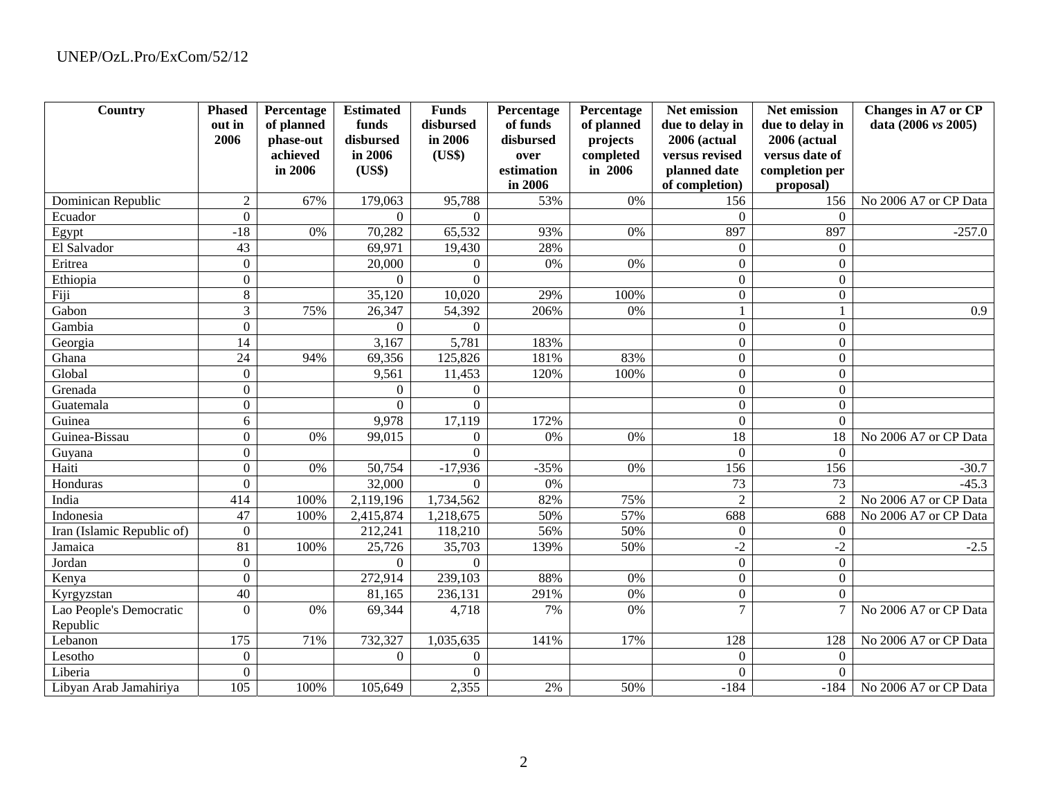| Country                    | <b>Phased</b><br>out in | Percentage              | <b>Estimated</b>   | <b>Funds</b><br>disbursed | Percentage<br>of funds | Percentage             | Net emission                    | Net emission                    | Changes in A7 or CP   |
|----------------------------|-------------------------|-------------------------|--------------------|---------------------------|------------------------|------------------------|---------------------------------|---------------------------------|-----------------------|
|                            | 2006                    | of planned<br>phase-out | funds<br>disbursed | in 2006                   | disbursed              | of planned<br>projects | due to delay in<br>2006 (actual | due to delay in<br>2006 (actual | data (2006 vs 2005)   |
|                            |                         | achieved                | in 2006            | (US\$)                    | over                   | completed              | versus revised                  | versus date of                  |                       |
|                            |                         | in 2006                 | (US\$)             |                           | estimation             | in 2006                | planned date                    | completion per                  |                       |
|                            |                         |                         |                    |                           | in 2006                |                        | of completion)                  | proposal)                       |                       |
| Dominican Republic         | $\overline{2}$          | 67%                     | 179,063            | 95,788                    | 53%                    | 0%                     | 156                             | 156                             | No 2006 A7 or CP Data |
| Ecuador                    | $\theta$                |                         | $\Omega$           | $\Omega$                  |                        |                        | $\theta$                        | $\Omega$                        |                       |
| Egypt                      | $-18$                   | 0%                      | 70,282             | 65,532                    | 93%                    | 0%                     | 897                             | 897                             | $-257.0$              |
| El Salvador                | 43                      |                         | 69,971             | 19,430                    | 28%                    |                        | $\boldsymbol{0}$                | $\Omega$                        |                       |
| Eritrea                    | $\mathbf{0}$            |                         | 20,000             | $\overline{0}$            | 0%                     | 0%                     | $\boldsymbol{0}$                | $\boldsymbol{0}$                |                       |
| Ethiopia                   | $\mathbf{0}$            |                         | $\Omega$           | $\Omega$                  |                        |                        | $\overline{0}$                  | $\Omega$                        |                       |
| Fiji                       | $8\,$                   |                         | 35,120             | 10,020                    | 29%                    | 100%                   | $\boldsymbol{0}$                | $\boldsymbol{0}$                |                       |
| Gabon                      | 3                       | 75%                     | 26,347             | 54,392                    | 206%                   | 0%                     |                                 |                                 | 0.9                   |
| Gambia                     | $\boldsymbol{0}$        |                         | $\Omega$           | $\Omega$                  |                        |                        | $\Omega$                        | $\Omega$                        |                       |
| Georgia                    | 14                      |                         | 3,167              | 5,781                     | 183%                   |                        | $\boldsymbol{0}$                | $\mathbf{0}$                    |                       |
| Ghana                      | 24                      | 94%                     | 69,356             | 125,826                   | 181%                   | 83%                    | $\boldsymbol{0}$                | $\Omega$                        |                       |
| Global                     | $\mathbf{0}$            |                         | 9,561              | 11,453                    | 120%                   | 100%                   | $\boldsymbol{0}$                | $\boldsymbol{0}$                |                       |
| Grenada                    | $\theta$                |                         | $\Omega$           | $\boldsymbol{0}$          |                        |                        | $\boldsymbol{0}$                | $\mathbf{0}$                    |                       |
| Guatemala                  | $\theta$                |                         | $\Omega$           | $\Omega$                  |                        |                        | $\boldsymbol{0}$                | $\Omega$                        |                       |
| Guinea                     | 6                       |                         | 9,978              | 17,119                    | 172%                   |                        | $\boldsymbol{0}$                | $\mathbf{0}$                    |                       |
| Guinea-Bissau              | $\Omega$                | 0%                      | 99,015             | $\overline{0}$            | 0%                     | 0%                     | 18                              | 18                              | No 2006 A7 or CP Data |
| Guyana                     | $\theta$                |                         |                    | $\Omega$                  |                        |                        | $\mathbf{0}$                    | $\Omega$                        |                       |
| Haiti                      | $\theta$                | 0%                      | 50,754             | $-17,936$                 | $-35%$                 | 0%                     | 156                             | 156                             | $-30.7$               |
| Honduras                   | $\theta$                |                         | 32,000             | $\Omega$                  | 0%                     |                        | $\overline{73}$                 | 73                              | $-45.3$               |
| India                      | 414                     | 100%                    | 2,119,196          | 1,734,562                 | 82%                    | 75%                    | $\overline{2}$                  | $\overline{2}$                  | No 2006 A7 or CP Data |
| Indonesia                  | 47                      | 100%                    | 2,415,874          | 1,218,675                 | 50%                    | 57%                    | 688                             | 688                             | No 2006 A7 or CP Data |
| Iran (Islamic Republic of) | $\theta$                |                         | 212,241            | 118,210                   | 56%                    | 50%                    | $\boldsymbol{0}$                | $\boldsymbol{0}$                |                       |
| Jamaica                    | 81                      | 100%                    | 25,726             | 35,703                    | 139%                   | 50%                    | $-2$                            | $-2$                            | $-2.5$                |
| Jordan                     | $\mathbf{0}$            |                         | $\boldsymbol{0}$   | $\overline{0}$            |                        |                        | $\boldsymbol{0}$                | $\overline{0}$                  |                       |
| Kenya                      | $\overline{0}$          |                         | 272,914            | 239,103                   | 88%                    | $0\%$                  | $\boldsymbol{0}$                | $\boldsymbol{0}$                |                       |
| Kyrgyzstan                 | 40                      |                         | 81,165             | 236,131                   | 291%                   | 0%                     | $\overline{0}$                  | $\Omega$                        |                       |
| Lao People's Democratic    | $\overline{0}$          | 0%                      | 69,344             | 4,718                     | 7%                     | 0%                     | $\overline{7}$                  |                                 | No 2006 A7 or CP Data |
| Republic                   |                         |                         |                    |                           |                        |                        |                                 |                                 |                       |
| Lebanon                    | 175                     | 71%                     | 732,327            | 1,035,635                 | 141%                   | 17%                    | 128                             | 128                             | No 2006 A7 or CP Data |
| Lesotho                    | $\theta$                |                         | $\mathbf{0}$       | $\boldsymbol{0}$          |                        |                        | $\boldsymbol{0}$                | $\mathbf{0}$                    |                       |
| Liberia                    | $\theta$                |                         |                    | $\Omega$                  |                        |                        | $\theta$                        | $\theta$                        |                       |
| Libyan Arab Jamahiriya     | 105                     | 100%                    | 105,649            | 2,355                     | 2%                     | 50%                    | $-184$                          | $-184$                          | No 2006 A7 or CP Data |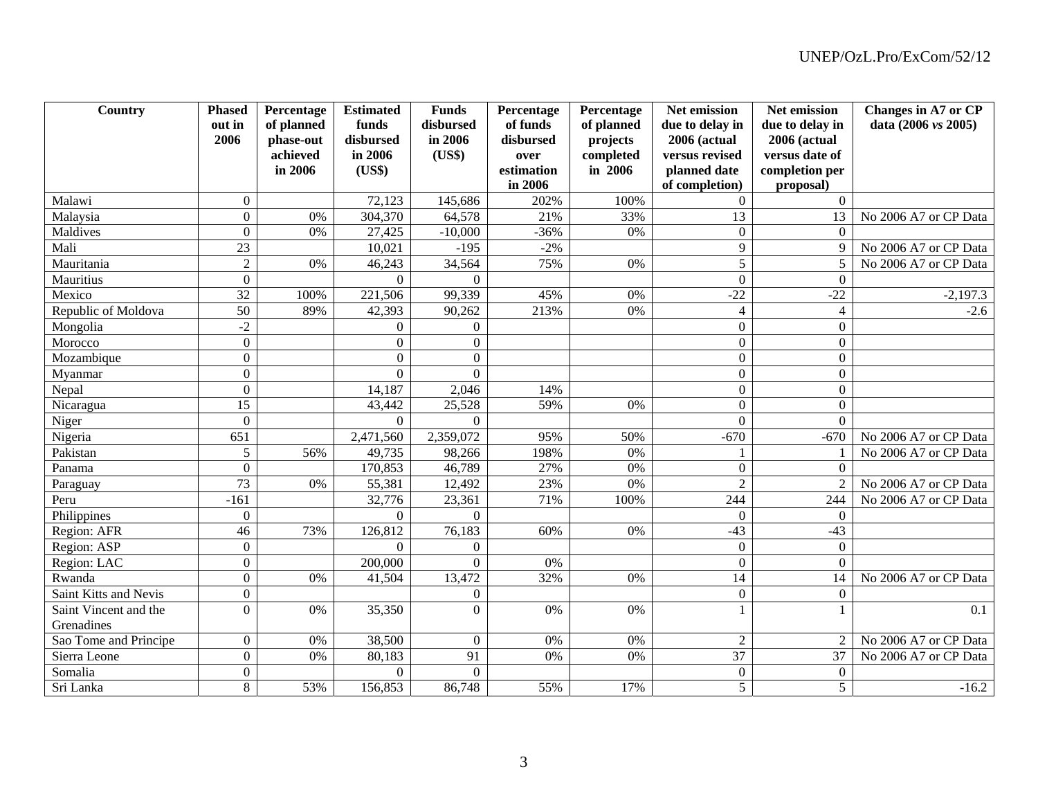| Country               | <b>Phased</b>    | Percentage | <b>Estimated</b> | <b>Funds</b>     | Percentage | Percentage | Net emission     | Net emission     | <b>Changes in A7 or CP</b> |
|-----------------------|------------------|------------|------------------|------------------|------------|------------|------------------|------------------|----------------------------|
|                       | out in           | of planned | funds            | disbursed        | of funds   | of planned | due to delay in  | due to delay in  | data (2006 vs 2005)        |
|                       | 2006             | phase-out  | disbursed        | in 2006          | disbursed  | projects   | 2006 (actual     | 2006 (actual     |                            |
|                       |                  | achieved   | in 2006          | (US\$)           | over       | completed  | versus revised   | versus date of   |                            |
|                       |                  | in 2006    | (US\$)           |                  | estimation | in 2006    | planned date     | completion per   |                            |
|                       |                  |            |                  |                  | in 2006    |            | of completion)   | proposal)        |                            |
| Malawi                | $\overline{0}$   |            | 72,123           | 145,686          | 202%       | 100%       | $\overline{0}$   | $\Omega$         |                            |
| Malaysia              | $\Omega$         | 0%         | 304,370          | 64,578           | 21%        | 33%        | $\overline{13}$  | 13               | No 2006 A7 or CP Data      |
| Maldives              | $\overline{0}$   | 0%         | 27,425           | $-10,000$        | $-36%$     | 0%         | $\boldsymbol{0}$ | $\Omega$         |                            |
| Mali                  | 23               |            | 10,021           | $-195$           | $-2%$      |            | 9                | $\mathbf Q$      | No 2006 A7 or CP Data      |
| Mauritania            | $\overline{2}$   | 0%         | 46,243           | 34,564           | 75%        | 0%         | $\overline{5}$   | 5                | No 2006 A7 or CP Data      |
| Mauritius             | $\Omega$         |            | $\Omega$         | $\Omega$         |            |            | $\Omega$         | $\Omega$         |                            |
| Mexico                | $\overline{32}$  | 100%       | 221,506          | 99,339           | 45%        | 0%         | $-22$            | $-22$            | $-2,197.3$                 |
| Republic of Moldova   | $\overline{50}$  | 89%        | 42,393           | 90,262           | 213%       | 0%         | $\overline{4}$   | $\overline{4}$   | $-2.6$                     |
| Mongolia              | $-2$             |            | $\Omega$         | $\overline{0}$   |            |            | $\Omega$         | $\Omega$         |                            |
| Morocco               | $\Omega$         |            | $\Omega$         | $\Omega$         |            |            | $\Omega$         | $\Omega$         |                            |
| Mozambique            | $\boldsymbol{0}$ |            | $\Omega$         | $\overline{0}$   |            |            | $\boldsymbol{0}$ | $\boldsymbol{0}$ |                            |
| Myanmar               | $\Omega$         |            | $\Omega$         | $\theta$         |            |            | $\Omega$         | $\mathbf{0}$     |                            |
| Nepal                 | $\Omega$         |            | 14,187           | 2,046            | 14%        |            | $\overline{0}$   | $\Omega$         |                            |
| Nicaragua             | 15               |            | 43,442           | 25,528           | 59%        | 0%         | $\boldsymbol{0}$ | $\mathbf{0}$     |                            |
| Niger                 | $\overline{0}$   |            | $\Omega$         | $\theta$         |            |            | $\Omega$         | $\Omega$         |                            |
| Nigeria               | 651              |            | 2,471,560        | 2,359,072        | 95%        | 50%        | $-670$           | $-670$           | No 2006 A7 or CP Data      |
| Pakistan              | 5                | 56%        | 49,735           | 98,266           | 198%       | 0%         |                  |                  | No 2006 A7 or CP Data      |
| Panama                | $\Omega$         |            | 170,853          | 46,789           | 27%        | 0%         | $\mathbf{0}$     | $\Omega$         |                            |
| Paraguay              | 73               | 0%         | 55,381           | 12,492           | 23%        | 0%         | $\overline{2}$   | $\overline{2}$   | No 2006 A7 or CP Data      |
| Peru                  | $-161$           |            | 32,776           | 23,361           | 71%        | 100%       | 244              | 244              | No 2006 A7 or CP Data      |
| Philippines           | $\mathbf{0}$     |            | $\Omega$         | $\Omega$         |            |            | $\Omega$         | $\mathbf{0}$     |                            |
| Region: AFR           | $\overline{46}$  | 73%        | 126,812          | 76,183           | 60%        | 0%         | $-43$            | $-43$            |                            |
| Region: ASP           | $\boldsymbol{0}$ |            | $\boldsymbol{0}$ | $\boldsymbol{0}$ |            |            | $\boldsymbol{0}$ | $\boldsymbol{0}$ |                            |
| Region: LAC           | $\boldsymbol{0}$ |            | 200,000          | $\overline{0}$   | 0%         |            | $\overline{0}$   | $\Omega$         |                            |
| Rwanda                | $\boldsymbol{0}$ | 0%         | 41,504           | 13,472           | 32%        | 0%         | 14               | 14               | No 2006 A7 or CP Data      |
| Saint Kitts and Nevis | $\overline{0}$   |            |                  | $\overline{0}$   |            |            | $\mathbf{0}$     | $\boldsymbol{0}$ |                            |
| Saint Vincent and the | $\Omega$         | 0%         | 35,350           | $\overline{0}$   | $0\%$      | 0%         |                  |                  | 0.1                        |
| Grenadines            |                  |            |                  |                  |            |            |                  |                  |                            |
| Sao Tome and Principe | $\boldsymbol{0}$ | 0%         | 38,500           | $\Omega$         | 0%         | 0%         | $\boldsymbol{2}$ | 2                | No 2006 A7 or CP Data      |
| Sierra Leone          | $\overline{0}$   | 0%         | 80,183           | 91               | 0%         | 0%         | 37               | 37               | No 2006 A7 or CP Data      |
| Somalia               | $\boldsymbol{0}$ |            | $\Omega$         | $\overline{0}$   |            |            | $\boldsymbol{0}$ | $\boldsymbol{0}$ |                            |
| Sri Lanka             | 8                | 53%        | 156,853          | 86,748           | 55%        | 17%        | $\overline{5}$   | 5                | $-16.2$                    |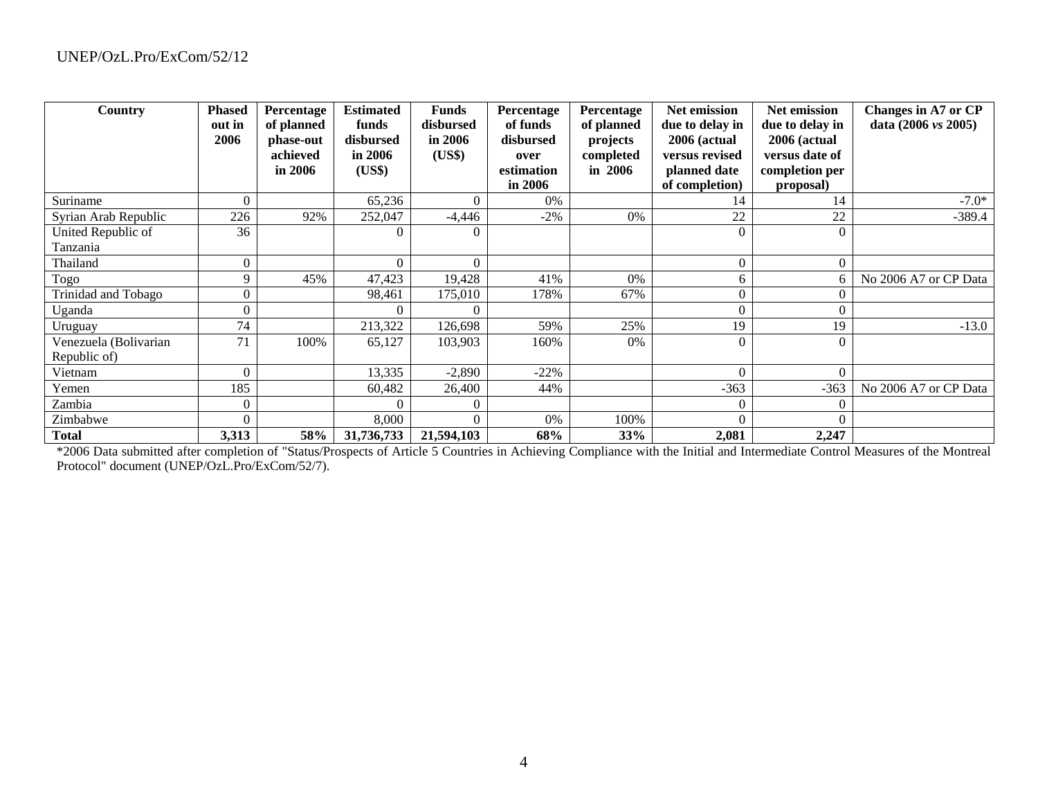| Country               | <b>Phased</b> | Percentage | <b>Estimated</b> | <b>Funds</b> | Percentage | Percentage | Net emission    | <b>Net emission</b> | Changes in A7 or CP            |
|-----------------------|---------------|------------|------------------|--------------|------------|------------|-----------------|---------------------|--------------------------------|
|                       | out in        | of planned | funds            | disbursed    | of funds   | of planned | due to delay in | due to delay in     | data $(2006 \text{ vs } 2005)$ |
|                       | 2006          | phase-out  | disbursed        | in 2006      | disbursed  | projects   | 2006 (actual    | 2006 (actual        |                                |
|                       |               | achieved   | in $2006$        | (US\$)       | over       | completed  | versus revised  | versus date of      |                                |
|                       |               | in 2006    | (US\$)           |              | estimation | in 2006    | planned date    | completion per      |                                |
|                       |               |            |                  |              | in $2006$  |            | of completion)  | proposal)           |                                |
| Suriname              |               |            | 65,236           | 0            | 0%         |            | 14              | 14                  | $-7.0*$                        |
| Syrian Arab Republic  | 226           | 92%        | 252,047          | $-4,446$     | $-2\%$     | 0%         | 22              | 22                  | $-389.4$                       |
| United Republic of    | 36            |            | 0                | 0            |            |            | 0               |                     |                                |
| Tanzania              |               |            |                  |              |            |            |                 |                     |                                |
| Thailand              |               |            | 0                |              |            |            | 0               |                     |                                |
| Togo                  | 9             | 45%        | 47,423           | 19,428       | 41%        | 0%         | 6.              |                     | No 2006 A7 or CP Data          |
| Trinidad and Tobago   | $\Omega$      |            | 98,461           | 175,010      | 178%       | 67%        | 0               |                     |                                |
| Uganda                | 0             |            | 0                | 0            |            |            | 0               |                     |                                |
| Uruguay               | 74            |            | 213,322          | 126,698      | 59%        | 25%        | 19              | 19                  | $-13.0$                        |
| Venezuela (Bolivarian | 71            | 100%       | 65,127           | 103,903      | 160%       | 0%         | 0               |                     |                                |
| Republic of)          |               |            |                  |              |            |            |                 |                     |                                |
| Vietnam               |               |            | 13,335           | $-2,890$     | $-22%$     |            | 0               |                     |                                |
| Yemen                 | 185           |            | 60,482           | 26,400       | 44%        |            | $-363$          | $-363$              | No 2006 A7 or CP Data          |
| Zambia                |               |            |                  |              |            |            | 0               |                     |                                |
| Zimbabwe              | $\Omega$      |            | 8,000            | 0            | $0\%$      | 100%       |                 |                     |                                |
| <b>Total</b>          | 3,313         | 58%        | 31,736,733       | 21,594,103   | 68%        | <b>33%</b> | 2,081           | 2,247               |                                |

\*2006 Data submitted after completion of "Status/Prospects of Article 5 Countries in Achieving Compliance with the Initial and Intermediate Control Measures of the Montreal Protocol" document (UNEP/OzL.Pro/ExCom/52/7).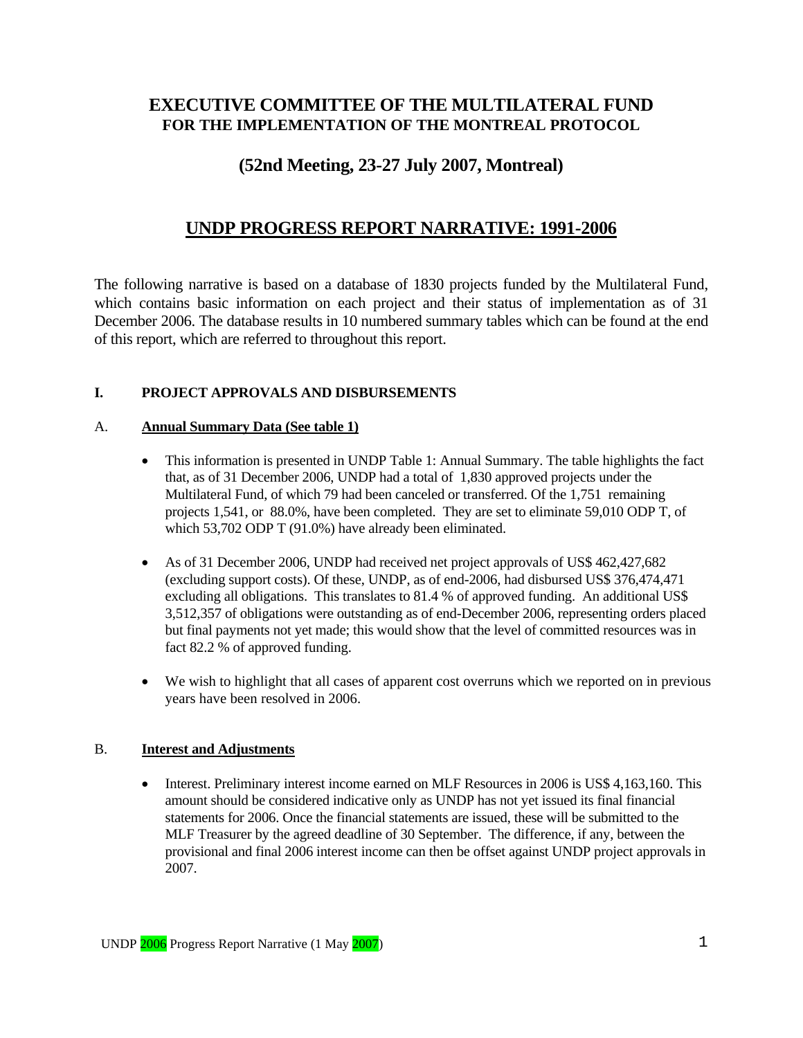## **EXECUTIVE COMMITTEE OF THE MULTILATERAL FUND FOR THE IMPLEMENTATION OF THE MONTREAL PROTOCOL**

## **(52nd Meeting, 23-27 July 2007, Montreal)**

## **UNDP PROGRESS REPORT NARRATIVE: 1991-2006**

The following narrative is based on a database of 1830 projects funded by the Multilateral Fund, which contains basic information on each project and their status of implementation as of 31 December 2006. The database results in 10 numbered summary tables which can be found at the end of this report, which are referred to throughout this report.

#### **I. PROJECT APPROVALS AND DISBURSEMENTS**

#### A. **Annual Summary Data (See table 1)**

- This information is presented in UNDP Table 1: Annual Summary. The table highlights the fact that, as of 31 December 2006, UNDP had a total of 1,830 approved projects under the Multilateral Fund, of which 79 had been canceled or transferred. Of the 1,751 remaining projects 1,541, or 88.0%, have been completed. They are set to eliminate 59,010 ODP T, of which 53,702 ODP T (91.0%) have already been eliminated.
- As of 31 December 2006, UNDP had received net project approvals of US\$ 462,427,682 (excluding support costs). Of these, UNDP, as of end-2006, had disbursed US\$ 376,474,471 excluding all obligations. This translates to 81.4 % of approved funding. An additional US\$ 3,512,357 of obligations were outstanding as of end-December 2006, representing orders placed but final payments not yet made; this would show that the level of committed resources was in fact 82.2 % of approved funding.
- We wish to highlight that all cases of apparent cost overruns which we reported on in previous years have been resolved in 2006.

#### B. **Interest and Adjustments**

• Interest. Preliminary interest income earned on MLF Resources in 2006 is US\$ 4,163,160. This amount should be considered indicative only as UNDP has not yet issued its final financial statements for 2006. Once the financial statements are issued, these will be submitted to the MLF Treasurer by the agreed deadline of 30 September. The difference, if any, between the provisional and final 2006 interest income can then be offset against UNDP project approvals in 2007.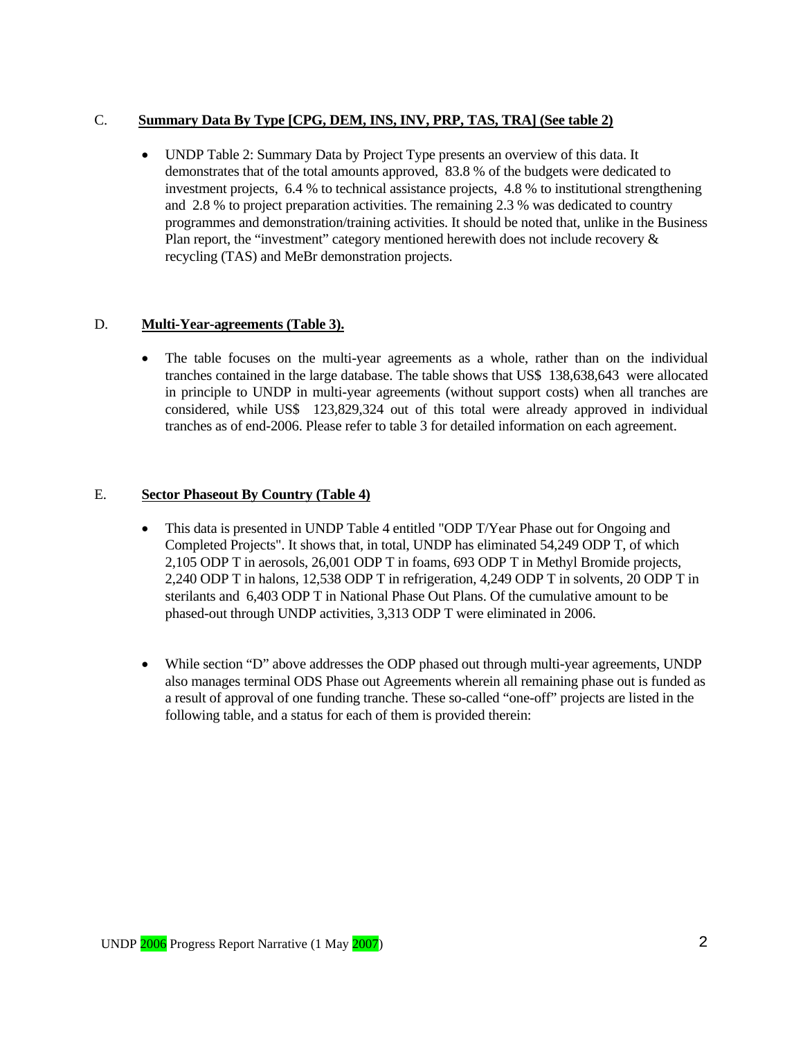#### C. **Summary Data By Type [CPG, DEM, INS, INV, PRP, TAS, TRA] (See table 2)**

• UNDP Table 2: Summary Data by Project Type presents an overview of this data. It demonstrates that of the total amounts approved, 83.8 % of the budgets were dedicated to investment projects, 6.4 % to technical assistance projects, 4.8 % to institutional strengthening and 2.8 % to project preparation activities. The remaining 2.3 % was dedicated to country programmes and demonstration/training activities. It should be noted that, unlike in the Business Plan report, the "investment" category mentioned herewith does not include recovery & recycling (TAS) and MeBr demonstration projects.

#### D. **Multi-Year-agreements (Table 3).**

• The table focuses on the multi-year agreements as a whole, rather than on the individual tranches contained in the large database. The table shows that US\$ 138,638,643 were allocated in principle to UNDP in multi-year agreements (without support costs) when all tranches are considered, while US\$ 123,829,324 out of this total were already approved in individual tranches as of end-2006. Please refer to table 3 for detailed information on each agreement.

#### E. **Sector Phaseout By Country (Table 4)**

- This data is presented in UNDP Table 4 entitled "ODP T/Year Phase out for Ongoing and Completed Projects". It shows that, in total, UNDP has eliminated 54,249 ODP T, of which 2,105 ODP T in aerosols, 26,001 ODP T in foams, 693 ODP T in Methyl Bromide projects, 2,240 ODP T in halons, 12,538 ODP T in refrigeration, 4,249 ODP T in solvents, 20 ODP T in sterilants and 6,403 ODP T in National Phase Out Plans. Of the cumulative amount to be phased-out through UNDP activities, 3,313 ODP T were eliminated in 2006.
- While section "D" above addresses the ODP phased out through multi-year agreements, UNDP also manages terminal ODS Phase out Agreements wherein all remaining phase out is funded as a result of approval of one funding tranche. These so-called "one-off" projects are listed in the following table, and a status for each of them is provided therein: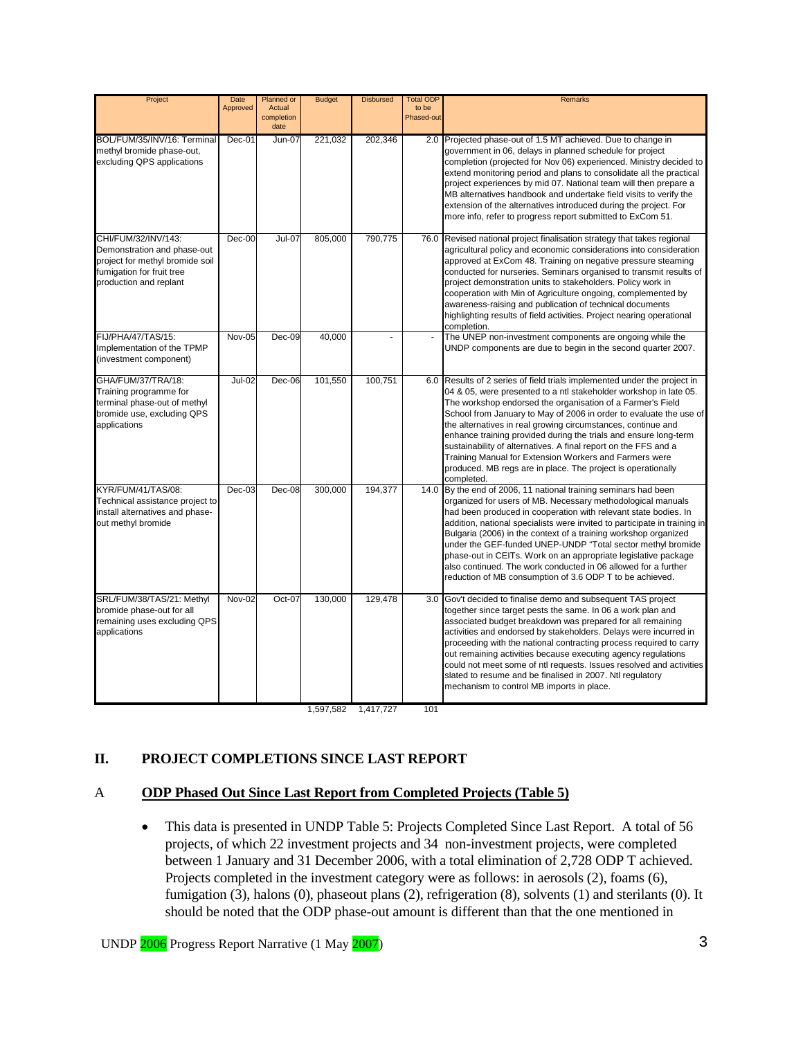| Project                                                                                                                                      | Date<br>Approved | Planned or<br>Actual<br>completion<br>date | <b>Budget</b> | <b>Disbursed</b> | <b>Total ODF</b><br>to be<br>Phased-out | Remarks                                                                                                                                                                                                                                                                                                                                                                                                                                                                                                                                                                                                                          |
|----------------------------------------------------------------------------------------------------------------------------------------------|------------------|--------------------------------------------|---------------|------------------|-----------------------------------------|----------------------------------------------------------------------------------------------------------------------------------------------------------------------------------------------------------------------------------------------------------------------------------------------------------------------------------------------------------------------------------------------------------------------------------------------------------------------------------------------------------------------------------------------------------------------------------------------------------------------------------|
| BOL/FUM/35/INV/16: Terminal<br>methyl bromide phase-out,<br>excluding QPS applications                                                       | $Dec-01$         | Jun-07                                     | 221,032       | 202,346          |                                         | 2.0 Projected phase-out of 1.5 MT achieved. Due to change in<br>government in 06, delays in planned schedule for project<br>completion (projected for Nov 06) experienced. Ministry decided to<br>extend monitoring period and plans to consolidate all the practical<br>project experiences by mid 07. National team will then prepare a<br>MB alternatives handbook and undertake field visits to verify the<br>extension of the alternatives introduced during the project. For<br>more info, refer to progress report submitted to ExCom 51.                                                                                 |
| CHI/FUM/32/INV/143:<br>Demonstration and phase-out<br>project for methyl bromide soil<br>fumigation for fruit tree<br>production and replant | $Dec-00$         | <b>Jul-07</b>                              | 805,000       | 790.775          | 76.0                                    | Revised national project finalisation strategy that takes regional<br>agricultural policy and economic considerations into consideration<br>approved at ExCom 48. Training on negative pressure steaming<br>conducted for nurseries. Seminars organised to transmit results of<br>project demonstration units to stakeholders. Policy work in<br>cooperation with Min of Agriculture ongoing, complemented by<br>awareness-raising and publication of technical documents<br>highlighting results of field activities. Project nearing operational<br>completion.                                                                |
| <b>FIJ/PHA/47/TAS/15:</b><br>Implementation of the TPMP<br>(investment component)                                                            | Nov-05           | $Dec-09$                                   | 40,000        |                  |                                         | The UNEP non-investment components are ongoing while the<br>UNDP components are due to begin in the second quarter 2007.                                                                                                                                                                                                                                                                                                                                                                                                                                                                                                         |
| GHA/FUM/37/TRA/18:<br>Training programme for<br>terminal phase-out of methyl<br>bromide use, excluding QPS<br>applications                   | <b>Jul-02</b>    | $Dec-06$                                   | 101,550       | 100,751          |                                         | 6.0 Results of 2 series of field trials implemented under the project in<br>04 & 05, were presented to a ntl stakeholder workshop in late 05.<br>The workshop endorsed the organisation of a Farmer's Field<br>School from January to May of 2006 in order to evaluate the use of<br>the alternatives in real growing circumstances, continue and<br>enhance training provided during the trials and ensure long-term<br>sustainability of alternatives. A final report on the FFS and a<br>Training Manual for Extension Workers and Farmers were<br>produced. MB regs are in place. The project is operationally<br>completed. |
| KYR/FUM/41/TAS/08:<br>Technical assistance project to<br>install alternatives and phase-<br>out methyl bromide                               | $Dec-03$         | Dec-08                                     | 300,000       | 194,377          | 14.0                                    | By the end of 2006, 11 national training seminars had been<br>organized for users of MB. Necessary methodological manuals<br>had been produced in cooperation with relevant state bodies. In<br>addition, national specialists were invited to participate in training in<br>Bulgaria (2006) in the context of a training workshop organized<br>under the GEF-funded UNEP-UNDP "Total sector methyl bromide<br>phase-out in CEITs. Work on an appropriate legislative package<br>also continued. The work conducted in 06 allowed for a further<br>reduction of MB consumption of 3.6 ODP T to be achieved.                      |
| SRL/FUM/38/TAS/21: Methyl<br>bromide phase-out for all<br>remaining uses excluding QPS<br>applications                                       | <b>Nov-02</b>    | Oct-07                                     | 130,000       | 129,478          | 3.0                                     | Gov't decided to finalise demo and subsequent TAS project<br>together since target pests the same. In 06 a work plan and<br>associated budget breakdown was prepared for all remaining<br>activities and endorsed by stakeholders. Delays were incurred in<br>proceeding with the national contracting process required to carry<br>out remaining activities because executing agency regulations<br>could not meet some of ntl requests. Issues resolved and activities<br>slated to resume and be finalised in 2007. Ntl regulatory<br>mechanism to control MB imports in place.                                               |

1,597,582 1,417,727 101

#### **II. PROJECT COMPLETIONS SINCE LAST REPORT**

#### A **ODP Phased Out Since Last Report from Completed Projects (Table 5)**

• This data is presented in UNDP Table 5: Projects Completed Since Last Report. A total of 56 projects, of which 22 investment projects and 34 non-investment projects, were completed between 1 January and 31 December 2006, with a total elimination of 2,728 ODP T achieved. Projects completed in the investment category were as follows: in aerosols (2), foams (6), fumigation (3), halons (0), phaseout plans (2), refrigeration (8), solvents (1) and sterilants (0). It should be noted that the ODP phase-out amount is different than that the one mentioned in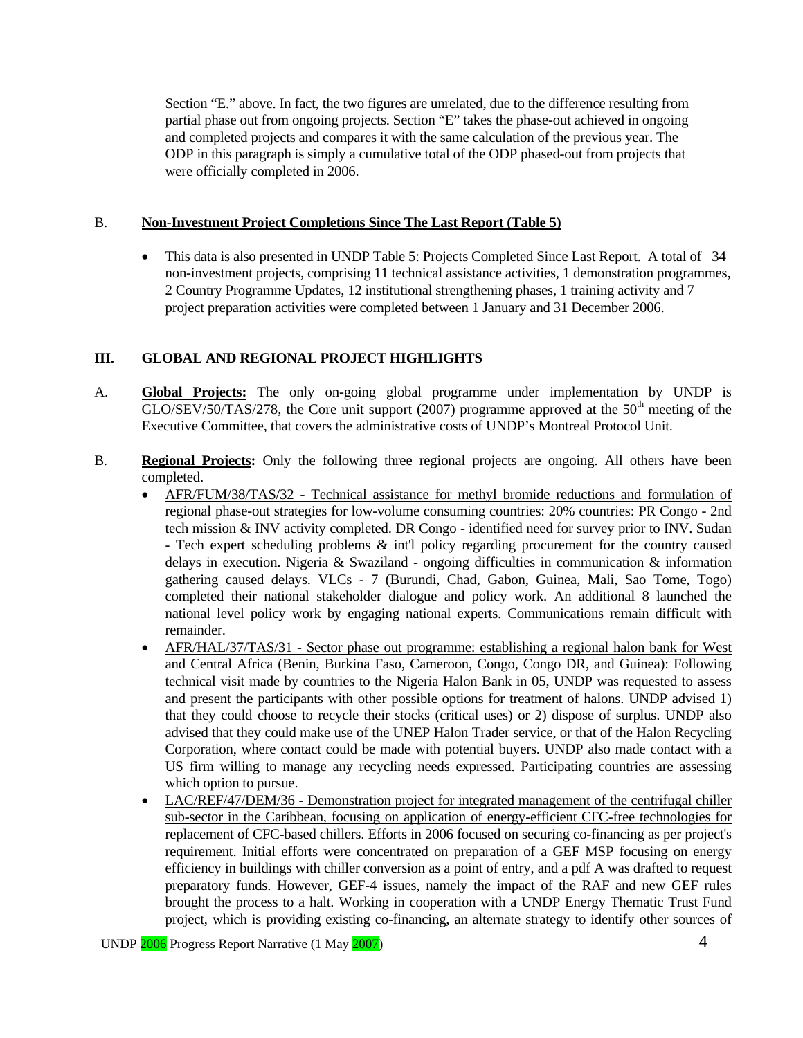Section "E." above. In fact, the two figures are unrelated, due to the difference resulting from partial phase out from ongoing projects. Section "E" takes the phase-out achieved in ongoing and completed projects and compares it with the same calculation of the previous year. The ODP in this paragraph is simply a cumulative total of the ODP phased-out from projects that were officially completed in 2006.

#### B. **Non-Investment Project Completions Since The Last Report (Table 5)**

• This data is also presented in UNDP Table 5: Projects Completed Since Last Report. A total of 34 non-investment projects, comprising 11 technical assistance activities, 1 demonstration programmes, 2 Country Programme Updates, 12 institutional strengthening phases, 1 training activity and 7 project preparation activities were completed between 1 January and 31 December 2006.

## **III. GLOBAL AND REGIONAL PROJECT HIGHLIGHTS**

- A. **Global Projects:** The only on-going global programme under implementation by UNDP is GLO/SEV/50/TAS/278, the Core unit support (2007) programme approved at the  $50<sup>th</sup>$  meeting of the Executive Committee, that covers the administrative costs of UNDP's Montreal Protocol Unit.
- B. **Regional Projects:** Only the following three regional projects are ongoing. All others have been completed.
	- AFR/FUM/38/TAS/32 Technical assistance for methyl bromide reductions and formulation of regional phase-out strategies for low-volume consuming countries: 20% countries: PR Congo - 2nd tech mission & INV activity completed. DR Congo - identified need for survey prior to INV. Sudan - Tech expert scheduling problems  $\&$  int'l policy regarding procurement for the country caused delays in execution. Nigeria & Swaziland - ongoing difficulties in communication  $\&$  information gathering caused delays. VLCs - 7 (Burundi, Chad, Gabon, Guinea, Mali, Sao Tome, Togo) completed their national stakeholder dialogue and policy work. An additional 8 launched the national level policy work by engaging national experts. Communications remain difficult with remainder.
	- AFR/HAL/37/TAS/31 Sector phase out programme: establishing a regional halon bank for West and Central Africa (Benin, Burkina Faso, Cameroon, Congo, Congo DR, and Guinea): Following technical visit made by countries to the Nigeria Halon Bank in 05, UNDP was requested to assess and present the participants with other possible options for treatment of halons. UNDP advised 1) that they could choose to recycle their stocks (critical uses) or 2) dispose of surplus. UNDP also advised that they could make use of the UNEP Halon Trader service, or that of the Halon Recycling Corporation, where contact could be made with potential buyers. UNDP also made contact with a US firm willing to manage any recycling needs expressed. Participating countries are assessing which option to pursue.
	- LAC/REF/47/DEM/36 Demonstration project for integrated management of the centrifugal chiller sub-sector in the Caribbean, focusing on application of energy-efficient CFC-free technologies for replacement of CFC-based chillers. Efforts in 2006 focused on securing co-financing as per project's requirement. Initial efforts were concentrated on preparation of a GEF MSP focusing on energy efficiency in buildings with chiller conversion as a point of entry, and a pdf A was drafted to request preparatory funds. However, GEF-4 issues, namely the impact of the RAF and new GEF rules brought the process to a halt. Working in cooperation with a UNDP Energy Thematic Trust Fund project, which is providing existing co-financing, an alternate strategy to identify other sources of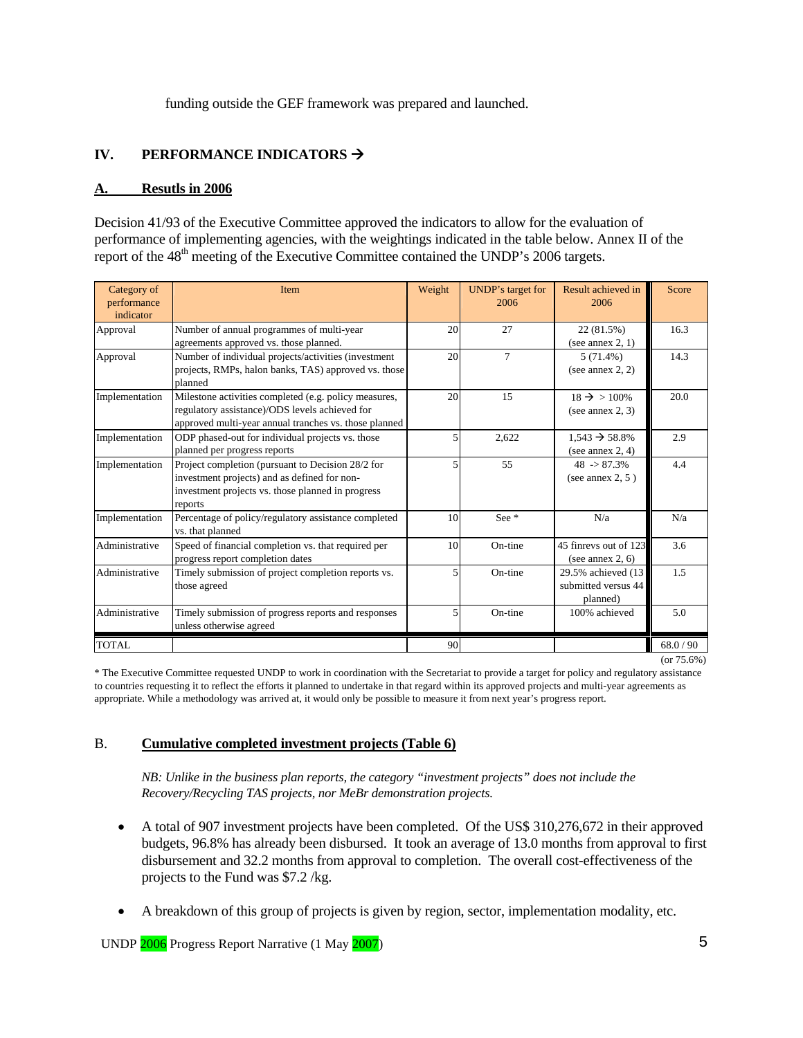funding outside the GEF framework was prepared and launched.

## **IV.** PERFORMANCE INDICATORS  $\rightarrow$

#### **A. Resutls in 2006**

Decision 41/93 of the Executive Committee approved the indicators to allow for the evaluation of performance of implementing agencies, with the weightings indicated in the table below. Annex II of the report of the 48<sup>th</sup> meeting of the Executive Committee contained the UNDP's 2006 targets.

| Category of<br>performance<br>indicator | Item                                                                                                                                                              | Weight | UNDP's target for<br>2006 | Result achieved in<br>2006                             | Score     |
|-----------------------------------------|-------------------------------------------------------------------------------------------------------------------------------------------------------------------|--------|---------------------------|--------------------------------------------------------|-----------|
| Approval                                | Number of annual programmes of multi-year<br>agreements approved vs. those planned.                                                                               | 20     | 27                        | 22 (81.5%)<br>(see annex $2, 1$ )                      | 16.3      |
| Approval                                | Number of individual projects/activities (investment<br>projects, RMPs, halon banks, TAS) approved vs. those<br>planned                                           | 20     | $\overline{7}$            | $5(71.4\%)$<br>(see annex $2, 2$ )                     | 14.3      |
| Implementation                          | Milestone activities completed (e.g. policy measures,<br>regulatory assistance)/ODS levels achieved for<br>approved multi-year annual tranches vs. those planned  | 20     | 15                        | $18 \rightarrow 100\%$<br>(see annex $2, 3$ )          | 20.0      |
| Implementation                          | ODP phased-out for individual projects vs. those<br>planned per progress reports                                                                                  | 5      | 2.622                     | $1,543 \rightarrow 58.8\%$<br>(see annex $2, 4$ )      | 2.9       |
| Implementation                          | Project completion (pursuant to Decision 28/2 for<br>investment projects) and as defined for non-<br>investment projects vs. those planned in progress<br>reports | 5      | 55                        | $48 \div 87.3\%$<br>(see annex $2, 5$ )                | 4.4       |
| Implementation                          | Percentage of policy/regulatory assistance completed<br>vs. that planned                                                                                          | 10     | See $*$                   | N/a                                                    | N/a       |
| Administrative                          | Speed of financial completion vs. that required per<br>progress report completion dates                                                                           | 10     | On-tine                   | 45 finreys out of 123<br>(see annex $2, 6$ )           | 3.6       |
| Administrative                          | Timely submission of project completion reports vs.<br>those agreed                                                                                               | 5      | On-tine                   | 29.5% achieved (13)<br>submitted versus 44<br>planned) | 1.5       |
| Administrative                          | Timely submission of progress reports and responses<br>unless otherwise agreed                                                                                    | 5      | On-tine                   | 100% achieved                                          | 5.0       |
| <b>TOTAL</b>                            |                                                                                                                                                                   | 90     |                           |                                                        | 68.0 / 90 |

(or 75.6%)

\* The Executive Committee requested UNDP to work in coordination with the Secretariat to provide a target for policy and regulatory assistance to countries requesting it to reflect the efforts it planned to undertake in that regard within its approved projects and multi-year agreements as appropriate. While a methodology was arrived at, it would only be possible to measure it from next year's progress report.

#### B. **Cumulative completed investment projects (Table 6)**

*NB: Unlike in the business plan reports, the category "investment projects" does not include the Recovery/Recycling TAS projects, nor MeBr demonstration projects.* 

- A total of 907 investment projects have been completed. Of the US\$ 310,276,672 in their approved budgets, 96.8% has already been disbursed. It took an average of 13.0 months from approval to first disbursement and 32.2 months from approval to completion. The overall cost-effectiveness of the projects to the Fund was \$7.2 /kg.
- A breakdown of this group of projects is given by region, sector, implementation modality, etc.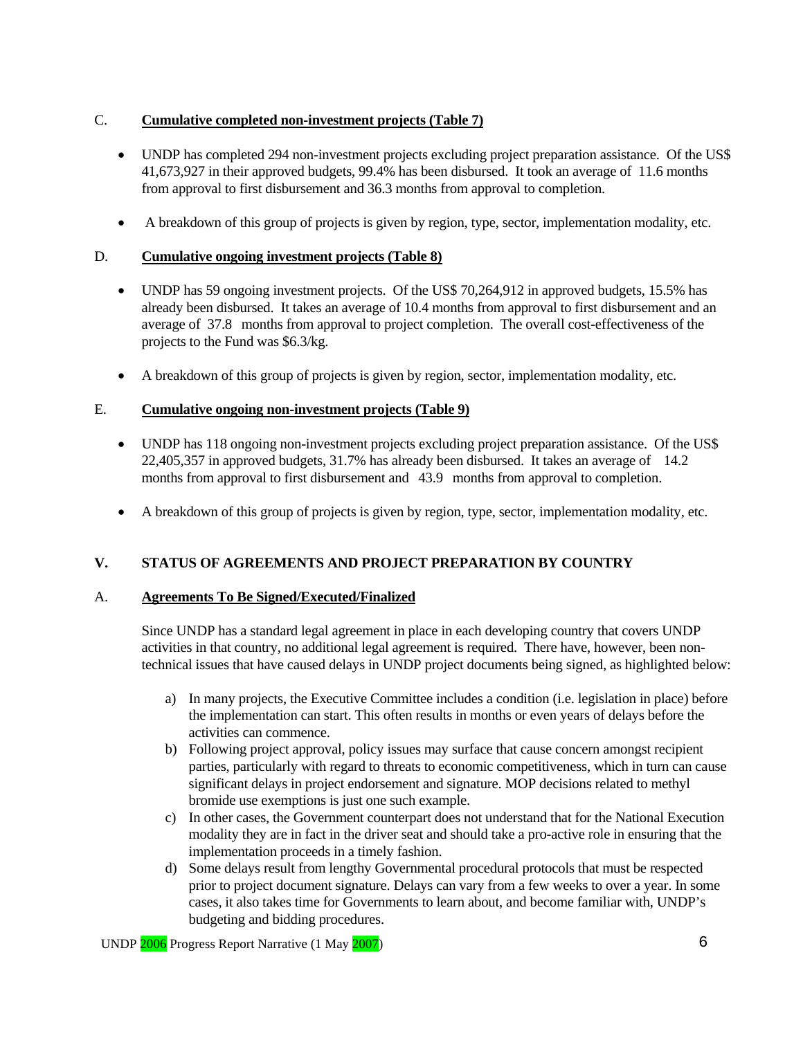## C. **Cumulative completed non-investment projects (Table 7)**

- UNDP has completed 294 non-investment projects excluding project preparation assistance. Of the US\$ 41,673,927 in their approved budgets, 99.4% has been disbursed. It took an average of 11.6 months from approval to first disbursement and 36.3 months from approval to completion.
- A breakdown of this group of projects is given by region, type, sector, implementation modality, etc.

## D. **Cumulative ongoing investment projects (Table 8)**

- UNDP has 59 ongoing investment projects. Of the US\$ 70,264,912 in approved budgets, 15.5% has already been disbursed. It takes an average of 10.4 months from approval to first disbursement and an average of 37.8 months from approval to project completion. The overall cost-effectiveness of the projects to the Fund was \$6.3/kg.
- A breakdown of this group of projects is given by region, sector, implementation modality, etc.

## E. **Cumulative ongoing non-investment projects (Table 9)**

- UNDP has 118 ongoing non-investment projects excluding project preparation assistance. Of the US\$ 22,405,357 in approved budgets, 31.7% has already been disbursed. It takes an average of 14.2 months from approval to first disbursement and 43.9 months from approval to completion.
- A breakdown of this group of projects is given by region, type, sector, implementation modality, etc.

## **V. STATUS OF AGREEMENTS AND PROJECT PREPARATION BY COUNTRY**

## A. **Agreements To Be Signed/Executed/Finalized**

Since UNDP has a standard legal agreement in place in each developing country that covers UNDP activities in that country, no additional legal agreement is required. There have, however, been nontechnical issues that have caused delays in UNDP project documents being signed, as highlighted below:

- a) In many projects, the Executive Committee includes a condition (i.e. legislation in place) before the implementation can start. This often results in months or even years of delays before the activities can commence.
- b) Following project approval, policy issues may surface that cause concern amongst recipient parties, particularly with regard to threats to economic competitiveness, which in turn can cause significant delays in project endorsement and signature. MOP decisions related to methyl bromide use exemptions is just one such example.
- c) In other cases, the Government counterpart does not understand that for the National Execution modality they are in fact in the driver seat and should take a pro-active role in ensuring that the implementation proceeds in a timely fashion.
- d) Some delays result from lengthy Governmental procedural protocols that must be respected prior to project document signature. Delays can vary from a few weeks to over a year. In some cases, it also takes time for Governments to learn about, and become familiar with, UNDP's budgeting and bidding procedures.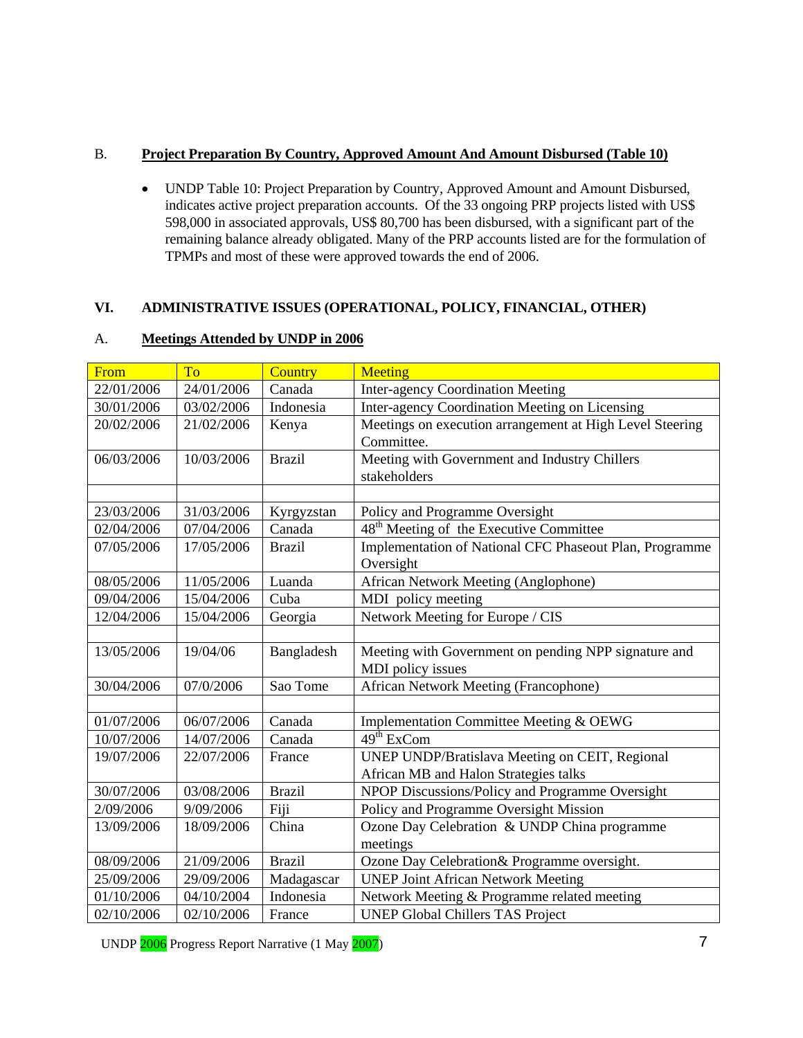## B. **Project Preparation By Country, Approved Amount And Amount Disbursed (Table 10)**

• UNDP Table 10: Project Preparation by Country, Approved Amount and Amount Disbursed, indicates active project preparation accounts. Of the 33 ongoing PRP projects listed with US\$ 598,000 in associated approvals, US\$ 80,700 has been disbursed, with a significant part of the remaining balance already obligated. Many of the PRP accounts listed are for the formulation of TPMPs and most of these were approved towards the end of 2006.

## **VI. ADMINISTRATIVE ISSUES (OPERATIONAL, POLICY, FINANCIAL, OTHER)**

## A. **Meetings Attended by UNDP in 2006**

| From       | To         | <b>Country</b> | <b>Meeting</b>                                           |
|------------|------------|----------------|----------------------------------------------------------|
| 22/01/2006 | 24/01/2006 | Canada         | <b>Inter-agency Coordination Meeting</b>                 |
| 30/01/2006 | 03/02/2006 | Indonesia      | Inter-agency Coordination Meeting on Licensing           |
| 20/02/2006 | 21/02/2006 | Kenya          | Meetings on execution arrangement at High Level Steering |
|            |            |                | Committee.                                               |
| 06/03/2006 | 10/03/2006 | <b>Brazil</b>  | Meeting with Government and Industry Chillers            |
|            |            |                | stakeholders                                             |
|            |            |                |                                                          |
| 23/03/2006 | 31/03/2006 | Kyrgyzstan     | Policy and Programme Oversight                           |
| 02/04/2006 | 07/04/2006 | Canada         | 48 <sup>th</sup> Meeting of the Executive Committee      |
| 07/05/2006 | 17/05/2006 | <b>Brazil</b>  | Implementation of National CFC Phaseout Plan, Programme  |
|            |            |                | Oversight                                                |
| 08/05/2006 | 11/05/2006 | Luanda         | African Network Meeting (Anglophone)                     |
| 09/04/2006 | 15/04/2006 | Cuba           | MDI policy meeting                                       |
| 12/04/2006 | 15/04/2006 | Georgia        | Network Meeting for Europe / CIS                         |
|            |            |                |                                                          |
| 13/05/2006 | 19/04/06   | Bangladesh     | Meeting with Government on pending NPP signature and     |
|            |            |                | MDI policy issues                                        |
| 30/04/2006 | 07/0/2006  | Sao Tome       | African Network Meeting (Francophone)                    |
|            |            |                |                                                          |
| 01/07/2006 | 06/07/2006 | Canada         | Implementation Committee Meeting & OEWG                  |
| 10/07/2006 | 14/07/2006 | Canada         | $\overline{49}$ <sup>th</sup> ExCom                      |
| 19/07/2006 | 22/07/2006 | France         | UNEP UNDP/Bratislava Meeting on CEIT, Regional           |
|            |            |                | African MB and Halon Strategies talks                    |
| 30/07/2006 | 03/08/2006 | <b>Brazil</b>  | NPOP Discussions/Policy and Programme Oversight          |
| 2/09/2006  | 9/09/2006  | Fiji           | Policy and Programme Oversight Mission                   |
| 13/09/2006 | 18/09/2006 | China          | Ozone Day Celebration & UNDP China programme             |
|            |            |                | meetings                                                 |
| 08/09/2006 | 21/09/2006 | <b>Brazil</b>  | Ozone Day Celebration & Programme oversight.             |
| 25/09/2006 | 29/09/2006 | Madagascar     | <b>UNEP Joint African Network Meeting</b>                |
| 01/10/2006 | 04/10/2004 | Indonesia      | Network Meeting & Programme related meeting              |
| 02/10/2006 | 02/10/2006 | France         | <b>UNEP Global Chillers TAS Project</b>                  |

UNDP 2006 Progress Report Narrative (1 May 2007) 7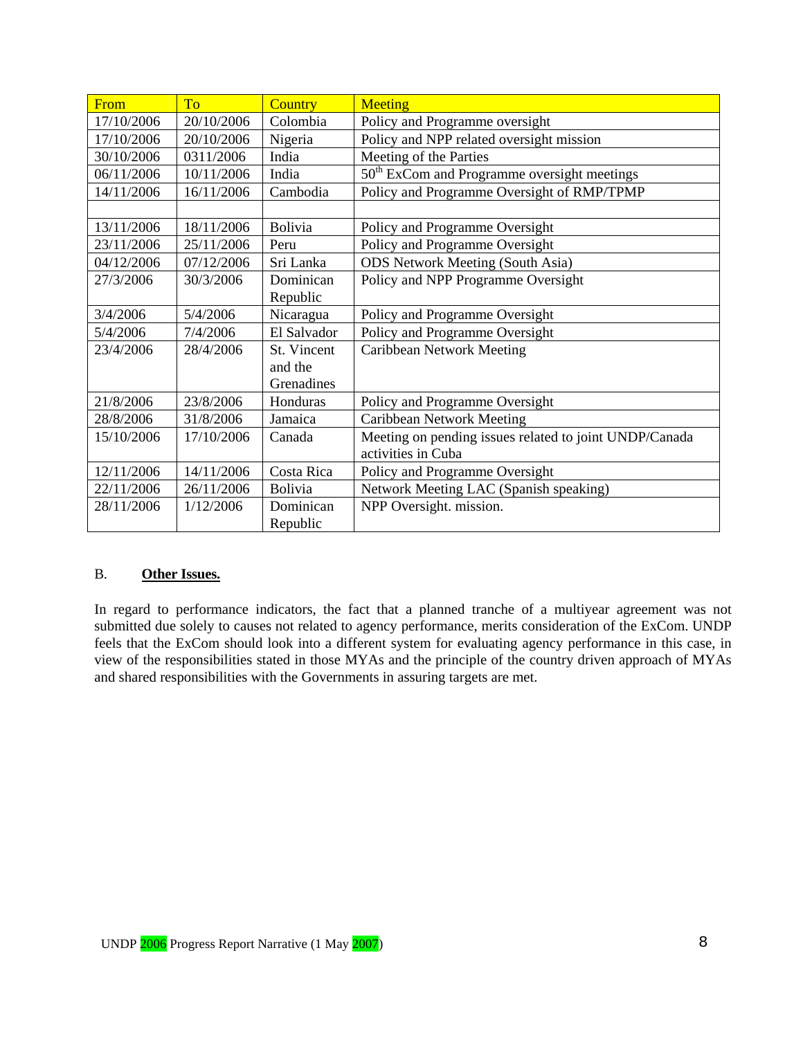| From       | To         | <b>Country</b> | <b>Meeting</b>                                          |
|------------|------------|----------------|---------------------------------------------------------|
| 17/10/2006 | 20/10/2006 | Colombia       | Policy and Programme oversight                          |
| 17/10/2006 | 20/10/2006 | Nigeria        | Policy and NPP related oversight mission                |
| 30/10/2006 | 0311/2006  | India          | Meeting of the Parties                                  |
| 06/11/2006 | 10/11/2006 | India          | 50 <sup>th</sup> ExCom and Programme oversight meetings |
| 14/11/2006 | 16/11/2006 | Cambodia       | Policy and Programme Oversight of RMP/TPMP              |
|            |            |                |                                                         |
| 13/11/2006 | 18/11/2006 | Bolivia        | Policy and Programme Oversight                          |
| 23/11/2006 | 25/11/2006 | Peru           | Policy and Programme Oversight                          |
| 04/12/2006 | 07/12/2006 | Sri Lanka      | <b>ODS Network Meeting (South Asia)</b>                 |
| 27/3/2006  | 30/3/2006  | Dominican      | Policy and NPP Programme Oversight                      |
|            |            | Republic       |                                                         |
| 3/4/2006   | 5/4/2006   | Nicaragua      | Policy and Programme Oversight                          |
| 5/4/2006   | 7/4/2006   | El Salvador    | Policy and Programme Oversight                          |
| 23/4/2006  | 28/4/2006  | St. Vincent    | <b>Caribbean Network Meeting</b>                        |
|            |            | and the        |                                                         |
|            |            | Grenadines     |                                                         |
| 21/8/2006  | 23/8/2006  | Honduras       | Policy and Programme Oversight                          |
| 28/8/2006  | 31/8/2006  | Jamaica        | <b>Caribbean Network Meeting</b>                        |
| 15/10/2006 | 17/10/2006 | Canada         | Meeting on pending issues related to joint UNDP/Canada  |
|            |            |                | activities in Cuba                                      |
| 12/11/2006 | 14/11/2006 | Costa Rica     | Policy and Programme Oversight                          |
| 22/11/2006 | 26/11/2006 | <b>Bolivia</b> | Network Meeting LAC (Spanish speaking)                  |
| 28/11/2006 | 1/12/2006  | Dominican      | NPP Oversight. mission.                                 |
|            |            | Republic       |                                                         |

## B. **Other Issues.**

In regard to performance indicators, the fact that a planned tranche of a multiyear agreement was not submitted due solely to causes not related to agency performance, merits consideration of the ExCom. UNDP feels that the ExCom should look into a different system for evaluating agency performance in this case, in view of the responsibilities stated in those MYAs and the principle of the country driven approach of MYAs and shared responsibilities with the Governments in assuring targets are met.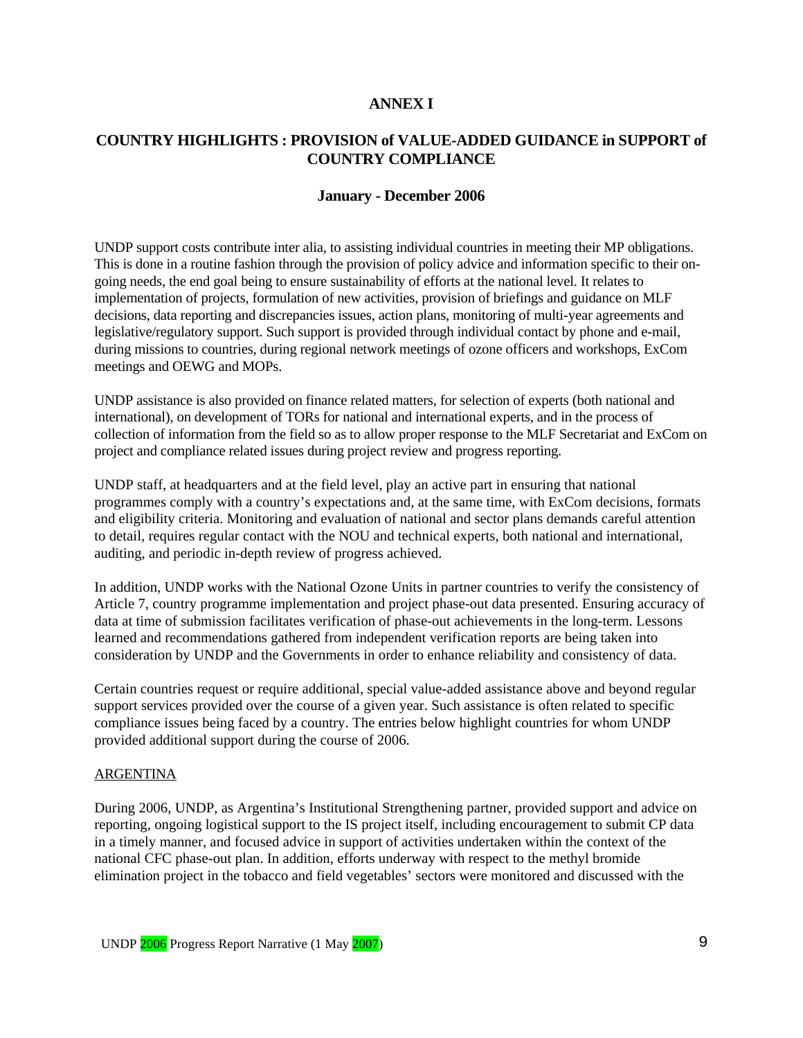#### **ANNEX I**

## **COUNTRY HIGHLIGHTS : PROVISION of VALUE-ADDED GUIDANCE in SUPPORT of COUNTRY COMPLIANCE**

#### **January - December 2006**

UNDP support costs contribute inter alia, to assisting individual countries in meeting their MP obligations. This is done in a routine fashion through the provision of policy advice and information specific to their ongoing needs, the end goal being to ensure sustainability of efforts at the national level. It relates to implementation of projects, formulation of new activities, provision of briefings and guidance on MLF decisions, data reporting and discrepancies issues, action plans, monitoring of multi-year agreements and legislative/regulatory support. Such support is provided through individual contact by phone and e-mail, during missions to countries, during regional network meetings of ozone officers and workshops, ExCom meetings and OEWG and MOPs.

UNDP assistance is also provided on finance related matters, for selection of experts (both national and international), on development of TORs for national and international experts, and in the process of collection of information from the field so as to allow proper response to the MLF Secretariat and ExCom on project and compliance related issues during project review and progress reporting.

UNDP staff, at headquarters and at the field level, play an active part in ensuring that national programmes comply with a country's expectations and, at the same time, with ExCom decisions, formats and eligibility criteria. Monitoring and evaluation of national and sector plans demands careful attention to detail, requires regular contact with the NOU and technical experts, both national and international, auditing, and periodic in-depth review of progress achieved.

In addition, UNDP works with the National Ozone Units in partner countries to verify the consistency of Article 7, country programme implementation and project phase-out data presented. Ensuring accuracy of data at time of submission facilitates verification of phase-out achievements in the long-term. Lessons learned and recommendations gathered from independent verification reports are being taken into consideration by UNDP and the Governments in order to enhance reliability and consistency of data.

Certain countries request or require additional, special value-added assistance above and beyond regular support services provided over the course of a given year. Such assistance is often related to specific compliance issues being faced by a country. The entries below highlight countries for whom UNDP provided additional support during the course of 2006.

#### ARGENTINA

During 2006, UNDP, as Argentina's Institutional Strengthening partner, provided support and advice on reporting, ongoing logistical support to the IS project itself, including encouragement to submit CP data in a timely manner, and focused advice in support of activities undertaken within the context of the national CFC phase-out plan. In addition, efforts underway with respect to the methyl bromide elimination project in the tobacco and field vegetables' sectors were monitored and discussed with the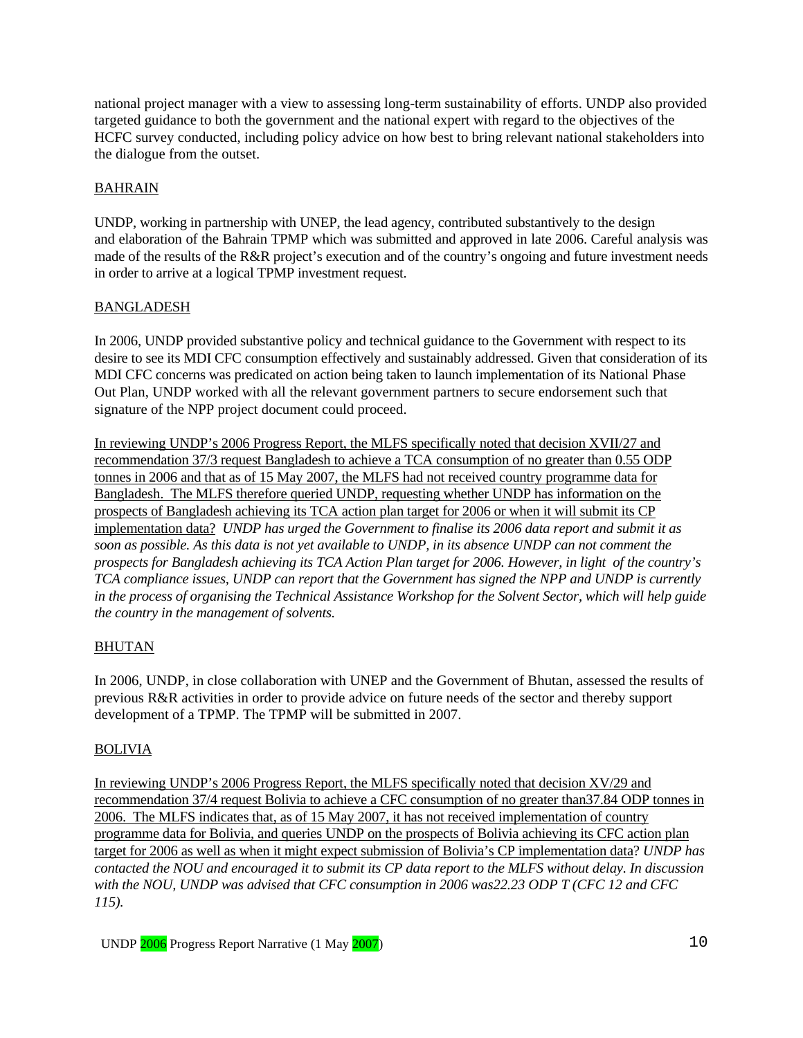national project manager with a view to assessing long-term sustainability of efforts. UNDP also provided targeted guidance to both the government and the national expert with regard to the objectives of the HCFC survey conducted, including policy advice on how best to bring relevant national stakeholders into the dialogue from the outset.

## BAHRAIN

UNDP, working in partnership with UNEP, the lead agency, contributed substantively to the design and elaboration of the Bahrain TPMP which was submitted and approved in late 2006. Careful analysis was made of the results of the R&R project's execution and of the country's ongoing and future investment needs in order to arrive at a logical TPMP investment request.

## BANGLADESH

In 2006, UNDP provided substantive policy and technical guidance to the Government with respect to its desire to see its MDI CFC consumption effectively and sustainably addressed. Given that consideration of its MDI CFC concerns was predicated on action being taken to launch implementation of its National Phase Out Plan, UNDP worked with all the relevant government partners to secure endorsement such that signature of the NPP project document could proceed.

In reviewing UNDP's 2006 Progress Report, the MLFS specifically noted that decision XVII/27 and recommendation 37/3 request Bangladesh to achieve a TCA consumption of no greater than 0.55 ODP tonnes in 2006 and that as of 15 May 2007, the MLFS had not received country programme data for Bangladesh. The MLFS therefore queried UNDP, requesting whether UNDP has information on the prospects of Bangladesh achieving its TCA action plan target for 2006 or when it will submit its CP implementation data? *UNDP has urged the Government to finalise its 2006 data report and submit it as soon as possible. As this data is not yet available to UNDP, in its absence UNDP can not comment the prospects for Bangladesh achieving its TCA Action Plan target for 2006. However, in light of the country's TCA compliance issues, UNDP can report that the Government has signed the NPP and UNDP is currently in the process of organising the Technical Assistance Workshop for the Solvent Sector, which will help guide the country in the management of solvents.* 

## BHUTAN

In 2006, UNDP, in close collaboration with UNEP and the Government of Bhutan, assessed the results of previous R&R activities in order to provide advice on future needs of the sector and thereby support development of a TPMP. The TPMP will be submitted in 2007.

## **BOLIVIA**

In reviewing UNDP's 2006 Progress Report, the MLFS specifically noted that decision XV/29 and recommendation 37/4 request Bolivia to achieve a CFC consumption of no greater than37.84 ODP tonnes in 2006. The MLFS indicates that, as of 15 May 2007, it has not received implementation of country programme data for Bolivia, and queries UNDP on the prospects of Bolivia achieving its CFC action plan target for 2006 as well as when it might expect submission of Bolivia's CP implementation data? *UNDP has contacted the NOU and encouraged it to submit its CP data report to the MLFS without delay. In discussion with the NOU, UNDP was advised that CFC consumption in 2006 was22.23 ODP T (CFC 12 and CFC 115).*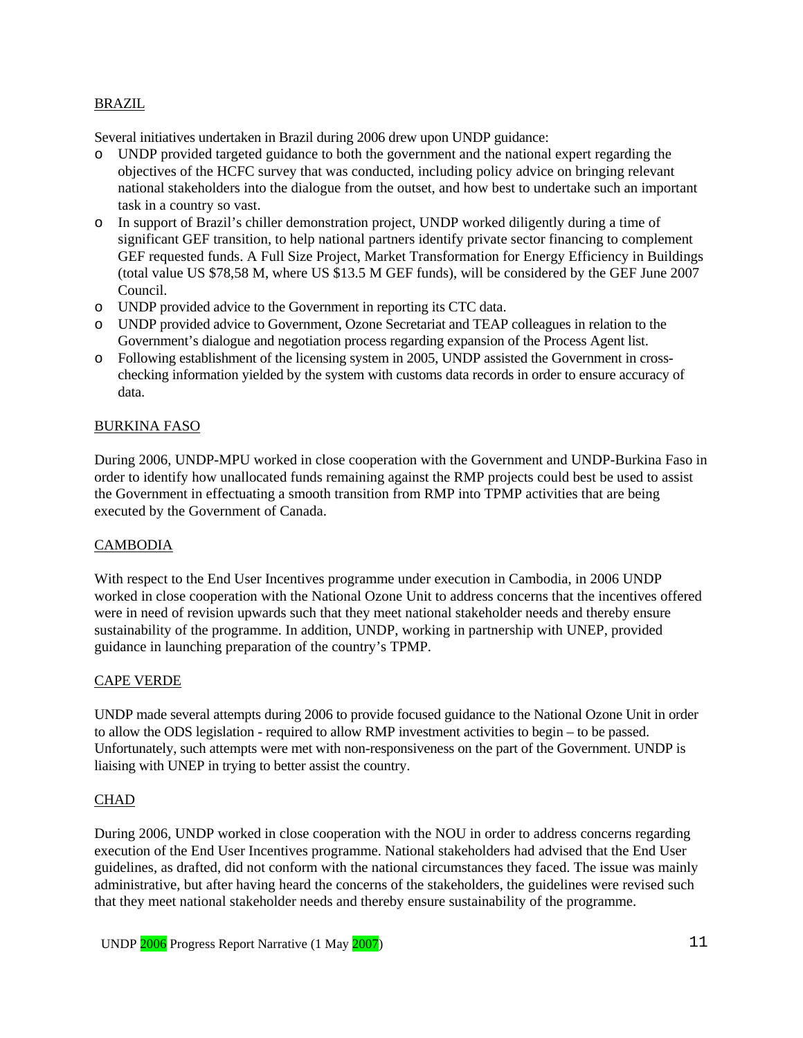#### BRAZIL

Several initiatives undertaken in Brazil during 2006 drew upon UNDP guidance:

- o UNDP provided targeted guidance to both the government and the national expert regarding the objectives of the HCFC survey that was conducted, including policy advice on bringing relevant national stakeholders into the dialogue from the outset, and how best to undertake such an important task in a country so vast.
- o In support of Brazil's chiller demonstration project, UNDP worked diligently during a time of significant GEF transition, to help national partners identify private sector financing to complement GEF requested funds. A Full Size Project, Market Transformation for Energy Efficiency in Buildings (total value US \$78,58 M, where US \$13.5 M GEF funds), will be considered by the GEF June 2007 Council.
- o UNDP provided advice to the Government in reporting its CTC data.
- o UNDP provided advice to Government, Ozone Secretariat and TEAP colleagues in relation to the Government's dialogue and negotiation process regarding expansion of the Process Agent list.
- o Following establishment of the licensing system in 2005, UNDP assisted the Government in crosschecking information yielded by the system with customs data records in order to ensure accuracy of data.

#### BURKINA FASO

During 2006, UNDP-MPU worked in close cooperation with the Government and UNDP-Burkina Faso in order to identify how unallocated funds remaining against the RMP projects could best be used to assist the Government in effectuating a smooth transition from RMP into TPMP activities that are being executed by the Government of Canada.

#### **CAMBODIA**

With respect to the End User Incentives programme under execution in Cambodia, in 2006 UNDP worked in close cooperation with the National Ozone Unit to address concerns that the incentives offered were in need of revision upwards such that they meet national stakeholder needs and thereby ensure sustainability of the programme. In addition, UNDP, working in partnership with UNEP, provided guidance in launching preparation of the country's TPMP.

#### CAPE VERDE

UNDP made several attempts during 2006 to provide focused guidance to the National Ozone Unit in order to allow the ODS legislation - required to allow RMP investment activities to begin – to be passed. Unfortunately, such attempts were met with non-responsiveness on the part of the Government. UNDP is liaising with UNEP in trying to better assist the country.

#### **CHAD**

During 2006, UNDP worked in close cooperation with the NOU in order to address concerns regarding execution of the End User Incentives programme. National stakeholders had advised that the End User guidelines, as drafted, did not conform with the national circumstances they faced. The issue was mainly administrative, but after having heard the concerns of the stakeholders, the guidelines were revised such that they meet national stakeholder needs and thereby ensure sustainability of the programme.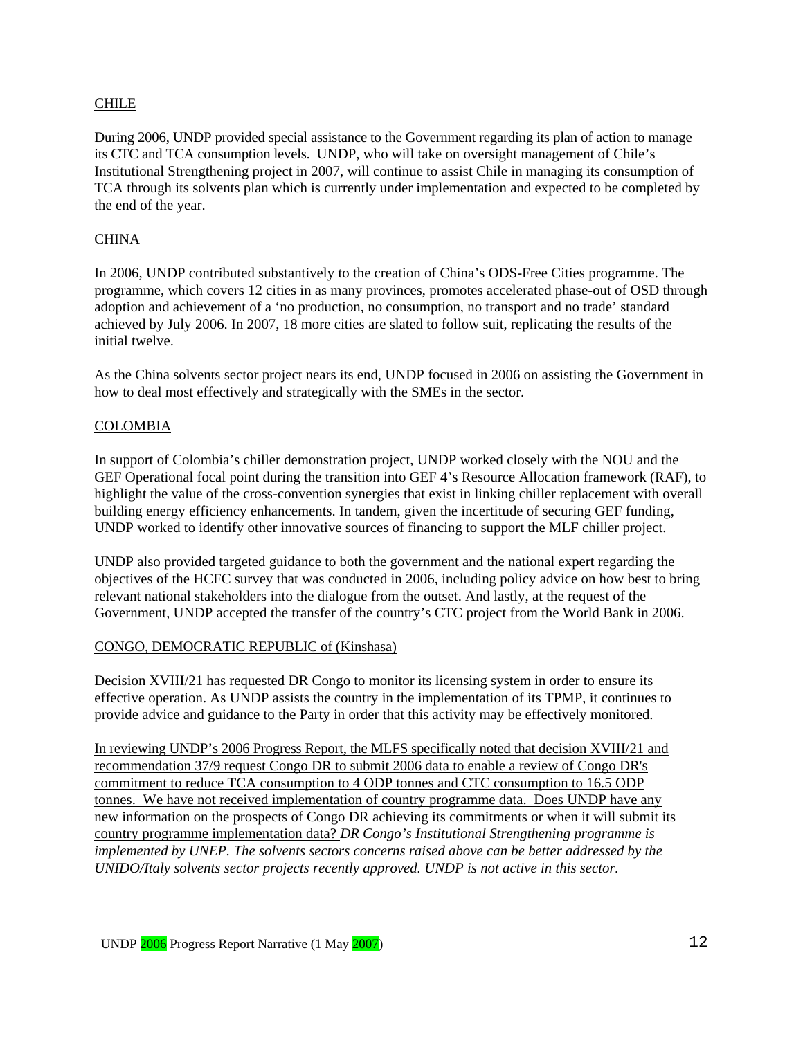#### CHILE

During 2006, UNDP provided special assistance to the Government regarding its plan of action to manage its CTC and TCA consumption levels. UNDP, who will take on oversight management of Chile's Institutional Strengthening project in 2007, will continue to assist Chile in managing its consumption of TCA through its solvents plan which is currently under implementation and expected to be completed by the end of the year.

#### **CHINA**

In 2006, UNDP contributed substantively to the creation of China's ODS-Free Cities programme. The programme, which covers 12 cities in as many provinces, promotes accelerated phase-out of OSD through adoption and achievement of a 'no production, no consumption, no transport and no trade' standard achieved by July 2006. In 2007, 18 more cities are slated to follow suit, replicating the results of the initial twelve.

As the China solvents sector project nears its end, UNDP focused in 2006 on assisting the Government in how to deal most effectively and strategically with the SMEs in the sector.

#### COLOMBIA

In support of Colombia's chiller demonstration project, UNDP worked closely with the NOU and the GEF Operational focal point during the transition into GEF 4's Resource Allocation framework (RAF), to highlight the value of the cross-convention synergies that exist in linking chiller replacement with overall building energy efficiency enhancements. In tandem, given the incertitude of securing GEF funding, UNDP worked to identify other innovative sources of financing to support the MLF chiller project.

UNDP also provided targeted guidance to both the government and the national expert regarding the objectives of the HCFC survey that was conducted in 2006, including policy advice on how best to bring relevant national stakeholders into the dialogue from the outset. And lastly, at the request of the Government, UNDP accepted the transfer of the country's CTC project from the World Bank in 2006.

#### CONGO, DEMOCRATIC REPUBLIC of (Kinshasa)

Decision XVIII/21 has requested DR Congo to monitor its licensing system in order to ensure its effective operation. As UNDP assists the country in the implementation of its TPMP, it continues to provide advice and guidance to the Party in order that this activity may be effectively monitored.

In reviewing UNDP's 2006 Progress Report, the MLFS specifically noted that decision XVIII/21 and recommendation 37/9 request Congo DR to submit 2006 data to enable a review of Congo DR's commitment to reduce TCA consumption to 4 ODP tonnes and CTC consumption to 16.5 ODP tonnes. We have not received implementation of country programme data. Does UNDP have any new information on the prospects of Congo DR achieving its commitments or when it will submit its country programme implementation data? *DR Congo's Institutional Strengthening programme is implemented by UNEP. The solvents sectors concerns raised above can be better addressed by the UNIDO/Italy solvents sector projects recently approved. UNDP is not active in this sector.*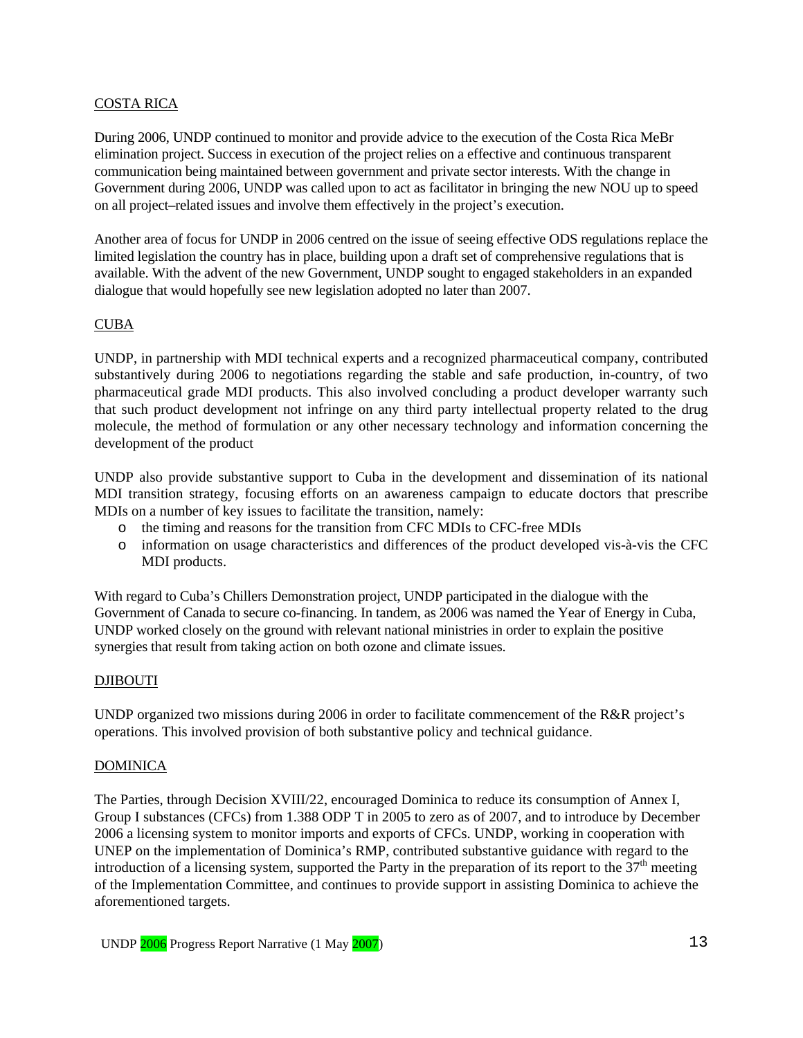#### COSTA RICA

During 2006, UNDP continued to monitor and provide advice to the execution of the Costa Rica MeBr elimination project. Success in execution of the project relies on a effective and continuous transparent communication being maintained between government and private sector interests. With the change in Government during 2006, UNDP was called upon to act as facilitator in bringing the new NOU up to speed on all project–related issues and involve them effectively in the project's execution.

Another area of focus for UNDP in 2006 centred on the issue of seeing effective ODS regulations replace the limited legislation the country has in place, building upon a draft set of comprehensive regulations that is available. With the advent of the new Government, UNDP sought to engaged stakeholders in an expanded dialogue that would hopefully see new legislation adopted no later than 2007.

## CUBA

UNDP, in partnership with MDI technical experts and a recognized pharmaceutical company, contributed substantively during 2006 to negotiations regarding the stable and safe production, in-country, of two pharmaceutical grade MDI products. This also involved concluding a product developer warranty such that such product development not infringe on any third party intellectual property related to the drug molecule, the method of formulation or any other necessary technology and information concerning the development of the product

UNDP also provide substantive support to Cuba in the development and dissemination of its national MDI transition strategy, focusing efforts on an awareness campaign to educate doctors that prescribe MDIs on a number of key issues to facilitate the transition, namely:

- o the timing and reasons for the transition from CFC MDIs to CFC-free MDIs
- o information on usage characteristics and differences of the product developed vis-à-vis the CFC MDI products.

With regard to Cuba's Chillers Demonstration project, UNDP participated in the dialogue with the Government of Canada to secure co-financing. In tandem, as 2006 was named the Year of Energy in Cuba, UNDP worked closely on the ground with relevant national ministries in order to explain the positive synergies that result from taking action on both ozone and climate issues.

#### DJIBOUTI

UNDP organized two missions during 2006 in order to facilitate commencement of the R&R project's operations. This involved provision of both substantive policy and technical guidance.

#### DOMINICA

The Parties, through Decision XVIII/22, encouraged Dominica to reduce its consumption of Annex I, Group I substances (CFCs) from 1.388 ODP T in 2005 to zero as of 2007, and to introduce by December 2006 a licensing system to monitor imports and exports of CFCs. UNDP, working in cooperation with UNEP on the implementation of Dominica's RMP, contributed substantive guidance with regard to the introduction of a licensing system, supported the Party in the preparation of its report to the  $37<sup>th</sup>$  meeting of the Implementation Committee, and continues to provide support in assisting Dominica to achieve the aforementioned targets.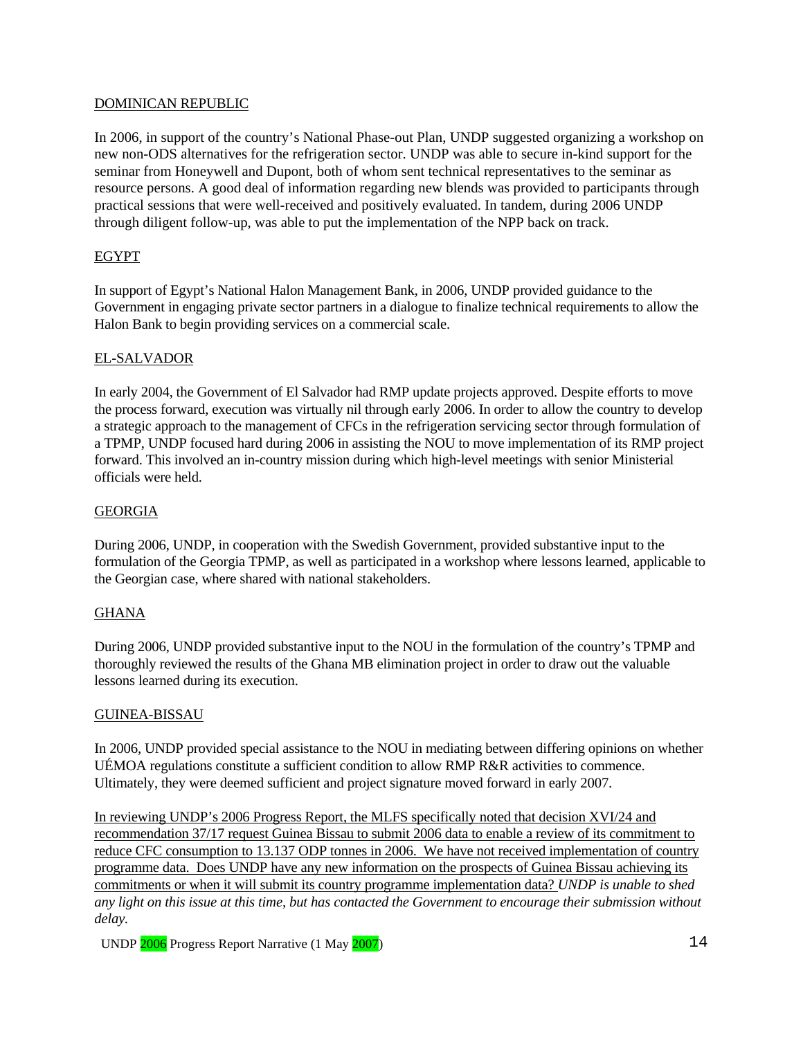#### DOMINICAN REPUBLIC

In 2006, in support of the country's National Phase-out Plan, UNDP suggested organizing a workshop on new non-ODS alternatives for the refrigeration sector. UNDP was able to secure in-kind support for the seminar from Honeywell and Dupont, both of whom sent technical representatives to the seminar as resource persons. A good deal of information regarding new blends was provided to participants through practical sessions that were well-received and positively evaluated. In tandem, during 2006 UNDP through diligent follow-up, was able to put the implementation of the NPP back on track.

## EGYPT

In support of Egypt's National Halon Management Bank, in 2006, UNDP provided guidance to the Government in engaging private sector partners in a dialogue to finalize technical requirements to allow the Halon Bank to begin providing services on a commercial scale.

## EL-SALVADOR

In early 2004, the Government of El Salvador had RMP update projects approved. Despite efforts to move the process forward, execution was virtually nil through early 2006. In order to allow the country to develop a strategic approach to the management of CFCs in the refrigeration servicing sector through formulation of a TPMP, UNDP focused hard during 2006 in assisting the NOU to move implementation of its RMP project forward. This involved an in-country mission during which high-level meetings with senior Ministerial officials were held.

## GEORGIA

During 2006, UNDP, in cooperation with the Swedish Government, provided substantive input to the formulation of the Georgia TPMP, as well as participated in a workshop where lessons learned, applicable to the Georgian case, where shared with national stakeholders.

## **GHANA**

During 2006, UNDP provided substantive input to the NOU in the formulation of the country's TPMP and thoroughly reviewed the results of the Ghana MB elimination project in order to draw out the valuable lessons learned during its execution.

## GUINEA-BISSAU

In 2006, UNDP provided special assistance to the NOU in mediating between differing opinions on whether UÉMOA regulations constitute a sufficient condition to allow RMP R&R activities to commence. Ultimately, they were deemed sufficient and project signature moved forward in early 2007.

In reviewing UNDP's 2006 Progress Report, the MLFS specifically noted that decision XVI/24 and recommendation 37/17 request Guinea Bissau to submit 2006 data to enable a review of its commitment to reduce CFC consumption to 13.137 ODP tonnes in 2006. We have not received implementation of country programme data. Does UNDP have any new information on the prospects of Guinea Bissau achieving its commitments or when it will submit its country programme implementation data? *UNDP is unable to shed any light on this issue at this time, but has contacted the Government to encourage their submission without delay.* 

UNDP 2006 Progress Report Narrative (1 May 2007) 14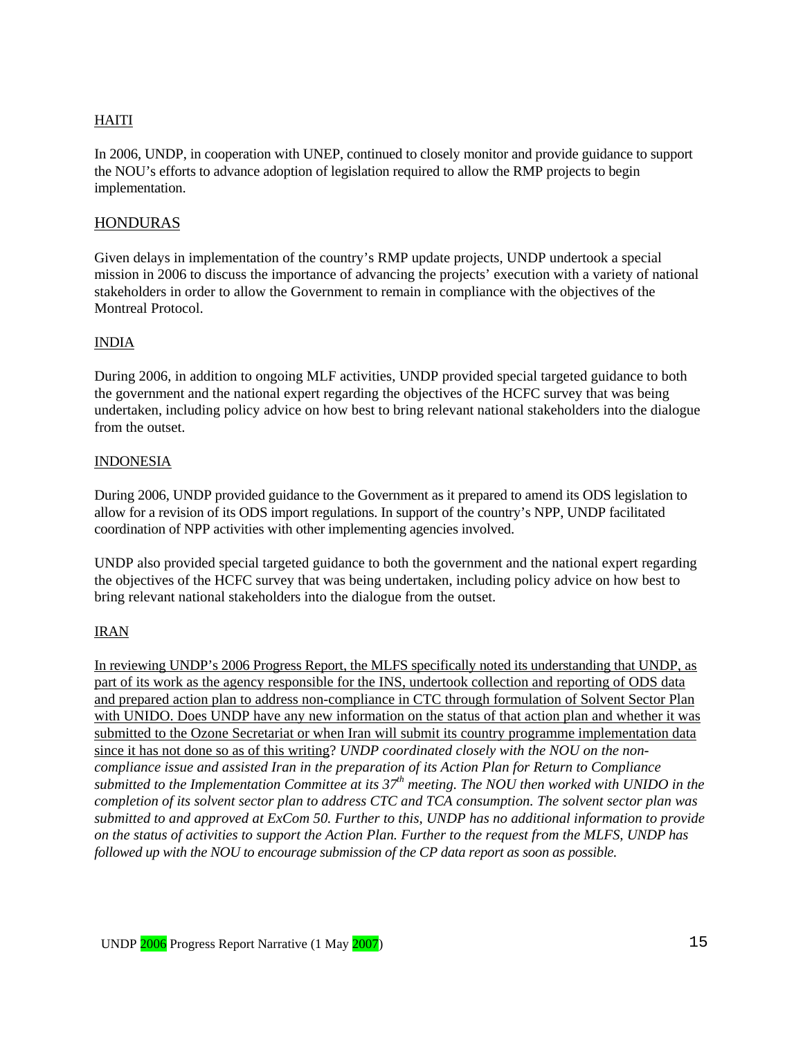## HAITI

In 2006, UNDP, in cooperation with UNEP, continued to closely monitor and provide guidance to support the NOU's efforts to advance adoption of legislation required to allow the RMP projects to begin implementation.

## **HONDURAS**

Given delays in implementation of the country's RMP update projects, UNDP undertook a special mission in 2006 to discuss the importance of advancing the projects' execution with a variety of national stakeholders in order to allow the Government to remain in compliance with the objectives of the Montreal Protocol.

#### INDIA

During 2006, in addition to ongoing MLF activities, UNDP provided special targeted guidance to both the government and the national expert regarding the objectives of the HCFC survey that was being undertaken, including policy advice on how best to bring relevant national stakeholders into the dialogue from the outset.

#### INDONESIA

During 2006, UNDP provided guidance to the Government as it prepared to amend its ODS legislation to allow for a revision of its ODS import regulations. In support of the country's NPP, UNDP facilitated coordination of NPP activities with other implementing agencies involved.

UNDP also provided special targeted guidance to both the government and the national expert regarding the objectives of the HCFC survey that was being undertaken, including policy advice on how best to bring relevant national stakeholders into the dialogue from the outset.

#### IRAN

In reviewing UNDP's 2006 Progress Report, the MLFS specifically noted its understanding that UNDP, as part of its work as the agency responsible for the INS, undertook collection and reporting of ODS data and prepared action plan to address non-compliance in CTC through formulation of Solvent Sector Plan with UNIDO. Does UNDP have any new information on the status of that action plan and whether it was submitted to the Ozone Secretariat or when Iran will submit its country programme implementation data since it has not done so as of this writing? *UNDP coordinated closely with the NOU on the noncompliance issue and assisted Iran in the preparation of its Action Plan for Return to Compliance*  submitted to the Implementation Committee at its 37<sup>th</sup> meeting. The NOU then worked with UNIDO in the *completion of its solvent sector plan to address CTC and TCA consumption. The solvent sector plan was submitted to and approved at ExCom 50. Further to this, UNDP has no additional information to provide on the status of activities to support the Action Plan. Further to the request from the MLFS, UNDP has followed up with the NOU to encourage submission of the CP data report as soon as possible.*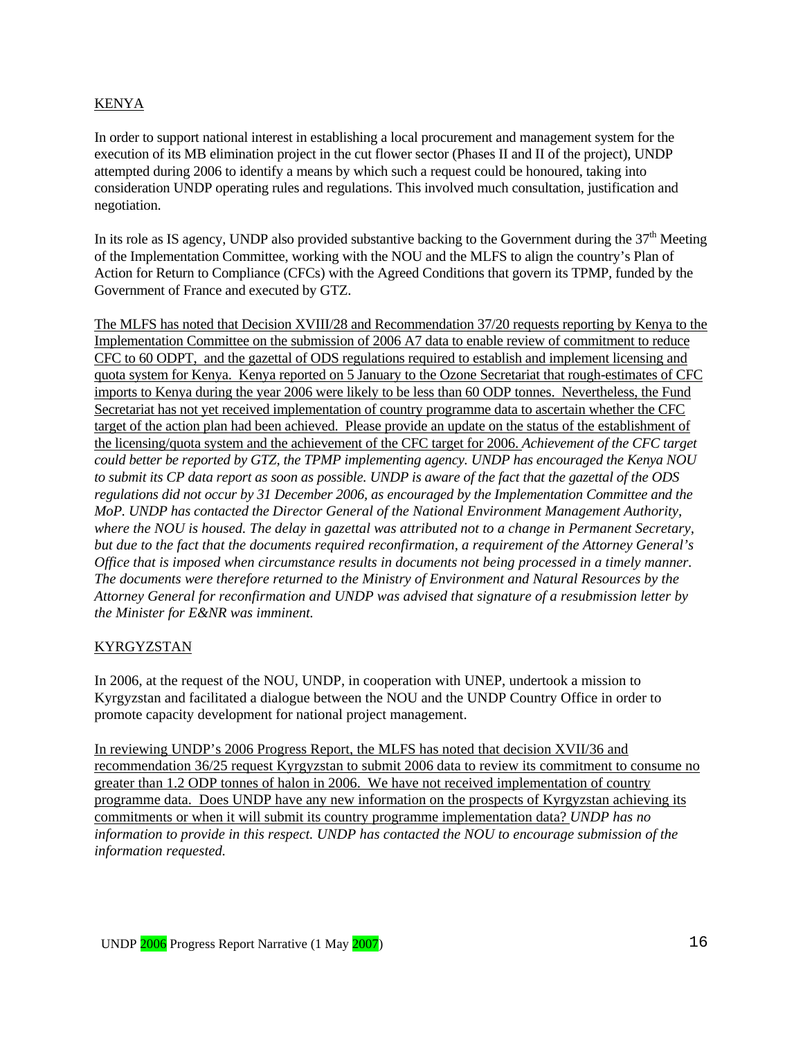#### KENYA

In order to support national interest in establishing a local procurement and management system for the execution of its MB elimination project in the cut flower sector (Phases II and II of the project), UNDP attempted during 2006 to identify a means by which such a request could be honoured, taking into consideration UNDP operating rules and regulations. This involved much consultation, justification and negotiation.

In its role as IS agency, UNDP also provided substantive backing to the Government during the  $37<sup>th</sup>$  Meeting of the Implementation Committee, working with the NOU and the MLFS to align the country's Plan of Action for Return to Compliance (CFCs) with the Agreed Conditions that govern its TPMP, funded by the Government of France and executed by GTZ.

The MLFS has noted that Decision XVIII/28 and Recommendation 37/20 requests reporting by Kenya to the Implementation Committee on the submission of 2006 A7 data to enable review of commitment to reduce CFC to 60 ODPT, and the gazettal of ODS regulations required to establish and implement licensing and quota system for Kenya. Kenya reported on 5 January to the Ozone Secretariat that rough-estimates of CFC imports to Kenya during the year 2006 were likely to be less than 60 ODP tonnes. Nevertheless, the Fund Secretariat has not yet received implementation of country programme data to ascertain whether the CFC target of the action plan had been achieved. Please provide an update on the status of the establishment of the licensing/quota system and the achievement of the CFC target for 2006. *Achievement of the CFC target could better be reported by GTZ, the TPMP implementing agency. UNDP has encouraged the Kenya NOU to submit its CP data report as soon as possible. UNDP is aware of the fact that the gazettal of the ODS regulations did not occur by 31 December 2006, as encouraged by the Implementation Committee and the MoP. UNDP has contacted the Director General of the National Environment Management Authority, where the NOU is housed. The delay in gazettal was attributed not to a change in Permanent Secretary, but due to the fact that the documents required reconfirmation, a requirement of the Attorney General's Office that is imposed when circumstance results in documents not being processed in a timely manner. The documents were therefore returned to the Ministry of Environment and Natural Resources by the Attorney General for reconfirmation and UNDP was advised that signature of a resubmission letter by the Minister for E&NR was imminent.* 

#### **KYRGYZSTAN**

In 2006, at the request of the NOU, UNDP, in cooperation with UNEP, undertook a mission to Kyrgyzstan and facilitated a dialogue between the NOU and the UNDP Country Office in order to promote capacity development for national project management.

In reviewing UNDP's 2006 Progress Report, the MLFS has noted that decision XVII/36 and recommendation 36/25 request Kyrgyzstan to submit 2006 data to review its commitment to consume no greater than 1.2 ODP tonnes of halon in 2006. We have not received implementation of country programme data. Does UNDP have any new information on the prospects of Kyrgyzstan achieving its commitments or when it will submit its country programme implementation data? *UNDP has no information to provide in this respect. UNDP has contacted the NOU to encourage submission of the information requested.*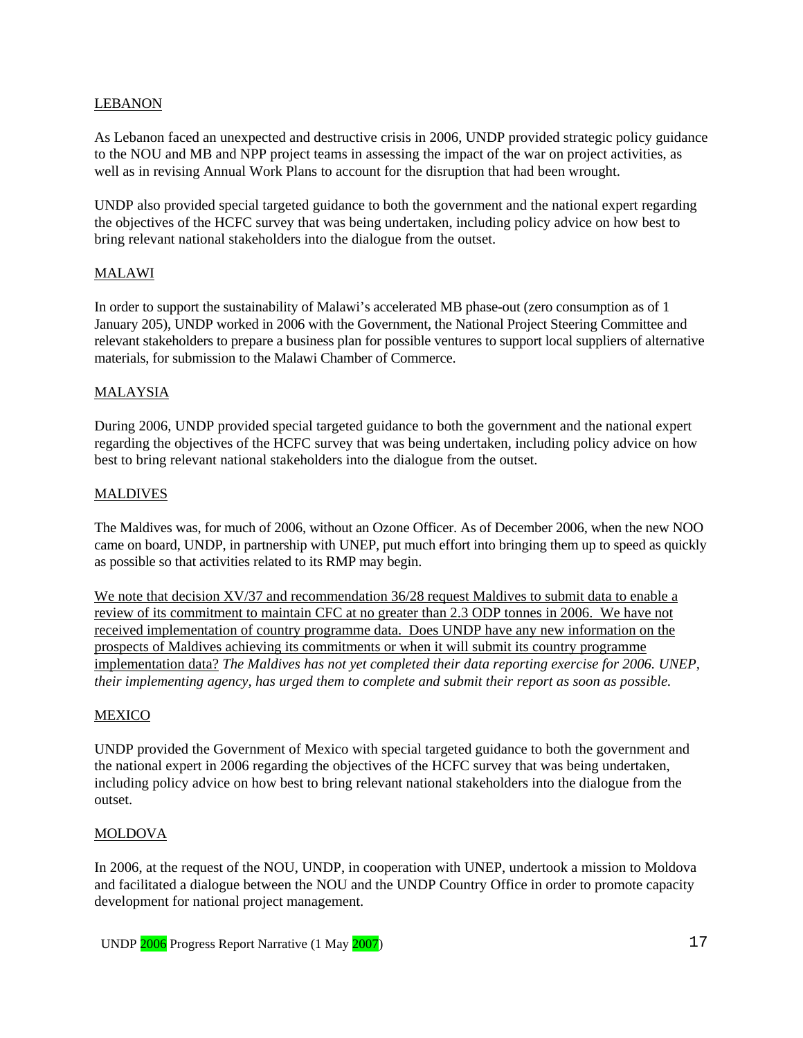#### LEBANON

As Lebanon faced an unexpected and destructive crisis in 2006, UNDP provided strategic policy guidance to the NOU and MB and NPP project teams in assessing the impact of the war on project activities, as well as in revising Annual Work Plans to account for the disruption that had been wrought.

UNDP also provided special targeted guidance to both the government and the national expert regarding the objectives of the HCFC survey that was being undertaken, including policy advice on how best to bring relevant national stakeholders into the dialogue from the outset.

#### MALAWI

In order to support the sustainability of Malawi's accelerated MB phase-out (zero consumption as of 1 January 205), UNDP worked in 2006 with the Government, the National Project Steering Committee and relevant stakeholders to prepare a business plan for possible ventures to support local suppliers of alternative materials, for submission to the Malawi Chamber of Commerce.

#### MALAYSIA

During 2006, UNDP provided special targeted guidance to both the government and the national expert regarding the objectives of the HCFC survey that was being undertaken, including policy advice on how best to bring relevant national stakeholders into the dialogue from the outset.

#### **MALDIVES**

The Maldives was, for much of 2006, without an Ozone Officer. As of December 2006, when the new NOO came on board, UNDP, in partnership with UNEP, put much effort into bringing them up to speed as quickly as possible so that activities related to its RMP may begin.

We note that decision XV/37 and recommendation 36/28 request Maldives to submit data to enable a review of its commitment to maintain CFC at no greater than 2.3 ODP tonnes in 2006. We have not received implementation of country programme data. Does UNDP have any new information on the prospects of Maldives achieving its commitments or when it will submit its country programme implementation data? *The Maldives has not yet completed their data reporting exercise for 2006. UNEP, their implementing agency, has urged them to complete and submit their report as soon as possible.* 

#### MEXICO

UNDP provided the Government of Mexico with special targeted guidance to both the government and the national expert in 2006 regarding the objectives of the HCFC survey that was being undertaken, including policy advice on how best to bring relevant national stakeholders into the dialogue from the outset.

#### MOLDOVA

In 2006, at the request of the NOU, UNDP, in cooperation with UNEP, undertook a mission to Moldova and facilitated a dialogue between the NOU and the UNDP Country Office in order to promote capacity development for national project management.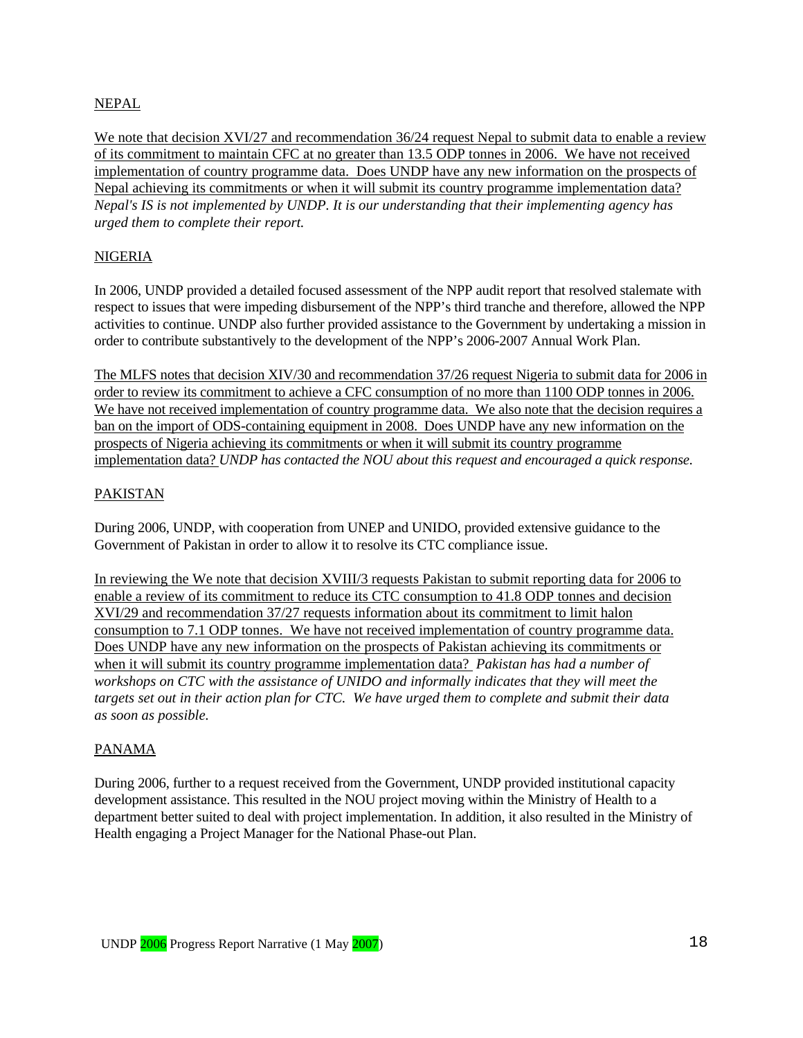#### NEPAL

We note that decision XVI/27 and recommendation 36/24 request Nepal to submit data to enable a review of its commitment to maintain CFC at no greater than 13.5 ODP tonnes in 2006. We have not received implementation of country programme data. Does UNDP have any new information on the prospects of Nepal achieving its commitments or when it will submit its country programme implementation data? *Nepal's IS is not implemented by UNDP. It is our understanding that their implementing agency has urged them to complete their report.* 

#### NIGERIA

In 2006, UNDP provided a detailed focused assessment of the NPP audit report that resolved stalemate with respect to issues that were impeding disbursement of the NPP's third tranche and therefore, allowed the NPP activities to continue. UNDP also further provided assistance to the Government by undertaking a mission in order to contribute substantively to the development of the NPP's 2006-2007 Annual Work Plan.

The MLFS notes that decision XIV/30 and recommendation 37/26 request Nigeria to submit data for 2006 in order to review its commitment to achieve a CFC consumption of no more than 1100 ODP tonnes in 2006. We have not received implementation of country programme data. We also note that the decision requires a ban on the import of ODS-containing equipment in 2008. Does UNDP have any new information on the prospects of Nigeria achieving its commitments or when it will submit its country programme implementation data? *UNDP has contacted the NOU about this request and encouraged a quick response.* 

#### PAKISTAN

During 2006, UNDP, with cooperation from UNEP and UNIDO, provided extensive guidance to the Government of Pakistan in order to allow it to resolve its CTC compliance issue.

In reviewing the We note that decision XVIII/3 requests Pakistan to submit reporting data for 2006 to enable a review of its commitment to reduce its CTC consumption to 41.8 ODP tonnes and decision XVI/29 and recommendation 37/27 requests information about its commitment to limit halon consumption to 7.1 ODP tonnes. We have not received implementation of country programme data. Does UNDP have any new information on the prospects of Pakistan achieving its commitments or when it will submit its country programme implementation data? *Pakistan has had a number of workshops on CTC with the assistance of UNIDO and informally indicates that they will meet the targets set out in their action plan for CTC. We have urged them to complete and submit their data as soon as possible.*

## PANAMA

During 2006, further to a request received from the Government, UNDP provided institutional capacity development assistance. This resulted in the NOU project moving within the Ministry of Health to a department better suited to deal with project implementation. In addition, it also resulted in the Ministry of Health engaging a Project Manager for the National Phase-out Plan.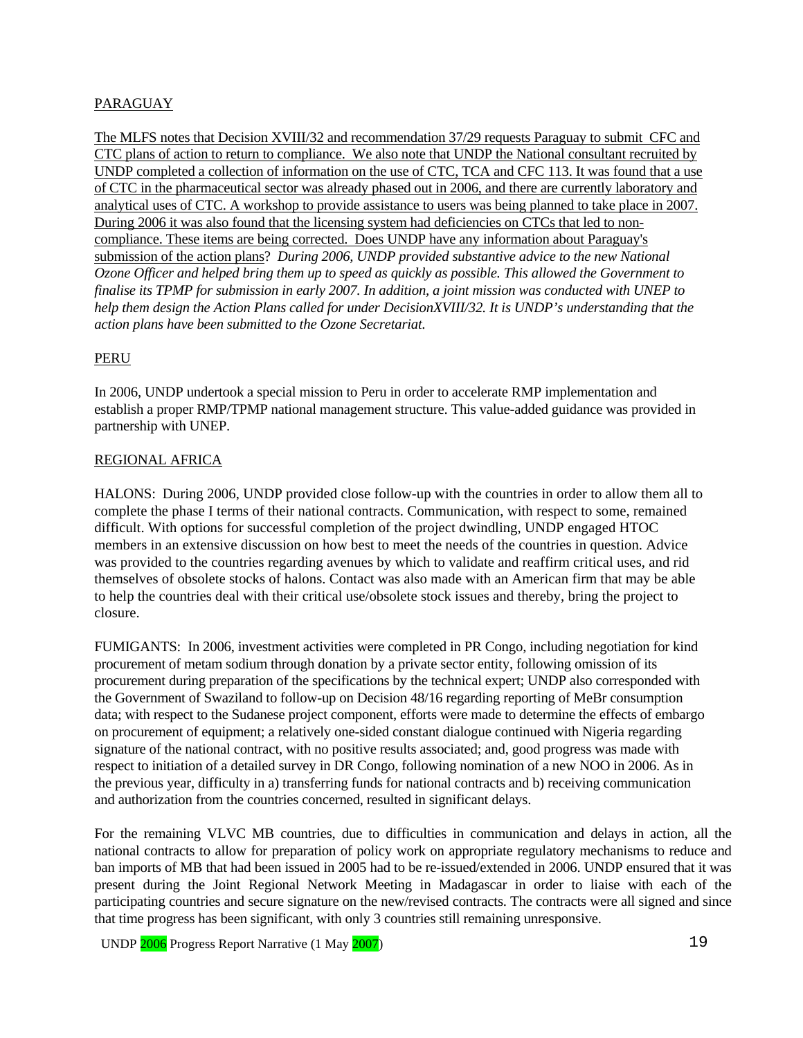## PARAGUAY

The MLFS notes that Decision XVIII/32 and recommendation 37/29 requests Paraguay to submit CFC and CTC plans of action to return to compliance. We also note that UNDP the National consultant recruited by UNDP completed a collection of information on the use of CTC, TCA and CFC 113. It was found that a use of CTC in the pharmaceutical sector was already phased out in 2006, and there are currently laboratory and analytical uses of CTC. A workshop to provide assistance to users was being planned to take place in 2007. During 2006 it was also found that the licensing system had deficiencies on CTCs that led to noncompliance. These items are being corrected. Does UNDP have any information about Paraguay's submission of the action plans? *During 2006, UNDP provided substantive advice to the new National Ozone Officer and helped bring them up to speed as quickly as possible. This allowed the Government to finalise its TPMP for submission in early 2007. In addition, a joint mission was conducted with UNEP to help them design the Action Plans called for under DecisionXVIII/32. It is UNDP's understanding that the action plans have been submitted to the Ozone Secretariat.* 

#### PERU

In 2006, UNDP undertook a special mission to Peru in order to accelerate RMP implementation and establish a proper RMP/TPMP national management structure. This value-added guidance was provided in partnership with UNEP.

#### REGIONAL AFRICA

HALONS: During 2006, UNDP provided close follow-up with the countries in order to allow them all to complete the phase I terms of their national contracts. Communication, with respect to some, remained difficult. With options for successful completion of the project dwindling, UNDP engaged HTOC members in an extensive discussion on how best to meet the needs of the countries in question. Advice was provided to the countries regarding avenues by which to validate and reaffirm critical uses, and rid themselves of obsolete stocks of halons. Contact was also made with an American firm that may be able to help the countries deal with their critical use/obsolete stock issues and thereby, bring the project to closure.

FUMIGANTS: In 2006, investment activities were completed in PR Congo, including negotiation for kind procurement of metam sodium through donation by a private sector entity, following omission of its procurement during preparation of the specifications by the technical expert; UNDP also corresponded with the Government of Swaziland to follow-up on Decision 48/16 regarding reporting of MeBr consumption data; with respect to the Sudanese project component, efforts were made to determine the effects of embargo on procurement of equipment; a relatively one-sided constant dialogue continued with Nigeria regarding signature of the national contract, with no positive results associated; and, good progress was made with respect to initiation of a detailed survey in DR Congo, following nomination of a new NOO in 2006. As in the previous year, difficulty in a) transferring funds for national contracts and b) receiving communication and authorization from the countries concerned, resulted in significant delays.

For the remaining VLVC MB countries, due to difficulties in communication and delays in action, all the national contracts to allow for preparation of policy work on appropriate regulatory mechanisms to reduce and ban imports of MB that had been issued in 2005 had to be re-issued/extended in 2006. UNDP ensured that it was present during the Joint Regional Network Meeting in Madagascar in order to liaise with each of the participating countries and secure signature on the new/revised contracts. The contracts were all signed and since that time progress has been significant, with only 3 countries still remaining unresponsive.

UNDP 2006 Progress Report Narrative (1 May 2007) 19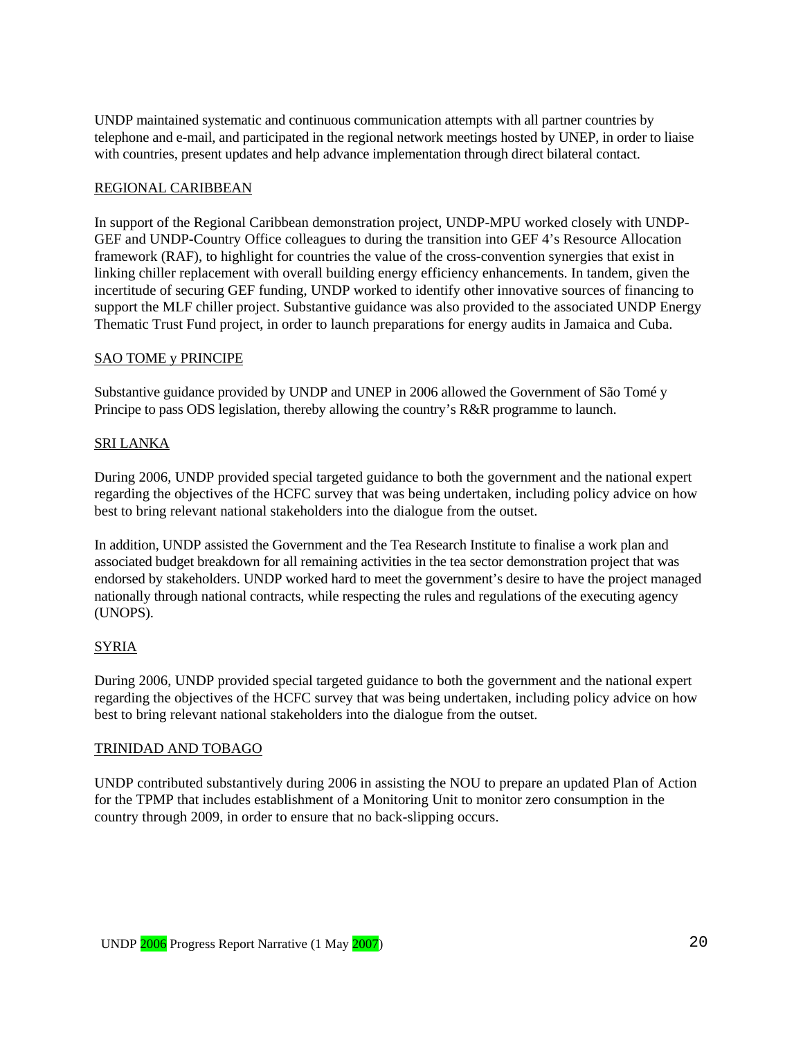UNDP maintained systematic and continuous communication attempts with all partner countries by telephone and e-mail, and participated in the regional network meetings hosted by UNEP, in order to liaise with countries, present updates and help advance implementation through direct bilateral contact.

#### REGIONAL CARIBBEAN

In support of the Regional Caribbean demonstration project, UNDP-MPU worked closely with UNDP-GEF and UNDP-Country Office colleagues to during the transition into GEF 4's Resource Allocation framework (RAF), to highlight for countries the value of the cross-convention synergies that exist in linking chiller replacement with overall building energy efficiency enhancements. In tandem, given the incertitude of securing GEF funding, UNDP worked to identify other innovative sources of financing to support the MLF chiller project. Substantive guidance was also provided to the associated UNDP Energy Thematic Trust Fund project, in order to launch preparations for energy audits in Jamaica and Cuba.

#### SAO TOME y PRINCIPE

Substantive guidance provided by UNDP and UNEP in 2006 allowed the Government of São Tomé y Principe to pass ODS legislation, thereby allowing the country's R&R programme to launch.

#### SRI LANKA

During 2006, UNDP provided special targeted guidance to both the government and the national expert regarding the objectives of the HCFC survey that was being undertaken, including policy advice on how best to bring relevant national stakeholders into the dialogue from the outset.

In addition, UNDP assisted the Government and the Tea Research Institute to finalise a work plan and associated budget breakdown for all remaining activities in the tea sector demonstration project that was endorsed by stakeholders. UNDP worked hard to meet the government's desire to have the project managed nationally through national contracts, while respecting the rules and regulations of the executing agency (UNOPS).

#### SYRIA

During 2006, UNDP provided special targeted guidance to both the government and the national expert regarding the objectives of the HCFC survey that was being undertaken, including policy advice on how best to bring relevant national stakeholders into the dialogue from the outset.

#### TRINIDAD AND TOBAGO

UNDP contributed substantively during 2006 in assisting the NOU to prepare an updated Plan of Action for the TPMP that includes establishment of a Monitoring Unit to monitor zero consumption in the country through 2009, in order to ensure that no back-slipping occurs.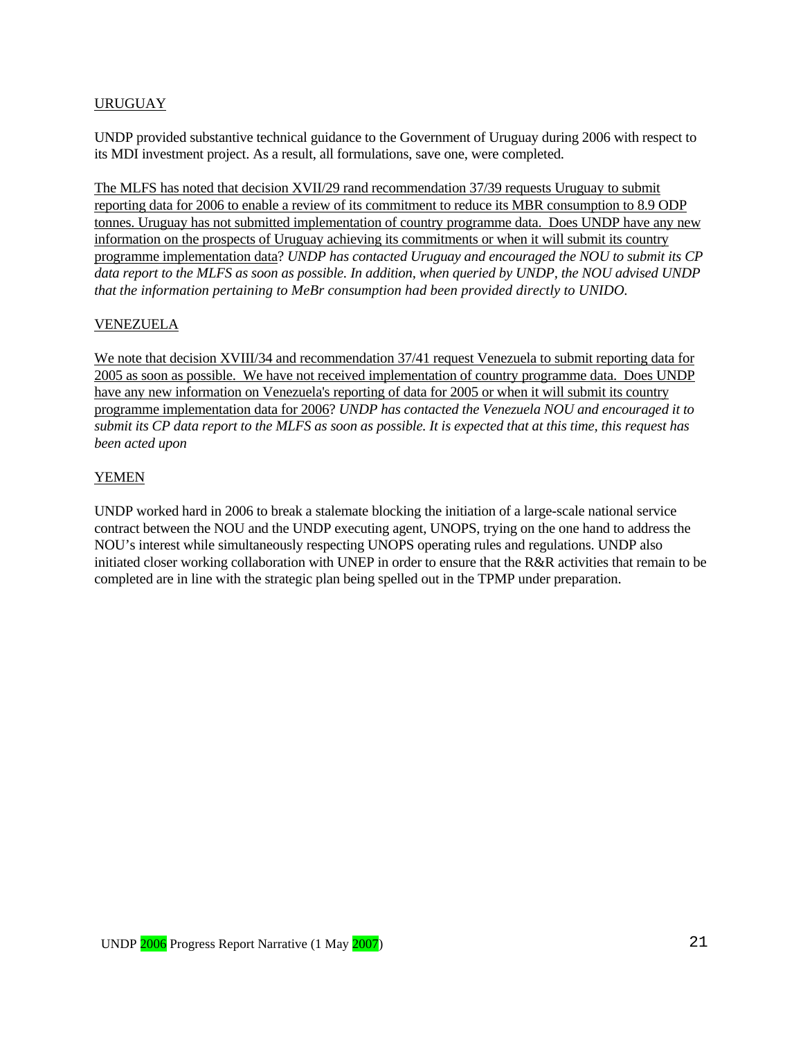## URUGUAY

UNDP provided substantive technical guidance to the Government of Uruguay during 2006 with respect to its MDI investment project. As a result, all formulations, save one, were completed.

The MLFS has noted that decision XVII/29 rand recommendation 37/39 requests Uruguay to submit reporting data for 2006 to enable a review of its commitment to reduce its MBR consumption to 8.9 ODP tonnes. Uruguay has not submitted implementation of country programme data. Does UNDP have any new information on the prospects of Uruguay achieving its commitments or when it will submit its country programme implementation data? *UNDP has contacted Uruguay and encouraged the NOU to submit its CP data report to the MLFS as soon as possible. In addition, when queried by UNDP, the NOU advised UNDP that the information pertaining to MeBr consumption had been provided directly to UNIDO.* 

#### VENEZUELA

We note that decision XVIII/34 and recommendation 37/41 request Venezuela to submit reporting data for 2005 as soon as possible. We have not received implementation of country programme data. Does UNDP have any new information on Venezuela's reporting of data for 2005 or when it will submit its country programme implementation data for 2006? *UNDP has contacted the Venezuela NOU and encouraged it to submit its CP data report to the MLFS as soon as possible. It is expected that at this time, this request has been acted upon* 

#### YEMEN

UNDP worked hard in 2006 to break a stalemate blocking the initiation of a large-scale national service contract between the NOU and the UNDP executing agent, UNOPS, trying on the one hand to address the NOU's interest while simultaneously respecting UNOPS operating rules and regulations. UNDP also initiated closer working collaboration with UNEP in order to ensure that the R&R activities that remain to be completed are in line with the strategic plan being spelled out in the TPMP under preparation.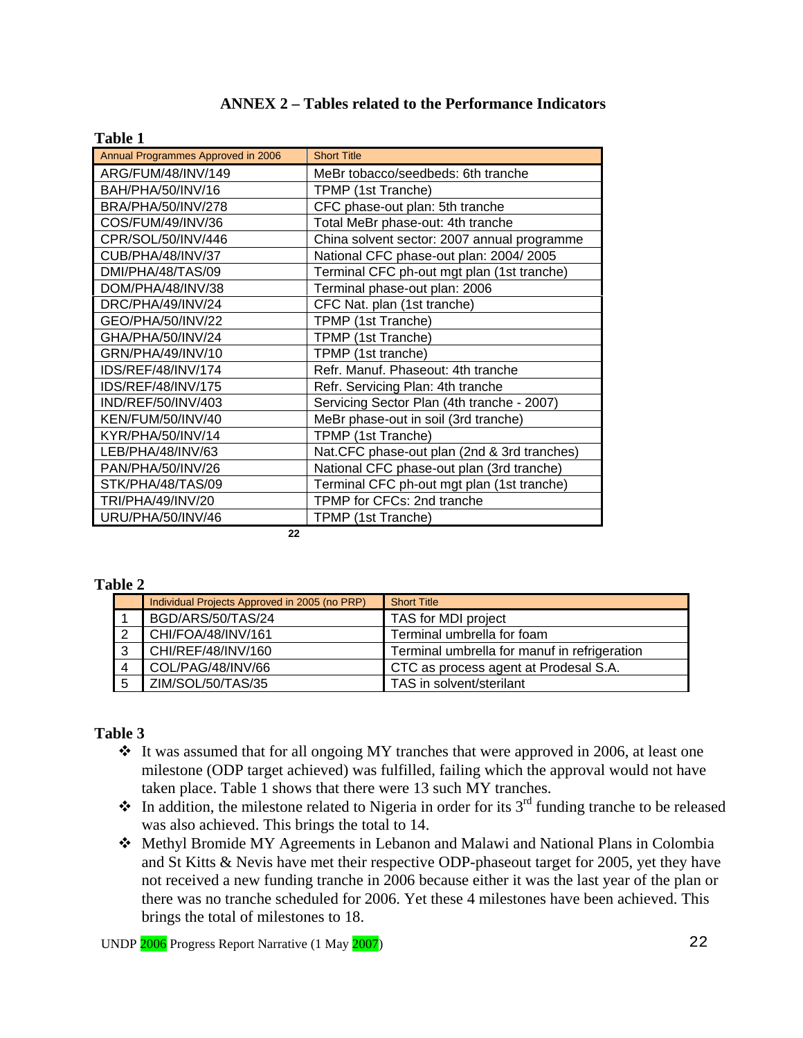## **ANNEX 2 – Tables related to the Performance Indicators**

#### **Table 1**

| Annual Programmes Approved in 2006 | <b>Short Title</b>                           |
|------------------------------------|----------------------------------------------|
| ARG/FUM/48/INV/149                 | MeBr tobacco/seedbeds: 6th tranche           |
| BAH/PHA/50/INV/16                  | TPMP (1st Tranche)                           |
| BRA/PHA/50/INV/278                 | CFC phase-out plan: 5th tranche              |
| COS/FUM/49/INV/36                  | Total MeBr phase-out: 4th tranche            |
| CPR/SOL/50/INV/446                 | China solvent sector: 2007 annual programme  |
| CUB/PHA/48/INV/37                  | National CFC phase-out plan: 2004/2005       |
| DMI/PHA/48/TAS/09                  | Terminal CFC ph-out mgt plan (1st tranche)   |
| DOM/PHA/48/INV/38                  | Terminal phase-out plan: 2006                |
| DRC/PHA/49/INV/24                  | CFC Nat. plan (1st tranche)                  |
| GEO/PHA/50/INV/22                  | TPMP (1st Tranche)                           |
| GHA/PHA/50/INV/24                  | TPMP (1st Tranche)                           |
| GRN/PHA/49/INV/10                  | TPMP (1st tranche)                           |
| IDS/REF/48/INV/174                 | Refr. Manuf. Phaseout: 4th tranche           |
| IDS/REF/48/INV/175                 | Refr. Servicing Plan: 4th tranche            |
| IND/REF/50/INV/403                 | Servicing Sector Plan (4th tranche - 2007)   |
| KEN/FUM/50/INV/40                  | MeBr phase-out in soil (3rd tranche)         |
| KYR/PHA/50/INV/14                  | TPMP (1st Tranche)                           |
| LEB/PHA/48/INV/63                  | Nat. CFC phase-out plan (2nd & 3rd tranches) |
| PAN/PHA/50/INV/26                  | National CFC phase-out plan (3rd tranche)    |
| STK/PHA/48/TAS/09                  | Terminal CFC ph-out mgt plan (1st tranche)   |
| TRI/PHA/49/INV/20                  | TPMP for CFCs: 2nd tranche                   |
| URU/PHA/50/INV/46                  | TPMP (1st Tranche)                           |

**22** 

### **Table 2**

|   | Individual Projects Approved in 2005 (no PRP) | <b>Short Title</b>                           |
|---|-----------------------------------------------|----------------------------------------------|
|   | BGD/ARS/50/TAS/24                             | TAS for MDI project                          |
|   | CHI/FOA/48/INV/161                            | Terminal umbrella for foam                   |
|   | CHI/REF/48/INV/160                            | Terminal umbrella for manuf in refrigeration |
| Δ | COL/PAG/48/INV/66                             | CTC as process agent at Prodesal S.A.        |
|   | ZIM/SOL/50/TAS/35                             | TAS in solvent/sterilant                     |

## **Table 3**

- $\cdot$  It was assumed that for all ongoing MY tranches that were approved in 2006, at least one milestone (ODP target achieved) was fulfilled, failing which the approval would not have taken place. Table 1 shows that there were 13 such MY tranches.
- $\cdot \cdot$  In addition, the milestone related to Nigeria in order for its 3<sup>rd</sup> funding tranche to be released was also achieved. This brings the total to 14.
- Methyl Bromide MY Agreements in Lebanon and Malawi and National Plans in Colombia and St Kitts & Nevis have met their respective ODP-phaseout target for 2005, yet they have not received a new funding tranche in 2006 because either it was the last year of the plan or there was no tranche scheduled for 2006. Yet these 4 milestones have been achieved. This brings the total of milestones to 18.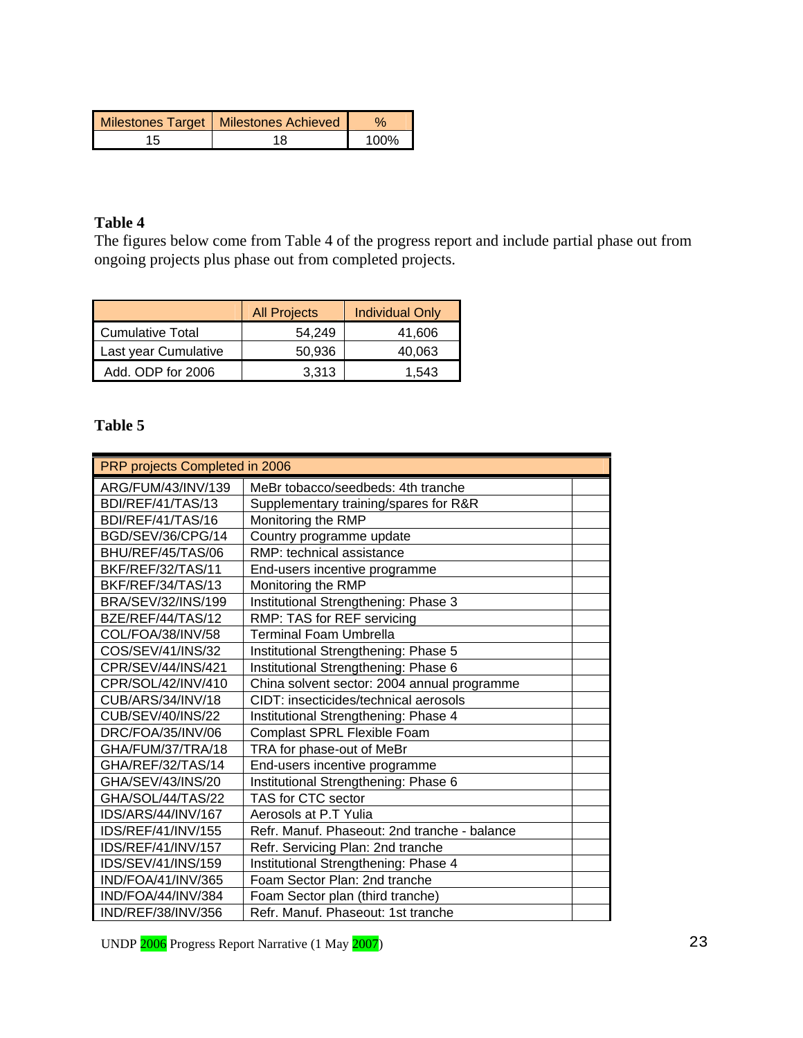| Milestones Target   Milestones Achieved |      |
|-----------------------------------------|------|
|                                         | 100% |

## **Table 4**

The figures below come from Table 4 of the progress report and include partial phase out from ongoing projects plus phase out from completed projects.

|                         | <b>All Projects</b> | <b>Individual Only</b> |
|-------------------------|---------------------|------------------------|
| <b>Cumulative Total</b> | 54.249              | 41,606                 |
| Last year Cumulative    | 50.936              | 40,063                 |
| Add. ODP for 2006       | 3.313               | 1.543                  |

## **Table 5**

| PRP projects Completed in 2006 |                                              |  |  |  |  |  |  |  |
|--------------------------------|----------------------------------------------|--|--|--|--|--|--|--|
| ARG/FUM/43/INV/139             | MeBr tobacco/seedbeds: 4th tranche           |  |  |  |  |  |  |  |
| BDI/REF/41/TAS/13              | Supplementary training/spares for R&R        |  |  |  |  |  |  |  |
| BDI/REF/41/TAS/16              | Monitoring the RMP                           |  |  |  |  |  |  |  |
| BGD/SEV/36/CPG/14              | Country programme update                     |  |  |  |  |  |  |  |
| BHU/REF/45/TAS/06              | RMP: technical assistance                    |  |  |  |  |  |  |  |
| BKF/REF/32/TAS/11              | End-users incentive programme                |  |  |  |  |  |  |  |
| BKF/REF/34/TAS/13              | Monitoring the RMP                           |  |  |  |  |  |  |  |
| BRA/SEV/32/INS/199             | Institutional Strengthening: Phase 3         |  |  |  |  |  |  |  |
| BZE/REF/44/TAS/12              | RMP: TAS for REF servicing                   |  |  |  |  |  |  |  |
| COL/FOA/38/INV/58              | <b>Terminal Foam Umbrella</b>                |  |  |  |  |  |  |  |
| COS/SEV/41/INS/32              | Institutional Strengthening: Phase 5         |  |  |  |  |  |  |  |
| CPR/SEV/44/INS/421             | Institutional Strengthening: Phase 6         |  |  |  |  |  |  |  |
| CPR/SOL/42/INV/410             | China solvent sector: 2004 annual programme  |  |  |  |  |  |  |  |
| CUB/ARS/34/INV/18              | CIDT: insecticides/technical aerosols        |  |  |  |  |  |  |  |
| CUB/SEV/40/INS/22              | Institutional Strengthening: Phase 4         |  |  |  |  |  |  |  |
| DRC/FOA/35/INV/06              | Complast SPRL Flexible Foam                  |  |  |  |  |  |  |  |
| GHA/FUM/37/TRA/18              | TRA for phase-out of MeBr                    |  |  |  |  |  |  |  |
| GHA/REF/32/TAS/14              | End-users incentive programme                |  |  |  |  |  |  |  |
| GHA/SEV/43/INS/20              | Institutional Strengthening: Phase 6         |  |  |  |  |  |  |  |
| GHA/SOL/44/TAS/22              | TAS for CTC sector                           |  |  |  |  |  |  |  |
| IDS/ARS/44/INV/167             | Aerosols at P.T Yulia                        |  |  |  |  |  |  |  |
| IDS/REF/41/INV/155             | Refr. Manuf. Phaseout: 2nd tranche - balance |  |  |  |  |  |  |  |
| IDS/REF/41/INV/157             | Refr. Servicing Plan: 2nd tranche            |  |  |  |  |  |  |  |
| IDS/SEV/41/INS/159             | Institutional Strengthening: Phase 4         |  |  |  |  |  |  |  |
| IND/FOA/41/INV/365             | Foam Sector Plan: 2nd tranche                |  |  |  |  |  |  |  |
| IND/FOA/44/INV/384             | Foam Sector plan (third tranche)             |  |  |  |  |  |  |  |
| IND/REF/38/INV/356             | Refr. Manuf. Phaseout: 1st tranche           |  |  |  |  |  |  |  |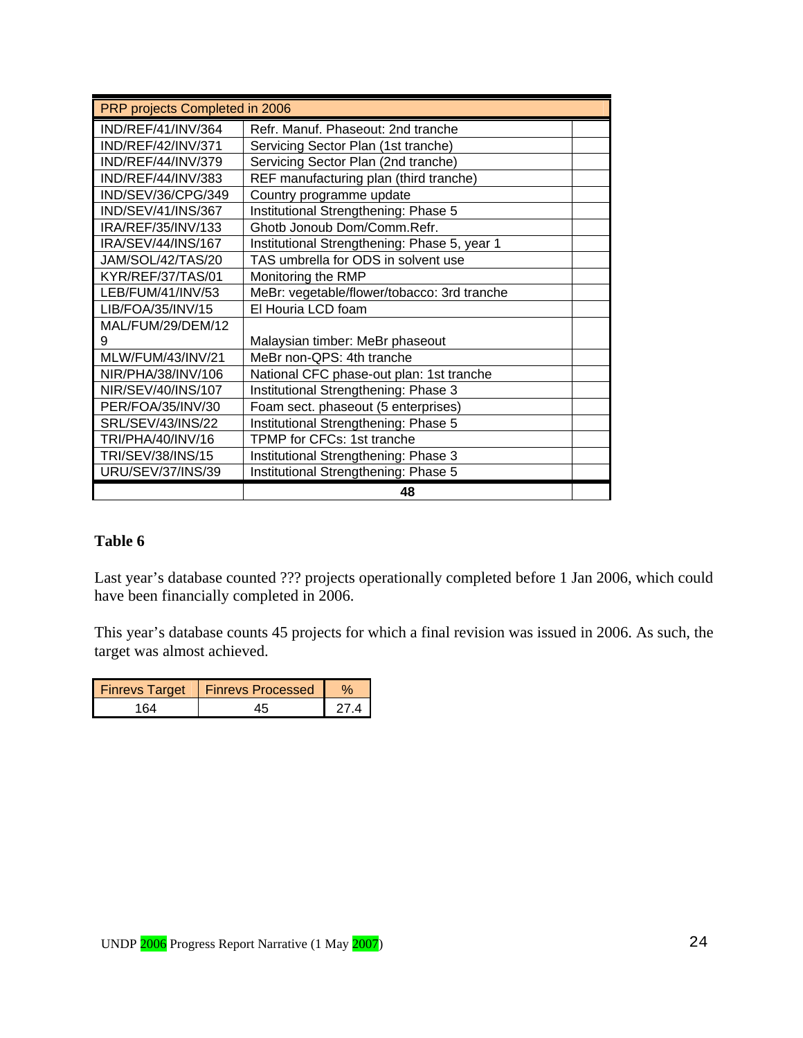| PRP projects Completed in 2006 |                                              |  |  |  |  |  |  |  |  |
|--------------------------------|----------------------------------------------|--|--|--|--|--|--|--|--|
| IND/REF/41/INV/364             | Refr. Manuf. Phaseout: 2nd tranche           |  |  |  |  |  |  |  |  |
| IND/REF/42/INV/371             | Servicing Sector Plan (1st tranche)          |  |  |  |  |  |  |  |  |
| IND/REF/44/INV/379             | Servicing Sector Plan (2nd tranche)          |  |  |  |  |  |  |  |  |
| IND/REF/44/INV/383             | REF manufacturing plan (third tranche)       |  |  |  |  |  |  |  |  |
| IND/SEV/36/CPG/349             | Country programme update                     |  |  |  |  |  |  |  |  |
| IND/SEV/41/INS/367             | Institutional Strengthening: Phase 5         |  |  |  |  |  |  |  |  |
| IRA/REF/35/INV/133             | Ghotb Jonoub Dom/Comm.Refr.                  |  |  |  |  |  |  |  |  |
| IRA/SEV/44/INS/167             | Institutional Strengthening: Phase 5, year 1 |  |  |  |  |  |  |  |  |
| JAM/SOL/42/TAS/20              | TAS umbrella for ODS in solvent use          |  |  |  |  |  |  |  |  |
| KYR/REF/37/TAS/01              | Monitoring the RMP                           |  |  |  |  |  |  |  |  |
| LEB/FUM/41/INV/53              | MeBr: vegetable/flower/tobacco: 3rd tranche  |  |  |  |  |  |  |  |  |
| LIB/FOA/35/INV/15              | El Houria LCD foam                           |  |  |  |  |  |  |  |  |
| MAL/FUM/29/DEM/12              |                                              |  |  |  |  |  |  |  |  |
| 9                              | Malaysian timber: MeBr phaseout              |  |  |  |  |  |  |  |  |
| MLW/FUM/43/INV/21              | MeBr non-QPS: 4th tranche                    |  |  |  |  |  |  |  |  |
| NIR/PHA/38/INV/106             | National CFC phase-out plan: 1st tranche     |  |  |  |  |  |  |  |  |
| NIR/SEV/40/INS/107             | Institutional Strengthening: Phase 3         |  |  |  |  |  |  |  |  |
| PER/FOA/35/INV/30              | Foam sect. phaseout (5 enterprises)          |  |  |  |  |  |  |  |  |
| SRL/SEV/43/INS/22              | Institutional Strengthening: Phase 5         |  |  |  |  |  |  |  |  |
| TRI/PHA/40/INV/16              | TPMP for CFCs: 1st tranche                   |  |  |  |  |  |  |  |  |
| TRI/SEV/38/INS/15              | Institutional Strengthening: Phase 3         |  |  |  |  |  |  |  |  |
| URU/SEV/37/INS/39              | Institutional Strengthening: Phase 5         |  |  |  |  |  |  |  |  |
|                                | 48                                           |  |  |  |  |  |  |  |  |

## **Table 6**

Last year's database counted ??? projects operationally completed before 1 Jan 2006, which could have been financially completed in 2006.

This year's database counts 45 projects for which a final revision was issued in 2006. As such, the target was almost achieved.

| <b>Finrevs Target</b> | <b>1 Finrevs Processed</b> |  |
|-----------------------|----------------------------|--|
|                       |                            |  |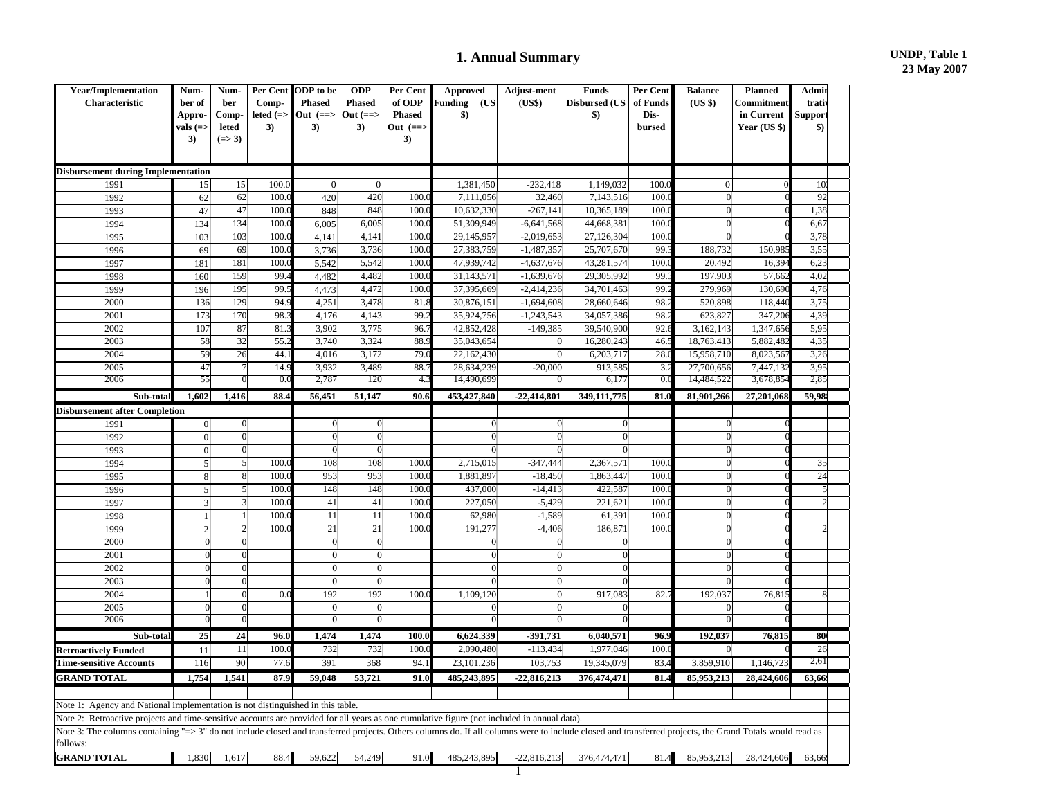## **1. Annual Summary UNDP, Table 1**

| <b>Year/Implementation</b><br>Characteristic                                                                                                                                                                        | Num-<br>ber of<br>Appro-<br>vals (=><br>3) | Num-<br>ber<br>Comp-<br>leted<br>$(=> 3)$ | Per Cent<br>Comp-<br>leted $(=)$<br>3) | ODP to be<br><b>Phased</b><br>Out $(==)$<br>3) | <b>ODP</b><br><b>Phased</b><br>Out $(==)$<br>3) | Per Cent<br>of ODP<br><b>Phased</b><br>Out (==><br>3) | <b>Approved</b><br><b>unding</b><br>(US<br>$\boldsymbol{\$})$ | Adjust-ment<br>(US\$)        | <b>Funds</b><br><b>Disbursed (US</b><br>$\boldsymbol{\$}$ | Per Cent<br>of Funds<br>Dis-<br>bursed | <b>Balance</b><br>(US \$) | <b>Planned</b><br>Commitment<br>in Current<br><b>Year (US \$)</b> | <b>Admi</b><br>trati<br>Suppor<br>$\boldsymbol{\$})$ |  |
|---------------------------------------------------------------------------------------------------------------------------------------------------------------------------------------------------------------------|--------------------------------------------|-------------------------------------------|----------------------------------------|------------------------------------------------|-------------------------------------------------|-------------------------------------------------------|---------------------------------------------------------------|------------------------------|-----------------------------------------------------------|----------------------------------------|---------------------------|-------------------------------------------------------------------|------------------------------------------------------|--|
| <b>Disbursement during Implementation</b>                                                                                                                                                                           |                                            |                                           |                                        |                                                |                                                 |                                                       |                                                               |                              |                                                           |                                        |                           |                                                                   |                                                      |  |
| 1991                                                                                                                                                                                                                | 15                                         | 15                                        | 100.                                   | $\overline{0}$                                 | $\mathbf{0}$                                    |                                                       | 1,381,450                                                     | $-232,418$                   | 1,149,032                                                 | 100.                                   | $\Omega$                  |                                                                   | 10 <sup>°</sup>                                      |  |
| 1992                                                                                                                                                                                                                | 62                                         | 62                                        | 100.                                   | 420                                            | 420                                             | 100.                                                  | 7,111,056                                                     | 32,460                       | 7,143,516                                                 | 100.                                   | $\overline{0}$            |                                                                   | 92                                                   |  |
| 1993                                                                                                                                                                                                                | 47                                         | 47                                        | 100.                                   | 848                                            | 848                                             | 100.                                                  | 10,632,330                                                    | $-267,141$                   | 10,365,189                                                | 100.                                   | $\overline{0}$            |                                                                   | 1,38                                                 |  |
| 1994                                                                                                                                                                                                                | 134                                        | 134                                       | 100.                                   | 6,005                                          | 6,005                                           | 100.                                                  | 51,309,949                                                    | $-6,641,568$                 | 44,668,381                                                | 100.                                   | $\overline{0}$            |                                                                   | 6,6                                                  |  |
| 1995                                                                                                                                                                                                                | 103                                        | 103<br>$\overline{69}$                    | 100.<br>100.                           | 4,141                                          | 4,141                                           | 100.<br>100.                                          | 29,145,957                                                    | $-2,019,653$                 | 27,126,304                                                | 100.<br>99.                            | $\overline{0}$            | 150,98                                                            | 3,78<br>3,55                                         |  |
| 1996                                                                                                                                                                                                                | 69                                         |                                           |                                        | 3,736                                          | 3,736                                           |                                                       | 27,383,759                                                    | $-1,487,357$                 | 25,707,670                                                |                                        | 188,732                   |                                                                   |                                                      |  |
| 1997                                                                                                                                                                                                                | 181                                        | 181                                       | 100.<br>99.                            | 5,542                                          | 5,542                                           | 100.<br>100.                                          | 47,939,742                                                    | $-4,637,676$                 | 43,281,574<br>29,305,992                                  | 100.<br>99.                            | 20,492                    | 16,39                                                             | 6,2                                                  |  |
| 1998<br>1999                                                                                                                                                                                                        | 160<br>196                                 | 159<br>195                                | 99.                                    | 4,482                                          | 4,482<br>4,472                                  | 100.                                                  | 31,143,571<br>37,395,669                                      | $-1,639,676$<br>$-2,414,236$ | 34,701,463                                                | 99.                                    | 197,903<br>279,969        | 57,66<br>130,690                                                  | 4,02<br>4,76                                         |  |
| 2000                                                                                                                                                                                                                | 136                                        | 129                                       | 94.                                    | 4,473<br>4,251                                 | 3,478                                           | 81.                                                   | 30,876,151                                                    | $-1,694,608$                 | 28,660,646                                                | 98.                                    | 520,898                   | 118,44                                                            | 3,75                                                 |  |
| 2001                                                                                                                                                                                                                | 173                                        | 170                                       | 98.                                    | 4,176                                          | 4,143                                           | 99                                                    | 35,924,756                                                    | $-1,243,543$                 | 34,057,386                                                | 98.                                    | 623,827                   | 347,20                                                            | 4,39                                                 |  |
| 2002                                                                                                                                                                                                                | 107                                        | 87                                        | 81                                     | 3,902                                          | 3,775                                           | 96.                                                   | 42,852,428                                                    | $-149,385$                   | 39,540,900                                                | 92.                                    | 3,162,143                 | 1,347,65                                                          | 5.95                                                 |  |
| 2003                                                                                                                                                                                                                | 58                                         | 32                                        | 55.                                    | 3,740                                          | 3,324                                           | 88.                                                   | 35,043,654                                                    | $\boldsymbol{0}$             | 16,280,243                                                | 46.                                    | 18,763,413                | 5,882,48                                                          | 4,3.3                                                |  |
| 2004                                                                                                                                                                                                                | 59                                         | 26                                        | 44.                                    | 4,016                                          | 3,172                                           | 79.                                                   | 22,162,430                                                    | $\Omega$                     | 6,203,717                                                 | 28.                                    | 15,958,710                | 8,023,56                                                          | 3,26                                                 |  |
| 2005                                                                                                                                                                                                                | 47                                         | $\overline{\mathcal{L}}$                  | 14.                                    | 3,932                                          | 3,489                                           | 88.                                                   | 28,634,239                                                    | $-20,000$                    | 913,585                                                   | $3$ .                                  | 27,700,656                | 7,447,13                                                          | 3.95                                                 |  |
| 2006                                                                                                                                                                                                                | 55                                         | $\overline{0}$                            | 0.0                                    | 2,787                                          | 120                                             | 4.                                                    | 14,490,699                                                    |                              | 6,177                                                     | 0.0                                    | 14,484,522                | 3,678,85                                                          | 2,85                                                 |  |
| Sub-total                                                                                                                                                                                                           | 1,602                                      | 1,416                                     | 88.4                                   | 56,451                                         | 51,147                                          | 90.6                                                  | 453,427,840                                                   | $-22,414,801$                | 349,111,775                                               | 81.0                                   | 81,901,266                | 27,201,068                                                        | 59,98                                                |  |
| <b>Disbursement after Completion</b>                                                                                                                                                                                |                                            |                                           |                                        |                                                |                                                 |                                                       |                                                               |                              |                                                           |                                        |                           |                                                                   |                                                      |  |
| 1991                                                                                                                                                                                                                | $\vert 0 \vert$                            | $\boldsymbol{0}$                          |                                        | $\overline{0}$                                 | $\boldsymbol{0}$                                |                                                       | $\overline{0}$                                                | $\overline{0}$               | $\overline{0}$                                            |                                        | $\overline{0}$            |                                                                   |                                                      |  |
| 1992                                                                                                                                                                                                                | $\vert 0 \vert$                            | $\boldsymbol{0}$                          |                                        | $\overline{0}$                                 | $\overline{0}$                                  |                                                       | $\overline{0}$                                                | $\overline{0}$               | $\overline{0}$                                            |                                        | $\overline{0}$            |                                                                   |                                                      |  |
| 1993                                                                                                                                                                                                                | $\vert 0 \vert$                            | $\boldsymbol{0}$                          |                                        | $\boldsymbol{0}$                               | $\overline{0}$                                  |                                                       | $\overline{0}$                                                | $\boldsymbol{0}$             | $\boldsymbol{0}$                                          |                                        | $\overline{0}$            |                                                                   |                                                      |  |
| 1994                                                                                                                                                                                                                | $\vert$                                    | $\mathfrak{S}$                            | 100.                                   | 108                                            | 108                                             | 100.                                                  | 2,715,015                                                     | $-347,444$                   | 2,367,571                                                 | 100.                                   | $\overline{0}$            |                                                                   | 35                                                   |  |
| 1995                                                                                                                                                                                                                | 8 <sup>1</sup>                             | $8 \,$                                    | 100.                                   | 953                                            | 953                                             | 100.                                                  | 1,881,897                                                     | $-18,450$                    | 1,863,447                                                 | 100.                                   | $\overline{0}$            |                                                                   | 24                                                   |  |
| 1996                                                                                                                                                                                                                | $\vert 5 \vert$                            | $\mathbf{5}$                              | 100.                                   | 148                                            | 148                                             | 100.                                                  | 437,000                                                       | $-14,413$                    | 422,587                                                   | 100.                                   | $\overline{0}$            |                                                                   |                                                      |  |
| 1997                                                                                                                                                                                                                | $\left  \frac{3}{2} \right $               | $\left  \right $                          | 100.                                   | 41                                             | 41                                              | 100.                                                  | 227,050                                                       | $-5,429$                     | 221,621                                                   | 100.                                   | $\overline{0}$            |                                                                   |                                                      |  |
| 1998                                                                                                                                                                                                                | $\mathbf{1}$                               | $\mathbf{1}$                              | 100.                                   | 11                                             | 11                                              | 100.                                                  | 62,980                                                        | $-1,589$                     | 61,391                                                    | 100.                                   | $\overline{0}$            |                                                                   |                                                      |  |
| 1999                                                                                                                                                                                                                | $\overline{2}$                             | $\overline{c}$                            | 100.                                   | 21                                             | 21                                              | 100                                                   | 191,277                                                       | $-4,406$                     | 186,871                                                   | 100.                                   | $\overline{0}$            |                                                                   |                                                      |  |
| 2000                                                                                                                                                                                                                | $\mathbf{0}$                               | $\overline{0}$                            |                                        | $\overline{0}$                                 | $\overline{0}$                                  |                                                       | $\overline{0}$                                                | $\boldsymbol{0}$             | $\mathbf{0}$                                              |                                        | $\overline{0}$            |                                                                   |                                                      |  |
| 2001                                                                                                                                                                                                                | $\overline{0}$                             | $\overline{0}$                            |                                        | $\overline{0}$                                 | $\overline{0}$                                  |                                                       | $\overline{0}$                                                | $\overline{0}$               | $\Omega$                                                  |                                        | $\overline{0}$            |                                                                   |                                                      |  |
| 2002                                                                                                                                                                                                                | $\boldsymbol{0}$                           | $\overline{0}$                            |                                        | $\overline{0}$                                 | $\mathbf{0}$                                    |                                                       | $\overline{0}$                                                | $\overline{0}$               | $\mathbf{0}$                                              |                                        | $\overline{0}$            |                                                                   |                                                      |  |
| 2003                                                                                                                                                                                                                | $\boldsymbol{0}$                           | $\overline{0}$                            |                                        | $\boldsymbol{0}$                               | $\mathbf 0$                                     |                                                       | $\mathbf{0}$                                                  | $\overline{0}$               | $\theta$                                                  |                                        | $\mathbf{0}$              |                                                                   |                                                      |  |
| 2004                                                                                                                                                                                                                | -1                                         | $\overline{0}$                            | 0.0                                    | 192                                            | 192                                             | 100.0                                                 | 1,109,120                                                     | $\overline{0}$               | 917,083                                                   | 82.                                    | 192,037                   | 76,81                                                             |                                                      |  |
| 2005                                                                                                                                                                                                                | $\Omega$                                   | $\boldsymbol{0}$                          |                                        | $\mathbf{0}$                                   | $\overline{0}$                                  |                                                       | $\mathbf{0}$                                                  | $\Omega$                     |                                                           |                                        | $\overline{0}$            |                                                                   |                                                      |  |
| 2006                                                                                                                                                                                                                | $\overline{0}$                             | $\overline{0}$                            |                                        | $\boldsymbol{0}$                               | $\overline{0}$                                  |                                                       | $\overline{0}$                                                | $\overline{0}$               |                                                           |                                        | $\overline{0}$            |                                                                   |                                                      |  |
| Sub-total                                                                                                                                                                                                           | 25                                         | 24                                        | 96.0                                   | 1,474                                          | 1,474                                           | 100.0                                                 | 6,624,339                                                     | -391,731                     | 6,040,571                                                 | 96.9                                   | 192,037                   | 76,815                                                            | 80                                                   |  |
| <b>Retroactively Funded</b>                                                                                                                                                                                         | 11                                         | 11                                        | 100.0                                  | 732                                            | 732                                             | 100.                                                  | 2,090,480                                                     | $-113,434$                   | 1,977,046                                                 | 100.                                   | $\vert 0 \vert$           |                                                                   | 26                                                   |  |
| <b>Time-sensitive Accounts</b>                                                                                                                                                                                      | 116                                        | 90                                        | 77.6                                   | 391                                            | 368                                             | 94.1                                                  | 23,101,236                                                    | 103,753                      | 19,345,079                                                | 83.                                    | 3,859,910                 | 1,146,723                                                         | 2,61                                                 |  |
| <b>GRAND TOTAL</b>                                                                                                                                                                                                  | 1,754                                      | 1,541                                     | 87.9                                   | 59,048                                         | 53,721                                          | 91.0                                                  | 485,243,895                                                   | $-22,816,213$                | 376,474,471                                               | 81.4                                   | 85,953,213                | 28,424,606                                                        | 63,66                                                |  |
| Note 1: Agency and National implementation is not distinguished in this table.                                                                                                                                      |                                            |                                           |                                        |                                                |                                                 |                                                       |                                                               |                              |                                                           |                                        |                           |                                                                   |                                                      |  |
| Note 2: Retroactive projects and time-sensitive accounts are provided for all years as one cumulative figure (not included in annual data).                                                                         |                                            |                                           |                                        |                                                |                                                 |                                                       |                                                               |                              |                                                           |                                        |                           |                                                                   |                                                      |  |
| Note 3: The columns containing "=> 3" do not include closed and transferred projects. Others columns do. If all columns were to include closed and transferred projects, the Grand Totals would read as<br>follows: |                                            |                                           |                                        |                                                |                                                 |                                                       |                                                               |                              |                                                           |                                        |                           |                                                                   |                                                      |  |
| <b>GRAND TOTAL</b>                                                                                                                                                                                                  | 1.830                                      | 1.617                                     | 88.4                                   | 59.622                                         | 54.249                                          | 91.0                                                  | 485.243.895                                                   | $-22.816.213$                | 376,474,471                                               | 81.4                                   | 85.953.213                | 28,424,606                                                        | 63.66                                                |  |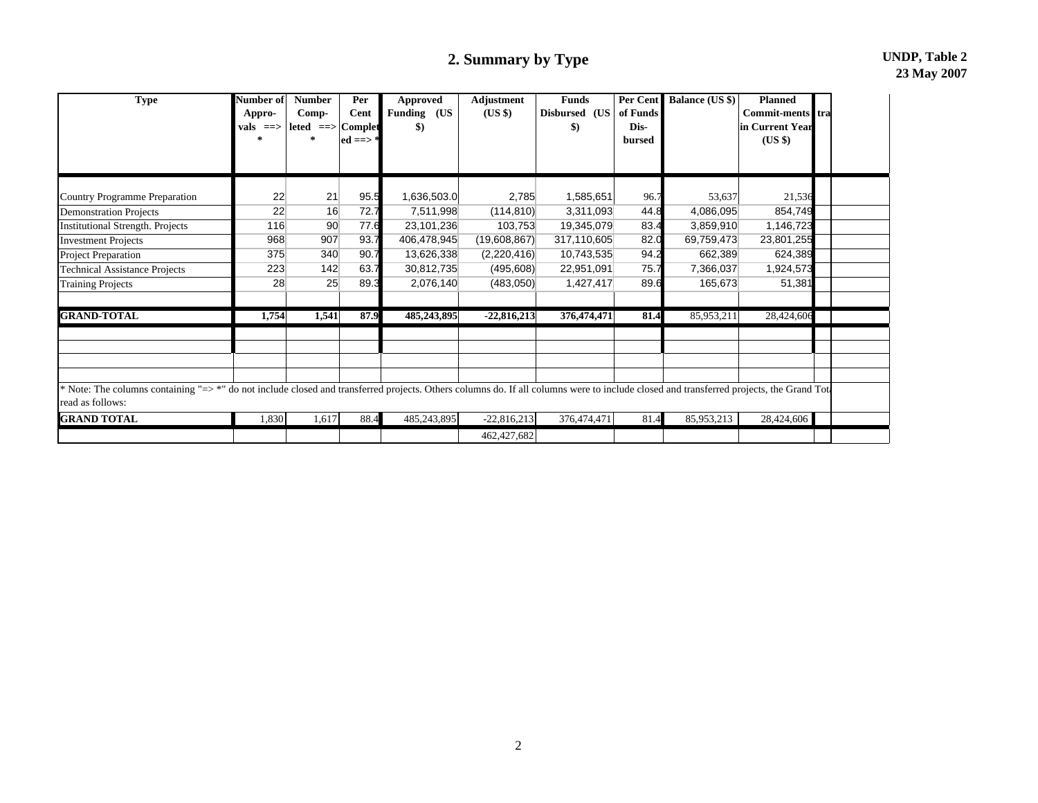# **2. Summary by Type UNDP, Table 2**

| <b>Type</b>                                                                                                                                                                                                | Number of<br>Appro-<br>vals ==> | Number<br>Comp-<br>$leted == >  Complete$<br>来 | Per<br>Cent<br>$ed == >$ | <b>Approved</b><br>Funding (US<br>\$) | Adjustment<br>(US \$) | <b>Funds</b><br>Disbursed (US<br>$\boldsymbol{\$}$ | Per Cent<br>of Funds<br>Dis-<br>bursed | <b>Balance (US \$)</b> | <b>Planned</b><br>Commit-ments tra<br>in Current Year<br>$(US \$ |  |
|------------------------------------------------------------------------------------------------------------------------------------------------------------------------------------------------------------|---------------------------------|------------------------------------------------|--------------------------|---------------------------------------|-----------------------|----------------------------------------------------|----------------------------------------|------------------------|------------------------------------------------------------------|--|
| Country Programme Preparation                                                                                                                                                                              | 22                              | 21                                             | 95.5                     | 1,636,503.0                           | 2,785                 | 1,585,651                                          | 96.7                                   | 53,637                 | 21,536                                                           |  |
| <b>Demonstration Projects</b>                                                                                                                                                                              | 22                              | 16                                             | 72.7                     | 7,511,998                             | (114, 810)            | 3,311,093                                          | 44.8                                   | 4,086,095              | 854,749                                                          |  |
| <b>Institutional Strength. Projects</b>                                                                                                                                                                    | 116                             | 90                                             | 77.6                     | 23,101,236                            | 103,753               | 19,345,079                                         | 83.4                                   | 3,859,910              | 1,146,723                                                        |  |
| <b>Investment Projects</b>                                                                                                                                                                                 | 968                             | 907                                            | 93.7                     | 406,478,945                           | (19,608,867)          | 317,110,605                                        | 82.0                                   | 69,759,473             | 23,801,255                                                       |  |
| Project Preparation                                                                                                                                                                                        | 375                             | 340                                            | 90.7                     | 13,626,338                            | (2,220,416)           | 10,743,535                                         | 94.2                                   | 662,389                | 624,389                                                          |  |
| <b>Technical Assistance Projects</b>                                                                                                                                                                       | 223                             | 142                                            | 63.7                     | 30,812,735                            | (495, 608)            | 22,951,091                                         | 75.7                                   | 7,366,037              | 1,924,573                                                        |  |
| <b>Training Projects</b>                                                                                                                                                                                   | 28                              | 25                                             | 89.3                     | 2,076,140                             | (483,050)             | 1,427,417                                          | 89.6                                   | 165,673                | 51,381                                                           |  |
| <b>GRAND-TOTAL</b>                                                                                                                                                                                         | 1,754                           | 1,541                                          | 87.9                     | 485,243,895                           | $-22,816,213$         | 376,474,471                                        | 81.4                                   | 85,953,211             | 28,424,606                                                       |  |
|                                                                                                                                                                                                            |                                 |                                                |                          |                                       |                       |                                                    |                                        |                        |                                                                  |  |
| * Note: The columns containing "=> *" do not include closed and transferred projects. Others columns do. If all columns were to include closed and transferred projects, the Grand Tot<br>read as follows: |                                 |                                                |                          |                                       |                       |                                                    |                                        |                        |                                                                  |  |
| <b>GRAND TOTAL</b>                                                                                                                                                                                         | 1,830                           | 1,617                                          | 88.4                     | 485,243,895                           | $-22,816,213$         | 376,474,471                                        | 81.4                                   | 85,953,213             | 28,424,606                                                       |  |
|                                                                                                                                                                                                            |                                 |                                                |                          |                                       | 462,427,682           |                                                    |                                        |                        |                                                                  |  |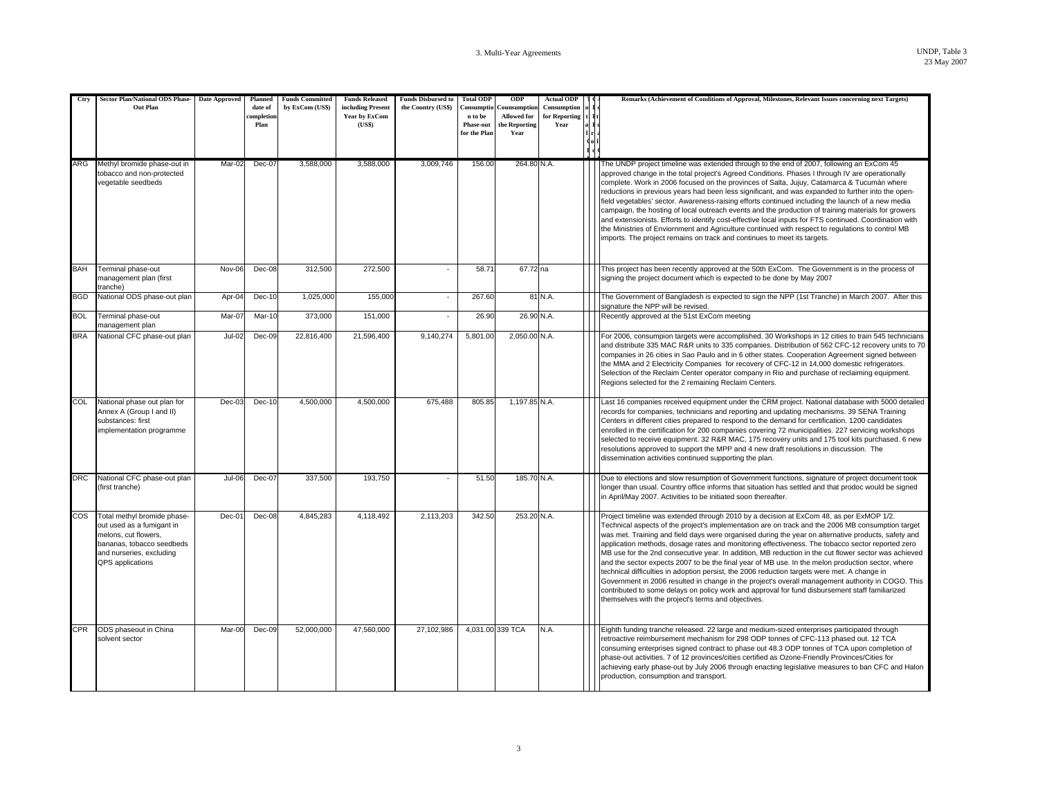| Ctry<br>ARG | Sector Plan/National ODS Phase- Date Approved<br>Out Plan<br>Methyl bromide phase-out in                                                                      | Mar-02        | Planned<br>date of<br><b>completion</b><br>Plan<br>$Dec-07$ | <b>Funds Committed</b><br>by ExCom (US\$)<br>3,588,000 | <b>Funds Released</b><br>including Present<br>Year by ExCom<br>(US\$)<br>3,588,000 | <b>Funds Disbursed to</b><br>the Country (US\$)<br>3,009,746 | <b>Total ODP</b><br>Consumptio<br>n to be<br><b>Phase-out</b><br>for the Plan<br>156.00 | <b>ODP</b><br>Counsumption<br><b>Allowed</b> for<br>the Reporting<br>Year<br>264.80 N.A. | <b>Actual ODP</b><br>Consumption<br>for Reporting<br>Year | Remarks (Achievement of Conditions of Approval, Milestones, Relevant Issues concerning next Targets)<br>The UNDP project timeline was extended through to the end of 2007, following an ExCom 45                                                                                                                                                                                                                                                                                                                                                                                                                                                                                                                                                                                                                                                                                                                                                                                    |
|-------------|---------------------------------------------------------------------------------------------------------------------------------------------------------------|---------------|-------------------------------------------------------------|--------------------------------------------------------|------------------------------------------------------------------------------------|--------------------------------------------------------------|-----------------------------------------------------------------------------------------|------------------------------------------------------------------------------------------|-----------------------------------------------------------|-------------------------------------------------------------------------------------------------------------------------------------------------------------------------------------------------------------------------------------------------------------------------------------------------------------------------------------------------------------------------------------------------------------------------------------------------------------------------------------------------------------------------------------------------------------------------------------------------------------------------------------------------------------------------------------------------------------------------------------------------------------------------------------------------------------------------------------------------------------------------------------------------------------------------------------------------------------------------------------|
|             | tobacco and non-protected<br>vegetable seedbeds                                                                                                               |               |                                                             |                                                        |                                                                                    |                                                              |                                                                                         |                                                                                          |                                                           | approved change in the total project's Agreed Conditions. Phases I through IV are operationally<br>complete. Work in 2006 focused on the provinces of Salta, Jujuy, Catamarca & Tucumán where<br>reductions in previous years had been less significant, and was expanded to further into the open-<br>field vegetables' sector. Awareness-raising efforts continued including the launch of a new media<br>campaign, the hosting of local outreach events and the production of training materials for growers<br>and extensionists. Efforts to identify cost-effective local inputs for FTS continued. Coordination with<br>the Ministries of Enviornment and Agriculture continued with respect to regulations to control MB<br>imports. The project remains on track and continues to meet its targets.                                                                                                                                                                         |
| <b>BAH</b>  | Terminal phase-out<br>management plan (first<br>tranche)                                                                                                      | Nov-06        | Dec-08                                                      | 312,500                                                | 272,500                                                                            |                                                              | 58.71                                                                                   | 67.72 na                                                                                 |                                                           | This project has been recently approved at the 50th ExCom. The Government is in the process of<br>signing the project document which is expected to be done by May 2007                                                                                                                                                                                                                                                                                                                                                                                                                                                                                                                                                                                                                                                                                                                                                                                                             |
| <b>BGD</b>  | National ODS phase-out plan                                                                                                                                   | Apr-04        | Dec-10                                                      | 1,025,000                                              | 155,000                                                                            | ×.                                                           | 267.60                                                                                  |                                                                                          | 81 N.A.                                                   | The Government of Bangladesh is expected to sign the NPP (1st Tranche) in March 2007. After this<br>signature the NPP will be revised.                                                                                                                                                                                                                                                                                                                                                                                                                                                                                                                                                                                                                                                                                                                                                                                                                                              |
| <b>BOL</b>  | Terminal phase-out<br>management plan                                                                                                                         | Mar-07        | Mar-10                                                      | 373,000                                                | 151,000                                                                            |                                                              | 26.90                                                                                   | 26.90 N.A.                                                                               |                                                           | Recently approved at the 51st ExCom meeting                                                                                                                                                                                                                                                                                                                                                                                                                                                                                                                                                                                                                                                                                                                                                                                                                                                                                                                                         |
| <b>BRA</b>  | National CFC phase-out plan                                                                                                                                   | $Jul-02$      | $Dec-09$                                                    | 22.816.400                                             | 21.596.400                                                                         | 9.140.274                                                    | 5.801.00                                                                                | 2,050.00 N.A.                                                                            |                                                           | For 2006, consumpion targets were accomplished. 30 Workshops in 12 cities to train 545 technicians<br>and distribute 335 MAC R&R units to 335 companies. Distribution of 562 CFC-12 recovery units to 70<br>companies in 26 cities in Sao Paulo and in 6 other states. Cooperation Agreement signed between<br>the MMA and 2 Electricity Companies for recovery of CFC-12 in 14,000 domestic refrigerators.<br>Selection of the Reclaim Center operator company in Rio and purchase of reclaiming equipment.<br>Regions selected for the 2 remaining Reclaim Centers.                                                                                                                                                                                                                                                                                                                                                                                                               |
| COL         | National phase out plan for<br>Annex A (Group I and II)<br>substances: first<br>implementation programme                                                      | $Dec-03$      | Dec-10                                                      | 4.500.000                                              | 4.500.000                                                                          | 675.488                                                      | 805.85                                                                                  | 1.197.85 N.A.                                                                            |                                                           | Last 16 companies received equipment under the CRM project. National database with 5000 detailed<br>records for companies, technicians and reporting and updating mechanisms. 39 SENA Training<br>Centers in different cities prepared to respond to the demand for certification. 1200 candidates<br>enrolled in the certification for 200 companies covering 72 municipalities. 227 servicing workshops<br>selected to receive equipment. 32 R&R MAC, 175 recovery units and 175 tool kits purchased. 6 new<br>resolutions approved to support the MPP and 4 new draft resolutions in discussion. The<br>dissemination activities continued supporting the plan.                                                                                                                                                                                                                                                                                                                  |
| <b>DRC</b>  | National CFC phase-out plan<br>(first tranche)                                                                                                                | <b>Jul-06</b> | Dec-07                                                      | 337,500                                                | 193,750                                                                            |                                                              | 51.50                                                                                   | 185.70 N.A.                                                                              |                                                           | Due to elections and slow resumption of Government functions, signature of project document took<br>longer than usual. Country office informs that situation has settled and that prodoc would be signed<br>in April/May 2007. Activities to be initiated soon thereafter.                                                                                                                                                                                                                                                                                                                                                                                                                                                                                                                                                                                                                                                                                                          |
| COS         | Total methyl bromide phase-<br>out used as a fumigant in<br>melons, cut flowers.<br>bananas, tobacco seedbeds<br>and nurseries, excluding<br>QPS applications | Dec-01        | Dec-08                                                      | 4,845,283                                              | 4,118,492                                                                          | 2,113,203                                                    | 342.50                                                                                  | 253.20 N.A.                                                                              |                                                           | Project timeline was extended through 2010 by a decision at ExCom 48, as per ExMOP 1/2.<br>Technical aspects of the project's implementation are on track and the 2006 MB consumption target<br>was met. Training and field days were organised during the year on alternative products, safety and<br>application methods, dosage rates and monitoring effectiveness. The tobacco sector reported zero<br>MB use for the 2nd consecutive year. In addition, MB reduction in the cut flower sector was achieved<br>and the sector expects 2007 to be the final year of MB use. In the melon production sector, where<br>technical difficulties in adoption persist, the 2006 reduction targets were met. A change in<br>Government in 2006 resulted in change in the project's overall management authority in COGO. This<br>contributed to some delays on policy work and approval for fund disbursement staff familiarized<br>themselves with the project's terms and objectives. |
| <b>CPR</b>  | ODS phaseout in China<br>solvent sector                                                                                                                       | Mar-00        | Dec-09                                                      | 52,000,000                                             | 47,560,000                                                                         | 27,102,986                                                   |                                                                                         | 4,031.00 339 TCA                                                                         | N.A.                                                      | Eighth funding tranche released. 22 large and medium-sized enterprises participated through<br>retroactive reimbursement mechanism for 298 ODP tonnes of CFC-113 phased out. 12 TCA<br>consuming enterprises signed contract to phase out 48.3 ODP tonnes of TCA upon completion of<br>phase-out activities. 7 of 12 provinces/cities certified as Ozone-Friendly Provinces/Cities for<br>achieving early phase-out by July 2006 through enacting legislative measures to ban CFC and Halon<br>production, consumption and transport.                                                                                                                                                                                                                                                                                                                                                                                                                                               |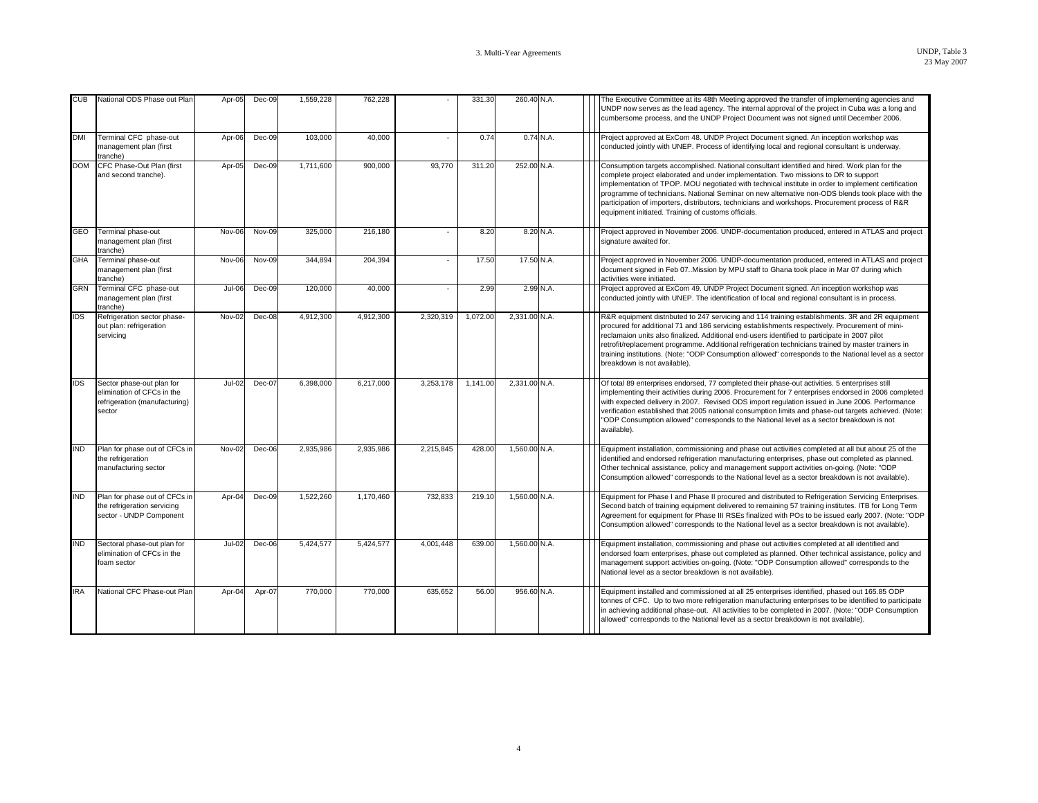| <b>CUB</b> | National ODS Phase out Plan                                                                        | Apr-05   | Dec-09   | 1,559,228 | 762,228   |           | 331.30   | 260.40 N.A.   |             | The Executive Committee at its 48th Meeting approved the transfer of implementing agencies and<br>UNDP now serves as the lead agency. The internal approval of the project in Cuba was a long and<br>cumbersome process, and the UNDP Project Document was not signed until December 2006.                                                                                                                                                                                                                                                                |
|------------|----------------------------------------------------------------------------------------------------|----------|----------|-----------|-----------|-----------|----------|---------------|-------------|-----------------------------------------------------------------------------------------------------------------------------------------------------------------------------------------------------------------------------------------------------------------------------------------------------------------------------------------------------------------------------------------------------------------------------------------------------------------------------------------------------------------------------------------------------------|
| <b>DMI</b> | Terminal CFC phase-out<br>management plan (first<br>tranche)                                       | Apr-06   | Dec-09   | 103.000   | 40.000    |           | 0.74     |               | $0.74$ N.A. | Project approved at ExCom 48. UNDP Project Document signed. An inception workshop was<br>conducted jointly with UNEP. Process of identifying local and regional consultant is underway.                                                                                                                                                                                                                                                                                                                                                                   |
| <b>DOM</b> | CFC Phase-Out Plan (first<br>and second tranche).                                                  | Apr-05   | Dec-09   | 1,711,600 | 900,000   | 93.770    | 311.20   | 252.00 N.A.   |             | Consumption targets accomplished. National consultant identified and hired. Work plan for the<br>complete project elaborated and under implementation. Two missions to DR to support<br>implementation of TPOP. MOU negotiated with technical institute in order to implement certification<br>programme of technicians. National Seminar on new alternative non-ODS blends took place with the<br>participation of importers, distributors, technicians and workshops. Procurement process of R&R<br>equipment initiated. Training of customs officials. |
| GEO        | Terminal phase-out<br>management plan (first<br>tranche)                                           | Nov-06   | Nov-09   | 325,000   | 216,180   |           | 8.20     |               | 8.20 N.A.   | Project approved in November 2006. UNDP-documentation produced, entered in ATLAS and project<br>signature awaited for.                                                                                                                                                                                                                                                                                                                                                                                                                                    |
| <b>GHA</b> | Terminal phase-out<br>management plan (first<br>tranche)                                           | Nov-06   | Nov-09   | 344,894   | 204,394   |           | 17.50    | 17.50 N.A.    |             | Project approved in November 2006. UNDP-documentation produced, entered in ATLAS and project<br>document signed in Feb 07. Mission by MPU staff to Ghana took place in Mar 07 during which<br>activities were initiated.                                                                                                                                                                                                                                                                                                                                  |
| <b>GRN</b> | Terminal CFC phase-out<br>management plan (first<br>tranche)                                       | $Jul-06$ | $Dec-09$ | 120,000   | 40.000    |           | 2.99     |               | 2.99 N.A.   | Project approved at ExCom 49. UNDP Project Document signed. An inception workshop was<br>conducted jointly with UNEP. The identification of local and regional consultant is in process.                                                                                                                                                                                                                                                                                                                                                                  |
| <b>IDS</b> | Refrigeration sector phase-<br>out plan: refrigeration<br>servicing                                | Nov-02   | Dec-08   | 4,912,300 | 4,912,300 | 2,320,319 | 1,072.00 | 2,331.00 N.A. |             | R&R equipment distributed to 247 servicing and 114 training establishments. 3R and 2R equipment<br>procured for additional 71 and 186 servicing establishments respectively. Procurement of mini-<br>reclamaion units also finalized. Additional end-users identified to participate in 2007 pilot<br>retrofit/replacement programme. Additional refrigeration technicians trained by master trainers in<br>training institutions. (Note: "ODP Consumption allowed" corresponds to the National level as a sector<br>breakdown is not available).         |
| <b>IDS</b> | Sector phase-out plan for<br>elimination of CFCs in the<br>refrigeration (manufacturing)<br>sector | $Jul-02$ | Dec-07   | 6,398,000 | 6,217,000 | 3,253,178 | 1,141.00 | 2,331.00 N.A. |             | Of total 89 enterprises endorsed, 77 completed their phase-out activities. 5 enterprises still<br>implementing their activities during 2006. Procurement for 7 enterprises endorsed in 2006 completed<br>with expected delivery in 2007. Revised ODS import regulation issued in June 2006. Performance<br>verification established that 2005 national consumption limits and phase-out targets achieved. (Note:<br>"ODP Consumption allowed" corresponds to the National level as a sector breakdown is not<br>available).                               |
| <b>IND</b> | Plan for phase out of CFCs in<br>the refrigeration<br>manufacturing sector                         | $Nov-02$ | $Dec-06$ | 2.935.986 | 2.935.986 | 2.215.845 | 428.00   | 1.560.00 N.A. |             | Equipment installation, commissioning and phase out activities completed at all but about 25 of the<br>identified and endorsed refrigeration manufacturing enterprises, phase out completed as planned.<br>Other technical assistance, policy and management support activities on-going. (Note: "ODP<br>Consumption allowed" corresponds to the National level as a sector breakdown is not available).                                                                                                                                                  |
| <b>IND</b> | Plan for phase out of CFCs in<br>the refrigeration servicing<br>sector - UNDP Component            | Apr-04   | Dec-09   | 1.522.260 | 1,170,460 | 732.833   | 219.10   | 1.560.00 N.A. |             | Equipment for Phase I and Phase II procured and distributed to Refrigeration Servicing Enterprises.<br>Second batch of training equipment delivered to remaining 57 training institutes. ITB for Long Term<br>Agreement for equipment for Phase III RSEs finalized with POs to be issued early 2007. (Note: "ODP<br>Consumption allowed" corresponds to the National level as a sector breakdown is not available).                                                                                                                                       |
| <b>IND</b> | Sectoral phase-out plan for<br>elimination of CFCs in the<br>foam sector                           | $Jul-02$ | Dec-06   | 5.424.577 | 5.424.577 | 4.001.448 | 639.00   | 1.560.00 N.A. |             | Equipment installation, commissioning and phase out activities completed at all identified and<br>endorsed foam enterprises, phase out completed as planned. Other technical assistance, policy and<br>management support activities on-going. (Note: "ODP Consumption allowed" corresponds to the<br>National level as a sector breakdown is not available).                                                                                                                                                                                             |
| <b>IRA</b> | National CFC Phase-out Plan                                                                        | Apr-04   | Apr-07   | 770,000   | 770,000   | 635,652   | 56.00    | 956.60 N.A.   |             | Equipment installed and commissioned at all 25 enterprises identified, phased out 165.85 ODP<br>tonnes of CFC. Up to two more refrigeration manufacturing enterprises to be identified to participate<br>in achieving additional phase-out. All activities to be completed in 2007. (Note: "ODP Consumption<br>allowed" corresponds to the National level as a sector breakdown is not available).                                                                                                                                                        |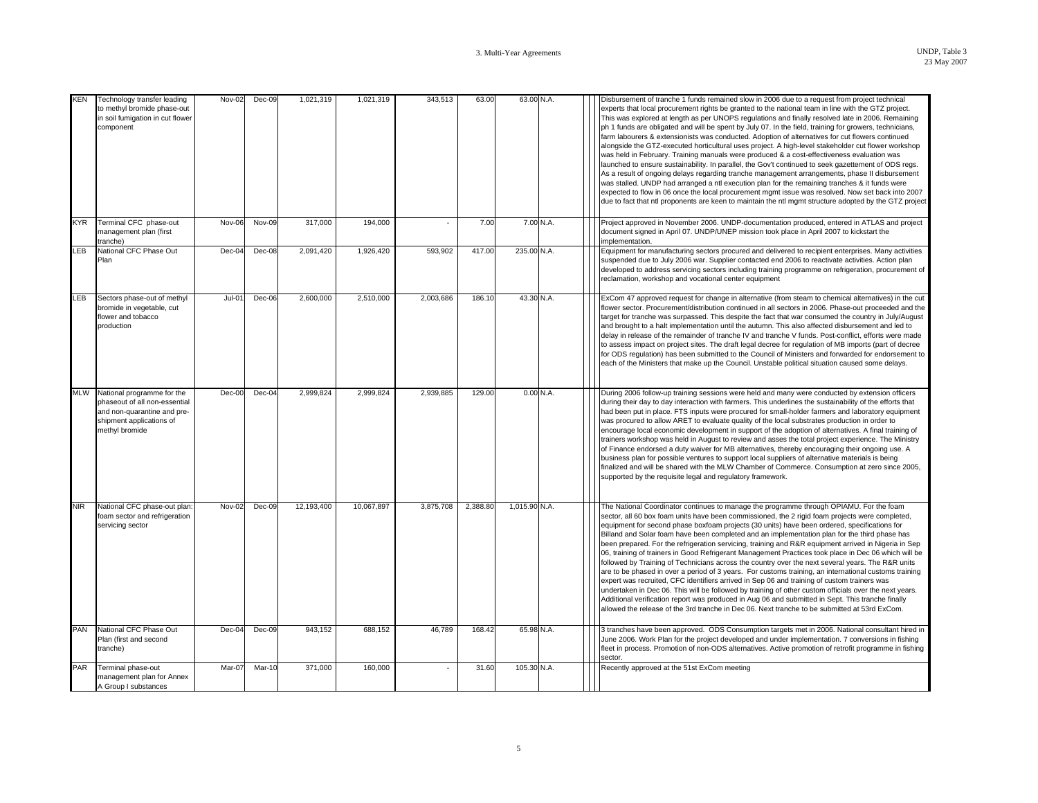| KEN        | Technology transfer leading<br>to methyl bromide phase-out<br>in soil fumigation in cut flower<br>component                              | Nov-02   | Dec-09   | 1,021,319  | 1,021,319  | 343,513   | 63.00    | 63.00 N.A.    |  | Disbursement of tranche 1 funds remained slow in 2006 due to a request from project technical<br>experts that local procurement rights be granted to the national team in line with the GTZ project.<br>This was explored at length as per UNOPS regulations and finally resolved late in 2006. Remaining<br>ph 1 funds are obligated and will be spent by July 07. In the field, training for growers, technicians,<br>farm labourers & extensionists was conducted. Adoption of alternatives for cut flowers continued<br>alongside the GTZ-executed horticultural uses project. A high-level stakeholder cut flower workshop<br>was held in February. Training manuals were produced & a cost-effectiveness evaluation was<br>launched to ensure sustainability. In parallel, the Gov't continued to seek gazettement of ODS regs.<br>As a result of ongoing delays regarding tranche management arrangements, phase II disbursement<br>was stalled. UNDP had arranged a ntl execution plan for the remaining tranches & it funds were<br>expected to flow in 06 once the local procurement mgmt issue was resolved. Now set back into 2007<br>due to fact that ntl proponents are keen to maintain the ntl mgmt structure adopted by the GTZ project |
|------------|------------------------------------------------------------------------------------------------------------------------------------------|----------|----------|------------|------------|-----------|----------|---------------|--|----------------------------------------------------------------------------------------------------------------------------------------------------------------------------------------------------------------------------------------------------------------------------------------------------------------------------------------------------------------------------------------------------------------------------------------------------------------------------------------------------------------------------------------------------------------------------------------------------------------------------------------------------------------------------------------------------------------------------------------------------------------------------------------------------------------------------------------------------------------------------------------------------------------------------------------------------------------------------------------------------------------------------------------------------------------------------------------------------------------------------------------------------------------------------------------------------------------------------------------------------------|
| <b>KYR</b> | Terminal CFC phase-out<br>management plan (first<br>tranche)                                                                             | Nov-06   | Nov-09   | 317,000    | 194,000    |           | 7.00     | 7.00 N.A.     |  | Project approved in November 2006. UNDP-documentation produced, entered in ATLAS and project<br>document signed in April 07. UNDP/UNEP mission took place in April 2007 to kickstart the<br>implementation.                                                                                                                                                                                                                                                                                                                                                                                                                                                                                                                                                                                                                                                                                                                                                                                                                                                                                                                                                                                                                                              |
| LEB        | National CFC Phase Out<br>Plan                                                                                                           | Dec-04   | $Dec-08$ | 2,091,420  | 1,926,420  | 593.902   | 417.00   | 235.00 N.A.   |  | Equipment for manufacturing sectors procured and delivered to recipient enterprises. Many activities<br>suspended due to July 2006 war. Supplier contacted end 2006 to reactivate activities. Action plan<br>developed to address servicing sectors including training programme on refrigeration, procurement of<br>reclamation, workshop and vocational center equipment                                                                                                                                                                                                                                                                                                                                                                                                                                                                                                                                                                                                                                                                                                                                                                                                                                                                               |
| LEB        | Sectors phase-out of methyl<br>bromide in vegetable, cut<br>flower and tobacco<br>production                                             | $Jul-01$ | Dec-06   | 2,600,000  | 2,510,000  | 2,003,686 | 186.10   | 43.30 N.A.    |  | ExCom 47 approved request for change in alternative (from steam to chemical alternatives) in the cut<br>flower sector. Procurement/distribution continued in all sectors in 2006. Phase-out proceeded and the<br>target for tranche was surpassed. This despite the fact that war consumed the country in July/August<br>and brought to a halt implementation until the autumn. This also affected disbursement and led to<br>delay in release of the remainder of tranche IV and tranche V funds. Post-conflict, efforts were made<br>to assess impact on project sites. The draft legal decree for regulation of MB imports (part of decree<br>for ODS regulation) has been submitted to the Council of Ministers and forwarded for endorsement to<br>each of the Ministers that make up the Council. Unstable political situation caused some delays.                                                                                                                                                                                                                                                                                                                                                                                                 |
| <b>MLW</b> | National programme for the<br>phaseout of all non-essential<br>and non-quarantine and pre-<br>shipment applications of<br>methyl bromide | $Dec-00$ | Dec-04   | 2,999,824  | 2.999.824  | 2,939,885 | 129.00   | 0.00N.A.      |  | During 2006 follow-up training sessions were held and many were conducted by extension officers<br>during their day to day interaction with farmers. This underlines the sustainability of the efforts that<br>had been put in place. FTS inputs were procured for small-holder farmers and laboratory equipment<br>was procured to allow ARET to evaluate quality of the local substrates production in order to<br>encourage local economic development in support of the adoption of alternatives. A final training of<br>trainers workshop was held in August to review and asses the total project experience. The Ministry<br>of Finance endorsed a duty waiver for MB alternatives, thereby encouraging their ongoing use. A<br>business plan for possible ventures to support local suppliers of alternative materials is being<br>finalized and will be shared with the MLW Chamber of Commerce. Consumption at zero since 2005,<br>supported by the requisite legal and regulatory framework.                                                                                                                                                                                                                                                  |
| <b>NIR</b> | National CFC phase-out plan:<br>foam sector and refrigeration<br>servicing sector                                                        | Nov-02   | Dec-09   | 12,193,400 | 10.067.897 | 3,875,708 | 2,388.80 | 1,015.90 N.A. |  | The National Coordinator continues to manage the programme through OPIAMU. For the foam<br>sector, all 60 box foam units have been commissioned, the 2 rigid foam projects were completed,<br>equipment for second phase boxfoam projects (30 units) have been ordered, specifications for<br>Billand and Solar foam have been completed and an implementation plan for the third phase has<br>been prepared. For the refrigeration servicing, training and R&R equipment arrived in Nigeria in Sep<br>06, training of trainers in Good Refrigerant Management Practices took place in Dec 06 which will be<br>followed by Training of Technicians across the country over the next several years. The R&R units<br>are to be phased in over a period of 3 years. For customs training, an international customs training<br>expert was recruited, CFC identifiers arrived in Sep 06 and training of custom trainers was<br>undertaken in Dec 06. This will be followed by training of other custom officials over the next years.<br>Additional verification report was produced in Aug 06 and submitted in Sept. This tranche finally<br>allowed the release of the 3rd tranche in Dec 06. Next tranche to be submitted at 53rd ExCom.                 |
| PAN        | National CFC Phase Out<br>Plan (first and second<br>tranche)                                                                             | Dec-04   | $Dec-09$ | 943.152    | 688.152    | 46.789    | 168.42   | 65.98 N.A.    |  | 3 tranches have been approved. ODS Consumption targets met in 2006. National consultant hired in<br>June 2006. Work Plan for the project developed and under implementation. 7 conversions in fishing<br>fleet in process. Promotion of non-ODS alternatives. Active promotion of retrofit programme in fishing<br>sector.                                                                                                                                                                                                                                                                                                                                                                                                                                                                                                                                                                                                                                                                                                                                                                                                                                                                                                                               |
| PAR        | Terminal phase-out<br>management plan for Annex<br>A Group I substances                                                                  | Mar-07   | Mar-10   | 371,000    | 160,000    |           | 31.60    | 105.30 N.A.   |  | Recently approved at the 51st ExCom meeting                                                                                                                                                                                                                                                                                                                                                                                                                                                                                                                                                                                                                                                                                                                                                                                                                                                                                                                                                                                                                                                                                                                                                                                                              |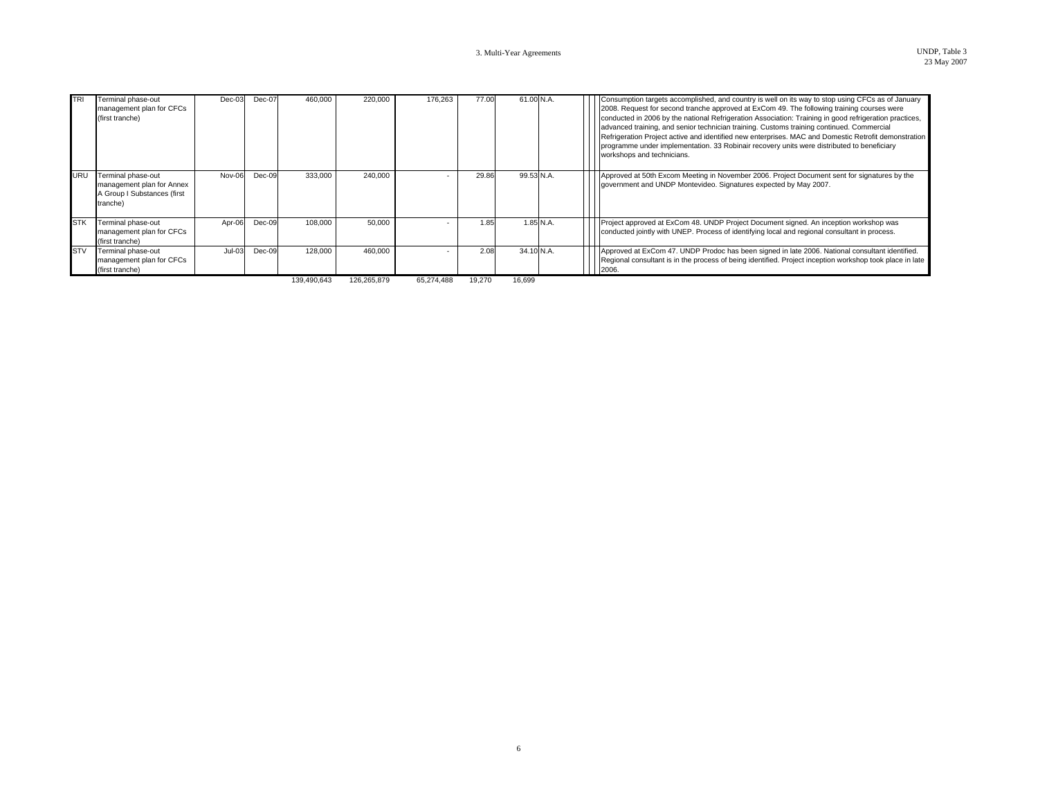| <b>TRI</b> | Terminal phase-out<br>management plan for CFCs<br>(first tranche)                          | $Dec-03$ | Dec-07   | 460.000     | 220.000     | 176,263    | 77.00  | 61.00 N.A. |             | Consumption targets accomplished, and country is well on its way to stop using CFCs as of January<br>2008. Request for second tranche approved at ExCom 49. The following training courses were<br>conducted in 2006 by the national Refrigeration Association: Training in good refrigeration practices,<br>advanced training, and senior technician training. Customs training continued. Commercial<br>Refrigeration Project active and identified new enterprises. MAC and Domestic Retrofit demonstration<br>programme under implementation. 33 Robinair recovery units were distributed to beneficiary<br>workshops and technicians. |
|------------|--------------------------------------------------------------------------------------------|----------|----------|-------------|-------------|------------|--------|------------|-------------|--------------------------------------------------------------------------------------------------------------------------------------------------------------------------------------------------------------------------------------------------------------------------------------------------------------------------------------------------------------------------------------------------------------------------------------------------------------------------------------------------------------------------------------------------------------------------------------------------------------------------------------------|
| <b>URU</b> | Terminal phase-out<br>management plan for Annex<br>A Group I Substances (first<br>tranche) | Nov-06   | Dec-09   | 333,000     | 240.000     |            | 29.86  | 99.53 N.A. |             | Approved at 50th Excom Meeting in November 2006. Project Document sent for signatures by the<br>government and UNDP Montevideo. Signatures expected by May 2007.                                                                                                                                                                                                                                                                                                                                                                                                                                                                           |
| <b>STK</b> | Terminal phase-out<br>management plan for CFCs<br>(first tranche)                          | Apr-06   | $Dec-09$ | 108,000     | 50,000      |            | 1.85   |            | $1.85$ N.A. | Project approved at ExCom 48. UNDP Project Document signed. An inception workshop was<br>conducted jointly with UNEP. Process of identifying local and regional consultant in process.                                                                                                                                                                                                                                                                                                                                                                                                                                                     |
| <b>STV</b> | Terminal phase-out<br>management plan for CFCs<br>(first tranche)                          | $Jul-03$ | Dec-09   | 128,000     | 460.000     |            | 2.08   | 34.10 N.A. |             | Approved at ExCom 47. UNDP Prodoc has been signed in late 2006. National consultant identified.<br>Regional consultant is in the process of being identified. Project inception workshop took place in late<br>2006                                                                                                                                                                                                                                                                                                                                                                                                                        |
|            |                                                                                            |          |          | 139,490,643 | 126,265,879 | 65,274,488 | 19,270 | 16.699     |             |                                                                                                                                                                                                                                                                                                                                                                                                                                                                                                                                                                                                                                            |

6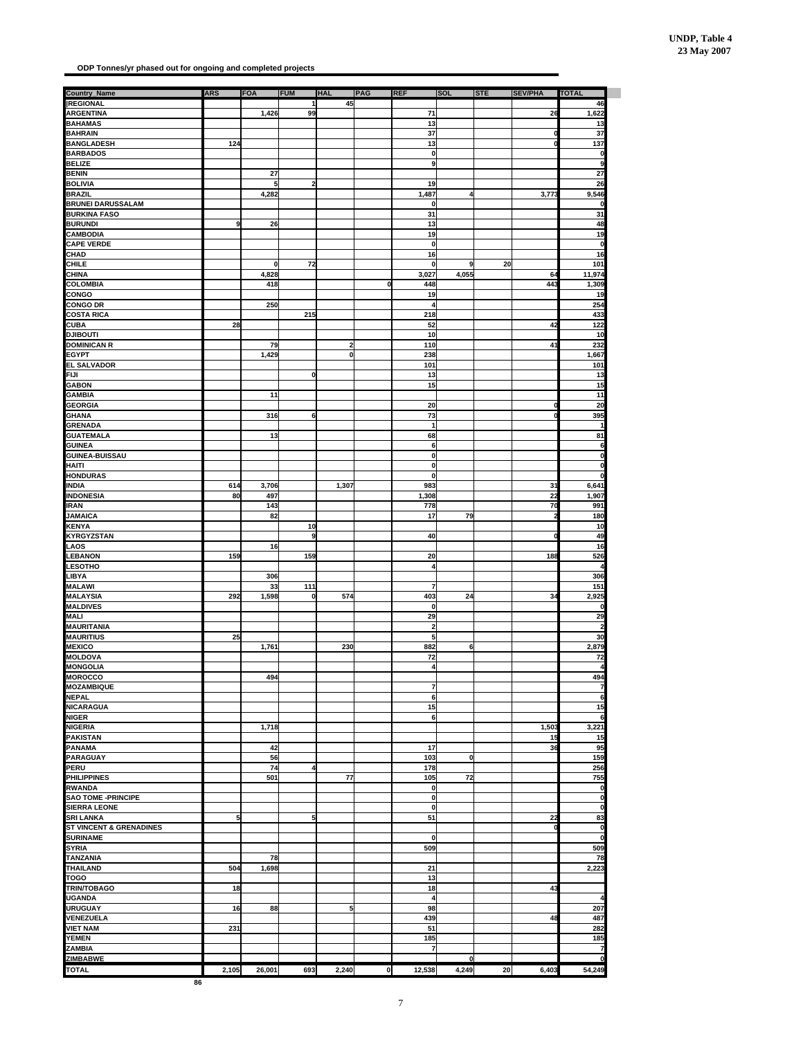**ODP Tonnes/yr phased out for ongoing and completed projects**

| <b>Country_Name</b>                | <b>ARS</b>     | FOA          | <b>FUM</b>              | <b>HAL</b>     | PAG          | <b>REF</b>              | <b>SOL</b>  | <b>STE</b> | <b>SEV/PHA</b> | <b>TOTAL</b>        |
|------------------------------------|----------------|--------------|-------------------------|----------------|--------------|-------------------------|-------------|------------|----------------|---------------------|
| <b>REGIONAL</b>                    |                |              | 1                       | 45             |              |                         |             |            |                | 46                  |
| <b>ARGENTINA</b>                   |                | 1,426        | 99                      |                |              | 71                      |             |            | 26             | 1,622               |
| <b>BAHAMAS</b>                     |                |              |                         |                |              | 13                      |             |            |                | 13                  |
| <b>BAHRAIN</b>                     |                |              |                         |                |              | 37                      |             |            |                | 37                  |
| <b>BANGLADESH</b>                  | 124            |              |                         |                |              | 13                      |             |            |                | 137                 |
| <b>BARBADOS</b>                    |                |              |                         |                |              | 0                       |             |            |                | 0                   |
| <b>BELIZE</b>                      |                |              |                         |                |              | 9                       |             |            |                | 9                   |
| <b>BENIN</b>                       |                | 27           |                         |                |              |                         |             |            |                | 27                  |
| <b>BOLIVIA</b>                     |                | 5            | $\overline{\mathbf{2}}$ |                |              | 19                      |             |            |                | 26                  |
| <b>BRAZIL</b>                      |                | 4,282        |                         |                |              | 1,487                   | 4           |            | 3,77           | 9,546               |
| <b>BRUNEI DARUSSALAM</b>           |                |              |                         |                |              | 0                       |             |            |                |                     |
| <b>BURKINA FASO</b>                |                |              |                         |                |              | 31                      |             |            |                | 31                  |
| <b>BURUNDI</b>                     | 9              | 26           |                         |                |              | 13                      |             |            |                | 48                  |
| <b>CAMBODIA</b>                    |                |              |                         |                |              | 19                      |             |            |                | 19                  |
| <b>CAPE VERDE</b>                  |                |              |                         |                |              | 0                       |             |            |                | 0                   |
| <b>CHAD</b>                        |                |              |                         |                |              | 16                      |             |            |                | 16                  |
| CHILE                              |                | $\mathbf{0}$ | 72                      |                |              | 0                       | 9           | 20         |                | 101                 |
| <b>CHINA</b>                       |                | 4,828        |                         |                |              |                         | 4,055       |            | 64             | 11,974              |
|                                    |                |              |                         |                |              | 3,027                   |             |            |                |                     |
| <b>COLOMBIA</b>                    |                | 418          |                         |                | 0            | 448                     |             |            | 443            | 1,309               |
| CONGO                              |                |              |                         |                |              | 19                      |             |            |                | 19                  |
| <b>CONGO DR</b>                    |                | 250          |                         |                |              | 4                       |             |            |                | 254                 |
| <b>COSTA RICA</b>                  |                |              | 215                     |                |              | 218                     |             |            |                | 433                 |
| CUBA                               | 28             |              |                         |                |              | 52                      |             |            | 42             | 122                 |
| <b>ITUOBILG</b>                    |                |              |                         |                |              | 10                      |             |            |                | 10                  |
| <b>DOMINICAN R</b>                 |                | 79           |                         | $\overline{2}$ |              | 110                     |             |            | 41             | 232                 |
| <b>EGYPT</b>                       |                | 1,429        |                         | $\pmb{0}$      |              | 238                     |             |            |                | 1,667               |
| <b>EL SALVADOR</b>                 |                |              |                         |                |              | 101                     |             |            |                | 101                 |
| <b>FIJI</b>                        |                |              | 0                       |                |              | 13                      |             |            |                | 13                  |
| <b>GABON</b>                       |                |              |                         |                |              | 15                      |             |            |                | 15                  |
| <b>GAMBIA</b>                      |                | 11           |                         |                |              |                         |             |            |                | 11                  |
| <b>GEORGIA</b>                     |                |              |                         |                |              | 20                      |             |            |                | 20                  |
| <b>GHANA</b>                       |                | 316          | 6                       |                |              | 73                      |             |            |                | 395                 |
| <b>GRENADA</b>                     |                |              |                         |                |              | $\mathbf{1}$            |             |            |                | 1                   |
|                                    |                |              |                         |                |              |                         |             |            |                |                     |
| <b>GUATEMALA</b><br><b>GUINEA</b>  |                | 13           |                         |                |              | 68<br>6                 |             |            |                | 81<br>6             |
|                                    |                |              |                         |                |              |                         |             |            |                | 0                   |
| <b>GUINEA-BUISSAU</b>              |                |              |                         |                |              | o                       |             |            |                |                     |
| <b>HAITI</b>                       |                |              |                         |                |              | 0                       |             |            |                | 0                   |
| <b>HONDURAS</b>                    |                |              |                         |                |              | $\mathbf 0$             |             |            |                | 0                   |
| <b>INDIA</b>                       | 614            | 3,706        |                         | 1,307          |              | 983                     |             |            | 31             | 6,641               |
| <b>INDONESIA</b>                   | 80             | 497          |                         |                |              | 1,308                   |             |            | 22             | 1,907               |
| IRAN                               |                | 143          |                         |                |              | 778                     |             |            | 70             | 991                 |
| <b>JAMAICA</b>                     |                | 82           |                         |                |              | 17                      | 79          |            |                | 180                 |
| <b>KENYA</b>                       |                |              | 10                      |                |              |                         |             |            |                | 10                  |
| <b>KYRGYZSTAN</b>                  |                |              | 9                       |                |              | 40                      |             |            |                | 49                  |
| .AOS                               |                | 16           |                         |                |              |                         |             |            |                | 16                  |
| <b>LEBANON</b>                     | 159            |              | 159                     |                |              | 20                      |             |            | 188            | 526                 |
| <b>ESOTHO</b>                      |                |              |                         |                |              | 4                       |             |            |                |                     |
| LIBYA                              |                | 306          |                         |                |              |                         |             |            |                | 306                 |
|                                    |                |              |                         |                |              |                         |             |            |                |                     |
| <b>MALAWI</b>                      |                | 33           | 111                     |                |              | $\overline{7}$          |             |            |                | 151                 |
| <b>MALAYSIA</b>                    | 292            | 1,598        | 0                       | 574            |              | 403                     | 24          |            | 34             | 2,925               |
| <b>MALDIVES</b>                    |                |              |                         |                |              | 0                       |             |            |                | n                   |
| <b>MALI</b>                        |                |              |                         |                |              | 29                      |             |            |                | 29                  |
| <b>MAURITANIA</b>                  |                |              |                         |                |              | $\overline{\mathbf{c}}$ |             |            |                | 2                   |
| <b>MAURITIUS</b>                   | 25             |              |                         |                |              | 5                       |             |            |                | 30                  |
| <b>MEXICO</b>                      |                | 1,761        |                         | 230            |              | 882                     | 6           |            |                | 2,879               |
| <b>MOLDOVA</b>                     |                |              |                         |                |              | 72                      |             |            |                | 72                  |
| <b>MONGOLIA</b>                    |                |              |                         |                |              | $\overline{4}$          |             |            |                | $\overline{\bf{4}}$ |
| <b>MOROCCO</b>                     |                | 494          |                         |                |              |                         |             |            |                | 494                 |
| <b>MOZAMBIQUE</b>                  |                |              |                         |                |              | 7                       |             |            |                | 7                   |
| <b>NEPAL</b>                       |                |              |                         |                |              | 6                       |             |            |                | 6                   |
| <b>NICARAGUA</b>                   |                |              |                         |                |              | 15                      |             |            |                | 15                  |
| <b>NIGER</b>                       |                |              |                         |                |              | 6                       |             |            |                | 6                   |
| <b>NIGERIA</b>                     |                | 1,718        |                         |                |              |                         |             |            | 1,503          | 3,221               |
|                                    |                |              |                         |                |              |                         |             |            |                |                     |
| <b>PAKISTAN</b>                    |                |              |                         |                |              |                         |             |            | 15             | 15                  |
| <b>PANAMA</b>                      |                | 42           |                         |                |              | 17                      |             |            | 36             | 95                  |
| <b>PARAGUAY</b>                    |                | 56           |                         |                |              | 103                     | $\mathbf 0$ |            |                | 159                 |
| <b>PERU</b>                        |                | 74           | 4                       |                |              | 178                     |             |            |                | 256                 |
| <b>PHILIPPINES</b>                 |                | 501          |                         | 77             |              | 105                     | 72          |            |                | 755                 |
| <b>RWANDA</b>                      |                |              |                         |                |              | o                       |             |            |                | 0                   |
| <b>SAO TOME -PRINCIPE</b>          |                |              |                         |                |              | 0                       |             |            |                | 0                   |
| <b>SIERRA LEONE</b>                |                |              |                         |                |              | 0                       |             |            |                | 0                   |
| SRI LANKA                          | 5 <sub>l</sub> |              | 5                       |                |              | 51                      |             |            | 22             | 83                  |
| <b>ST VINCENT &amp; GRENADINES</b> |                |              |                         |                |              |                         |             |            |                | 0                   |
| <b>SURINAME</b>                    |                |              |                         |                |              | 0                       |             |            |                | $\mathbf 0$         |
| <b>SYRIA</b>                       |                |              |                         |                |              | 509                     |             |            |                | 509                 |
| <b>TANZANIA</b>                    |                | 78           |                         |                |              |                         |             |            |                | 78                  |
| <b>THAILAND</b>                    | 504            |              |                         |                |              |                         |             |            |                |                     |
|                                    |                | 1,698        |                         |                |              | 21                      |             |            |                | 2,223               |
| TOGO                               |                |              |                         |                |              | 13                      |             |            |                |                     |
| <b>TRIN/TOBAGO</b>                 | 18             |              |                         |                |              | 18                      |             |            | 43             |                     |
| <b>UGANDA</b>                      |                |              |                         |                |              | $\overline{\mathbf{A}}$ |             |            |                | 4                   |
| <b>URUGUAY</b>                     | 16             | 88           |                         | 5              |              | 98                      |             |            |                | 207                 |
| <b>VENEZUELA</b>                   |                |              |                         |                |              | 439                     |             |            | 48             | 487                 |
| <b>VIET NAM</b>                    | 231            |              |                         |                |              | 51                      |             |            |                | 282                 |
| <b>YEMEN</b>                       |                |              |                         |                |              | 185                     |             |            |                | 185                 |
| ZAMBIA                             |                |              |                         |                |              | 7                       |             |            |                | 7                   |
| <b>ZIMBABWE</b>                    |                |              |                         |                |              |                         | $\mathbf 0$ |            |                | n                   |
|                                    |                |              |                         |                |              |                         |             |            |                |                     |
| <b>TOTAL</b>                       | 2,105          | 26,001       | 693                     | 2,240          | $\mathbf{0}$ | 12,538                  | 4,249       | 20         | 6,403          | 54,249              |
| 86                                 |                |              |                         |                |              |                         |             |            |                |                     |

7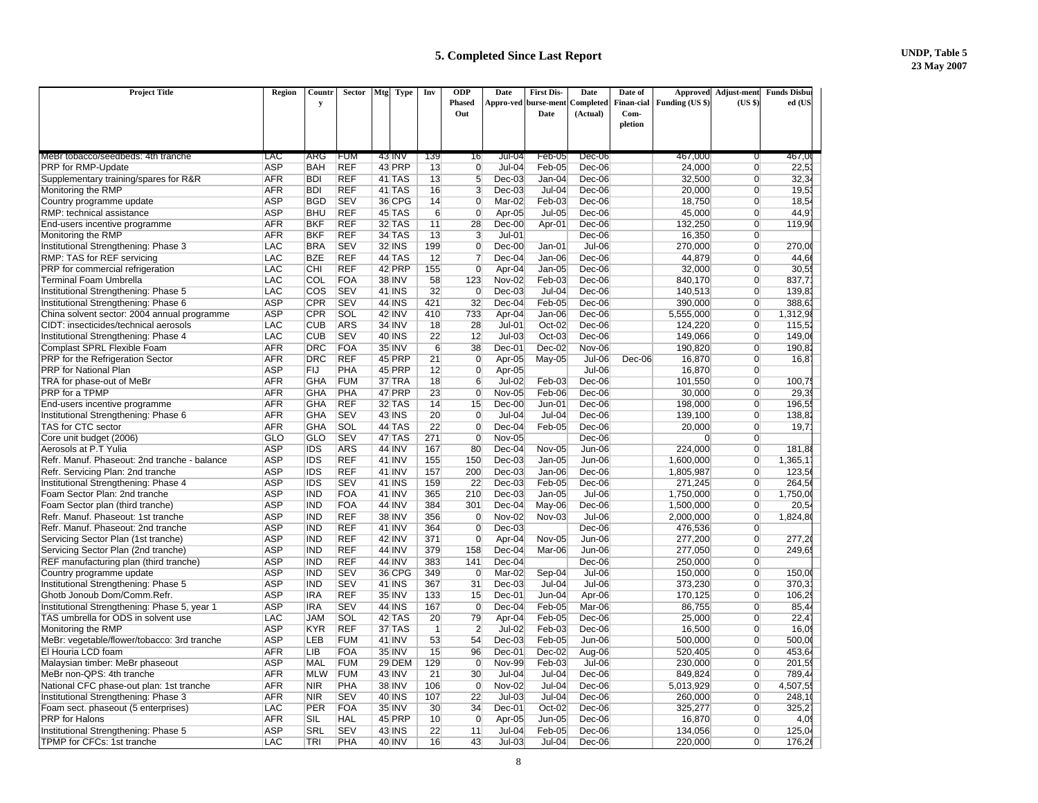| 467,0<br>ifum<br>43 INV<br><b>Jul-04</b><br>Feb-05<br>$Dec-06$<br>467.000<br>MeBr tobacco/seedbeds: 4th tranche<br>LAC<br>ARG<br>139<br>16<br>0<br>PRP for RMP-Update<br><b>ASP</b><br><b>REF</b><br>43 PRP<br>13<br>$\Omega$<br>$Jul-04$<br>24,000<br>22,5<br>BAH<br>Feb-05<br>Dec-06<br>$\Omega$<br><b>REF</b><br>13<br>5<br>$Dec-03$<br>Supplementary training/spares for R&R<br><b>AFR</b><br><b>BDI</b><br>41 TAS<br>$Jan-04$<br>Dec-06<br>32,500<br>$\overline{0}$<br>32,3<br>$\overline{3}$<br>Monitoring the RMP<br><b>AFR</b><br><b>BDI</b><br><b>REF</b><br>41 TAS<br>16<br>$Dec-03$<br>$Jul-04$<br>Dec-06<br>20,000<br>$\overline{0}$<br>19,5<br><b>BGD</b><br><b>SEV</b><br>36 CPG<br>Country programme update<br><b>ASP</b><br>14<br>$\overline{0}$<br>Mar-02<br>Feb-03<br>Dec-06<br>18,750<br>$\overline{0}$<br>18.54<br><b>BHU</b><br><b>REF</b><br><b>ASP</b><br>45 TAS<br>$6\overline{6}$<br>$\overline{0}$<br>Apr-05<br>$Jul-05$<br>Dec-06<br>45,000<br>$\overline{0}$<br>44.9<br>RMP: technical assistance<br><b>REF</b><br>32 TAS<br>11<br>28<br>$Dec-00$<br>Apr-01<br>$Dec-06$<br>132,250<br>$\overline{0}$<br>End-users incentive programme<br>AFR<br>BKF<br>119.9<br><b>BKF</b><br><b>REF</b><br><b>34 TAS</b><br>$\overline{3}$<br>$Jul-01$<br>Monitoring the RMP<br><b>AFR</b><br>13<br>Dec-06<br>16,350<br>$\overline{0}$<br>$\overline{0}$<br>Institutional Strengthening: Phase 3<br><b>LAC</b><br><b>BRA</b><br><b>SEV</b><br><b>32 INS</b><br>199<br>$Dec-00$<br>$Jul-06$<br>270,000<br>$\overline{0}$<br>270,0<br>Jan-01<br>LAC<br><b>BZE</b><br><b>REF</b><br>44 TAS<br>12<br>Dec-04<br>Jan-06<br>44,879<br>RMP: TAS for REF servicing<br>$\overline{7}$<br>Dec-06<br>$\overline{0}$<br>44.6<br><b>REF</b><br>PRP for commercial refrigeration<br>LAC<br>CHI<br>42 PRP<br>155<br>Apr-04<br>$Jan-05$<br>Dec-06<br>32,000<br>$\overline{0}$<br>30,5<br>$\mathbf 0$<br>LAC<br>COL<br><b>FOA</b><br><b>38 INV</b><br>58<br><b>Nov-02</b><br>Feb-03<br>Dec-06<br><b>Terminal Foam Umbrella</b><br>123<br>840,170<br>$\overline{0}$<br>837.7<br><b>SEV</b><br><b>41 INS</b><br>32<br>Institutional Strengthening: Phase 5<br>LAC<br>COS<br>$\overline{0}$<br>$Dec-03$<br>$Jul-04$<br>140,513<br>139,8<br>Dec-06<br>$\overline{0}$<br><b>ASP</b><br>CPR<br><b>SEV</b><br><b>44 INS</b><br>421<br>32<br>$Dec-04$<br>Feb-05<br>$\overline{0}$<br>Institutional Strengthening: Phase 6<br>Dec-06<br>390.000<br>388.6<br><b>ASP</b><br><b>CPR</b><br>SOL<br>42 INV<br>410<br>733<br>Jan-06<br>5,555,000<br>$\overline{0}$<br>1,312,9<br>China solvent sector: 2004 annual programme<br>Apr-04<br>$Dec-06$<br><b>ARS</b><br>LAC<br><b>CUB</b><br><b>34 INV</b><br>18<br>28<br>$Jul-01$<br>CIDT: insecticides/technical aerosols<br>Oct-02<br>$Dec-06$<br>124,220<br>$\Omega$<br>115.5<br>12<br><b>CUB</b><br><b>SEV</b><br><b>40 INS</b><br>22<br>Institutional Strengthening: Phase 4<br>LAC<br>$Jul-03$<br>$Oct-03$<br>Dec-06<br>149,066<br>$\overline{0}$<br>149,0<br>Complast SPRL Flexible Foam<br><b>AFR</b><br><b>DRC</b><br><b>FOA</b><br>35 INV<br>6<br>38<br>$Dec-01$<br>$Dec-02$<br>Nov-06<br>190,820<br>$\overline{0}$<br>190.8<br><b>DRC</b><br><b>REF</b><br>45 PRP<br>21<br>$\overline{0}$<br>May-05<br><b>Jul-06</b><br>PRP for the Refrigeration Sector<br><b>AFR</b><br>Apr-05<br>$Dec-06$<br>16,870<br>$\overline{0}$<br>16,8<br><b>PRP</b> for National Plan<br><b>ASP</b><br>FIJ<br><b>PHA</b><br>45 PRP<br>12<br>$\overline{0}$<br>Apr-05<br>$Jul-06$<br>16,870<br>$\overline{0}$<br><b>AFR</b><br><b>GHA</b><br><b>FUM</b><br>37 TRA<br>18<br>$6\overline{6}$<br>$Jul-02$<br>Dec-06<br>$\overline{0}$<br>TRA for phase-out of MeBr<br>Feb-03<br>101,550<br>100.7<br><b>PHA</b><br>47 PRP<br>23<br>Feb-06<br>$\overline{0}$<br>29,3<br>PRP for a TPMP<br><b>AFR</b><br><b>GHA</b><br>$\overline{0}$<br><b>Nov-05</b><br>Dec-06<br>30,000<br><b>REF</b><br><b>AFR</b><br><b>GHA</b><br>32 TAS<br>14<br>15<br>$Dec-00$<br>$Jun-01$<br>Dec-06<br>$\overline{0}$<br>196.5<br>End-users incentive programme<br>198.000<br><b>SEV</b><br><b>43 INS</b><br>20<br>$\overline{0}$<br>Institutional Strengthening: Phase 6<br><b>AFR</b><br><b>GHA</b><br>$Jul-04$<br>$Jul-04$<br>Dec-06<br>139,100<br>$\overline{0}$<br>138,8<br>SOL<br>22<br>TAS for CTC sector<br><b>AFR</b><br><b>GHA</b><br>44 TAS<br>$\overline{0}$<br>$Dec-04$<br>Feb-05<br>Dec-06<br>20.000<br>$\overline{0}$<br>19.7<br><b>SEV</b><br>271<br>Core unit budget (2006)<br>GLO<br><b>GLO</b><br>47 TAS<br>$\overline{0}$<br>Nov-05<br>Dec-06<br>$\overline{0}$<br>$\overline{0}$<br><b>ARS</b><br>Aerosols at P.T Yulia<br><b>ASP</b><br><b>IDS</b><br><b>44 INV</b><br>167<br>80<br>$Dec-04$<br>224.000<br>$\overline{0}$<br><b>Nov-05</b><br>$Jun-06$<br>181.8<br><b>IDS</b><br><b>REF</b><br><b>41 INV</b><br>Refr. Manuf. Phaseout: 2nd tranche - balance<br><b>ASP</b><br>155<br>150<br>$Dec-03$<br>$Jan-05$<br>Jun-06<br>1,600,000<br>$\overline{0}$<br>1,365,1<br>Refr. Servicing Plan: 2nd tranche<br><b>ASP</b><br><b>IDS</b><br><b>REF</b><br>41 INV<br>157<br>200<br>$Dec-03$<br>Jan-06<br>Dec-06<br>1,805,987<br>$\overline{0}$<br>123,5<br><b>ASP</b><br><b>IDS</b><br><b>SEV</b><br>22<br>Feb-05<br>264,5<br>Institutional Strengthening: Phase 4<br><b>41 INS</b><br>159<br>$Dec-03$<br>Dec-06<br>271,245<br>$\overline{0}$<br>Foam Sector Plan: 2nd tranche<br><b>ASP</b><br><b>IND</b><br><b>FOA</b><br>41 INV<br>365<br>210<br>$Dec-03$<br>$Jan-05$<br>$Jul-06$<br>1,750,000<br>$\overline{0}$<br>1,750,0<br><b>ASP</b><br><b>IND</b><br><b>FOA</b><br><b>44 INV</b><br>384<br>301<br>$Dec-04$<br>May-06<br>Dec-06<br>1,500,000<br>$\overline{0}$<br>Foam Sector plan (third tranche)<br>20.5<br><b>ASP</b><br><b>REF</b><br><b>38 INV</b><br><b>Nov-02</b><br>1,824,8<br>Refr. Manuf. Phaseout: 1st tranche<br><b>IND</b><br>356<br>$\overline{0}$<br>Nov-03<br>$Jul-06$<br>2,000,000<br>$\overline{0}$<br>Refr. Manuf. Phaseout: 2nd tranche<br><b>ASP</b><br><b>IND</b><br><b>REF</b><br><b>41 INV</b><br>364<br>$\overline{0}$<br>$Dec-03$<br>Dec-06<br>476,536<br>$\overline{0}$<br><b>ASP</b><br><b>IND</b><br><b>REF</b><br><b>42 INV</b><br>371<br>$\overline{0}$<br>Apr-04<br>277,200<br>$\overline{0}$<br>Servicing Sector Plan (1st tranche)<br>Nov-05<br>Jun-06<br>277,2<br><b>ASP</b><br><b>IND</b><br><b>REF</b><br><b>44 INV</b><br>379<br>158<br>$Dec-04$<br>Mar-06<br><b>Jun-06</b><br>$\overline{0}$<br>249.6<br>Servicing Sector Plan (2nd tranche)<br>277.050<br><b>ASP</b><br><b>REF</b><br><b>IND</b><br><b>44 INV</b><br>383<br>$\overline{0}$<br>REF manufacturing plan (third tranche)<br>141<br>$Dec-04$<br>Dec-06<br>250.000<br><b>IND</b><br><b>SEV</b><br>36 CPG<br>Country programme update<br><b>ASP</b><br>349<br>$\overline{0}$<br>Mar-02<br><b>Jul-06</b><br>$\overline{0}$<br>Sep-04<br>150,000<br>150,0<br>Institutional Strengthening: Phase 5<br><b>ASP</b><br><b>IND</b><br><b>SEV</b><br><b>41 INS</b><br>367<br>31<br>$Dec-03$<br>$Jul-04$<br>$Jul-06$<br>373,230<br>$\overline{0}$<br>370,3<br><b>REF</b><br>Ghotb Jonoub Dom/Comm.Refr.<br><b>ASP</b><br><b>IRA</b><br>35 INV<br>133<br>15<br>$Dec-01$<br>$Jun-04$<br>Apr-06<br>170,125<br>$\overline{0}$<br>106,2<br><b>ASP</b><br><b>SEV</b><br><b>44 INS</b><br>167<br>$\overline{0}$<br>Feb-05<br>86,755<br>Institutional Strengthening: Phase 5, year 1<br>IRA<br>Dec-04<br>Mar-06<br>$\overline{0}$<br>85,4<br>Feb-05<br>TAS umbrella for ODS in solvent use<br>LAC<br><b>JAM</b><br>SOL<br>42 TAS<br>20<br>79<br>Apr-04<br>Dec-06<br>25,000<br>$\overline{0}$<br>22,4<br><b>REF</b><br><b>ASP</b><br><b>KYR</b><br>37 TAS<br>$\overline{2}$<br><b>Jul-02</b><br>Feb-03<br>16,500<br>Monitoring the RMP<br>$\overline{1}$<br>Dec-06<br>$\Omega$<br>16,0<br><b>ASP</b><br>LEB<br><b>FUM</b><br>41 INV<br>53<br>Feb-05<br>MeBr: vegetable/flower/tobacco: 3rd tranche<br>54<br>$Dec-03$<br>Jun-06<br>500,000<br>$\overline{0}$<br>500,0<br><b>LIB</b><br>El Houria LCD foam<br><b>AFR</b><br><b>FOA</b><br>35 INV<br>15<br>96<br>$Dec-01$<br>$Dec-02$<br>Aug-06<br>520.405<br>$\overline{0}$<br>453.6<br><b>ASP</b><br><b>MAL</b><br><b>FUM</b><br>29 DEM<br>129<br>$\overline{0}$<br><b>Nov-99</b><br>Feb-03<br>$Jul-06$<br>$\overline{0}$<br>201,5<br>Malaysian timber: MeBr phaseout<br>230,000<br><b>AFR</b><br><b>MLW</b><br><b>FUM</b><br><b>43 INV</b><br>21<br>$Jul-04$<br>$Jul-04$<br>MeBr non-QPS: 4th tranche<br>30<br>Dec-06<br>849,824<br>$\overline{0}$<br>789,4<br>National CFC phase-out plan: 1st tranche<br><b>AFR</b><br><b>NIR</b><br>PHA<br><b>38 INV</b><br>106<br><b>Nov-02</b><br>$\overline{0}$<br>4,507,5<br>$\overline{0}$<br>$Jul-04$<br>$Dec-06$<br>5.013.929<br><b>SEV</b><br>Institutional Strengthening: Phase 3<br><b>AFR</b><br><b>NIR</b><br><b>40 INS</b><br>107<br>22<br>$Jul-03$<br>$Jul-04$<br>Dec-06<br>260,000<br>$\overline{0}$<br>248,1<br><b>FOA</b><br>35 INV<br>34<br>Foam sect. phaseout (5 enterprises)<br>LAC<br><b>PER</b><br>30<br>Dec-01<br>Oct-02<br>Dec-06<br>325,277<br>$\Omega$<br>325,2<br>45 PRP<br>PRP for Halons<br><b>AFR</b><br>SIL<br><b>HAL</b><br>10<br>$\overline{0}$<br>Apr-05<br>$Jun-05$<br>Dec-06<br>16,870<br>$\overline{0}$<br>4,0<br><b>ASP</b><br><b>SRL</b><br><b>SEV</b><br><b>43 INS</b><br>22<br>11<br>$Jul-04$<br>Feb-05<br>Dec-06<br>134.056<br>$\Omega$<br>125.0<br>Institutional Strengthening: Phase 5<br>43<br>$Jul-03$<br>$Jul-04$<br>$\overline{0}$ | <b>Project Title</b>       | Region     | Countr<br>y | <b>Sector</b> | Mtg<br><b>Type</b> | Inv | <b>ODP</b><br><b>Phased</b><br>Out | Date | <b>First Dis-</b><br>Appro-ved burse-ment<br>Date | Date<br>Completed<br>(Actual) | Date of<br><b>Finan-cial</b><br>Com- | <b>Approved</b><br>Funding (US \$) | <b>Adjust-ment</b><br>(USS) | <b>Funds Disbu</b><br>ed (US |  |
|------------------------------------------------------------------------------------------------------------------------------------------------------------------------------------------------------------------------------------------------------------------------------------------------------------------------------------------------------------------------------------------------------------------------------------------------------------------------------------------------------------------------------------------------------------------------------------------------------------------------------------------------------------------------------------------------------------------------------------------------------------------------------------------------------------------------------------------------------------------------------------------------------------------------------------------------------------------------------------------------------------------------------------------------------------------------------------------------------------------------------------------------------------------------------------------------------------------------------------------------------------------------------------------------------------------------------------------------------------------------------------------------------------------------------------------------------------------------------------------------------------------------------------------------------------------------------------------------------------------------------------------------------------------------------------------------------------------------------------------------------------------------------------------------------------------------------------------------------------------------------------------------------------------------------------------------------------------------------------------------------------------------------------------------------------------------------------------------------------------------------------------------------------------------------------------------------------------------------------------------------------------------------------------------------------------------------------------------------------------------------------------------------------------------------------------------------------------------------------------------------------------------------------------------------------------------------------------------------------------------------------------------------------------------------------------------------------------------------------------------------------------------------------------------------------------------------------------------------------------------------------------------------------------------------------------------------------------------------------------------------------------------------------------------------------------------------------------------------------------------------------------------------------------------------------------------------------------------------------------------------------------------------------------------------------------------------------------------------------------------------------------------------------------------------------------------------------------------------------------------------------------------------------------------------------------------------------------------------------------------------------------------------------------------------------------------------------------------------------------------------------------------------------------------------------------------------------------------------------------------------------------------------------------------------------------------------------------------------------------------------------------------------------------------------------------------------------------------------------------------------------------------------------------------------------------------------------------------------------------------------------------------------------------------------------------------------------------------------------------------------------------------------------------------------------------------------------------------------------------------------------------------------------------------------------------------------------------------------------------------------------------------------------------------------------------------------------------------------------------------------------------------------------------------------------------------------------------------------------------------------------------------------------------------------------------------------------------------------------------------------------------------------------------------------------------------------------------------------------------------------------------------------------------------------------------------------------------------------------------------------------------------------------------------------------------------------------------------------------------------------------------------------------------------------------------------------------------------------------------------------------------------------------------------------------------------------------------------------------------------------------------------------------------------------------------------------------------------------------------------------------------------------------------------------------------------------------------------------------------------------------------------------------------------------------------------------------------------------------------------------------------------------------------------------------------------------------------------------------------------------------------------------------------------------------------------------------------------------------------------------------------------------------------------------------------------------------------------------------------------------------------------------------------------------------------------------------------------------------------------------------------------------------------------------------------------------------------------------------------------------------------------------------------------------------------------------------------------------------------------------------------------------------------------------------------------------------------------------------------------------------------------------------------------------------------------------------------------------------------------------------------------------------------------------------------------------------------------------------------------------------------------------------------------------------------------------------------------------------------------------------------------------------------------------------------------------------------------------------------------------------------------------------------------------------------------------------------------------------------------------------------------------------------------------------------------------------------------------------------------------------------------------------------------------------------------------------------------------------------------------------------------------------------------------------------------------------------------------------------------------------------------------------------------------------------------------------------------------------------------------------------------------------------------------------------------------------------------------------------------------------------------------------------------------------------------------------------------------------------------------------------------------------------------------------------------------------------------------------------------------------------------------------------------------------------------------------------------------------------------------------------------------------------------------------------------------------------------------------------------------------------------------------------------------------------------------------------------------------------------------------------------------------------------------------------------------------------------------------------------------------------------------------------------------------------------------------------------------------------------------------------------------------------------------------------------------------------------------------------------------------------------------------------------------------------------------------------------------------------------------------------------------------------------------------------------------------------------------------------------------------------------------------------------------------------------------------------|----------------------------|------------|-------------|---------------|--------------------|-----|------------------------------------|------|---------------------------------------------------|-------------------------------|--------------------------------------|------------------------------------|-----------------------------|------------------------------|--|
|                                                                                                                                                                                                                                                                                                                                                                                                                                                                                                                                                                                                                                                                                                                                                                                                                                                                                                                                                                                                                                                                                                                                                                                                                                                                                                                                                                                                                                                                                                                                                                                                                                                                                                                                                                                                                                                                                                                                                                                                                                                                                                                                                                                                                                                                                                                                                                                                                                                                                                                                                                                                                                                                                                                                                                                                                                                                                                                                                                                                                                                                                                                                                                                                                                                                                                                                                                                                                                                                                                                                                                                                                                                                                                                                                                                                                                                                                                                                                                                                                                                                                                                                                                                                                                                                                                                                                                                                                                                                                                                                                                                                                                                                                                                                                                                                                                                                                                                                                                                                                                                                                                                                                                                                                                                                                                                                                                                                                                                                                                                                                                                                                                                                                                                                                                                                                                                                                                                                                                                                                                                                                                                                                                                                                                                                                                                                                                                                                                                                                                                                                                                                                                                                                                                                                                                                                                                                                                                                                                                                                                                                                                                                                                                                                                                                                                                                                                                                                                                                                                                                                                                                                                                                                                                                                                                                                                                                                                                                                                                                                                                                                                                                                                                                                                                                                                                                                                                                                                                                                                                                                                                                                                                                                                                                                                                                                                                                                                                                                                                                                                                                                                                                                                                                                                                                                                                                                                                                                                                                  |                            |            |             |               |                    |     |                                    |      |                                                   |                               | pletion                              |                                    |                             |                              |  |
|                                                                                                                                                                                                                                                                                                                                                                                                                                                                                                                                                                                                                                                                                                                                                                                                                                                                                                                                                                                                                                                                                                                                                                                                                                                                                                                                                                                                                                                                                                                                                                                                                                                                                                                                                                                                                                                                                                                                                                                                                                                                                                                                                                                                                                                                                                                                                                                                                                                                                                                                                                                                                                                                                                                                                                                                                                                                                                                                                                                                                                                                                                                                                                                                                                                                                                                                                                                                                                                                                                                                                                                                                                                                                                                                                                                                                                                                                                                                                                                                                                                                                                                                                                                                                                                                                                                                                                                                                                                                                                                                                                                                                                                                                                                                                                                                                                                                                                                                                                                                                                                                                                                                                                                                                                                                                                                                                                                                                                                                                                                                                                                                                                                                                                                                                                                                                                                                                                                                                                                                                                                                                                                                                                                                                                                                                                                                                                                                                                                                                                                                                                                                                                                                                                                                                                                                                                                                                                                                                                                                                                                                                                                                                                                                                                                                                                                                                                                                                                                                                                                                                                                                                                                                                                                                                                                                                                                                                                                                                                                                                                                                                                                                                                                                                                                                                                                                                                                                                                                                                                                                                                                                                                                                                                                                                                                                                                                                                                                                                                                                                                                                                                                                                                                                                                                                                                                                                                                                                                                                  |                            |            |             |               |                    |     |                                    |      |                                                   |                               |                                      |                                    |                             |                              |  |
|                                                                                                                                                                                                                                                                                                                                                                                                                                                                                                                                                                                                                                                                                                                                                                                                                                                                                                                                                                                                                                                                                                                                                                                                                                                                                                                                                                                                                                                                                                                                                                                                                                                                                                                                                                                                                                                                                                                                                                                                                                                                                                                                                                                                                                                                                                                                                                                                                                                                                                                                                                                                                                                                                                                                                                                                                                                                                                                                                                                                                                                                                                                                                                                                                                                                                                                                                                                                                                                                                                                                                                                                                                                                                                                                                                                                                                                                                                                                                                                                                                                                                                                                                                                                                                                                                                                                                                                                                                                                                                                                                                                                                                                                                                                                                                                                                                                                                                                                                                                                                                                                                                                                                                                                                                                                                                                                                                                                                                                                                                                                                                                                                                                                                                                                                                                                                                                                                                                                                                                                                                                                                                                                                                                                                                                                                                                                                                                                                                                                                                                                                                                                                                                                                                                                                                                                                                                                                                                                                                                                                                                                                                                                                                                                                                                                                                                                                                                                                                                                                                                                                                                                                                                                                                                                                                                                                                                                                                                                                                                                                                                                                                                                                                                                                                                                                                                                                                                                                                                                                                                                                                                                                                                                                                                                                                                                                                                                                                                                                                                                                                                                                                                                                                                                                                                                                                                                                                                                                                                                  |                            |            |             |               |                    |     |                                    |      |                                                   |                               |                                      |                                    |                             |                              |  |
|                                                                                                                                                                                                                                                                                                                                                                                                                                                                                                                                                                                                                                                                                                                                                                                                                                                                                                                                                                                                                                                                                                                                                                                                                                                                                                                                                                                                                                                                                                                                                                                                                                                                                                                                                                                                                                                                                                                                                                                                                                                                                                                                                                                                                                                                                                                                                                                                                                                                                                                                                                                                                                                                                                                                                                                                                                                                                                                                                                                                                                                                                                                                                                                                                                                                                                                                                                                                                                                                                                                                                                                                                                                                                                                                                                                                                                                                                                                                                                                                                                                                                                                                                                                                                                                                                                                                                                                                                                                                                                                                                                                                                                                                                                                                                                                                                                                                                                                                                                                                                                                                                                                                                                                                                                                                                                                                                                                                                                                                                                                                                                                                                                                                                                                                                                                                                                                                                                                                                                                                                                                                                                                                                                                                                                                                                                                                                                                                                                                                                                                                                                                                                                                                                                                                                                                                                                                                                                                                                                                                                                                                                                                                                                                                                                                                                                                                                                                                                                                                                                                                                                                                                                                                                                                                                                                                                                                                                                                                                                                                                                                                                                                                                                                                                                                                                                                                                                                                                                                                                                                                                                                                                                                                                                                                                                                                                                                                                                                                                                                                                                                                                                                                                                                                                                                                                                                                                                                                                                                                  |                            |            |             |               |                    |     |                                    |      |                                                   |                               |                                      |                                    |                             |                              |  |
|                                                                                                                                                                                                                                                                                                                                                                                                                                                                                                                                                                                                                                                                                                                                                                                                                                                                                                                                                                                                                                                                                                                                                                                                                                                                                                                                                                                                                                                                                                                                                                                                                                                                                                                                                                                                                                                                                                                                                                                                                                                                                                                                                                                                                                                                                                                                                                                                                                                                                                                                                                                                                                                                                                                                                                                                                                                                                                                                                                                                                                                                                                                                                                                                                                                                                                                                                                                                                                                                                                                                                                                                                                                                                                                                                                                                                                                                                                                                                                                                                                                                                                                                                                                                                                                                                                                                                                                                                                                                                                                                                                                                                                                                                                                                                                                                                                                                                                                                                                                                                                                                                                                                                                                                                                                                                                                                                                                                                                                                                                                                                                                                                                                                                                                                                                                                                                                                                                                                                                                                                                                                                                                                                                                                                                                                                                                                                                                                                                                                                                                                                                                                                                                                                                                                                                                                                                                                                                                                                                                                                                                                                                                                                                                                                                                                                                                                                                                                                                                                                                                                                                                                                                                                                                                                                                                                                                                                                                                                                                                                                                                                                                                                                                                                                                                                                                                                                                                                                                                                                                                                                                                                                                                                                                                                                                                                                                                                                                                                                                                                                                                                                                                                                                                                                                                                                                                                                                                                                                                                  |                            |            |             |               |                    |     |                                    |      |                                                   |                               |                                      |                                    |                             |                              |  |
|                                                                                                                                                                                                                                                                                                                                                                                                                                                                                                                                                                                                                                                                                                                                                                                                                                                                                                                                                                                                                                                                                                                                                                                                                                                                                                                                                                                                                                                                                                                                                                                                                                                                                                                                                                                                                                                                                                                                                                                                                                                                                                                                                                                                                                                                                                                                                                                                                                                                                                                                                                                                                                                                                                                                                                                                                                                                                                                                                                                                                                                                                                                                                                                                                                                                                                                                                                                                                                                                                                                                                                                                                                                                                                                                                                                                                                                                                                                                                                                                                                                                                                                                                                                                                                                                                                                                                                                                                                                                                                                                                                                                                                                                                                                                                                                                                                                                                                                                                                                                                                                                                                                                                                                                                                                                                                                                                                                                                                                                                                                                                                                                                                                                                                                                                                                                                                                                                                                                                                                                                                                                                                                                                                                                                                                                                                                                                                                                                                                                                                                                                                                                                                                                                                                                                                                                                                                                                                                                                                                                                                                                                                                                                                                                                                                                                                                                                                                                                                                                                                                                                                                                                                                                                                                                                                                                                                                                                                                                                                                                                                                                                                                                                                                                                                                                                                                                                                                                                                                                                                                                                                                                                                                                                                                                                                                                                                                                                                                                                                                                                                                                                                                                                                                                                                                                                                                                                                                                                                                                  |                            |            |             |               |                    |     |                                    |      |                                                   |                               |                                      |                                    |                             |                              |  |
|                                                                                                                                                                                                                                                                                                                                                                                                                                                                                                                                                                                                                                                                                                                                                                                                                                                                                                                                                                                                                                                                                                                                                                                                                                                                                                                                                                                                                                                                                                                                                                                                                                                                                                                                                                                                                                                                                                                                                                                                                                                                                                                                                                                                                                                                                                                                                                                                                                                                                                                                                                                                                                                                                                                                                                                                                                                                                                                                                                                                                                                                                                                                                                                                                                                                                                                                                                                                                                                                                                                                                                                                                                                                                                                                                                                                                                                                                                                                                                                                                                                                                                                                                                                                                                                                                                                                                                                                                                                                                                                                                                                                                                                                                                                                                                                                                                                                                                                                                                                                                                                                                                                                                                                                                                                                                                                                                                                                                                                                                                                                                                                                                                                                                                                                                                                                                                                                                                                                                                                                                                                                                                                                                                                                                                                                                                                                                                                                                                                                                                                                                                                                                                                                                                                                                                                                                                                                                                                                                                                                                                                                                                                                                                                                                                                                                                                                                                                                                                                                                                                                                                                                                                                                                                                                                                                                                                                                                                                                                                                                                                                                                                                                                                                                                                                                                                                                                                                                                                                                                                                                                                                                                                                                                                                                                                                                                                                                                                                                                                                                                                                                                                                                                                                                                                                                                                                                                                                                                                                                  |                            |            |             |               |                    |     |                                    |      |                                                   |                               |                                      |                                    |                             |                              |  |
|                                                                                                                                                                                                                                                                                                                                                                                                                                                                                                                                                                                                                                                                                                                                                                                                                                                                                                                                                                                                                                                                                                                                                                                                                                                                                                                                                                                                                                                                                                                                                                                                                                                                                                                                                                                                                                                                                                                                                                                                                                                                                                                                                                                                                                                                                                                                                                                                                                                                                                                                                                                                                                                                                                                                                                                                                                                                                                                                                                                                                                                                                                                                                                                                                                                                                                                                                                                                                                                                                                                                                                                                                                                                                                                                                                                                                                                                                                                                                                                                                                                                                                                                                                                                                                                                                                                                                                                                                                                                                                                                                                                                                                                                                                                                                                                                                                                                                                                                                                                                                                                                                                                                                                                                                                                                                                                                                                                                                                                                                                                                                                                                                                                                                                                                                                                                                                                                                                                                                                                                                                                                                                                                                                                                                                                                                                                                                                                                                                                                                                                                                                                                                                                                                                                                                                                                                                                                                                                                                                                                                                                                                                                                                                                                                                                                                                                                                                                                                                                                                                                                                                                                                                                                                                                                                                                                                                                                                                                                                                                                                                                                                                                                                                                                                                                                                                                                                                                                                                                                                                                                                                                                                                                                                                                                                                                                                                                                                                                                                                                                                                                                                                                                                                                                                                                                                                                                                                                                                                                                  |                            |            |             |               |                    |     |                                    |      |                                                   |                               |                                      |                                    |                             |                              |  |
|                                                                                                                                                                                                                                                                                                                                                                                                                                                                                                                                                                                                                                                                                                                                                                                                                                                                                                                                                                                                                                                                                                                                                                                                                                                                                                                                                                                                                                                                                                                                                                                                                                                                                                                                                                                                                                                                                                                                                                                                                                                                                                                                                                                                                                                                                                                                                                                                                                                                                                                                                                                                                                                                                                                                                                                                                                                                                                                                                                                                                                                                                                                                                                                                                                                                                                                                                                                                                                                                                                                                                                                                                                                                                                                                                                                                                                                                                                                                                                                                                                                                                                                                                                                                                                                                                                                                                                                                                                                                                                                                                                                                                                                                                                                                                                                                                                                                                                                                                                                                                                                                                                                                                                                                                                                                                                                                                                                                                                                                                                                                                                                                                                                                                                                                                                                                                                                                                                                                                                                                                                                                                                                                                                                                                                                                                                                                                                                                                                                                                                                                                                                                                                                                                                                                                                                                                                                                                                                                                                                                                                                                                                                                                                                                                                                                                                                                                                                                                                                                                                                                                                                                                                                                                                                                                                                                                                                                                                                                                                                                                                                                                                                                                                                                                                                                                                                                                                                                                                                                                                                                                                                                                                                                                                                                                                                                                                                                                                                                                                                                                                                                                                                                                                                                                                                                                                                                                                                                                                                                  |                            |            |             |               |                    |     |                                    |      |                                                   |                               |                                      |                                    |                             |                              |  |
|                                                                                                                                                                                                                                                                                                                                                                                                                                                                                                                                                                                                                                                                                                                                                                                                                                                                                                                                                                                                                                                                                                                                                                                                                                                                                                                                                                                                                                                                                                                                                                                                                                                                                                                                                                                                                                                                                                                                                                                                                                                                                                                                                                                                                                                                                                                                                                                                                                                                                                                                                                                                                                                                                                                                                                                                                                                                                                                                                                                                                                                                                                                                                                                                                                                                                                                                                                                                                                                                                                                                                                                                                                                                                                                                                                                                                                                                                                                                                                                                                                                                                                                                                                                                                                                                                                                                                                                                                                                                                                                                                                                                                                                                                                                                                                                                                                                                                                                                                                                                                                                                                                                                                                                                                                                                                                                                                                                                                                                                                                                                                                                                                                                                                                                                                                                                                                                                                                                                                                                                                                                                                                                                                                                                                                                                                                                                                                                                                                                                                                                                                                                                                                                                                                                                                                                                                                                                                                                                                                                                                                                                                                                                                                                                                                                                                                                                                                                                                                                                                                                                                                                                                                                                                                                                                                                                                                                                                                                                                                                                                                                                                                                                                                                                                                                                                                                                                                                                                                                                                                                                                                                                                                                                                                                                                                                                                                                                                                                                                                                                                                                                                                                                                                                                                                                                                                                                                                                                                                                                  |                            |            |             |               |                    |     |                                    |      |                                                   |                               |                                      |                                    |                             |                              |  |
|                                                                                                                                                                                                                                                                                                                                                                                                                                                                                                                                                                                                                                                                                                                                                                                                                                                                                                                                                                                                                                                                                                                                                                                                                                                                                                                                                                                                                                                                                                                                                                                                                                                                                                                                                                                                                                                                                                                                                                                                                                                                                                                                                                                                                                                                                                                                                                                                                                                                                                                                                                                                                                                                                                                                                                                                                                                                                                                                                                                                                                                                                                                                                                                                                                                                                                                                                                                                                                                                                                                                                                                                                                                                                                                                                                                                                                                                                                                                                                                                                                                                                                                                                                                                                                                                                                                                                                                                                                                                                                                                                                                                                                                                                                                                                                                                                                                                                                                                                                                                                                                                                                                                                                                                                                                                                                                                                                                                                                                                                                                                                                                                                                                                                                                                                                                                                                                                                                                                                                                                                                                                                                                                                                                                                                                                                                                                                                                                                                                                                                                                                                                                                                                                                                                                                                                                                                                                                                                                                                                                                                                                                                                                                                                                                                                                                                                                                                                                                                                                                                                                                                                                                                                                                                                                                                                                                                                                                                                                                                                                                                                                                                                                                                                                                                                                                                                                                                                                                                                                                                                                                                                                                                                                                                                                                                                                                                                                                                                                                                                                                                                                                                                                                                                                                                                                                                                                                                                                                                                                  |                            |            |             |               |                    |     |                                    |      |                                                   |                               |                                      |                                    |                             |                              |  |
|                                                                                                                                                                                                                                                                                                                                                                                                                                                                                                                                                                                                                                                                                                                                                                                                                                                                                                                                                                                                                                                                                                                                                                                                                                                                                                                                                                                                                                                                                                                                                                                                                                                                                                                                                                                                                                                                                                                                                                                                                                                                                                                                                                                                                                                                                                                                                                                                                                                                                                                                                                                                                                                                                                                                                                                                                                                                                                                                                                                                                                                                                                                                                                                                                                                                                                                                                                                                                                                                                                                                                                                                                                                                                                                                                                                                                                                                                                                                                                                                                                                                                                                                                                                                                                                                                                                                                                                                                                                                                                                                                                                                                                                                                                                                                                                                                                                                                                                                                                                                                                                                                                                                                                                                                                                                                                                                                                                                                                                                                                                                                                                                                                                                                                                                                                                                                                                                                                                                                                                                                                                                                                                                                                                                                                                                                                                                                                                                                                                                                                                                                                                                                                                                                                                                                                                                                                                                                                                                                                                                                                                                                                                                                                                                                                                                                                                                                                                                                                                                                                                                                                                                                                                                                                                                                                                                                                                                                                                                                                                                                                                                                                                                                                                                                                                                                                                                                                                                                                                                                                                                                                                                                                                                                                                                                                                                                                                                                                                                                                                                                                                                                                                                                                                                                                                                                                                                                                                                                                                                  |                            |            |             |               |                    |     |                                    |      |                                                   |                               |                                      |                                    |                             |                              |  |
|                                                                                                                                                                                                                                                                                                                                                                                                                                                                                                                                                                                                                                                                                                                                                                                                                                                                                                                                                                                                                                                                                                                                                                                                                                                                                                                                                                                                                                                                                                                                                                                                                                                                                                                                                                                                                                                                                                                                                                                                                                                                                                                                                                                                                                                                                                                                                                                                                                                                                                                                                                                                                                                                                                                                                                                                                                                                                                                                                                                                                                                                                                                                                                                                                                                                                                                                                                                                                                                                                                                                                                                                                                                                                                                                                                                                                                                                                                                                                                                                                                                                                                                                                                                                                                                                                                                                                                                                                                                                                                                                                                                                                                                                                                                                                                                                                                                                                                                                                                                                                                                                                                                                                                                                                                                                                                                                                                                                                                                                                                                                                                                                                                                                                                                                                                                                                                                                                                                                                                                                                                                                                                                                                                                                                                                                                                                                                                                                                                                                                                                                                                                                                                                                                                                                                                                                                                                                                                                                                                                                                                                                                                                                                                                                                                                                                                                                                                                                                                                                                                                                                                                                                                                                                                                                                                                                                                                                                                                                                                                                                                                                                                                                                                                                                                                                                                                                                                                                                                                                                                                                                                                                                                                                                                                                                                                                                                                                                                                                                                                                                                                                                                                                                                                                                                                                                                                                                                                                                                                                  |                            |            |             |               |                    |     |                                    |      |                                                   |                               |                                      |                                    |                             |                              |  |
|                                                                                                                                                                                                                                                                                                                                                                                                                                                                                                                                                                                                                                                                                                                                                                                                                                                                                                                                                                                                                                                                                                                                                                                                                                                                                                                                                                                                                                                                                                                                                                                                                                                                                                                                                                                                                                                                                                                                                                                                                                                                                                                                                                                                                                                                                                                                                                                                                                                                                                                                                                                                                                                                                                                                                                                                                                                                                                                                                                                                                                                                                                                                                                                                                                                                                                                                                                                                                                                                                                                                                                                                                                                                                                                                                                                                                                                                                                                                                                                                                                                                                                                                                                                                                                                                                                                                                                                                                                                                                                                                                                                                                                                                                                                                                                                                                                                                                                                                                                                                                                                                                                                                                                                                                                                                                                                                                                                                                                                                                                                                                                                                                                                                                                                                                                                                                                                                                                                                                                                                                                                                                                                                                                                                                                                                                                                                                                                                                                                                                                                                                                                                                                                                                                                                                                                                                                                                                                                                                                                                                                                                                                                                                                                                                                                                                                                                                                                                                                                                                                                                                                                                                                                                                                                                                                                                                                                                                                                                                                                                                                                                                                                                                                                                                                                                                                                                                                                                                                                                                                                                                                                                                                                                                                                                                                                                                                                                                                                                                                                                                                                                                                                                                                                                                                                                                                                                                                                                                                                                  |                            |            |             |               |                    |     |                                    |      |                                                   |                               |                                      |                                    |                             |                              |  |
|                                                                                                                                                                                                                                                                                                                                                                                                                                                                                                                                                                                                                                                                                                                                                                                                                                                                                                                                                                                                                                                                                                                                                                                                                                                                                                                                                                                                                                                                                                                                                                                                                                                                                                                                                                                                                                                                                                                                                                                                                                                                                                                                                                                                                                                                                                                                                                                                                                                                                                                                                                                                                                                                                                                                                                                                                                                                                                                                                                                                                                                                                                                                                                                                                                                                                                                                                                                                                                                                                                                                                                                                                                                                                                                                                                                                                                                                                                                                                                                                                                                                                                                                                                                                                                                                                                                                                                                                                                                                                                                                                                                                                                                                                                                                                                                                                                                                                                                                                                                                                                                                                                                                                                                                                                                                                                                                                                                                                                                                                                                                                                                                                                                                                                                                                                                                                                                                                                                                                                                                                                                                                                                                                                                                                                                                                                                                                                                                                                                                                                                                                                                                                                                                                                                                                                                                                                                                                                                                                                                                                                                                                                                                                                                                                                                                                                                                                                                                                                                                                                                                                                                                                                                                                                                                                                                                                                                                                                                                                                                                                                                                                                                                                                                                                                                                                                                                                                                                                                                                                                                                                                                                                                                                                                                                                                                                                                                                                                                                                                                                                                                                                                                                                                                                                                                                                                                                                                                                                                                                  |                            |            |             |               |                    |     |                                    |      |                                                   |                               |                                      |                                    |                             |                              |  |
|                                                                                                                                                                                                                                                                                                                                                                                                                                                                                                                                                                                                                                                                                                                                                                                                                                                                                                                                                                                                                                                                                                                                                                                                                                                                                                                                                                                                                                                                                                                                                                                                                                                                                                                                                                                                                                                                                                                                                                                                                                                                                                                                                                                                                                                                                                                                                                                                                                                                                                                                                                                                                                                                                                                                                                                                                                                                                                                                                                                                                                                                                                                                                                                                                                                                                                                                                                                                                                                                                                                                                                                                                                                                                                                                                                                                                                                                                                                                                                                                                                                                                                                                                                                                                                                                                                                                                                                                                                                                                                                                                                                                                                                                                                                                                                                                                                                                                                                                                                                                                                                                                                                                                                                                                                                                                                                                                                                                                                                                                                                                                                                                                                                                                                                                                                                                                                                                                                                                                                                                                                                                                                                                                                                                                                                                                                                                                                                                                                                                                                                                                                                                                                                                                                                                                                                                                                                                                                                                                                                                                                                                                                                                                                                                                                                                                                                                                                                                                                                                                                                                                                                                                                                                                                                                                                                                                                                                                                                                                                                                                                                                                                                                                                                                                                                                                                                                                                                                                                                                                                                                                                                                                                                                                                                                                                                                                                                                                                                                                                                                                                                                                                                                                                                                                                                                                                                                                                                                                                                                  |                            |            |             |               |                    |     |                                    |      |                                                   |                               |                                      |                                    |                             |                              |  |
|                                                                                                                                                                                                                                                                                                                                                                                                                                                                                                                                                                                                                                                                                                                                                                                                                                                                                                                                                                                                                                                                                                                                                                                                                                                                                                                                                                                                                                                                                                                                                                                                                                                                                                                                                                                                                                                                                                                                                                                                                                                                                                                                                                                                                                                                                                                                                                                                                                                                                                                                                                                                                                                                                                                                                                                                                                                                                                                                                                                                                                                                                                                                                                                                                                                                                                                                                                                                                                                                                                                                                                                                                                                                                                                                                                                                                                                                                                                                                                                                                                                                                                                                                                                                                                                                                                                                                                                                                                                                                                                                                                                                                                                                                                                                                                                                                                                                                                                                                                                                                                                                                                                                                                                                                                                                                                                                                                                                                                                                                                                                                                                                                                                                                                                                                                                                                                                                                                                                                                                                                                                                                                                                                                                                                                                                                                                                                                                                                                                                                                                                                                                                                                                                                                                                                                                                                                                                                                                                                                                                                                                                                                                                                                                                                                                                                                                                                                                                                                                                                                                                                                                                                                                                                                                                                                                                                                                                                                                                                                                                                                                                                                                                                                                                                                                                                                                                                                                                                                                                                                                                                                                                                                                                                                                                                                                                                                                                                                                                                                                                                                                                                                                                                                                                                                                                                                                                                                                                                                                                  |                            |            |             |               |                    |     |                                    |      |                                                   |                               |                                      |                                    |                             |                              |  |
|                                                                                                                                                                                                                                                                                                                                                                                                                                                                                                                                                                                                                                                                                                                                                                                                                                                                                                                                                                                                                                                                                                                                                                                                                                                                                                                                                                                                                                                                                                                                                                                                                                                                                                                                                                                                                                                                                                                                                                                                                                                                                                                                                                                                                                                                                                                                                                                                                                                                                                                                                                                                                                                                                                                                                                                                                                                                                                                                                                                                                                                                                                                                                                                                                                                                                                                                                                                                                                                                                                                                                                                                                                                                                                                                                                                                                                                                                                                                                                                                                                                                                                                                                                                                                                                                                                                                                                                                                                                                                                                                                                                                                                                                                                                                                                                                                                                                                                                                                                                                                                                                                                                                                                                                                                                                                                                                                                                                                                                                                                                                                                                                                                                                                                                                                                                                                                                                                                                                                                                                                                                                                                                                                                                                                                                                                                                                                                                                                                                                                                                                                                                                                                                                                                                                                                                                                                                                                                                                                                                                                                                                                                                                                                                                                                                                                                                                                                                                                                                                                                                                                                                                                                                                                                                                                                                                                                                                                                                                                                                                                                                                                                                                                                                                                                                                                                                                                                                                                                                                                                                                                                                                                                                                                                                                                                                                                                                                                                                                                                                                                                                                                                                                                                                                                                                                                                                                                                                                                                                                  |                            |            |             |               |                    |     |                                    |      |                                                   |                               |                                      |                                    |                             |                              |  |
|                                                                                                                                                                                                                                                                                                                                                                                                                                                                                                                                                                                                                                                                                                                                                                                                                                                                                                                                                                                                                                                                                                                                                                                                                                                                                                                                                                                                                                                                                                                                                                                                                                                                                                                                                                                                                                                                                                                                                                                                                                                                                                                                                                                                                                                                                                                                                                                                                                                                                                                                                                                                                                                                                                                                                                                                                                                                                                                                                                                                                                                                                                                                                                                                                                                                                                                                                                                                                                                                                                                                                                                                                                                                                                                                                                                                                                                                                                                                                                                                                                                                                                                                                                                                                                                                                                                                                                                                                                                                                                                                                                                                                                                                                                                                                                                                                                                                                                                                                                                                                                                                                                                                                                                                                                                                                                                                                                                                                                                                                                                                                                                                                                                                                                                                                                                                                                                                                                                                                                                                                                                                                                                                                                                                                                                                                                                                                                                                                                                                                                                                                                                                                                                                                                                                                                                                                                                                                                                                                                                                                                                                                                                                                                                                                                                                                                                                                                                                                                                                                                                                                                                                                                                                                                                                                                                                                                                                                                                                                                                                                                                                                                                                                                                                                                                                                                                                                                                                                                                                                                                                                                                                                                                                                                                                                                                                                                                                                                                                                                                                                                                                                                                                                                                                                                                                                                                                                                                                                                                                  |                            |            |             |               |                    |     |                                    |      |                                                   |                               |                                      |                                    |                             |                              |  |
|                                                                                                                                                                                                                                                                                                                                                                                                                                                                                                                                                                                                                                                                                                                                                                                                                                                                                                                                                                                                                                                                                                                                                                                                                                                                                                                                                                                                                                                                                                                                                                                                                                                                                                                                                                                                                                                                                                                                                                                                                                                                                                                                                                                                                                                                                                                                                                                                                                                                                                                                                                                                                                                                                                                                                                                                                                                                                                                                                                                                                                                                                                                                                                                                                                                                                                                                                                                                                                                                                                                                                                                                                                                                                                                                                                                                                                                                                                                                                                                                                                                                                                                                                                                                                                                                                                                                                                                                                                                                                                                                                                                                                                                                                                                                                                                                                                                                                                                                                                                                                                                                                                                                                                                                                                                                                                                                                                                                                                                                                                                                                                                                                                                                                                                                                                                                                                                                                                                                                                                                                                                                                                                                                                                                                                                                                                                                                                                                                                                                                                                                                                                                                                                                                                                                                                                                                                                                                                                                                                                                                                                                                                                                                                                                                                                                                                                                                                                                                                                                                                                                                                                                                                                                                                                                                                                                                                                                                                                                                                                                                                                                                                                                                                                                                                                                                                                                                                                                                                                                                                                                                                                                                                                                                                                                                                                                                                                                                                                                                                                                                                                                                                                                                                                                                                                                                                                                                                                                                                                                  |                            |            |             |               |                    |     |                                    |      |                                                   |                               |                                      |                                    |                             |                              |  |
|                                                                                                                                                                                                                                                                                                                                                                                                                                                                                                                                                                                                                                                                                                                                                                                                                                                                                                                                                                                                                                                                                                                                                                                                                                                                                                                                                                                                                                                                                                                                                                                                                                                                                                                                                                                                                                                                                                                                                                                                                                                                                                                                                                                                                                                                                                                                                                                                                                                                                                                                                                                                                                                                                                                                                                                                                                                                                                                                                                                                                                                                                                                                                                                                                                                                                                                                                                                                                                                                                                                                                                                                                                                                                                                                                                                                                                                                                                                                                                                                                                                                                                                                                                                                                                                                                                                                                                                                                                                                                                                                                                                                                                                                                                                                                                                                                                                                                                                                                                                                                                                                                                                                                                                                                                                                                                                                                                                                                                                                                                                                                                                                                                                                                                                                                                                                                                                                                                                                                                                                                                                                                                                                                                                                                                                                                                                                                                                                                                                                                                                                                                                                                                                                                                                                                                                                                                                                                                                                                                                                                                                                                                                                                                                                                                                                                                                                                                                                                                                                                                                                                                                                                                                                                                                                                                                                                                                                                                                                                                                                                                                                                                                                                                                                                                                                                                                                                                                                                                                                                                                                                                                                                                                                                                                                                                                                                                                                                                                                                                                                                                                                                                                                                                                                                                                                                                                                                                                                                                                                  |                            |            |             |               |                    |     |                                    |      |                                                   |                               |                                      |                                    |                             |                              |  |
|                                                                                                                                                                                                                                                                                                                                                                                                                                                                                                                                                                                                                                                                                                                                                                                                                                                                                                                                                                                                                                                                                                                                                                                                                                                                                                                                                                                                                                                                                                                                                                                                                                                                                                                                                                                                                                                                                                                                                                                                                                                                                                                                                                                                                                                                                                                                                                                                                                                                                                                                                                                                                                                                                                                                                                                                                                                                                                                                                                                                                                                                                                                                                                                                                                                                                                                                                                                                                                                                                                                                                                                                                                                                                                                                                                                                                                                                                                                                                                                                                                                                                                                                                                                                                                                                                                                                                                                                                                                                                                                                                                                                                                                                                                                                                                                                                                                                                                                                                                                                                                                                                                                                                                                                                                                                                                                                                                                                                                                                                                                                                                                                                                                                                                                                                                                                                                                                                                                                                                                                                                                                                                                                                                                                                                                                                                                                                                                                                                                                                                                                                                                                                                                                                                                                                                                                                                                                                                                                                                                                                                                                                                                                                                                                                                                                                                                                                                                                                                                                                                                                                                                                                                                                                                                                                                                                                                                                                                                                                                                                                                                                                                                                                                                                                                                                                                                                                                                                                                                                                                                                                                                                                                                                                                                                                                                                                                                                                                                                                                                                                                                                                                                                                                                                                                                                                                                                                                                                                                                                  |                            |            |             |               |                    |     |                                    |      |                                                   |                               |                                      |                                    |                             |                              |  |
|                                                                                                                                                                                                                                                                                                                                                                                                                                                                                                                                                                                                                                                                                                                                                                                                                                                                                                                                                                                                                                                                                                                                                                                                                                                                                                                                                                                                                                                                                                                                                                                                                                                                                                                                                                                                                                                                                                                                                                                                                                                                                                                                                                                                                                                                                                                                                                                                                                                                                                                                                                                                                                                                                                                                                                                                                                                                                                                                                                                                                                                                                                                                                                                                                                                                                                                                                                                                                                                                                                                                                                                                                                                                                                                                                                                                                                                                                                                                                                                                                                                                                                                                                                                                                                                                                                                                                                                                                                                                                                                                                                                                                                                                                                                                                                                                                                                                                                                                                                                                                                                                                                                                                                                                                                                                                                                                                                                                                                                                                                                                                                                                                                                                                                                                                                                                                                                                                                                                                                                                                                                                                                                                                                                                                                                                                                                                                                                                                                                                                                                                                                                                                                                                                                                                                                                                                                                                                                                                                                                                                                                                                                                                                                                                                                                                                                                                                                                                                                                                                                                                                                                                                                                                                                                                                                                                                                                                                                                                                                                                                                                                                                                                                                                                                                                                                                                                                                                                                                                                                                                                                                                                                                                                                                                                                                                                                                                                                                                                                                                                                                                                                                                                                                                                                                                                                                                                                                                                                                                                  |                            |            |             |               |                    |     |                                    |      |                                                   |                               |                                      |                                    |                             |                              |  |
|                                                                                                                                                                                                                                                                                                                                                                                                                                                                                                                                                                                                                                                                                                                                                                                                                                                                                                                                                                                                                                                                                                                                                                                                                                                                                                                                                                                                                                                                                                                                                                                                                                                                                                                                                                                                                                                                                                                                                                                                                                                                                                                                                                                                                                                                                                                                                                                                                                                                                                                                                                                                                                                                                                                                                                                                                                                                                                                                                                                                                                                                                                                                                                                                                                                                                                                                                                                                                                                                                                                                                                                                                                                                                                                                                                                                                                                                                                                                                                                                                                                                                                                                                                                                                                                                                                                                                                                                                                                                                                                                                                                                                                                                                                                                                                                                                                                                                                                                                                                                                                                                                                                                                                                                                                                                                                                                                                                                                                                                                                                                                                                                                                                                                                                                                                                                                                                                                                                                                                                                                                                                                                                                                                                                                                                                                                                                                                                                                                                                                                                                                                                                                                                                                                                                                                                                                                                                                                                                                                                                                                                                                                                                                                                                                                                                                                                                                                                                                                                                                                                                                                                                                                                                                                                                                                                                                                                                                                                                                                                                                                                                                                                                                                                                                                                                                                                                                                                                                                                                                                                                                                                                                                                                                                                                                                                                                                                                                                                                                                                                                                                                                                                                                                                                                                                                                                                                                                                                                                                                  |                            |            |             |               |                    |     |                                    |      |                                                   |                               |                                      |                                    |                             |                              |  |
|                                                                                                                                                                                                                                                                                                                                                                                                                                                                                                                                                                                                                                                                                                                                                                                                                                                                                                                                                                                                                                                                                                                                                                                                                                                                                                                                                                                                                                                                                                                                                                                                                                                                                                                                                                                                                                                                                                                                                                                                                                                                                                                                                                                                                                                                                                                                                                                                                                                                                                                                                                                                                                                                                                                                                                                                                                                                                                                                                                                                                                                                                                                                                                                                                                                                                                                                                                                                                                                                                                                                                                                                                                                                                                                                                                                                                                                                                                                                                                                                                                                                                                                                                                                                                                                                                                                                                                                                                                                                                                                                                                                                                                                                                                                                                                                                                                                                                                                                                                                                                                                                                                                                                                                                                                                                                                                                                                                                                                                                                                                                                                                                                                                                                                                                                                                                                                                                                                                                                                                                                                                                                                                                                                                                                                                                                                                                                                                                                                                                                                                                                                                                                                                                                                                                                                                                                                                                                                                                                                                                                                                                                                                                                                                                                                                                                                                                                                                                                                                                                                                                                                                                                                                                                                                                                                                                                                                                                                                                                                                                                                                                                                                                                                                                                                                                                                                                                                                                                                                                                                                                                                                                                                                                                                                                                                                                                                                                                                                                                                                                                                                                                                                                                                                                                                                                                                                                                                                                                                                                  |                            |            |             |               |                    |     |                                    |      |                                                   |                               |                                      |                                    |                             |                              |  |
|                                                                                                                                                                                                                                                                                                                                                                                                                                                                                                                                                                                                                                                                                                                                                                                                                                                                                                                                                                                                                                                                                                                                                                                                                                                                                                                                                                                                                                                                                                                                                                                                                                                                                                                                                                                                                                                                                                                                                                                                                                                                                                                                                                                                                                                                                                                                                                                                                                                                                                                                                                                                                                                                                                                                                                                                                                                                                                                                                                                                                                                                                                                                                                                                                                                                                                                                                                                                                                                                                                                                                                                                                                                                                                                                                                                                                                                                                                                                                                                                                                                                                                                                                                                                                                                                                                                                                                                                                                                                                                                                                                                                                                                                                                                                                                                                                                                                                                                                                                                                                                                                                                                                                                                                                                                                                                                                                                                                                                                                                                                                                                                                                                                                                                                                                                                                                                                                                                                                                                                                                                                                                                                                                                                                                                                                                                                                                                                                                                                                                                                                                                                                                                                                                                                                                                                                                                                                                                                                                                                                                                                                                                                                                                                                                                                                                                                                                                                                                                                                                                                                                                                                                                                                                                                                                                                                                                                                                                                                                                                                                                                                                                                                                                                                                                                                                                                                                                                                                                                                                                                                                                                                                                                                                                                                                                                                                                                                                                                                                                                                                                                                                                                                                                                                                                                                                                                                                                                                                                                                  |                            |            |             |               |                    |     |                                    |      |                                                   |                               |                                      |                                    |                             |                              |  |
|                                                                                                                                                                                                                                                                                                                                                                                                                                                                                                                                                                                                                                                                                                                                                                                                                                                                                                                                                                                                                                                                                                                                                                                                                                                                                                                                                                                                                                                                                                                                                                                                                                                                                                                                                                                                                                                                                                                                                                                                                                                                                                                                                                                                                                                                                                                                                                                                                                                                                                                                                                                                                                                                                                                                                                                                                                                                                                                                                                                                                                                                                                                                                                                                                                                                                                                                                                                                                                                                                                                                                                                                                                                                                                                                                                                                                                                                                                                                                                                                                                                                                                                                                                                                                                                                                                                                                                                                                                                                                                                                                                                                                                                                                                                                                                                                                                                                                                                                                                                                                                                                                                                                                                                                                                                                                                                                                                                                                                                                                                                                                                                                                                                                                                                                                                                                                                                                                                                                                                                                                                                                                                                                                                                                                                                                                                                                                                                                                                                                                                                                                                                                                                                                                                                                                                                                                                                                                                                                                                                                                                                                                                                                                                                                                                                                                                                                                                                                                                                                                                                                                                                                                                                                                                                                                                                                                                                                                                                                                                                                                                                                                                                                                                                                                                                                                                                                                                                                                                                                                                                                                                                                                                                                                                                                                                                                                                                                                                                                                                                                                                                                                                                                                                                                                                                                                                                                                                                                                                                                  |                            |            |             |               |                    |     |                                    |      |                                                   |                               |                                      |                                    |                             |                              |  |
|                                                                                                                                                                                                                                                                                                                                                                                                                                                                                                                                                                                                                                                                                                                                                                                                                                                                                                                                                                                                                                                                                                                                                                                                                                                                                                                                                                                                                                                                                                                                                                                                                                                                                                                                                                                                                                                                                                                                                                                                                                                                                                                                                                                                                                                                                                                                                                                                                                                                                                                                                                                                                                                                                                                                                                                                                                                                                                                                                                                                                                                                                                                                                                                                                                                                                                                                                                                                                                                                                                                                                                                                                                                                                                                                                                                                                                                                                                                                                                                                                                                                                                                                                                                                                                                                                                                                                                                                                                                                                                                                                                                                                                                                                                                                                                                                                                                                                                                                                                                                                                                                                                                                                                                                                                                                                                                                                                                                                                                                                                                                                                                                                                                                                                                                                                                                                                                                                                                                                                                                                                                                                                                                                                                                                                                                                                                                                                                                                                                                                                                                                                                                                                                                                                                                                                                                                                                                                                                                                                                                                                                                                                                                                                                                                                                                                                                                                                                                                                                                                                                                                                                                                                                                                                                                                                                                                                                                                                                                                                                                                                                                                                                                                                                                                                                                                                                                                                                                                                                                                                                                                                                                                                                                                                                                                                                                                                                                                                                                                                                                                                                                                                                                                                                                                                                                                                                                                                                                                                                                  |                            |            |             |               |                    |     |                                    |      |                                                   |                               |                                      |                                    |                             |                              |  |
|                                                                                                                                                                                                                                                                                                                                                                                                                                                                                                                                                                                                                                                                                                                                                                                                                                                                                                                                                                                                                                                                                                                                                                                                                                                                                                                                                                                                                                                                                                                                                                                                                                                                                                                                                                                                                                                                                                                                                                                                                                                                                                                                                                                                                                                                                                                                                                                                                                                                                                                                                                                                                                                                                                                                                                                                                                                                                                                                                                                                                                                                                                                                                                                                                                                                                                                                                                                                                                                                                                                                                                                                                                                                                                                                                                                                                                                                                                                                                                                                                                                                                                                                                                                                                                                                                                                                                                                                                                                                                                                                                                                                                                                                                                                                                                                                                                                                                                                                                                                                                                                                                                                                                                                                                                                                                                                                                                                                                                                                                                                                                                                                                                                                                                                                                                                                                                                                                                                                                                                                                                                                                                                                                                                                                                                                                                                                                                                                                                                                                                                                                                                                                                                                                                                                                                                                                                                                                                                                                                                                                                                                                                                                                                                                                                                                                                                                                                                                                                                                                                                                                                                                                                                                                                                                                                                                                                                                                                                                                                                                                                                                                                                                                                                                                                                                                                                                                                                                                                                                                                                                                                                                                                                                                                                                                                                                                                                                                                                                                                                                                                                                                                                                                                                                                                                                                                                                                                                                                                                                  |                            |            |             |               |                    |     |                                    |      |                                                   |                               |                                      |                                    |                             |                              |  |
|                                                                                                                                                                                                                                                                                                                                                                                                                                                                                                                                                                                                                                                                                                                                                                                                                                                                                                                                                                                                                                                                                                                                                                                                                                                                                                                                                                                                                                                                                                                                                                                                                                                                                                                                                                                                                                                                                                                                                                                                                                                                                                                                                                                                                                                                                                                                                                                                                                                                                                                                                                                                                                                                                                                                                                                                                                                                                                                                                                                                                                                                                                                                                                                                                                                                                                                                                                                                                                                                                                                                                                                                                                                                                                                                                                                                                                                                                                                                                                                                                                                                                                                                                                                                                                                                                                                                                                                                                                                                                                                                                                                                                                                                                                                                                                                                                                                                                                                                                                                                                                                                                                                                                                                                                                                                                                                                                                                                                                                                                                                                                                                                                                                                                                                                                                                                                                                                                                                                                                                                                                                                                                                                                                                                                                                                                                                                                                                                                                                                                                                                                                                                                                                                                                                                                                                                                                                                                                                                                                                                                                                                                                                                                                                                                                                                                                                                                                                                                                                                                                                                                                                                                                                                                                                                                                                                                                                                                                                                                                                                                                                                                                                                                                                                                                                                                                                                                                                                                                                                                                                                                                                                                                                                                                                                                                                                                                                                                                                                                                                                                                                                                                                                                                                                                                                                                                                                                                                                                                                                  |                            |            |             |               |                    |     |                                    |      |                                                   |                               |                                      |                                    |                             |                              |  |
|                                                                                                                                                                                                                                                                                                                                                                                                                                                                                                                                                                                                                                                                                                                                                                                                                                                                                                                                                                                                                                                                                                                                                                                                                                                                                                                                                                                                                                                                                                                                                                                                                                                                                                                                                                                                                                                                                                                                                                                                                                                                                                                                                                                                                                                                                                                                                                                                                                                                                                                                                                                                                                                                                                                                                                                                                                                                                                                                                                                                                                                                                                                                                                                                                                                                                                                                                                                                                                                                                                                                                                                                                                                                                                                                                                                                                                                                                                                                                                                                                                                                                                                                                                                                                                                                                                                                                                                                                                                                                                                                                                                                                                                                                                                                                                                                                                                                                                                                                                                                                                                                                                                                                                                                                                                                                                                                                                                                                                                                                                                                                                                                                                                                                                                                                                                                                                                                                                                                                                                                                                                                                                                                                                                                                                                                                                                                                                                                                                                                                                                                                                                                                                                                                                                                                                                                                                                                                                                                                                                                                                                                                                                                                                                                                                                                                                                                                                                                                                                                                                                                                                                                                                                                                                                                                                                                                                                                                                                                                                                                                                                                                                                                                                                                                                                                                                                                                                                                                                                                                                                                                                                                                                                                                                                                                                                                                                                                                                                                                                                                                                                                                                                                                                                                                                                                                                                                                                                                                                                                  |                            |            |             |               |                    |     |                                    |      |                                                   |                               |                                      |                                    |                             |                              |  |
|                                                                                                                                                                                                                                                                                                                                                                                                                                                                                                                                                                                                                                                                                                                                                                                                                                                                                                                                                                                                                                                                                                                                                                                                                                                                                                                                                                                                                                                                                                                                                                                                                                                                                                                                                                                                                                                                                                                                                                                                                                                                                                                                                                                                                                                                                                                                                                                                                                                                                                                                                                                                                                                                                                                                                                                                                                                                                                                                                                                                                                                                                                                                                                                                                                                                                                                                                                                                                                                                                                                                                                                                                                                                                                                                                                                                                                                                                                                                                                                                                                                                                                                                                                                                                                                                                                                                                                                                                                                                                                                                                                                                                                                                                                                                                                                                                                                                                                                                                                                                                                                                                                                                                                                                                                                                                                                                                                                                                                                                                                                                                                                                                                                                                                                                                                                                                                                                                                                                                                                                                                                                                                                                                                                                                                                                                                                                                                                                                                                                                                                                                                                                                                                                                                                                                                                                                                                                                                                                                                                                                                                                                                                                                                                                                                                                                                                                                                                                                                                                                                                                                                                                                                                                                                                                                                                                                                                                                                                                                                                                                                                                                                                                                                                                                                                                                                                                                                                                                                                                                                                                                                                                                                                                                                                                                                                                                                                                                                                                                                                                                                                                                                                                                                                                                                                                                                                                                                                                                                                                  |                            |            |             |               |                    |     |                                    |      |                                                   |                               |                                      |                                    |                             |                              |  |
|                                                                                                                                                                                                                                                                                                                                                                                                                                                                                                                                                                                                                                                                                                                                                                                                                                                                                                                                                                                                                                                                                                                                                                                                                                                                                                                                                                                                                                                                                                                                                                                                                                                                                                                                                                                                                                                                                                                                                                                                                                                                                                                                                                                                                                                                                                                                                                                                                                                                                                                                                                                                                                                                                                                                                                                                                                                                                                                                                                                                                                                                                                                                                                                                                                                                                                                                                                                                                                                                                                                                                                                                                                                                                                                                                                                                                                                                                                                                                                                                                                                                                                                                                                                                                                                                                                                                                                                                                                                                                                                                                                                                                                                                                                                                                                                                                                                                                                                                                                                                                                                                                                                                                                                                                                                                                                                                                                                                                                                                                                                                                                                                                                                                                                                                                                                                                                                                                                                                                                                                                                                                                                                                                                                                                                                                                                                                                                                                                                                                                                                                                                                                                                                                                                                                                                                                                                                                                                                                                                                                                                                                                                                                                                                                                                                                                                                                                                                                                                                                                                                                                                                                                                                                                                                                                                                                                                                                                                                                                                                                                                                                                                                                                                                                                                                                                                                                                                                                                                                                                                                                                                                                                                                                                                                                                                                                                                                                                                                                                                                                                                                                                                                                                                                                                                                                                                                                                                                                                                                                  |                            |            |             |               |                    |     |                                    |      |                                                   |                               |                                      |                                    |                             |                              |  |
|                                                                                                                                                                                                                                                                                                                                                                                                                                                                                                                                                                                                                                                                                                                                                                                                                                                                                                                                                                                                                                                                                                                                                                                                                                                                                                                                                                                                                                                                                                                                                                                                                                                                                                                                                                                                                                                                                                                                                                                                                                                                                                                                                                                                                                                                                                                                                                                                                                                                                                                                                                                                                                                                                                                                                                                                                                                                                                                                                                                                                                                                                                                                                                                                                                                                                                                                                                                                                                                                                                                                                                                                                                                                                                                                                                                                                                                                                                                                                                                                                                                                                                                                                                                                                                                                                                                                                                                                                                                                                                                                                                                                                                                                                                                                                                                                                                                                                                                                                                                                                                                                                                                                                                                                                                                                                                                                                                                                                                                                                                                                                                                                                                                                                                                                                                                                                                                                                                                                                                                                                                                                                                                                                                                                                                                                                                                                                                                                                                                                                                                                                                                                                                                                                                                                                                                                                                                                                                                                                                                                                                                                                                                                                                                                                                                                                                                                                                                                                                                                                                                                                                                                                                                                                                                                                                                                                                                                                                                                                                                                                                                                                                                                                                                                                                                                                                                                                                                                                                                                                                                                                                                                                                                                                                                                                                                                                                                                                                                                                                                                                                                                                                                                                                                                                                                                                                                                                                                                                                                                  |                            |            |             |               |                    |     |                                    |      |                                                   |                               |                                      |                                    |                             |                              |  |
|                                                                                                                                                                                                                                                                                                                                                                                                                                                                                                                                                                                                                                                                                                                                                                                                                                                                                                                                                                                                                                                                                                                                                                                                                                                                                                                                                                                                                                                                                                                                                                                                                                                                                                                                                                                                                                                                                                                                                                                                                                                                                                                                                                                                                                                                                                                                                                                                                                                                                                                                                                                                                                                                                                                                                                                                                                                                                                                                                                                                                                                                                                                                                                                                                                                                                                                                                                                                                                                                                                                                                                                                                                                                                                                                                                                                                                                                                                                                                                                                                                                                                                                                                                                                                                                                                                                                                                                                                                                                                                                                                                                                                                                                                                                                                                                                                                                                                                                                                                                                                                                                                                                                                                                                                                                                                                                                                                                                                                                                                                                                                                                                                                                                                                                                                                                                                                                                                                                                                                                                                                                                                                                                                                                                                                                                                                                                                                                                                                                                                                                                                                                                                                                                                                                                                                                                                                                                                                                                                                                                                                                                                                                                                                                                                                                                                                                                                                                                                                                                                                                                                                                                                                                                                                                                                                                                                                                                                                                                                                                                                                                                                                                                                                                                                                                                                                                                                                                                                                                                                                                                                                                                                                                                                                                                                                                                                                                                                                                                                                                                                                                                                                                                                                                                                                                                                                                                                                                                                                                                  |                            |            |             |               |                    |     |                                    |      |                                                   |                               |                                      |                                    |                             |                              |  |
|                                                                                                                                                                                                                                                                                                                                                                                                                                                                                                                                                                                                                                                                                                                                                                                                                                                                                                                                                                                                                                                                                                                                                                                                                                                                                                                                                                                                                                                                                                                                                                                                                                                                                                                                                                                                                                                                                                                                                                                                                                                                                                                                                                                                                                                                                                                                                                                                                                                                                                                                                                                                                                                                                                                                                                                                                                                                                                                                                                                                                                                                                                                                                                                                                                                                                                                                                                                                                                                                                                                                                                                                                                                                                                                                                                                                                                                                                                                                                                                                                                                                                                                                                                                                                                                                                                                                                                                                                                                                                                                                                                                                                                                                                                                                                                                                                                                                                                                                                                                                                                                                                                                                                                                                                                                                                                                                                                                                                                                                                                                                                                                                                                                                                                                                                                                                                                                                                                                                                                                                                                                                                                                                                                                                                                                                                                                                                                                                                                                                                                                                                                                                                                                                                                                                                                                                                                                                                                                                                                                                                                                                                                                                                                                                                                                                                                                                                                                                                                                                                                                                                                                                                                                                                                                                                                                                                                                                                                                                                                                                                                                                                                                                                                                                                                                                                                                                                                                                                                                                                                                                                                                                                                                                                                                                                                                                                                                                                                                                                                                                                                                                                                                                                                                                                                                                                                                                                                                                                                                                  |                            |            |             |               |                    |     |                                    |      |                                                   |                               |                                      |                                    |                             |                              |  |
|                                                                                                                                                                                                                                                                                                                                                                                                                                                                                                                                                                                                                                                                                                                                                                                                                                                                                                                                                                                                                                                                                                                                                                                                                                                                                                                                                                                                                                                                                                                                                                                                                                                                                                                                                                                                                                                                                                                                                                                                                                                                                                                                                                                                                                                                                                                                                                                                                                                                                                                                                                                                                                                                                                                                                                                                                                                                                                                                                                                                                                                                                                                                                                                                                                                                                                                                                                                                                                                                                                                                                                                                                                                                                                                                                                                                                                                                                                                                                                                                                                                                                                                                                                                                                                                                                                                                                                                                                                                                                                                                                                                                                                                                                                                                                                                                                                                                                                                                                                                                                                                                                                                                                                                                                                                                                                                                                                                                                                                                                                                                                                                                                                                                                                                                                                                                                                                                                                                                                                                                                                                                                                                                                                                                                                                                                                                                                                                                                                                                                                                                                                                                                                                                                                                                                                                                                                                                                                                                                                                                                                                                                                                                                                                                                                                                                                                                                                                                                                                                                                                                                                                                                                                                                                                                                                                                                                                                                                                                                                                                                                                                                                                                                                                                                                                                                                                                                                                                                                                                                                                                                                                                                                                                                                                                                                                                                                                                                                                                                                                                                                                                                                                                                                                                                                                                                                                                                                                                                                                                  |                            |            |             |               |                    |     |                                    |      |                                                   |                               |                                      |                                    |                             |                              |  |
|                                                                                                                                                                                                                                                                                                                                                                                                                                                                                                                                                                                                                                                                                                                                                                                                                                                                                                                                                                                                                                                                                                                                                                                                                                                                                                                                                                                                                                                                                                                                                                                                                                                                                                                                                                                                                                                                                                                                                                                                                                                                                                                                                                                                                                                                                                                                                                                                                                                                                                                                                                                                                                                                                                                                                                                                                                                                                                                                                                                                                                                                                                                                                                                                                                                                                                                                                                                                                                                                                                                                                                                                                                                                                                                                                                                                                                                                                                                                                                                                                                                                                                                                                                                                                                                                                                                                                                                                                                                                                                                                                                                                                                                                                                                                                                                                                                                                                                                                                                                                                                                                                                                                                                                                                                                                                                                                                                                                                                                                                                                                                                                                                                                                                                                                                                                                                                                                                                                                                                                                                                                                                                                                                                                                                                                                                                                                                                                                                                                                                                                                                                                                                                                                                                                                                                                                                                                                                                                                                                                                                                                                                                                                                                                                                                                                                                                                                                                                                                                                                                                                                                                                                                                                                                                                                                                                                                                                                                                                                                                                                                                                                                                                                                                                                                                                                                                                                                                                                                                                                                                                                                                                                                                                                                                                                                                                                                                                                                                                                                                                                                                                                                                                                                                                                                                                                                                                                                                                                                                                  |                            |            |             |               |                    |     |                                    |      |                                                   |                               |                                      |                                    |                             |                              |  |
|                                                                                                                                                                                                                                                                                                                                                                                                                                                                                                                                                                                                                                                                                                                                                                                                                                                                                                                                                                                                                                                                                                                                                                                                                                                                                                                                                                                                                                                                                                                                                                                                                                                                                                                                                                                                                                                                                                                                                                                                                                                                                                                                                                                                                                                                                                                                                                                                                                                                                                                                                                                                                                                                                                                                                                                                                                                                                                                                                                                                                                                                                                                                                                                                                                                                                                                                                                                                                                                                                                                                                                                                                                                                                                                                                                                                                                                                                                                                                                                                                                                                                                                                                                                                                                                                                                                                                                                                                                                                                                                                                                                                                                                                                                                                                                                                                                                                                                                                                                                                                                                                                                                                                                                                                                                                                                                                                                                                                                                                                                                                                                                                                                                                                                                                                                                                                                                                                                                                                                                                                                                                                                                                                                                                                                                                                                                                                                                                                                                                                                                                                                                                                                                                                                                                                                                                                                                                                                                                                                                                                                                                                                                                                                                                                                                                                                                                                                                                                                                                                                                                                                                                                                                                                                                                                                                                                                                                                                                                                                                                                                                                                                                                                                                                                                                                                                                                                                                                                                                                                                                                                                                                                                                                                                                                                                                                                                                                                                                                                                                                                                                                                                                                                                                                                                                                                                                                                                                                                                                                  |                            |            |             |               |                    |     |                                    |      |                                                   |                               |                                      |                                    |                             |                              |  |
|                                                                                                                                                                                                                                                                                                                                                                                                                                                                                                                                                                                                                                                                                                                                                                                                                                                                                                                                                                                                                                                                                                                                                                                                                                                                                                                                                                                                                                                                                                                                                                                                                                                                                                                                                                                                                                                                                                                                                                                                                                                                                                                                                                                                                                                                                                                                                                                                                                                                                                                                                                                                                                                                                                                                                                                                                                                                                                                                                                                                                                                                                                                                                                                                                                                                                                                                                                                                                                                                                                                                                                                                                                                                                                                                                                                                                                                                                                                                                                                                                                                                                                                                                                                                                                                                                                                                                                                                                                                                                                                                                                                                                                                                                                                                                                                                                                                                                                                                                                                                                                                                                                                                                                                                                                                                                                                                                                                                                                                                                                                                                                                                                                                                                                                                                                                                                                                                                                                                                                                                                                                                                                                                                                                                                                                                                                                                                                                                                                                                                                                                                                                                                                                                                                                                                                                                                                                                                                                                                                                                                                                                                                                                                                                                                                                                                                                                                                                                                                                                                                                                                                                                                                                                                                                                                                                                                                                                                                                                                                                                                                                                                                                                                                                                                                                                                                                                                                                                                                                                                                                                                                                                                                                                                                                                                                                                                                                                                                                                                                                                                                                                                                                                                                                                                                                                                                                                                                                                                                                                  |                            |            |             |               |                    |     |                                    |      |                                                   |                               |                                      |                                    |                             |                              |  |
|                                                                                                                                                                                                                                                                                                                                                                                                                                                                                                                                                                                                                                                                                                                                                                                                                                                                                                                                                                                                                                                                                                                                                                                                                                                                                                                                                                                                                                                                                                                                                                                                                                                                                                                                                                                                                                                                                                                                                                                                                                                                                                                                                                                                                                                                                                                                                                                                                                                                                                                                                                                                                                                                                                                                                                                                                                                                                                                                                                                                                                                                                                                                                                                                                                                                                                                                                                                                                                                                                                                                                                                                                                                                                                                                                                                                                                                                                                                                                                                                                                                                                                                                                                                                                                                                                                                                                                                                                                                                                                                                                                                                                                                                                                                                                                                                                                                                                                                                                                                                                                                                                                                                                                                                                                                                                                                                                                                                                                                                                                                                                                                                                                                                                                                                                                                                                                                                                                                                                                                                                                                                                                                                                                                                                                                                                                                                                                                                                                                                                                                                                                                                                                                                                                                                                                                                                                                                                                                                                                                                                                                                                                                                                                                                                                                                                                                                                                                                                                                                                                                                                                                                                                                                                                                                                                                                                                                                                                                                                                                                                                                                                                                                                                                                                                                                                                                                                                                                                                                                                                                                                                                                                                                                                                                                                                                                                                                                                                                                                                                                                                                                                                                                                                                                                                                                                                                                                                                                                                                                  |                            |            |             |               |                    |     |                                    |      |                                                   |                               |                                      |                                    |                             |                              |  |
|                                                                                                                                                                                                                                                                                                                                                                                                                                                                                                                                                                                                                                                                                                                                                                                                                                                                                                                                                                                                                                                                                                                                                                                                                                                                                                                                                                                                                                                                                                                                                                                                                                                                                                                                                                                                                                                                                                                                                                                                                                                                                                                                                                                                                                                                                                                                                                                                                                                                                                                                                                                                                                                                                                                                                                                                                                                                                                                                                                                                                                                                                                                                                                                                                                                                                                                                                                                                                                                                                                                                                                                                                                                                                                                                                                                                                                                                                                                                                                                                                                                                                                                                                                                                                                                                                                                                                                                                                                                                                                                                                                                                                                                                                                                                                                                                                                                                                                                                                                                                                                                                                                                                                                                                                                                                                                                                                                                                                                                                                                                                                                                                                                                                                                                                                                                                                                                                                                                                                                                                                                                                                                                                                                                                                                                                                                                                                                                                                                                                                                                                                                                                                                                                                                                                                                                                                                                                                                                                                                                                                                                                                                                                                                                                                                                                                                                                                                                                                                                                                                                                                                                                                                                                                                                                                                                                                                                                                                                                                                                                                                                                                                                                                                                                                                                                                                                                                                                                                                                                                                                                                                                                                                                                                                                                                                                                                                                                                                                                                                                                                                                                                                                                                                                                                                                                                                                                                                                                                                                                  |                            |            |             |               |                    |     |                                    |      |                                                   |                               |                                      |                                    |                             |                              |  |
|                                                                                                                                                                                                                                                                                                                                                                                                                                                                                                                                                                                                                                                                                                                                                                                                                                                                                                                                                                                                                                                                                                                                                                                                                                                                                                                                                                                                                                                                                                                                                                                                                                                                                                                                                                                                                                                                                                                                                                                                                                                                                                                                                                                                                                                                                                                                                                                                                                                                                                                                                                                                                                                                                                                                                                                                                                                                                                                                                                                                                                                                                                                                                                                                                                                                                                                                                                                                                                                                                                                                                                                                                                                                                                                                                                                                                                                                                                                                                                                                                                                                                                                                                                                                                                                                                                                                                                                                                                                                                                                                                                                                                                                                                                                                                                                                                                                                                                                                                                                                                                                                                                                                                                                                                                                                                                                                                                                                                                                                                                                                                                                                                                                                                                                                                                                                                                                                                                                                                                                                                                                                                                                                                                                                                                                                                                                                                                                                                                                                                                                                                                                                                                                                                                                                                                                                                                                                                                                                                                                                                                                                                                                                                                                                                                                                                                                                                                                                                                                                                                                                                                                                                                                                                                                                                                                                                                                                                                                                                                                                                                                                                                                                                                                                                                                                                                                                                                                                                                                                                                                                                                                                                                                                                                                                                                                                                                                                                                                                                                                                                                                                                                                                                                                                                                                                                                                                                                                                                                                                  |                            |            |             |               |                    |     |                                    |      |                                                   |                               |                                      |                                    |                             |                              |  |
|                                                                                                                                                                                                                                                                                                                                                                                                                                                                                                                                                                                                                                                                                                                                                                                                                                                                                                                                                                                                                                                                                                                                                                                                                                                                                                                                                                                                                                                                                                                                                                                                                                                                                                                                                                                                                                                                                                                                                                                                                                                                                                                                                                                                                                                                                                                                                                                                                                                                                                                                                                                                                                                                                                                                                                                                                                                                                                                                                                                                                                                                                                                                                                                                                                                                                                                                                                                                                                                                                                                                                                                                                                                                                                                                                                                                                                                                                                                                                                                                                                                                                                                                                                                                                                                                                                                                                                                                                                                                                                                                                                                                                                                                                                                                                                                                                                                                                                                                                                                                                                                                                                                                                                                                                                                                                                                                                                                                                                                                                                                                                                                                                                                                                                                                                                                                                                                                                                                                                                                                                                                                                                                                                                                                                                                                                                                                                                                                                                                                                                                                                                                                                                                                                                                                                                                                                                                                                                                                                                                                                                                                                                                                                                                                                                                                                                                                                                                                                                                                                                                                                                                                                                                                                                                                                                                                                                                                                                                                                                                                                                                                                                                                                                                                                                                                                                                                                                                                                                                                                                                                                                                                                                                                                                                                                                                                                                                                                                                                                                                                                                                                                                                                                                                                                                                                                                                                                                                                                                                                  |                            |            |             |               |                    |     |                                    |      |                                                   |                               |                                      |                                    |                             |                              |  |
|                                                                                                                                                                                                                                                                                                                                                                                                                                                                                                                                                                                                                                                                                                                                                                                                                                                                                                                                                                                                                                                                                                                                                                                                                                                                                                                                                                                                                                                                                                                                                                                                                                                                                                                                                                                                                                                                                                                                                                                                                                                                                                                                                                                                                                                                                                                                                                                                                                                                                                                                                                                                                                                                                                                                                                                                                                                                                                                                                                                                                                                                                                                                                                                                                                                                                                                                                                                                                                                                                                                                                                                                                                                                                                                                                                                                                                                                                                                                                                                                                                                                                                                                                                                                                                                                                                                                                                                                                                                                                                                                                                                                                                                                                                                                                                                                                                                                                                                                                                                                                                                                                                                                                                                                                                                                                                                                                                                                                                                                                                                                                                                                                                                                                                                                                                                                                                                                                                                                                                                                                                                                                                                                                                                                                                                                                                                                                                                                                                                                                                                                                                                                                                                                                                                                                                                                                                                                                                                                                                                                                                                                                                                                                                                                                                                                                                                                                                                                                                                                                                                                                                                                                                                                                                                                                                                                                                                                                                                                                                                                                                                                                                                                                                                                                                                                                                                                                                                                                                                                                                                                                                                                                                                                                                                                                                                                                                                                                                                                                                                                                                                                                                                                                                                                                                                                                                                                                                                                                                                                  |                            |            |             |               |                    |     |                                    |      |                                                   |                               |                                      |                                    |                             |                              |  |
|                                                                                                                                                                                                                                                                                                                                                                                                                                                                                                                                                                                                                                                                                                                                                                                                                                                                                                                                                                                                                                                                                                                                                                                                                                                                                                                                                                                                                                                                                                                                                                                                                                                                                                                                                                                                                                                                                                                                                                                                                                                                                                                                                                                                                                                                                                                                                                                                                                                                                                                                                                                                                                                                                                                                                                                                                                                                                                                                                                                                                                                                                                                                                                                                                                                                                                                                                                                                                                                                                                                                                                                                                                                                                                                                                                                                                                                                                                                                                                                                                                                                                                                                                                                                                                                                                                                                                                                                                                                                                                                                                                                                                                                                                                                                                                                                                                                                                                                                                                                                                                                                                                                                                                                                                                                                                                                                                                                                                                                                                                                                                                                                                                                                                                                                                                                                                                                                                                                                                                                                                                                                                                                                                                                                                                                                                                                                                                                                                                                                                                                                                                                                                                                                                                                                                                                                                                                                                                                                                                                                                                                                                                                                                                                                                                                                                                                                                                                                                                                                                                                                                                                                                                                                                                                                                                                                                                                                                                                                                                                                                                                                                                                                                                                                                                                                                                                                                                                                                                                                                                                                                                                                                                                                                                                                                                                                                                                                                                                                                                                                                                                                                                                                                                                                                                                                                                                                                                                                                                                                  |                            |            |             |               |                    |     |                                    |      |                                                   |                               |                                      |                                    |                             |                              |  |
|                                                                                                                                                                                                                                                                                                                                                                                                                                                                                                                                                                                                                                                                                                                                                                                                                                                                                                                                                                                                                                                                                                                                                                                                                                                                                                                                                                                                                                                                                                                                                                                                                                                                                                                                                                                                                                                                                                                                                                                                                                                                                                                                                                                                                                                                                                                                                                                                                                                                                                                                                                                                                                                                                                                                                                                                                                                                                                                                                                                                                                                                                                                                                                                                                                                                                                                                                                                                                                                                                                                                                                                                                                                                                                                                                                                                                                                                                                                                                                                                                                                                                                                                                                                                                                                                                                                                                                                                                                                                                                                                                                                                                                                                                                                                                                                                                                                                                                                                                                                                                                                                                                                                                                                                                                                                                                                                                                                                                                                                                                                                                                                                                                                                                                                                                                                                                                                                                                                                                                                                                                                                                                                                                                                                                                                                                                                                                                                                                                                                                                                                                                                                                                                                                                                                                                                                                                                                                                                                                                                                                                                                                                                                                                                                                                                                                                                                                                                                                                                                                                                                                                                                                                                                                                                                                                                                                                                                                                                                                                                                                                                                                                                                                                                                                                                                                                                                                                                                                                                                                                                                                                                                                                                                                                                                                                                                                                                                                                                                                                                                                                                                                                                                                                                                                                                                                                                                                                                                                                                                  |                            |            |             |               |                    |     |                                    |      |                                                   |                               |                                      |                                    |                             |                              |  |
|                                                                                                                                                                                                                                                                                                                                                                                                                                                                                                                                                                                                                                                                                                                                                                                                                                                                                                                                                                                                                                                                                                                                                                                                                                                                                                                                                                                                                                                                                                                                                                                                                                                                                                                                                                                                                                                                                                                                                                                                                                                                                                                                                                                                                                                                                                                                                                                                                                                                                                                                                                                                                                                                                                                                                                                                                                                                                                                                                                                                                                                                                                                                                                                                                                                                                                                                                                                                                                                                                                                                                                                                                                                                                                                                                                                                                                                                                                                                                                                                                                                                                                                                                                                                                                                                                                                                                                                                                                                                                                                                                                                                                                                                                                                                                                                                                                                                                                                                                                                                                                                                                                                                                                                                                                                                                                                                                                                                                                                                                                                                                                                                                                                                                                                                                                                                                                                                                                                                                                                                                                                                                                                                                                                                                                                                                                                                                                                                                                                                                                                                                                                                                                                                                                                                                                                                                                                                                                                                                                                                                                                                                                                                                                                                                                                                                                                                                                                                                                                                                                                                                                                                                                                                                                                                                                                                                                                                                                                                                                                                                                                                                                                                                                                                                                                                                                                                                                                                                                                                                                                                                                                                                                                                                                                                                                                                                                                                                                                                                                                                                                                                                                                                                                                                                                                                                                                                                                                                                                                                  |                            |            |             |               |                    |     |                                    |      |                                                   |                               |                                      |                                    |                             |                              |  |
|                                                                                                                                                                                                                                                                                                                                                                                                                                                                                                                                                                                                                                                                                                                                                                                                                                                                                                                                                                                                                                                                                                                                                                                                                                                                                                                                                                                                                                                                                                                                                                                                                                                                                                                                                                                                                                                                                                                                                                                                                                                                                                                                                                                                                                                                                                                                                                                                                                                                                                                                                                                                                                                                                                                                                                                                                                                                                                                                                                                                                                                                                                                                                                                                                                                                                                                                                                                                                                                                                                                                                                                                                                                                                                                                                                                                                                                                                                                                                                                                                                                                                                                                                                                                                                                                                                                                                                                                                                                                                                                                                                                                                                                                                                                                                                                                                                                                                                                                                                                                                                                                                                                                                                                                                                                                                                                                                                                                                                                                                                                                                                                                                                                                                                                                                                                                                                                                                                                                                                                                                                                                                                                                                                                                                                                                                                                                                                                                                                                                                                                                                                                                                                                                                                                                                                                                                                                                                                                                                                                                                                                                                                                                                                                                                                                                                                                                                                                                                                                                                                                                                                                                                                                                                                                                                                                                                                                                                                                                                                                                                                                                                                                                                                                                                                                                                                                                                                                                                                                                                                                                                                                                                                                                                                                                                                                                                                                                                                                                                                                                                                                                                                                                                                                                                                                                                                                                                                                                                                                                  |                            |            |             |               |                    |     |                                    |      |                                                   |                               |                                      |                                    |                             |                              |  |
|                                                                                                                                                                                                                                                                                                                                                                                                                                                                                                                                                                                                                                                                                                                                                                                                                                                                                                                                                                                                                                                                                                                                                                                                                                                                                                                                                                                                                                                                                                                                                                                                                                                                                                                                                                                                                                                                                                                                                                                                                                                                                                                                                                                                                                                                                                                                                                                                                                                                                                                                                                                                                                                                                                                                                                                                                                                                                                                                                                                                                                                                                                                                                                                                                                                                                                                                                                                                                                                                                                                                                                                                                                                                                                                                                                                                                                                                                                                                                                                                                                                                                                                                                                                                                                                                                                                                                                                                                                                                                                                                                                                                                                                                                                                                                                                                                                                                                                                                                                                                                                                                                                                                                                                                                                                                                                                                                                                                                                                                                                                                                                                                                                                                                                                                                                                                                                                                                                                                                                                                                                                                                                                                                                                                                                                                                                                                                                                                                                                                                                                                                                                                                                                                                                                                                                                                                                                                                                                                                                                                                                                                                                                                                                                                                                                                                                                                                                                                                                                                                                                                                                                                                                                                                                                                                                                                                                                                                                                                                                                                                                                                                                                                                                                                                                                                                                                                                                                                                                                                                                                                                                                                                                                                                                                                                                                                                                                                                                                                                                                                                                                                                                                                                                                                                                                                                                                                                                                                                                                                  |                            |            |             |               |                    |     |                                    |      |                                                   |                               |                                      |                                    |                             |                              |  |
|                                                                                                                                                                                                                                                                                                                                                                                                                                                                                                                                                                                                                                                                                                                                                                                                                                                                                                                                                                                                                                                                                                                                                                                                                                                                                                                                                                                                                                                                                                                                                                                                                                                                                                                                                                                                                                                                                                                                                                                                                                                                                                                                                                                                                                                                                                                                                                                                                                                                                                                                                                                                                                                                                                                                                                                                                                                                                                                                                                                                                                                                                                                                                                                                                                                                                                                                                                                                                                                                                                                                                                                                                                                                                                                                                                                                                                                                                                                                                                                                                                                                                                                                                                                                                                                                                                                                                                                                                                                                                                                                                                                                                                                                                                                                                                                                                                                                                                                                                                                                                                                                                                                                                                                                                                                                                                                                                                                                                                                                                                                                                                                                                                                                                                                                                                                                                                                                                                                                                                                                                                                                                                                                                                                                                                                                                                                                                                                                                                                                                                                                                                                                                                                                                                                                                                                                                                                                                                                                                                                                                                                                                                                                                                                                                                                                                                                                                                                                                                                                                                                                                                                                                                                                                                                                                                                                                                                                                                                                                                                                                                                                                                                                                                                                                                                                                                                                                                                                                                                                                                                                                                                                                                                                                                                                                                                                                                                                                                                                                                                                                                                                                                                                                                                                                                                                                                                                                                                                                                                                  |                            |            |             |               |                    |     |                                    |      |                                                   |                               |                                      |                                    |                             |                              |  |
|                                                                                                                                                                                                                                                                                                                                                                                                                                                                                                                                                                                                                                                                                                                                                                                                                                                                                                                                                                                                                                                                                                                                                                                                                                                                                                                                                                                                                                                                                                                                                                                                                                                                                                                                                                                                                                                                                                                                                                                                                                                                                                                                                                                                                                                                                                                                                                                                                                                                                                                                                                                                                                                                                                                                                                                                                                                                                                                                                                                                                                                                                                                                                                                                                                                                                                                                                                                                                                                                                                                                                                                                                                                                                                                                                                                                                                                                                                                                                                                                                                                                                                                                                                                                                                                                                                                                                                                                                                                                                                                                                                                                                                                                                                                                                                                                                                                                                                                                                                                                                                                                                                                                                                                                                                                                                                                                                                                                                                                                                                                                                                                                                                                                                                                                                                                                                                                                                                                                                                                                                                                                                                                                                                                                                                                                                                                                                                                                                                                                                                                                                                                                                                                                                                                                                                                                                                                                                                                                                                                                                                                                                                                                                                                                                                                                                                                                                                                                                                                                                                                                                                                                                                                                                                                                                                                                                                                                                                                                                                                                                                                                                                                                                                                                                                                                                                                                                                                                                                                                                                                                                                                                                                                                                                                                                                                                                                                                                                                                                                                                                                                                                                                                                                                                                                                                                                                                                                                                                                                                  |                            |            |             |               |                    |     |                                    |      |                                                   |                               |                                      |                                    |                             |                              |  |
|                                                                                                                                                                                                                                                                                                                                                                                                                                                                                                                                                                                                                                                                                                                                                                                                                                                                                                                                                                                                                                                                                                                                                                                                                                                                                                                                                                                                                                                                                                                                                                                                                                                                                                                                                                                                                                                                                                                                                                                                                                                                                                                                                                                                                                                                                                                                                                                                                                                                                                                                                                                                                                                                                                                                                                                                                                                                                                                                                                                                                                                                                                                                                                                                                                                                                                                                                                                                                                                                                                                                                                                                                                                                                                                                                                                                                                                                                                                                                                                                                                                                                                                                                                                                                                                                                                                                                                                                                                                                                                                                                                                                                                                                                                                                                                                                                                                                                                                                                                                                                                                                                                                                                                                                                                                                                                                                                                                                                                                                                                                                                                                                                                                                                                                                                                                                                                                                                                                                                                                                                                                                                                                                                                                                                                                                                                                                                                                                                                                                                                                                                                                                                                                                                                                                                                                                                                                                                                                                                                                                                                                                                                                                                                                                                                                                                                                                                                                                                                                                                                                                                                                                                                                                                                                                                                                                                                                                                                                                                                                                                                                                                                                                                                                                                                                                                                                                                                                                                                                                                                                                                                                                                                                                                                                                                                                                                                                                                                                                                                                                                                                                                                                                                                                                                                                                                                                                                                                                                                                                  | TPMP for CFCs: 1st tranche | <b>LAC</b> | <b>TRI</b>  | <b>PHA</b>    | <b>40 INV</b>      | 16  |                                    |      |                                                   | $Dec-06$                      |                                      | 220,000                            |                             | 176,26                       |  |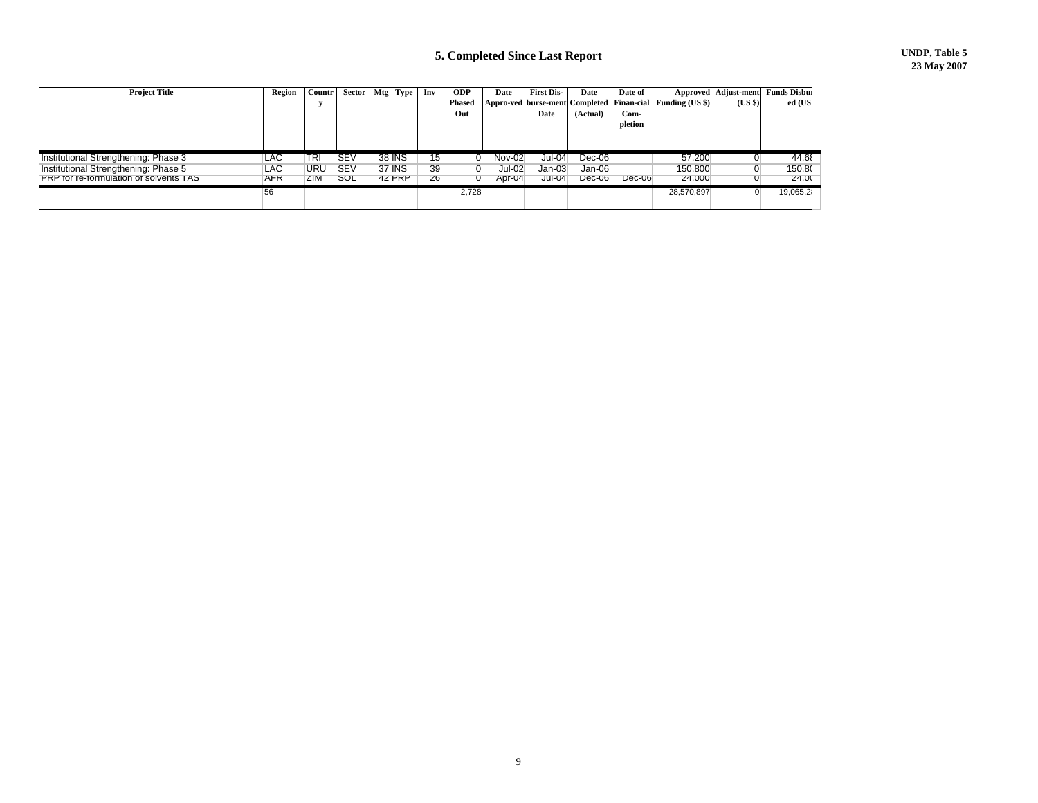## **5. Completed Since Last Report UNDP, Table 5**

| <b>Project Title</b>                          | Region     | Countr'    | Sector     | Mtg Type | Inv | <b>ODP</b>    | Date          | <b>First Dis-</b> | Date     | Date of  |                                                           | Approved Adjust-ment | <b>Funds Disbur</b> |
|-----------------------------------------------|------------|------------|------------|----------|-----|---------------|---------------|-------------------|----------|----------|-----------------------------------------------------------|----------------------|---------------------|
|                                               |            |            |            |          |     | <b>Phased</b> |               |                   |          |          | Appro-ved burse-ment Completed Finan-cial Funding (US \$) | (US \$)              | ed (US              |
|                                               |            |            |            |          |     | Out           |               | Date              | (Actual) | Com-     |                                                           |                      |                     |
|                                               |            |            |            |          |     |               |               |                   |          | pletion  |                                                           |                      |                     |
|                                               |            |            |            |          |     |               |               |                   |          |          |                                                           |                      |                     |
|                                               |            |            |            |          |     |               |               |                   |          |          |                                                           |                      |                     |
| Institutional Strengthening: Phase 3          | LAC        | TRI        | <b>SEV</b> | 38 INS   | 15  | 0             | <b>Nov-02</b> | $Jul-04$          | $Dec-06$ |          | 57,200                                                    |                      | 44,68               |
| Institutional Strengthening: Phase 5          | LAC        | URU        | <b>SEV</b> | 37 INS   | 39  |               | $Jul-02$      | $Jan-03$          | Jan-06   |          | 150,800                                                   |                      | 150,80              |
| <b>PRP</b> for re-formulation of solvents TAS | <b>AFR</b> | <b>ZIM</b> | SUL        | 42 PRP   | 26  |               | Apr-04        | $Jul-04$          | $Dec-06$ | $Dec-06$ | 24,000                                                    |                      | 24,00               |
|                                               | 56         |            |            |          |     | 2,728         |               |                   |          |          | 28,570,897                                                | 0                    | 19,065,2            |
|                                               |            |            |            |          |     |               |               |                   |          |          |                                                           |                      |                     |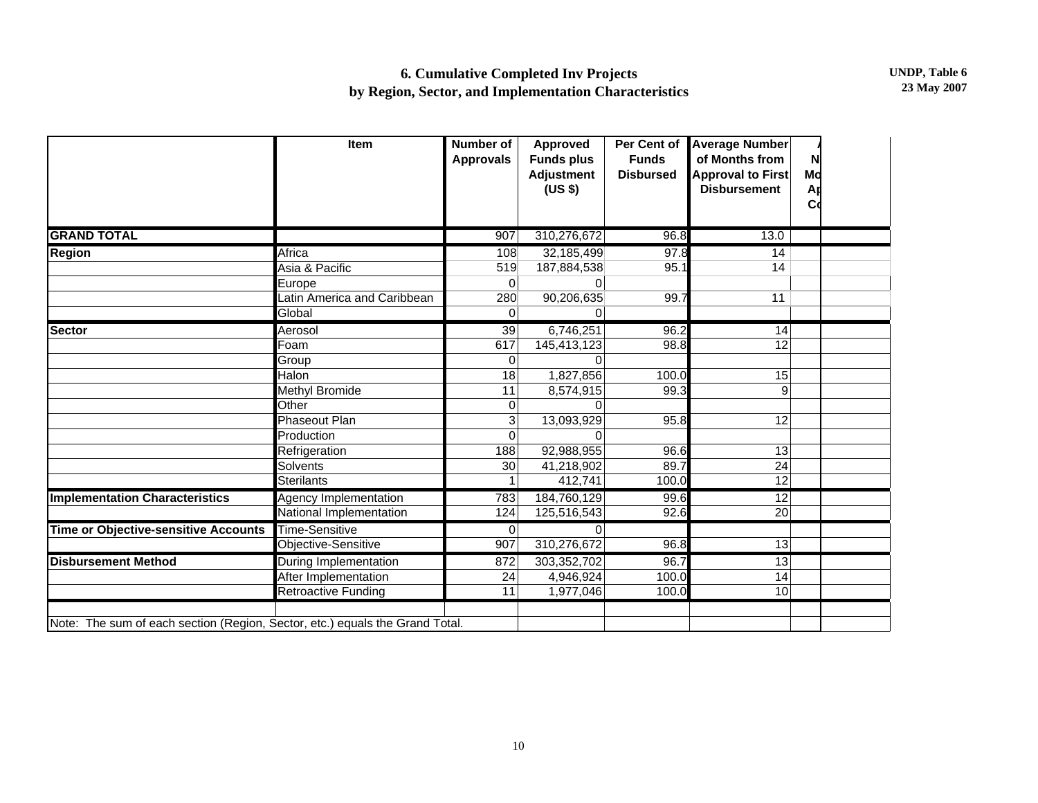|                                                                              | Item                         | <b>Number of</b><br><b>Approvals</b> | <b>Approved</b><br><b>Funds plus</b><br><b>Adjustment</b><br>(US \$) | Per Cent of<br><b>Funds</b><br><b>Disbursed</b> | <b>Average Number</b><br>of Months from<br><b>Approval to First</b><br><b>Disbursement</b> | N<br>Md<br>Ar<br>C <sub>0</sub> |  |
|------------------------------------------------------------------------------|------------------------------|--------------------------------------|----------------------------------------------------------------------|-------------------------------------------------|--------------------------------------------------------------------------------------------|---------------------------------|--|
| <b>GRAND TOTAL</b>                                                           |                              | 907                                  | 310,276,672                                                          | 96.8                                            | 13.0                                                                                       |                                 |  |
| <b>Region</b>                                                                | Africa                       | 108                                  | 32,185,499                                                           | 97.8                                            | 14                                                                                         |                                 |  |
|                                                                              | Asia & Pacific               | 519                                  | 187,884,538                                                          | 95.1                                            | 14                                                                                         |                                 |  |
|                                                                              | Europe                       | 0                                    | 0                                                                    |                                                 |                                                                                            |                                 |  |
|                                                                              | Latin America and Caribbean  | 280                                  | 90,206,635                                                           | 99.7                                            | 11                                                                                         |                                 |  |
|                                                                              | Global                       | 0                                    | $\Omega$                                                             |                                                 |                                                                                            |                                 |  |
| Sector                                                                       | Aerosol                      | 39                                   | 6,746,251                                                            | 96.2                                            | 14                                                                                         |                                 |  |
|                                                                              | Foam                         | 617                                  | 145,413,123                                                          | 98.8                                            | 12                                                                                         |                                 |  |
|                                                                              | Group                        | 0                                    | ∩                                                                    |                                                 |                                                                                            |                                 |  |
|                                                                              | Halon                        | 18                                   | 1,827,856                                                            | 100.0                                           | 15                                                                                         |                                 |  |
|                                                                              | Methyl Bromide               | 11                                   | 8,574,915                                                            | 99.3                                            | 9                                                                                          |                                 |  |
|                                                                              | Other                        | 0                                    |                                                                      |                                                 |                                                                                            |                                 |  |
|                                                                              | <b>Phaseout Plan</b>         | 3                                    | 13,093,929                                                           | 95.8                                            | 12                                                                                         |                                 |  |
|                                                                              | Production                   | 0                                    | <sup>0</sup>                                                         |                                                 |                                                                                            |                                 |  |
|                                                                              | Refrigeration                | 188                                  | 92,988,955                                                           | 96.6                                            | 13                                                                                         |                                 |  |
|                                                                              | Solvents                     | 30                                   | 41,218,902                                                           | 89.7                                            | 24                                                                                         |                                 |  |
|                                                                              | <b>Sterilants</b>            | 1                                    | 412,741                                                              | 100.0                                           | $\overline{12}$                                                                            |                                 |  |
| <b>Implementation Characteristics</b>                                        | <b>Agency Implementation</b> | 783                                  | 184,760,129                                                          | 99.6                                            | 12                                                                                         |                                 |  |
|                                                                              | National Implementation      | 124                                  | 125,516,543                                                          | 92.6                                            | 20                                                                                         |                                 |  |
| <b>Time or Objective-sensitive Accounts</b>                                  | <b>Time-Sensitive</b>        | $\mathbf 0$                          | $\Omega$                                                             |                                                 |                                                                                            |                                 |  |
|                                                                              | Objective-Sensitive          | 907                                  | 310,276,672                                                          | 96.8                                            | 13                                                                                         |                                 |  |
| <b>Disbursement Method</b>                                                   | During Implementation        | 872                                  | 303,352,702                                                          | 96.7                                            | 13                                                                                         |                                 |  |
|                                                                              | After Implementation         | 24                                   | 4,946,924                                                            | 100.0                                           | 14                                                                                         |                                 |  |
|                                                                              | Retroactive Funding          | 11                                   | 1,977,046                                                            | 100.0                                           | 10                                                                                         |                                 |  |
| Note: The sum of each section (Region, Sector, etc.) equals the Grand Total. |                              |                                      |                                                                      |                                                 |                                                                                            |                                 |  |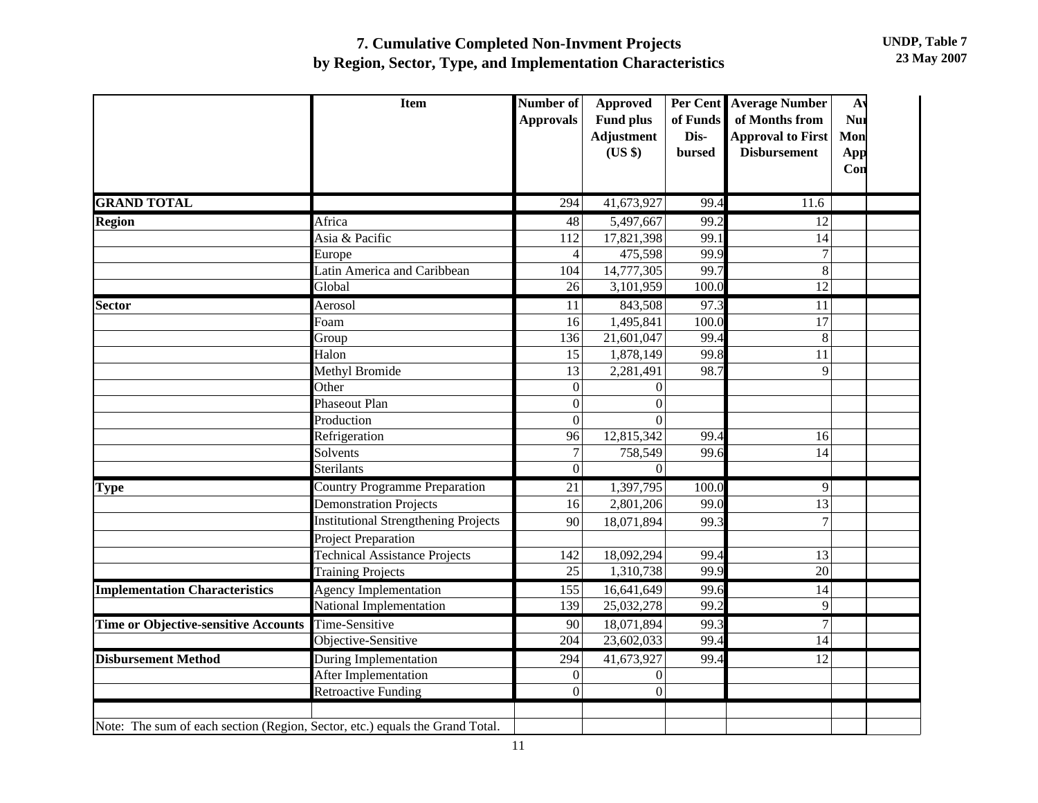## **7. Cumulative Completed Non-Invment Projects by Region, Sector, Type, and Implementation Characteristics**

|                                                                              | <b>Item</b>                                 | Number of<br><b>Approvals</b> | <b>Approved</b><br><b>Fund plus</b><br>Adjustment | of Funds<br>Dis- | Per Cent Average Number<br>Nul<br>of Months from<br><b>Approval to First</b><br>Mon | A <sub>1</sub> |
|------------------------------------------------------------------------------|---------------------------------------------|-------------------------------|---------------------------------------------------|------------------|-------------------------------------------------------------------------------------|----------------|
|                                                                              |                                             |                               | (US \$)                                           | bursed           | <b>Disbursement</b><br>App<br>Con                                                   |                |
| <b>GRAND TOTAL</b>                                                           |                                             | $\overline{294}$              | 41,673,927                                        | 99.4             | 11.6                                                                                |                |
| Region                                                                       | Africa                                      | 48                            | 5,497,667                                         | 99.2             | $\overline{12}$                                                                     |                |
|                                                                              | Asia & Pacific                              | 112                           | 17,821,398                                        | 99.1             | 14                                                                                  |                |
|                                                                              | Europe                                      | $\overline{4}$                | 475,598                                           | 99.9             | $\overline{7}$                                                                      |                |
|                                                                              | Latin America and Caribbean                 | 104                           | 14,777,305                                        | 99.7             | 8                                                                                   |                |
|                                                                              | Global                                      | 26                            | 3,101,959                                         | 100.0            | 12                                                                                  |                |
| <b>Sector</b>                                                                | Aerosol                                     | 11                            | 843,508                                           | 97.3             | $\overline{11}$                                                                     |                |
|                                                                              | Foam                                        | 16                            | 1,495,841                                         | 100.0            | 17                                                                                  |                |
|                                                                              | Group                                       | 136                           | 21,601,047                                        | 99.4             | 8                                                                                   |                |
|                                                                              | Halon                                       | 15                            | 1,878,149                                         | 99.8             | 11                                                                                  |                |
|                                                                              | Methyl Bromide                              | 13                            | 2,281,491                                         | 98.7             | 9                                                                                   |                |
|                                                                              | Other                                       | $\Omega$                      | $\Omega$                                          |                  |                                                                                     |                |
|                                                                              | Phaseout Plan                               | $\mathbf{0}$                  | $\Omega$                                          |                  |                                                                                     |                |
|                                                                              | Production                                  | $\overline{0}$                | $\Omega$                                          |                  |                                                                                     |                |
|                                                                              | Refrigeration                               | 96                            | 12,815,342                                        | 99.4             | 16                                                                                  |                |
|                                                                              | Solvents                                    | $\overline{7}$                | 758,549                                           | 99.6             | 14                                                                                  |                |
|                                                                              | Sterilants                                  | $\overline{0}$                | $\Omega$                                          |                  |                                                                                     |                |
| <b>Type</b>                                                                  | <b>Country Programme Preparation</b>        | 21                            | 1,397,795                                         | 100.0            | $\overline{9}$                                                                      |                |
|                                                                              | <b>Demonstration Projects</b>               | 16                            | 2,801,206                                         | 99.0             | 13                                                                                  |                |
|                                                                              | <b>Institutional Strengthening Projects</b> | 90                            | 18,071,894                                        | 99.3             | $\overline{7}$                                                                      |                |
|                                                                              | <b>Project Preparation</b>                  |                               |                                                   |                  |                                                                                     |                |
|                                                                              | <b>Technical Assistance Projects</b>        | 142                           | 18,092,294                                        | 99.4             | 13                                                                                  |                |
|                                                                              | <b>Training Projects</b>                    | 25                            | 1,310,738                                         | 99.9             | 20                                                                                  |                |
| <b>Implementation Characteristics</b>                                        | <b>Agency Implementation</b>                | 155                           | 16,641,649                                        | 99.6             | 14                                                                                  |                |
|                                                                              | National Implementation                     | 139                           | 25,032,278                                        | 99.2             | 9                                                                                   |                |
| <b>Time or Objective-sensitive Accounts</b>                                  | Time-Sensitive                              | 90                            | 18,071,894                                        | 99.3             | $\overline{7}$                                                                      |                |
|                                                                              | Objective-Sensitive                         | 204                           | 23,602,033                                        | 99.4             | 14                                                                                  |                |
| <b>Disbursement Method</b>                                                   | During Implementation                       | 294                           | 41,673,927                                        | 99.4             | 12                                                                                  |                |
|                                                                              | After Implementation                        | $\theta$                      | $\boldsymbol{0}$                                  |                  |                                                                                     |                |
|                                                                              | <b>Retroactive Funding</b>                  | $\boldsymbol{0}$              | $\mathbf{0}$                                      |                  |                                                                                     |                |
|                                                                              |                                             |                               |                                                   |                  |                                                                                     |                |
| Note: The sum of each section (Region, Sector, etc.) equals the Grand Total. |                                             |                               |                                                   |                  |                                                                                     |                |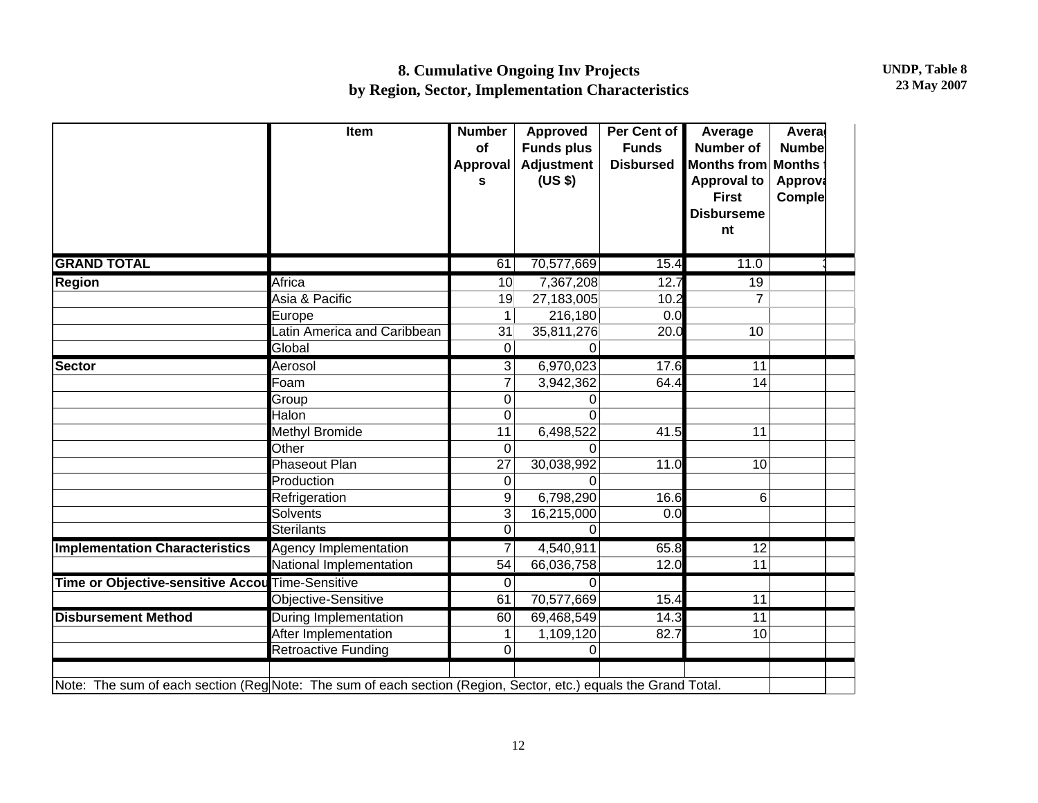## **8. Cumulative Ongoing Inv Projects by Region, Sector, Implementation Characteristics**

|                                                                                                                 | Item                        | <b>Number</b><br>of<br>Approval<br>S | <b>Approved</b><br><b>Funds plus</b><br><b>Adjustment</b><br>(US \$) | Per Cent of<br><b>Funds</b><br><b>Disbursed</b> | Average<br><b>Number of</b><br><b>Months from</b><br><b>Approval to</b><br><b>First</b><br><b>Disburseme</b><br>nt | Avera<br><b>Numbe</b><br><b>Months</b><br><b>Approva</b><br>Comple |  |
|-----------------------------------------------------------------------------------------------------------------|-----------------------------|--------------------------------------|----------------------------------------------------------------------|-------------------------------------------------|--------------------------------------------------------------------------------------------------------------------|--------------------------------------------------------------------|--|
| <b>GRAND TOTAL</b>                                                                                              |                             | 61                                   | 70,577,669                                                           | 15.4                                            | 11.0                                                                                                               |                                                                    |  |
| <b>Region</b>                                                                                                   | Africa                      | 10                                   | 7,367,208                                                            | 12.7                                            | 19                                                                                                                 |                                                                    |  |
|                                                                                                                 | Asia & Pacific              | 19                                   | 27,183,005                                                           | 10.2                                            | $\overline{7}$                                                                                                     |                                                                    |  |
|                                                                                                                 | Europe                      | 1                                    | 216,180                                                              | 0.0                                             |                                                                                                                    |                                                                    |  |
|                                                                                                                 | Latin America and Caribbean | 31                                   | 35,811,276                                                           | 20.0                                            | 10                                                                                                                 |                                                                    |  |
|                                                                                                                 | Global                      | $\mathbf 0$                          | 0                                                                    |                                                 |                                                                                                                    |                                                                    |  |
| <b>Sector</b>                                                                                                   | Aerosol                     | 3                                    | 6,970,023                                                            | 17.6                                            | 11                                                                                                                 |                                                                    |  |
|                                                                                                                 | Foam                        | $\overline{7}$                       | 3,942,362                                                            | 64.4                                            | 14                                                                                                                 |                                                                    |  |
|                                                                                                                 | Group                       | $\mathbf 0$                          | 0                                                                    |                                                 |                                                                                                                    |                                                                    |  |
|                                                                                                                 | Halon                       | 0                                    | ∩                                                                    |                                                 |                                                                                                                    |                                                                    |  |
|                                                                                                                 | Methyl Bromide              | 11                                   | 6,498,522                                                            | 41.5                                            | 11                                                                                                                 |                                                                    |  |
|                                                                                                                 | Other                       | $\overline{0}$                       | ∩                                                                    |                                                 |                                                                                                                    |                                                                    |  |
|                                                                                                                 | Phaseout Plan               | 27                                   | 30,038,992                                                           | 11.0                                            | 10                                                                                                                 |                                                                    |  |
|                                                                                                                 | Production                  | $\boldsymbol{0}$                     |                                                                      |                                                 |                                                                                                                    |                                                                    |  |
|                                                                                                                 | Refrigeration               | 9                                    | 6,798,290                                                            | 16.6                                            | 6                                                                                                                  |                                                                    |  |
|                                                                                                                 | <b>Solvents</b>             | 3                                    | 16,215,000                                                           | 0.0                                             |                                                                                                                    |                                                                    |  |
|                                                                                                                 | <b>Sterilants</b>           | 0                                    | $\Omega$                                                             |                                                 |                                                                                                                    |                                                                    |  |
| <b>Implementation Characteristics</b>                                                                           | Agency Implementation       | 7                                    | 4,540,911                                                            | 65.8                                            | 12                                                                                                                 |                                                                    |  |
|                                                                                                                 | National Implementation     | 54                                   | 66,036,758                                                           | 12.0                                            | 11                                                                                                                 |                                                                    |  |
| Time or Objective-sensitive Accou Time-Sensitive                                                                |                             | $\mathbf 0$                          | $\Omega$                                                             |                                                 |                                                                                                                    |                                                                    |  |
|                                                                                                                 | Objective-Sensitive         | 61                                   | 70,577,669                                                           | 15.4                                            | 11                                                                                                                 |                                                                    |  |
| <b>Disbursement Method</b>                                                                                      | During Implementation       | 60                                   | 69,468,549                                                           | 14.3                                            | 11                                                                                                                 |                                                                    |  |
|                                                                                                                 | After Implementation        | 1                                    | 1,109,120                                                            | 82.7                                            | 10                                                                                                                 |                                                                    |  |
|                                                                                                                 | <b>Retroactive Funding</b>  | $\overline{0}$                       | 0                                                                    |                                                 |                                                                                                                    |                                                                    |  |
| Note: The sum of each section (Reg Note: The sum of each section (Region, Sector, etc.) equals the Grand Total. |                             |                                      |                                                                      |                                                 |                                                                                                                    |                                                                    |  |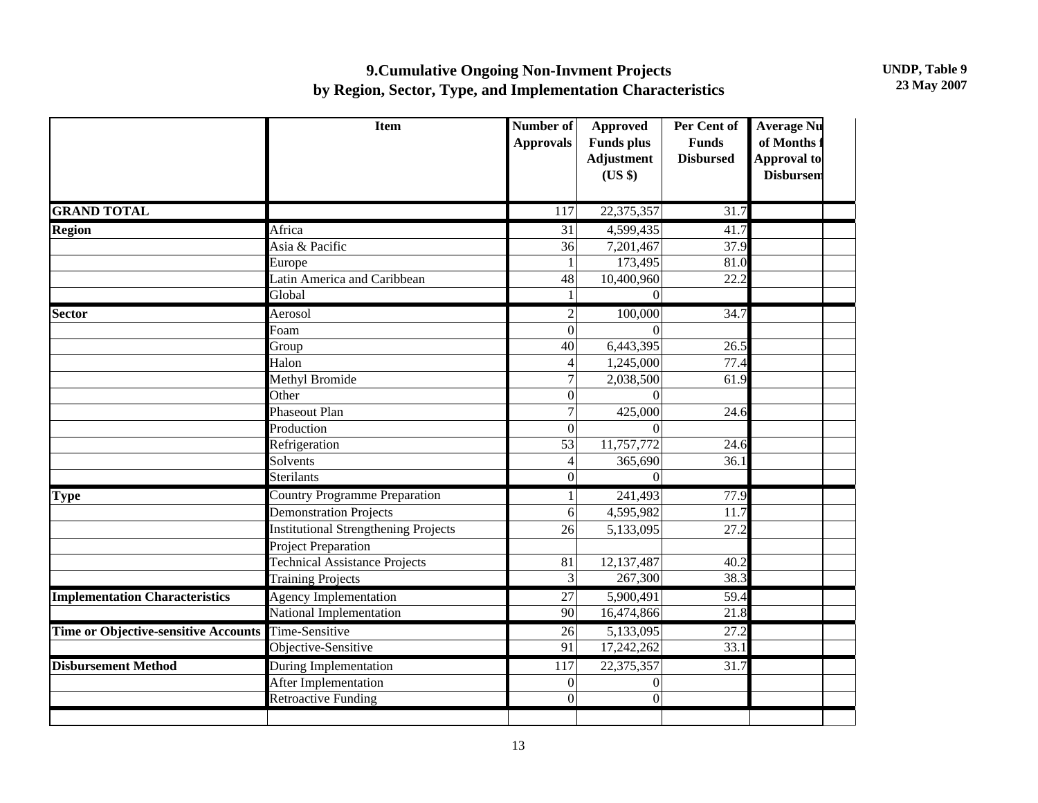## **9.Cumulative Ongoing Non-Invment Projects by Region, Sector, Type, and Implementation Characteristics**

**UNDP, Table 9 23 May 2007**

|                                             | <b>Item</b>                                 | Number of<br><b>Approvals</b> | <b>Approved</b><br><b>Funds</b> plus<br><b>Adjustment</b><br>(US \$) | Per Cent of<br><b>Funds</b><br><b>Disbursed</b> | <b>Average Nu</b><br>of Months<br><b>Approval to</b><br><b>Disbursem</b> |
|---------------------------------------------|---------------------------------------------|-------------------------------|----------------------------------------------------------------------|-------------------------------------------------|--------------------------------------------------------------------------|
| <b>GRAND TOTAL</b>                          |                                             | 117                           | 22,375,357                                                           | 31.7                                            |                                                                          |
| <b>Region</b>                               | Africa                                      | 31                            | 4,599,435                                                            | 41.7                                            |                                                                          |
|                                             | Asia & Pacific                              | 36                            | 7,201,467                                                            | 37.9                                            |                                                                          |
|                                             | Europe                                      | $\mathbf{1}$                  | 173,495                                                              | 81.0                                            |                                                                          |
|                                             | Latin America and Caribbean                 | 48                            | 10,400,960                                                           | 22.2                                            |                                                                          |
|                                             | Global                                      | $\mathbf{1}$                  | $\theta$                                                             |                                                 |                                                                          |
| <b>Sector</b>                               | Aerosol                                     | $\overline{2}$                | 100,000                                                              | 34.7                                            |                                                                          |
|                                             | Foam                                        | $\overline{0}$                | $\Omega$                                                             |                                                 |                                                                          |
|                                             | Group                                       | 40                            | 6,443,395                                                            | 26.5                                            |                                                                          |
|                                             | Halon                                       | 4                             | 1,245,000                                                            | 77.4                                            |                                                                          |
|                                             | Methyl Bromide                              | $\overline{7}$                | 2,038,500                                                            | 61.9                                            |                                                                          |
|                                             | Other                                       | $\overline{0}$                | $\Omega$                                                             |                                                 |                                                                          |
|                                             | Phaseout Plan                               | $\overline{7}$                | 425,000                                                              | 24.6                                            |                                                                          |
|                                             | Production                                  | $\overline{0}$                | $\Omega$                                                             |                                                 |                                                                          |
|                                             | Refrigeration                               | 53                            | 11,757,772                                                           | 24.6                                            |                                                                          |
|                                             | Solvents                                    | 4                             | 365,690                                                              | 36.1                                            |                                                                          |
|                                             | Sterilants                                  | $\overline{0}$                | $\Omega$                                                             |                                                 |                                                                          |
| <b>Type</b>                                 | <b>Country Programme Preparation</b>        | $\mathbf{1}$                  | 241,493                                                              | 77.9                                            |                                                                          |
|                                             | <b>Demonstration Projects</b>               | 6                             | 4,595,982                                                            | 11.7                                            |                                                                          |
|                                             | <b>Institutional Strengthening Projects</b> | 26                            | 5,133,095                                                            | 27.2                                            |                                                                          |
|                                             | <b>Project Preparation</b>                  |                               |                                                                      |                                                 |                                                                          |
|                                             | <b>Technical Assistance Projects</b>        | 81                            | 12,137,487                                                           | 40.2                                            |                                                                          |
|                                             | <b>Training Projects</b>                    | $\overline{3}$                | 267,300                                                              | 38.3                                            |                                                                          |
| <b>Implementation Characteristics</b>       | <b>Agency Implementation</b>                | 27                            | 5,900,491                                                            | 59.4                                            |                                                                          |
|                                             | National Implementation                     | 90                            | 16,474,866                                                           | 21.8                                            |                                                                          |
| <b>Time or Objective-sensitive Accounts</b> | Time-Sensitive                              | 26                            | 5,133,095                                                            | 27.2                                            |                                                                          |
|                                             | Objective-Sensitive                         | $\overline{91}$               | 17,242,262                                                           | 33.1                                            |                                                                          |
| <b>Disbursement Method</b>                  | During Implementation                       | 117                           | 22,375,357                                                           | 31.7                                            |                                                                          |
|                                             | After Implementation                        | $\overline{0}$                | $\mathbf{0}$                                                         |                                                 |                                                                          |
|                                             | <b>Retroactive Funding</b>                  | $\overline{0}$                | $\overline{0}$                                                       |                                                 |                                                                          |